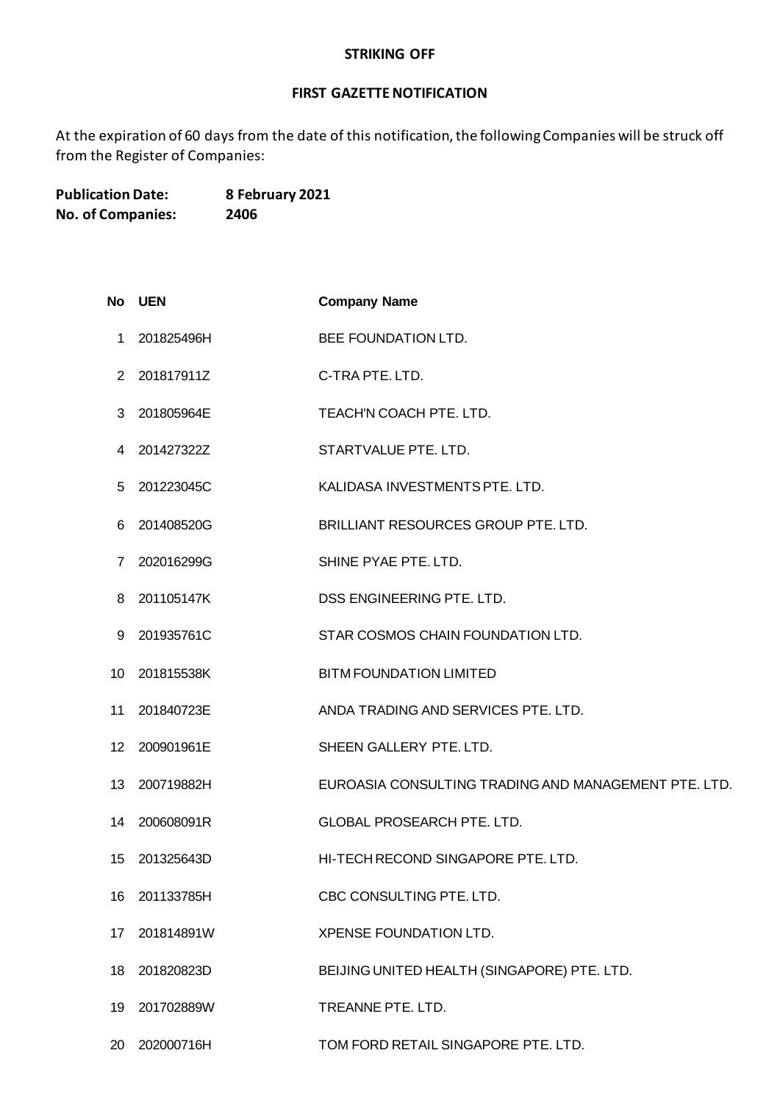## **STRIKING OFF**

## **FIRST GAZETTE NOTIFICATION**

At the expiration of 60 days from the date of this notification, the following Companies will be struck off from the Register of Companies:

**Publication Date: 8 February 2021 No. of Companies: 2406**

|     | No UEN     | <b>Company Name</b>                                  |
|-----|------------|------------------------------------------------------|
| 1.  | 201825496H | BEE FOUNDATION LTD.                                  |
| 2   | 201817911Z | C-TRA PTE. LTD.                                      |
| 3.  | 201805964E | TEACH'N COACH PTE. LTD.                              |
| 4   | 201427322Z | STARTVALUE PTE. LTD.                                 |
| 5   | 201223045C | KALIDASA INVESTMENTS PTE. LTD.                       |
| 6   | 201408520G | BRILLIANT RESOURCES GROUP PTE. LTD.                  |
| 7   | 202016299G | SHINE PYAE PTE. LTD.                                 |
| 8   | 201105147K | DSS ENGINEERING PTE, LTD.                            |
| 9   | 201935761C | STAR COSMOS CHAIN FOUNDATION LTD.                    |
| 10. | 201815538K | <b>BITM FOUNDATION LIMITED</b>                       |
| 11  | 201840723E | ANDA TRADING AND SERVICES PTE. LTD.                  |
| 12  | 200901961E | SHEEN GALLERY PTE, LTD.                              |
| 13. | 200719882H | EUROASIA CONSULTING TRADING AND MANAGEMENT PTE. LTD. |
| 14  | 200608091R | <b>GLOBAL PROSEARCH PTE. LTD.</b>                    |
| 15  | 201325643D | HI-TECH RECOND SINGAPORE PTE. LTD.                   |
| 16  | 201133785H | CBC CONSULTING PTE. LTD.                             |
| 17  | 201814891W | <b>XPENSE FOUNDATION LTD.</b>                        |
| 18  | 201820823D | BEIJING UNITED HEALTH (SINGAPORE) PTE. LTD.          |
| 19  | 201702889W | TREANNE PTE. LTD.                                    |
|     |            |                                                      |

202000716H TOM FORD RETAIL SINGAPORE PTE. LTD.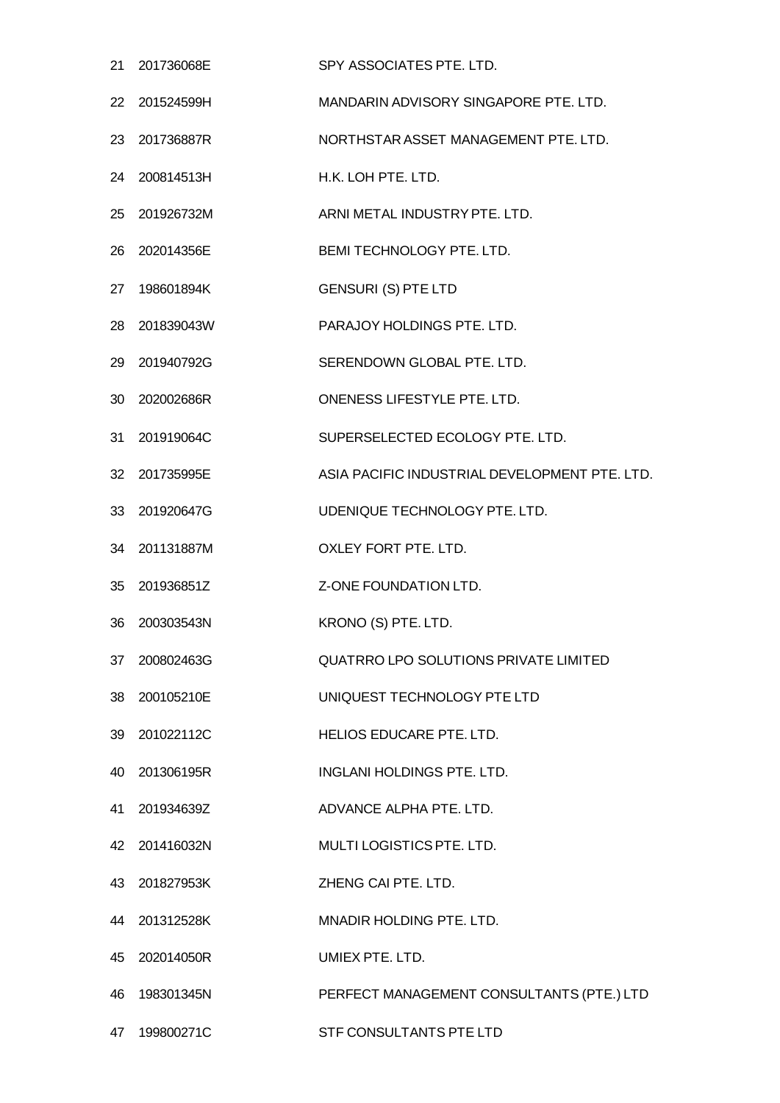| 21 | 201736068E    | SPY ASSOCIATES PTE. LTD.                      |
|----|---------------|-----------------------------------------------|
| 22 | 201524599H    | MANDARIN ADVISORY SINGAPORE PTE, LTD.         |
| 23 | 201736887R    | NORTHSTAR ASSET MANAGEMENT PTE, LTD.          |
| 24 | 200814513H    | H.K. LOH PTE. LTD.                            |
| 25 | 201926732M    | ARNI METAL INDUSTRY PTE. LTD.                 |
| 26 | 202014356E    | BEMI TECHNOLOGY PTE. LTD.                     |
| 27 | 198601894K    | <b>GENSURI (S) PTE LTD</b>                    |
| 28 | 201839043W    | PARAJOY HOLDINGS PTE. LTD.                    |
| 29 | 201940792G    | SERENDOWN GLOBAL PTE. LTD.                    |
| 30 | 202002686R    | ONENESS LIFESTYLE PTE. LTD.                   |
| 31 | 201919064C    | SUPERSELECTED ECOLOGY PTE. LTD.               |
| 32 | 201735995E    | ASIA PACIFIC INDUSTRIAL DEVELOPMENT PTE. LTD. |
| 33 | 201920647G    | UDENIQUE TECHNOLOGY PTE. LTD.                 |
|    | 34 201131887M | OXLEY FORT PTE. LTD.                          |
| 35 | 201936851Z    | Z-ONE FOUNDATION LTD.                         |
| 36 | 200303543N    | KRONO (S) PTE. LTD.                           |
| 37 | 200802463G    | QUATRRO LPO SOLUTIONS PRIVATE LIMITED         |
| 38 | 200105210E    | UNIQUEST TECHNOLOGY PTE LTD                   |
| 39 | 201022112C    | HELIOS EDUCARE PTE. LTD.                      |
| 40 | 201306195R    | INGLANI HOLDINGS PTE. LTD.                    |
| 41 | 201934639Z    | ADVANCE ALPHA PTE. LTD.                       |
| 42 | 201416032N    | MULTI LOGISTICS PTE. LTD.                     |
| 43 | 201827953K    | ZHENG CAI PTE. LTD.                           |
|    | 44 201312528K | MNADIR HOLDING PTE. LTD.                      |
| 45 | 202014050R    | UMIEX PTE. LTD.                               |
| 46 | 198301345N    | PERFECT MANAGEMENT CONSULTANTS (PTE.) LTD     |
| 47 | 199800271C    | STF CONSULTANTS PTE LTD                       |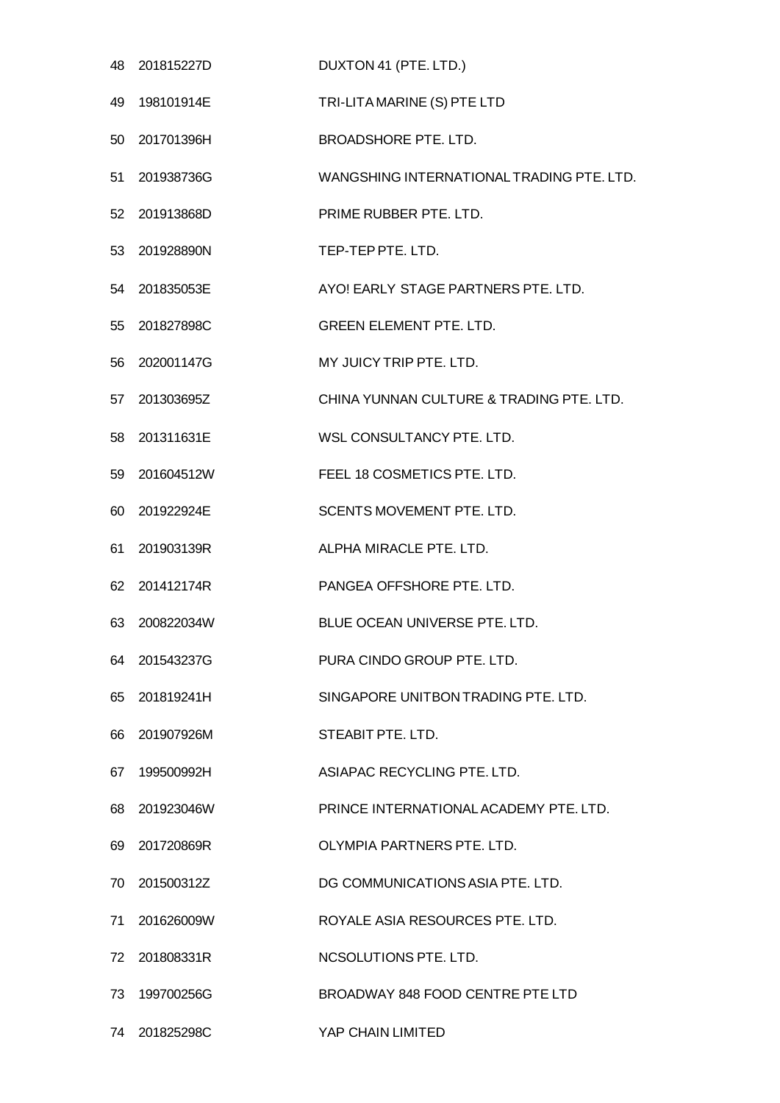| 48  | 201815227D    | DUXTON 41 (PTE. LTD.)                     |
|-----|---------------|-------------------------------------------|
| 49  | 198101914E    | TRI-LITA MARINE (S) PTE LTD               |
| 50  | 201701396H    | BROADSHORE PTE. LTD.                      |
| 51  | 201938736G    | WANGSHING INTERNATIONAL TRADING PTE. LTD. |
| 52  | 201913868D    | PRIME RUBBER PTE. LTD.                    |
| 53  | 201928890N    | TEP-TEP PTE. LTD.                         |
| 54  | 201835053E    | AYO! EARLY STAGE PARTNERS PTE. LTD.       |
| 55  | 201827898C    | <b>GREEN ELEMENT PTE. LTD.</b>            |
| 56  | 202001147G    | MY JUICY TRIP PTE. LTD.                   |
| 57  | 201303695Z    | CHINA YUNNAN CULTURE & TRADING PTE. LTD.  |
| 58  | 201311631E    | WSL CONSULTANCY PTE. LTD.                 |
| 59  | 201604512W    | FEEL 18 COSMETICS PTE. LTD.               |
| 60  | 201922924E    | SCENTS MOVEMENT PTE. LTD.                 |
| 61  | 201903139R    | ALPHA MIRACLE PTE. LTD.                   |
| 62  | 201412174R    | PANGEA OFFSHORE PTE. LTD.                 |
| 63  | 200822034W    | BLUE OCEAN UNIVERSE PTE. LTD.             |
|     | 64 201543237G | PURA CINDO GROUP PTE, LTD.                |
| 65  | 201819241H    | SINGAPORE UNITBON TRADING PTE. LTD.       |
| 66. | 201907926M    | STEABIT PTE. LTD.                         |
| 67  | 199500992H    | ASIAPAC RECYCLING PTE. LTD.               |
| 68  | 201923046W    | PRINCE INTERNATIONAL ACADEMY PTE, LTD.    |
| 69  | 201720869R    | OLYMPIA PARTNERS PTE, LTD.                |
| 70  | 201500312Z    | DG COMMUNICATIONS ASIA PTE. LTD.          |
| 71  | 201626009W    | ROYALE ASIA RESOURCES PTE. LTD.           |
| 72  | 201808331R    | NCSOLUTIONS PTE. LTD.                     |
| 73  | 199700256G    | BROADWAY 848 FOOD CENTRE PTE LTD          |
|     |               |                                           |

201825298C YAP CHAIN LIMITED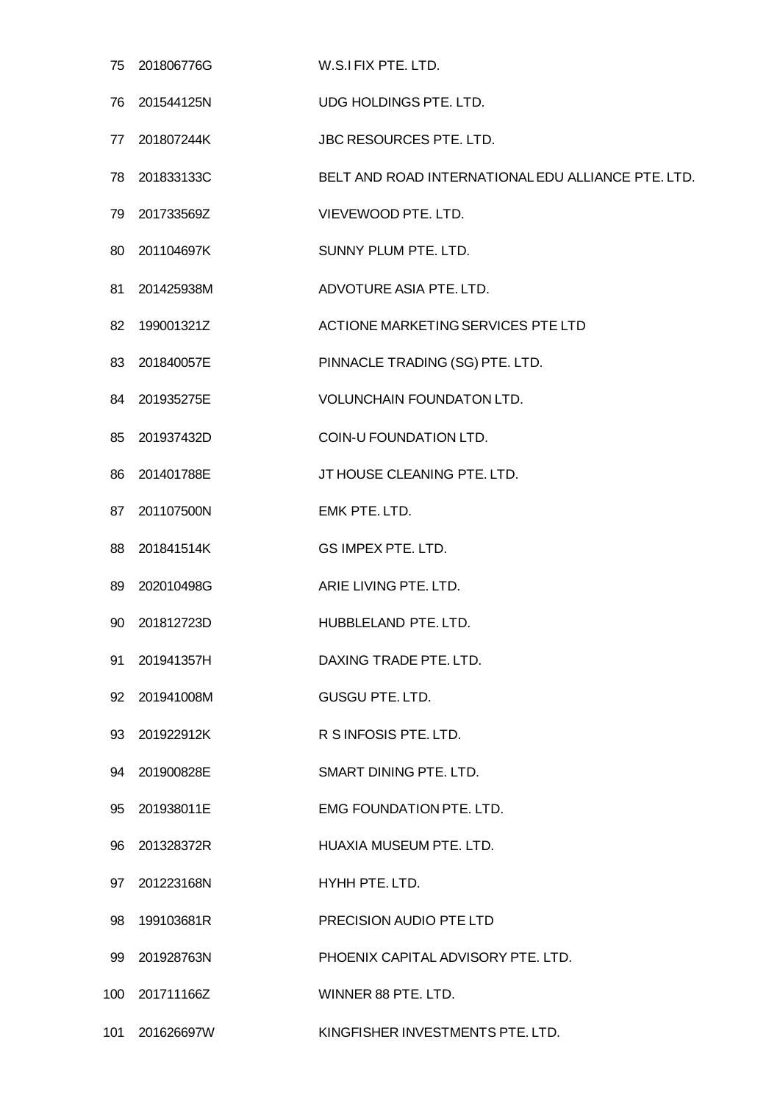| 75  | 201806776G    | W.S.I FIX PTE. LTD.                                |
|-----|---------------|----------------------------------------------------|
| 76  | 201544125N    | UDG HOLDINGS PTE, LTD.                             |
| 77  | 201807244K    | JBC RESOURCES PTE. LTD.                            |
| 78  | 201833133C    | BELT AND ROAD INTERNATIONAL EDU ALLIANCE PTE. LTD. |
| 79  | 201733569Z    | VIEVEWOOD PTE. LTD.                                |
|     | 80 201104697K | SUNNY PLUM PTE. LTD.                               |
| 81  | 201425938M    | ADVOTURE ASIA PTE. LTD.                            |
| 82  | 199001321Z    | ACTIONE MARKETING SERVICES PTE LTD                 |
|     | 83 201840057E | PINNACLE TRADING (SG) PTE. LTD.                    |
| 84  | 201935275E    | <b>VOLUNCHAIN FOUNDATON LTD.</b>                   |
|     | 85 201937432D | COIN-U FOUNDATION LTD.                             |
| 86  | 201401788E    | JT HOUSE CLEANING PTE. LTD.                        |
| 87  | 201107500N    | EMK PTE. LTD.                                      |
|     | 88 201841514K | GS IMPEX PTE. LTD.                                 |
| 89  | 202010498G    | ARIE LIVING PTE. LTD.                              |
| 90  | 201812723D    | HUBBLELAND PTE, LTD.                               |
| 91. | 201941357H    | DAXING TRADE PTE. LTD.                             |
|     | 92 201941008M | <b>GUSGU PTE. LTD.</b>                             |
| 93  | 201922912K    | R S INFOSIS PTE. LTD.                              |
|     | 94 201900828E | SMART DINING PTE. LTD.                             |
|     | 95 201938011E | EMG FOUNDATION PTE. LTD.                           |
| 96  | 201328372R    | HUAXIA MUSEUM PTE. LTD.                            |
| 97  | 201223168N    | HYHH PTE. LTD.                                     |
| 98  | 199103681R    | PRECISION AUDIO PTE LTD                            |
| 99  | 201928763N    | PHOENIX CAPITAL ADVISORY PTE, LTD.                 |
| 100 | 201711166Z    | WINNER 88 PTE. LTD.                                |
| 101 | 201626697W    | KINGFISHER INVESTMENTS PTE. LTD.                   |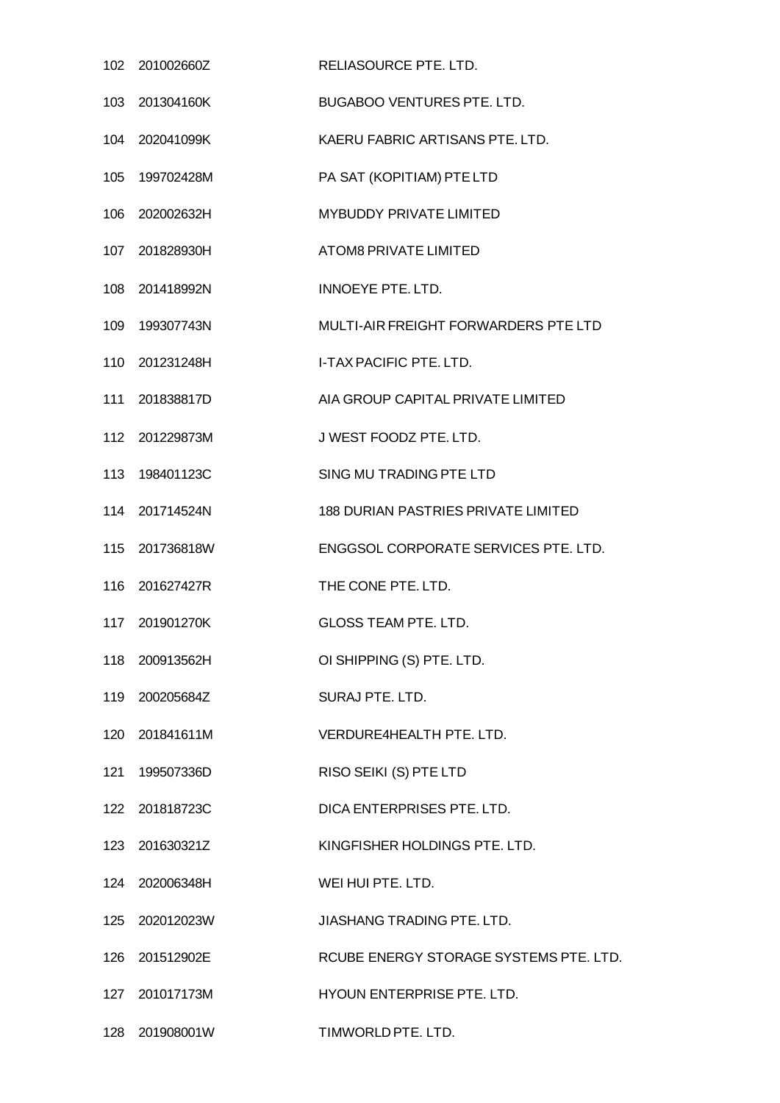|     | 102 201002660Z | RELIASOURCE PTE, LTD.                      |
|-----|----------------|--------------------------------------------|
|     | 103 201304160K | <b>BUGABOO VENTURES PTE, LTD.</b>          |
|     | 104 202041099K | KAERU FABRIC ARTISANS PTE. LTD.            |
|     | 105 199702428M | PA SAT (KOPITIAM) PTE LTD                  |
|     | 106 202002632H | <b>MYBUDDY PRIVATE LIMITED</b>             |
|     | 107 201828930H | ATOM8 PRIVATE LIMITED                      |
|     | 108 201418992N | <b>INNOEYE PTE. LTD.</b>                   |
|     | 109 199307743N | MULTI-AIR FREIGHT FORWARDERS PTE LTD       |
|     | 110 201231248H | <b>I-TAX PACIFIC PTE. LTD.</b>             |
| 111 | 201838817D     | AIA GROUP CAPITAL PRIVATE LIMITED          |
|     | 112 201229873M | J WEST FOODZ PTE. LTD.                     |
|     | 113 198401123C | SING MU TRADING PTE LTD                    |
|     | 114 201714524N | <b>188 DURIAN PASTRIES PRIVATE LIMITED</b> |
|     | 115 201736818W | ENGGSOL CORPORATE SERVICES PTE. LTD.       |
|     | 116 201627427R | THE CONE PTE. LTD.                         |
|     | 117 201901270K | <b>GLOSS TEAM PTE, LTD.</b>                |
|     | 118 200913562H | OI SHIPPING (S) PTE. LTD.                  |
|     | 119 200205684Z | SURAJ PTE. LTD.                            |
|     | 120 201841611M | VERDURE4HEALTH PTE. LTD.                   |
|     | 121 199507336D | RISO SEIKI (S) PTE LTD                     |
|     | 122 201818723C | DICA ENTERPRISES PTE. LTD.                 |
|     | 123 201630321Z | KINGFISHER HOLDINGS PTE. LTD.              |
|     | 124 202006348H | WEI HUI PTE. LTD.                          |
|     | 125 202012023W | JIASHANG TRADING PTE. LTD.                 |
|     | 126 201512902E | RCUBE ENERGY STORAGE SYSTEMS PTE. LTD.     |
|     | 127 201017173M | HYOUN ENTERPRISE PTE. LTD.                 |
|     | 128 201908001W | TIMWORLD PTE. LTD.                         |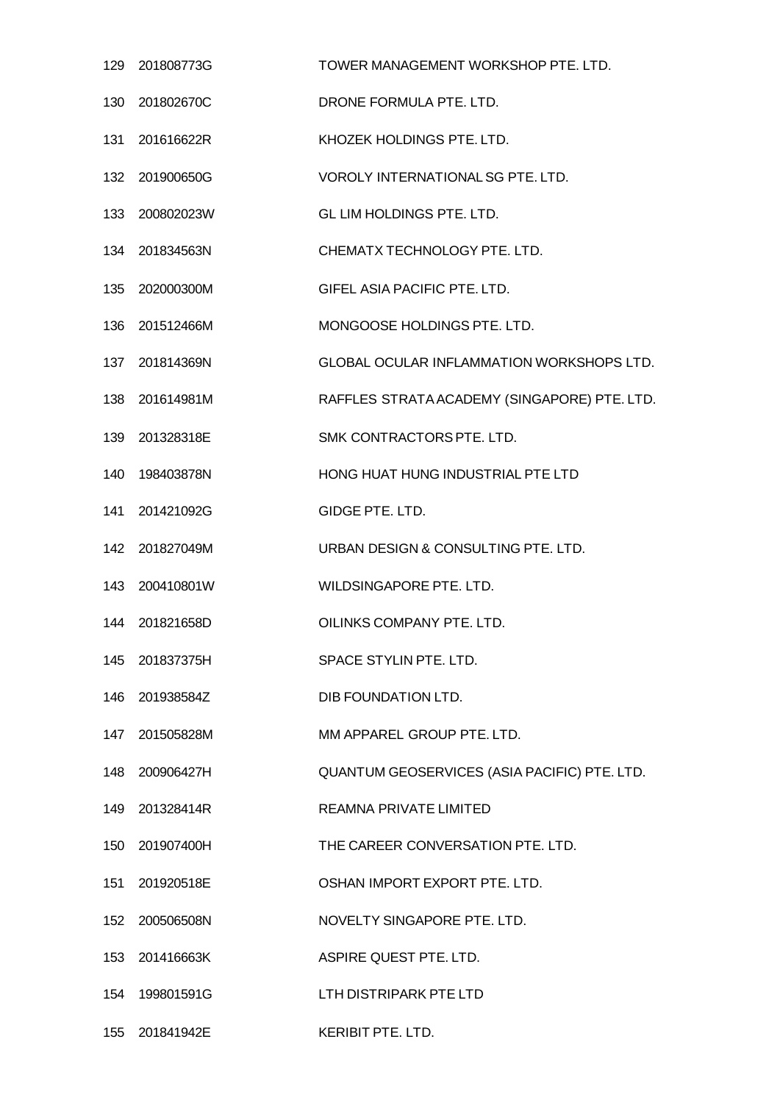|     | 129 201808773G | TOWER MANAGEMENT WORKSHOP PTE. LTD.          |
|-----|----------------|----------------------------------------------|
| 130 | 201802670C     | DRONE FORMULA PTE, LTD.                      |
| 131 | 201616622R     | KHOZEK HOLDINGS PTE. LTD.                    |
|     | 132 201900650G | VOROLY INTERNATIONAL SG PTE. LTD.            |
| 133 | 200802023W     | GL LIM HOLDINGS PTE, LTD.                    |
|     | 134 201834563N | CHEMATX TECHNOLOGY PTE. LTD.                 |
| 135 | 202000300M     | GIFEL ASIA PACIFIC PTE. LTD.                 |
| 136 | 201512466M     | MONGOOSE HOLDINGS PTE. LTD.                  |
|     | 137 201814369N | GLOBAL OCULAR INFLAMMATION WORKSHOPS LTD.    |
| 138 | 201614981M     | RAFFLES STRATA ACADEMY (SINGAPORE) PTE. LTD. |
| 139 | 201328318E     | SMK CONTRACTORS PTE. LTD.                    |
|     | 140 198403878N | HONG HUAT HUNG INDUSTRIAL PTE LTD            |
| 141 | 201421092G     | GIDGE PTE. LTD.                              |
|     | 142 201827049M | URBAN DESIGN & CONSULTING PTE. LTD.          |
| 143 | 200410801W     | WILDSINGAPORE PTE, LTD.                      |
| 144 | 201821658D     | OILINKS COMPANY PTE. LTD.                    |
|     | 145 201837375H | SPACE STYLIN PTE. LTD.                       |
|     | 146 201938584Z | DIB FOUNDATION LTD.                          |
|     | 147 201505828M | MM APPAREL GROUP PTE. LTD.                   |
| 148 | 200906427H     | QUANTUM GEOSERVICES (ASIA PACIFIC) PTE. LTD. |
|     | 149 201328414R | REAMNA PRIVATE LIMITED                       |
|     | 150 201907400H | THE CAREER CONVERSATION PTE. LTD.            |
| 151 | 201920518E     | OSHAN IMPORT EXPORT PTE. LTD.                |
|     | 152 200506508N | NOVELTY SINGAPORE PTE. LTD.                  |
| 153 | 201416663K     | ASPIRE QUEST PTE. LTD.                       |
| 154 | 199801591G     | LTH DISTRIPARK PTE LTD                       |
|     | 155 201841942E | KERIBIT PTE. LTD.                            |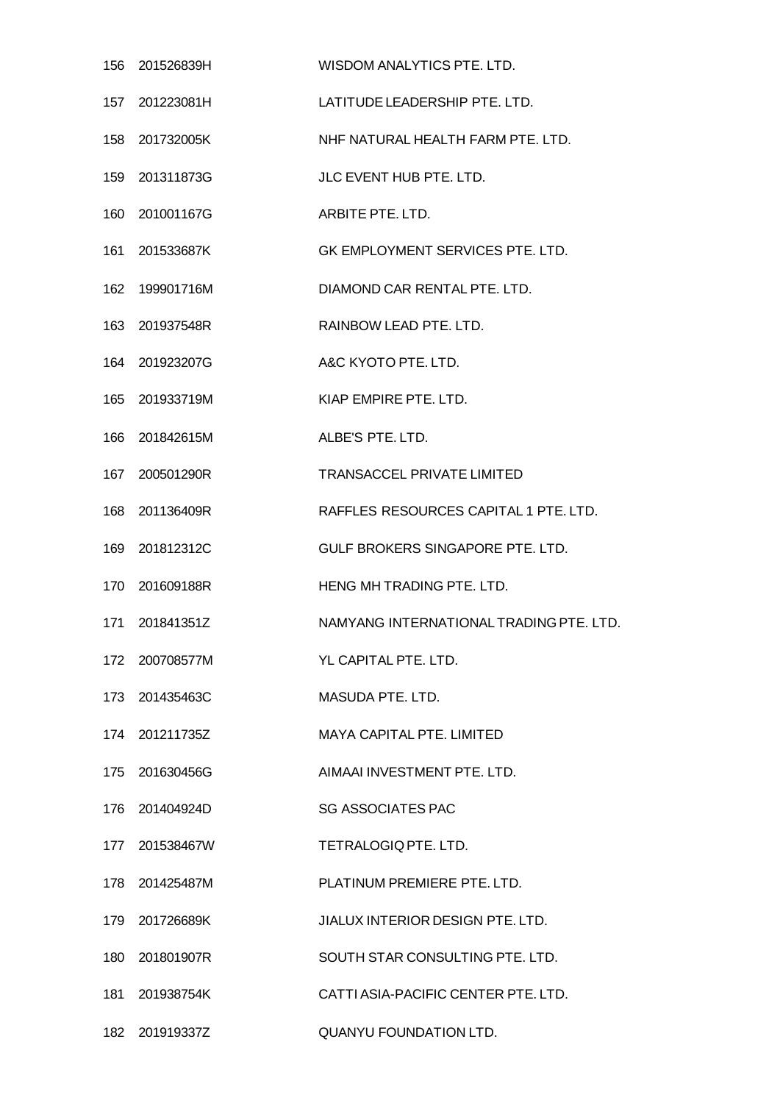| 156 | 201526839H     | WISDOM ANALYTICS PTE. LTD.              |
|-----|----------------|-----------------------------------------|
|     | 157 201223081H | LATITUDE LEADERSHIP PTE. LTD.           |
|     | 158 201732005K | NHF NATURAL HEALTH FARM PTE. LTD.       |
|     | 159 201311873G | JLC EVENT HUB PTE. LTD.                 |
| 160 | 201001167G     | ARBITE PTE. LTD.                        |
|     | 161 201533687K | GK EMPLOYMENT SERVICES PTE. LTD.        |
| 162 | 199901716M     | DIAMOND CAR RENTAL PTE, LTD.            |
| 163 | 201937548R     | RAINBOW LEAD PTE. LTD.                  |
|     | 164 201923207G | A&C KYOTO PTE. LTD.                     |
| 165 | 201933719M     | KIAP EMPIRE PTE, LTD.                   |
|     | 166 201842615M | ALBE'S PTE. LTD.                        |
| 167 | 200501290R     | <b>TRANSACCEL PRIVATE LIMITED</b>       |
| 168 | 201136409R     | RAFFLES RESOURCES CAPITAL 1 PTE. LTD.   |
|     | 169 201812312C | GULF BROKERS SINGAPORE PTE. LTD.        |
| 170 | 201609188R     | HENG MH TRADING PTE. LTD.               |
| 171 | 201841351Z     | NAMYANG INTERNATIONAL TRADING PTE, LTD. |
| 172 | 200708577M     | YL CAPITAL PTE, LTD.                    |
|     | 173 201435463C | MASUDA PTE. LTD.                        |
|     | 174 201211735Z | <b>MAYA CAPITAL PTE, LIMITED</b>        |
| 175 | 201630456G     | AIMAAI INVESTMENT PTE, LTD.             |
|     | 176 201404924D | <b>SG ASSOCIATES PAC</b>                |
| 177 | 201538467W     | TETRALOGIQ PTE. LTD.                    |
| 178 | 201425487M     | PLATINUM PREMIERE PTE. LTD.             |
|     | 179 201726689K | JIALUX INTERIOR DESIGN PTE. LTD.        |
| 180 | 201801907R     | SOUTH STAR CONSULTING PTE. LTD.         |
|     | 181 201938754K | CATTI ASIA-PACIFIC CENTER PTE. LTD.     |
|     | 182 201919337Z | <b>QUANYU FOUNDATION LTD.</b>           |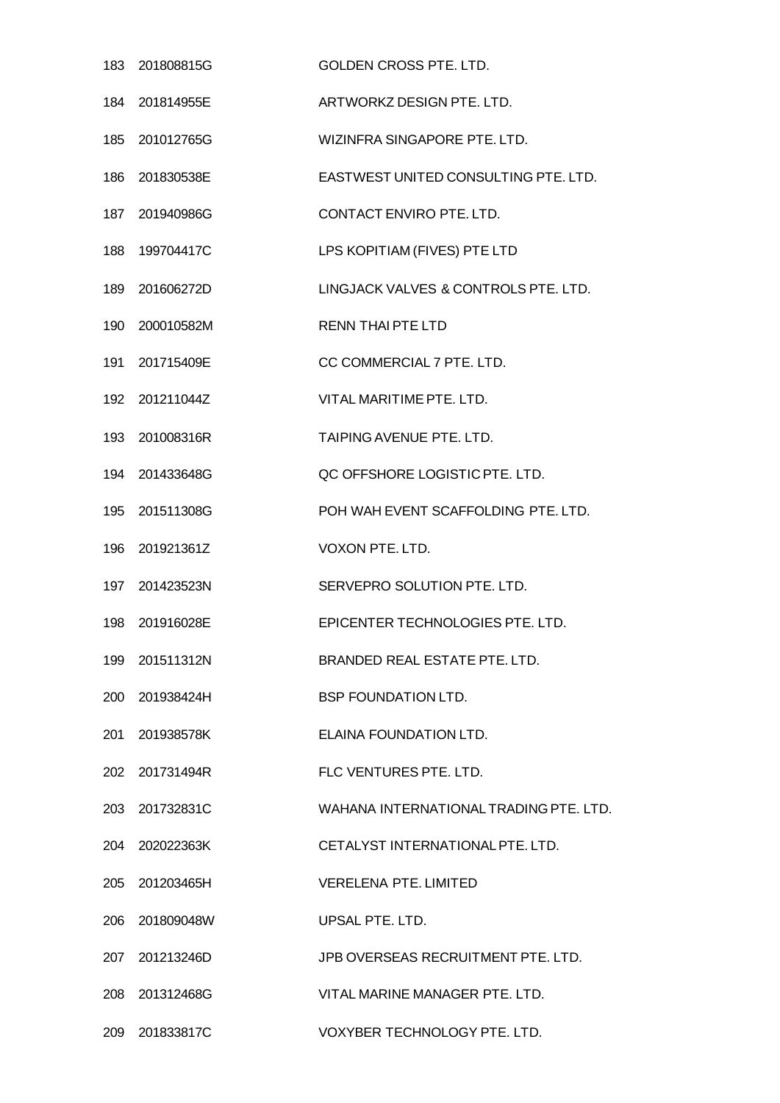| 183 | 201808815G     | GOLDEN CROSS PTE. LTD.                 |
|-----|----------------|----------------------------------------|
| 184 | 201814955E     | ARTWORKZ DESIGN PTE. LTD.              |
|     | 185 201012765G | WIZINFRA SINGAPORE PTE, LTD.           |
| 186 | 201830538E     | EASTWEST UNITED CONSULTING PTE. LTD.   |
| 187 | 201940986G     | CONTACT ENVIRO PTE. LTD.               |
| 188 | 199704417C     | LPS KOPITIAM (FIVES) PTE LTD           |
| 189 | 201606272D     | LINGJACK VALVES & CONTROLS PTE. LTD.   |
| 190 | 200010582M     | <b>RENN THAI PTE LTD</b>               |
| 191 | 201715409E     | CC COMMERCIAL 7 PTE. LTD.              |
| 192 | 201211044Z     | VITAL MARITIME PTE, LTD.               |
|     | 193 201008316R | TAIPING AVENUE PTE. LTD.               |
| 194 | 201433648G     | QC OFFSHORE LOGISTIC PTE. LTD.         |
| 195 | 201511308G     | POH WAH EVENT SCAFFOLDING PTE. LTD.    |
| 196 | 201921361Z     | VOXON PTE. LTD.                        |
| 197 | 201423523N     | SERVEPRO SOLUTION PTE. LTD.            |
| 198 | 201916028E     | EPICENTER TECHNOLOGIES PTE. LTD.       |
| 199 | 201511312N     | BRANDED REAL ESTATE PTE. LTD.          |
| 200 | 201938424H     | <b>BSP FOUNDATION LTD.</b>             |
| 201 | 201938578K     | ELAINA FOUNDATION LTD.                 |
| 202 | 201731494R     | FLC VENTURES PTE. LTD.                 |
|     | 203 201732831C | WAHANA INTERNATIONAL TRADING PTE, LTD. |
| 204 | 202022363K     | CETALYST INTERNATIONAL PTE, LTD.       |
| 205 | 201203465H     | <b>VERELENA PTE, LIMITED</b>           |
| 206 | 201809048W     | UPSAL PTE, LTD.                        |
| 207 | 201213246D     | JPB OVERSEAS RECRUITMENT PTE. LTD.     |
| 208 | 201312468G     | VITAL MARINE MANAGER PTE, LTD.         |
| 209 | 201833817C     | VOXYBER TECHNOLOGY PTE. LTD.           |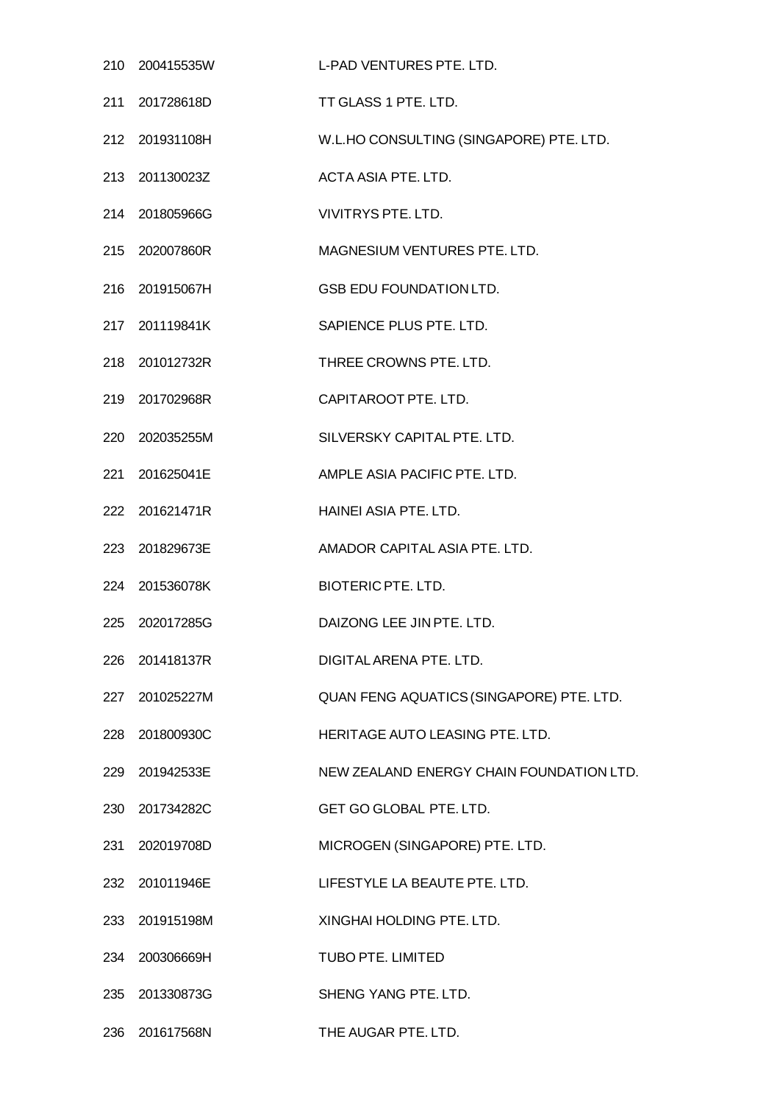|     | 210 200415535W | L-PAD VENTURES PTE. LTD.                 |
|-----|----------------|------------------------------------------|
|     | 211 201728618D | TT GLASS 1 PTE, LTD.                     |
|     | 212 201931108H | W.L.HO CONSULTING (SINGAPORE) PTE. LTD.  |
|     | 213 201130023Z | ACTA ASIA PTE. LTD.                      |
|     | 214 201805966G | <b>VIVITRYS PTE. LTD.</b>                |
|     | 215 202007860R | MAGNESIUM VENTURES PTE. LTD.             |
|     | 216 201915067H | <b>GSB EDU FOUNDATION LTD.</b>           |
|     | 217 201119841K | SAPIENCE PLUS PTE. LTD.                  |
|     | 218 201012732R | THREE CROWNS PTE. LTD.                   |
|     | 219 201702968R | CAPITAROOT PTE. LTD.                     |
|     | 220 202035255M | SILVERSKY CAPITAL PTE. LTD.              |
|     | 221 201625041E | AMPLE ASIA PACIFIC PTE. LTD.             |
|     | 222 201621471R | HAINEI ASIA PTE. LTD.                    |
|     | 223 201829673E | AMADOR CAPITAL ASIA PTE. LTD.            |
|     | 224 201536078K | <b>BIOTERIC PTE, LTD.</b>                |
|     | 225 202017285G | DAIZONG LEE JIN PTE, LTD.                |
|     | 226 201418137R | DIGITAL ARENA PTE. LTD.                  |
|     | 227 201025227M | QUAN FENG AQUATICS (SINGAPORE) PTE. LTD. |
|     | 228 201800930C | HERITAGE AUTO LEASING PTE. LTD.          |
|     | 229 201942533E | NEW ZEALAND ENERGY CHAIN FOUNDATION LTD. |
|     | 230 201734282C | GET GO GLOBAL PTE. LTD.                  |
|     | 231 202019708D | MICROGEN (SINGAPORE) PTE. LTD.           |
|     | 232 201011946E | LIFESTYLE LA BEAUTE PTE. LTD.            |
|     | 233 201915198M | XINGHAI HOLDING PTE. LTD.                |
| 234 | 200306669H     | <b>TUBO PTE. LIMITED</b>                 |
|     | 235 201330873G | SHENG YANG PTE. LTD.                     |
|     | 236 201617568N | THE AUGAR PTE. LTD.                      |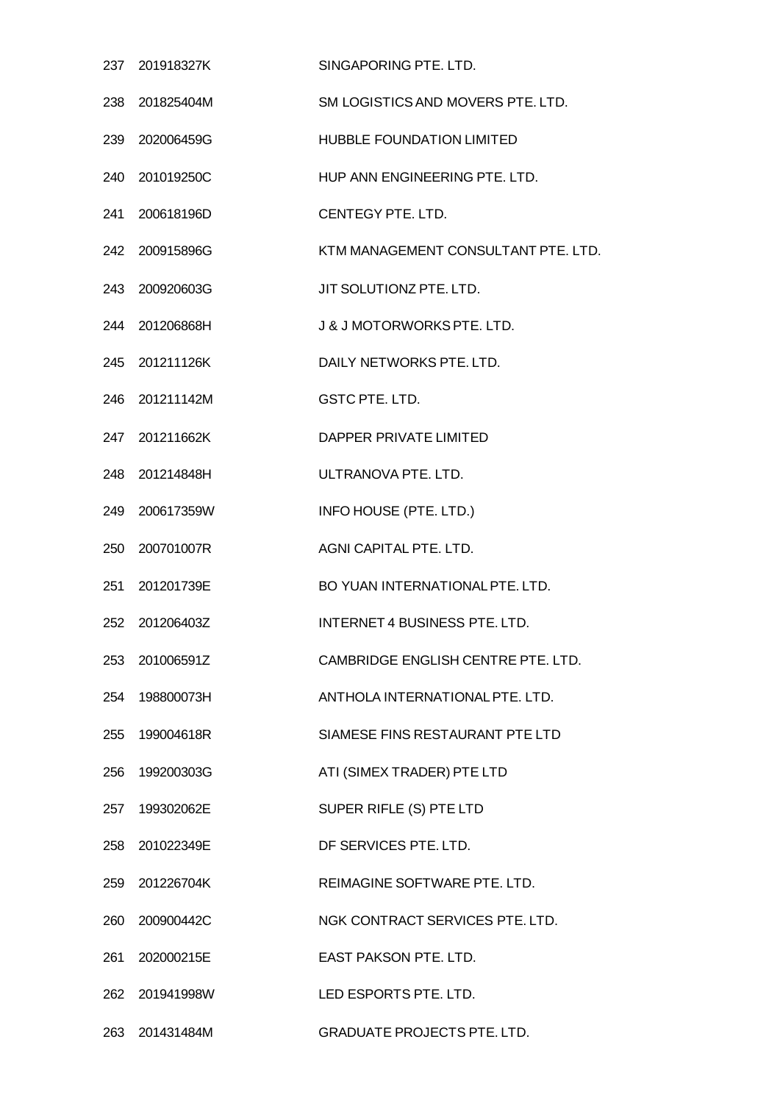|     | 237 201918327K | SINGAPORING PTE. LTD.                |
|-----|----------------|--------------------------------------|
|     | 238 201825404M | SM LOGISTICS AND MOVERS PTE. LTD.    |
|     | 239 202006459G | HUBBLE FOUNDATION LIMITED            |
|     | 240 201019250C | HUP ANN ENGINEERING PTE. LTD.        |
| 241 | 200618196D     | <b>CENTEGY PTE, LTD.</b>             |
|     | 242 200915896G | KTM MANAGEMENT CONSULTANT PTE. LTD.  |
|     | 243 200920603G | JIT SOLUTIONZ PTE. LTD.              |
|     | 244 201206868H | J & J MOTORWORKS PTE. LTD.           |
|     | 245 201211126K | DAILY NETWORKS PTE, LTD.             |
|     | 246 201211142M | <b>GSTC PTE. LTD.</b>                |
|     | 247 201211662K | DAPPER PRIVATE LIMITED               |
|     | 248 201214848H | ULTRANOVA PTE. LTD.                  |
| 249 | 200617359W     | INFO HOUSE (PTE. LTD.)               |
|     | 250 200701007R | AGNI CAPITAL PTE. LTD.               |
| 251 | 201201739E     | BO YUAN INTERNATIONAL PTE, LTD.      |
|     | 252 201206403Z | <b>INTERNET 4 BUSINESS PTE, LTD.</b> |
|     | 253 201006591Z | CAMBRIDGE ENGLISH CENTRE PTE. LTD.   |
| 254 | 198800073H     | ANTHOLA INTERNATIONAL PTE, LTD.      |
| 255 | 199004618R     | SIAMESE FINS RESTAURANT PTE LTD      |
| 256 | 199200303G     | ATI (SIMEX TRADER) PTE LTD           |
|     | 257 199302062E | SUPER RIFLE (S) PTE LTD              |
|     | 258 201022349E | DF SERVICES PTE. LTD.                |
|     | 259 201226704K | REIMAGINE SOFTWARE PTE. LTD.         |
|     | 260 200900442C | NGK CONTRACT SERVICES PTE. LTD.      |
| 261 | 202000215E     | EAST PAKSON PTE. LTD.                |
|     | 262 201941998W | LED ESPORTS PTE. LTD.                |
|     | 263 201431484M | <b>GRADUATE PROJECTS PTE. LTD.</b>   |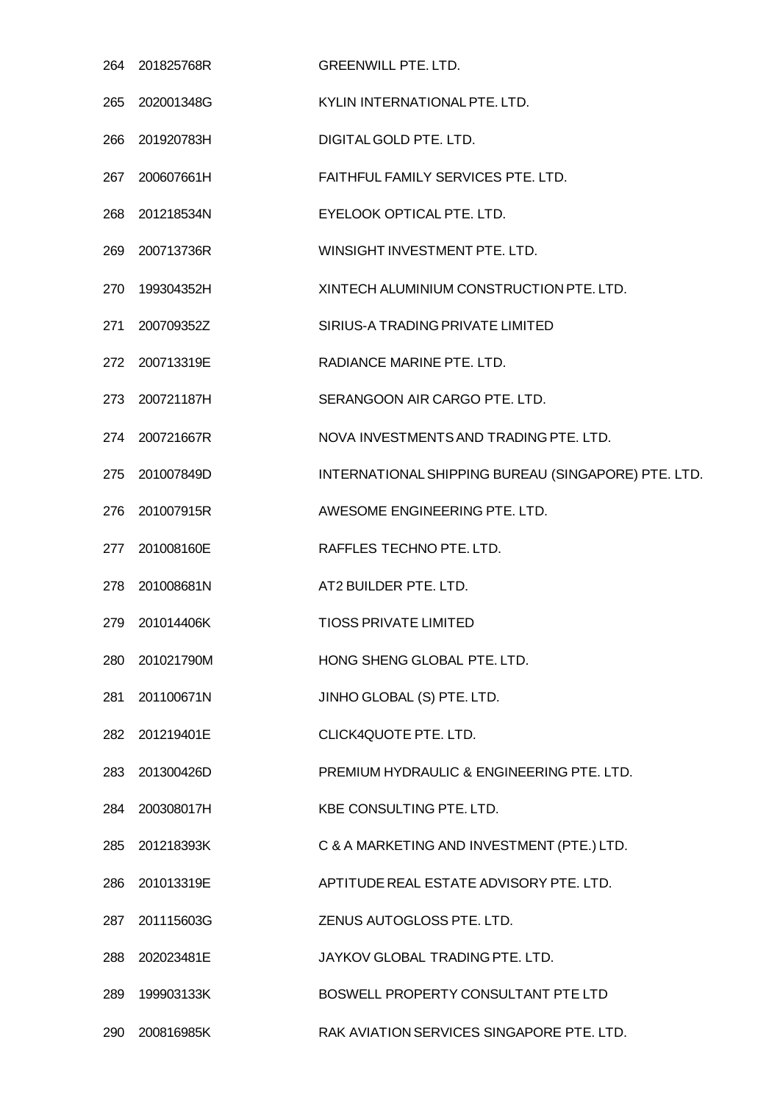|     | 264 201825768R | <b>GREENWILL PTE. LTD.</b>                          |
|-----|----------------|-----------------------------------------------------|
| 265 | 202001348G     | KYLIN INTERNATIONAL PTE. LTD.                       |
| 266 | 201920783H     | DIGITAL GOLD PTE. LTD.                              |
| 267 | 200607661H     | FAITHFUL FAMILY SERVICES PTE. LTD.                  |
| 268 | 201218534N     | EYELOOK OPTICAL PTE. LTD.                           |
| 269 | 200713736R     | WINSIGHT INVESTMENT PTE. LTD.                       |
| 270 | 199304352H     | XINTECH ALUMINIUM CONSTRUCTION PTE. LTD.            |
| 271 | 200709352Z     | SIRIUS-A TRADING PRIVATE LIMITED                    |
|     | 272 200713319E | RADIANCE MARINE PTE. LTD.                           |
| 273 | 200721187H     | SERANGOON AIR CARGO PTE. LTD.                       |
|     | 274 200721667R | NOVA INVESTMENTS AND TRADING PTE. LTD.              |
| 275 | 201007849D     | INTERNATIONAL SHIPPING BUREAU (SINGAPORE) PTE. LTD. |
| 276 | 201007915R     | AWESOME ENGINEERING PTE. LTD.                       |
|     | 277 201008160E | RAFFLES TECHNO PTE. LTD.                            |
| 278 | 201008681N     | AT2 BUILDER PTE. LTD.                               |
| 279 | 201014406K     | <b>TIOSS PRIVATE LIMITED</b>                        |
| 280 | 201021790M     | HONG SHENG GLOBAL PTE. LTD.                         |
| 281 | 201100671N     | JINHO GLOBAL (S) PTE. LTD.                          |
| 282 | 201219401E     | CLICK4QUOTE PTE. LTD.                               |
| 283 | 201300426D     | PREMIUM HYDRAULIC & ENGINEERING PTE. LTD.           |
| 284 | 200308017H     | KBE CONSULTING PTE. LTD.                            |
| 285 | 201218393K     | C & A MARKETING AND INVESTMENT (PTE.) LTD.          |
| 286 | 201013319E     | APTITUDE REAL ESTATE ADVISORY PTE. LTD.             |
| 287 | 201115603G     | ZENUS AUTOGLOSS PTE. LTD.                           |
| 288 | 202023481E     | JAYKOV GLOBAL TRADING PTE. LTD.                     |
| 289 | 199903133K     | BOSWELL PROPERTY CONSULTANT PTE LTD                 |
| 290 | 200816985K     | RAK AVIATION SERVICES SINGAPORE PTE. LTD.           |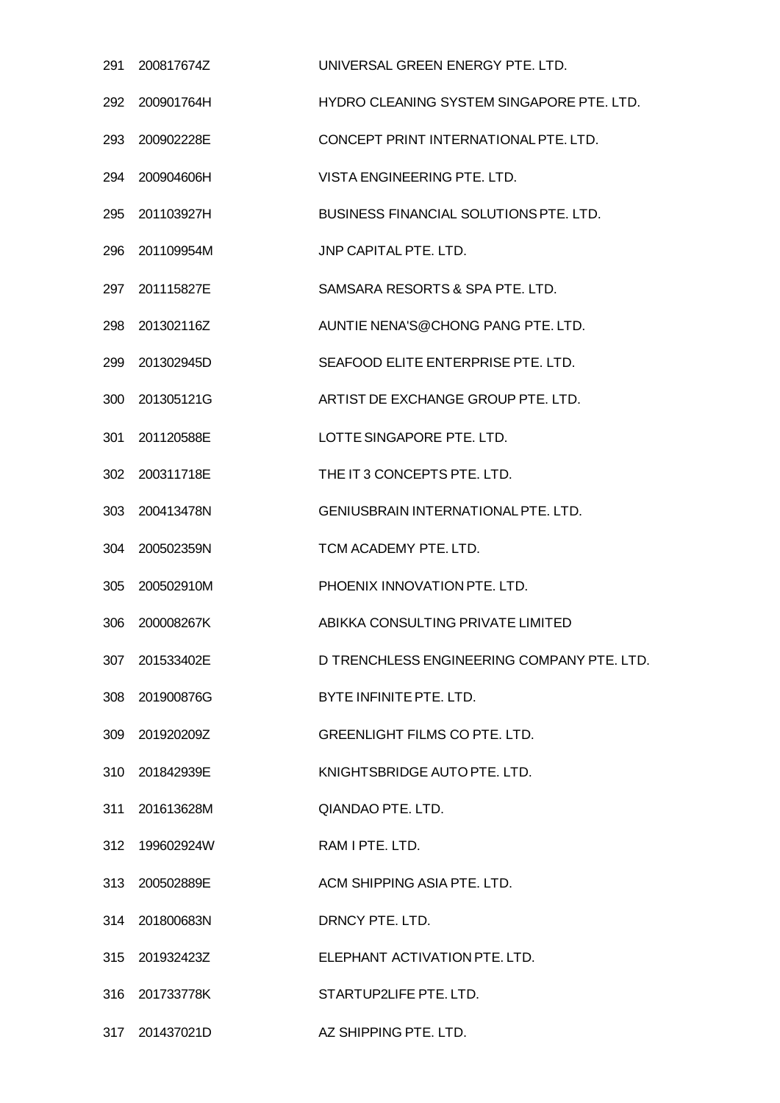| 291 | 200817674Z     | UNIVERSAL GREEN ENERGY PTE. LTD.           |
|-----|----------------|--------------------------------------------|
| 292 | 200901764H     | HYDRO CLEANING SYSTEM SINGAPORE PTE. LTD.  |
|     | 293 200902228E | CONCEPT PRINT INTERNATIONAL PTE. LTD.      |
|     | 294 200904606H | VISTA ENGINEERING PTE, LTD.                |
| 295 | 201103927H     | BUSINESS FINANCIAL SOLUTIONS PTE. LTD.     |
|     | 296 201109954M | JNP CAPITAL PTE, LTD.                      |
|     | 297 201115827E | SAMSARA RESORTS & SPA PTE. LTD.            |
|     | 298 201302116Z | AUNTIE NENA'S@CHONG PANG PTE. LTD.         |
|     | 299 201302945D | SEAFOOD ELITE ENTERPRISE PTE. LTD.         |
| 300 | 201305121G     | ARTIST DE EXCHANGE GROUP PTE. LTD.         |
|     | 301 201120588E | LOTTE SINGAPORE PTE. LTD.                  |
|     | 302 200311718E | THE IT 3 CONCEPTS PTE. LTD.                |
| 303 | 200413478N     | <b>GENIUSBRAIN INTERNATIONAL PTE, LTD.</b> |
|     | 304 200502359N | TCM ACADEMY PTE, LTD.                      |
| 305 | 200502910M     | PHOENIX INNOVATION PTE, LTD.               |
| 306 | 200008267K     | ABIKKA CONSULTING PRIVATE LIMITED          |
|     | 307 201533402E | D TRENCHLESS ENGINEERING COMPANY PTE. LTD. |
|     | 308 201900876G | BYTE INFINITE PTE. LTD.                    |
|     | 309 201920209Z | <b>GREENLIGHT FILMS CO PTE. LTD.</b>       |
|     | 310 201842939E | KNIGHTSBRIDGE AUTO PTE. LTD.               |
|     | 311 201613628M | <b>QIANDAO PTE. LTD.</b>                   |
|     | 312 199602924W | RAM I PTE. LTD.                            |
|     | 313 200502889E | ACM SHIPPING ASIA PTE, LTD.                |
|     | 314 201800683N | DRNCY PTE. LTD.                            |
|     | 315 201932423Z | ELEPHANT ACTIVATION PTE, LTD.              |
|     | 316 201733778K | STARTUP2LIFE PTE. LTD.                     |
|     | 317 201437021D | AZ SHIPPING PTE. LTD.                      |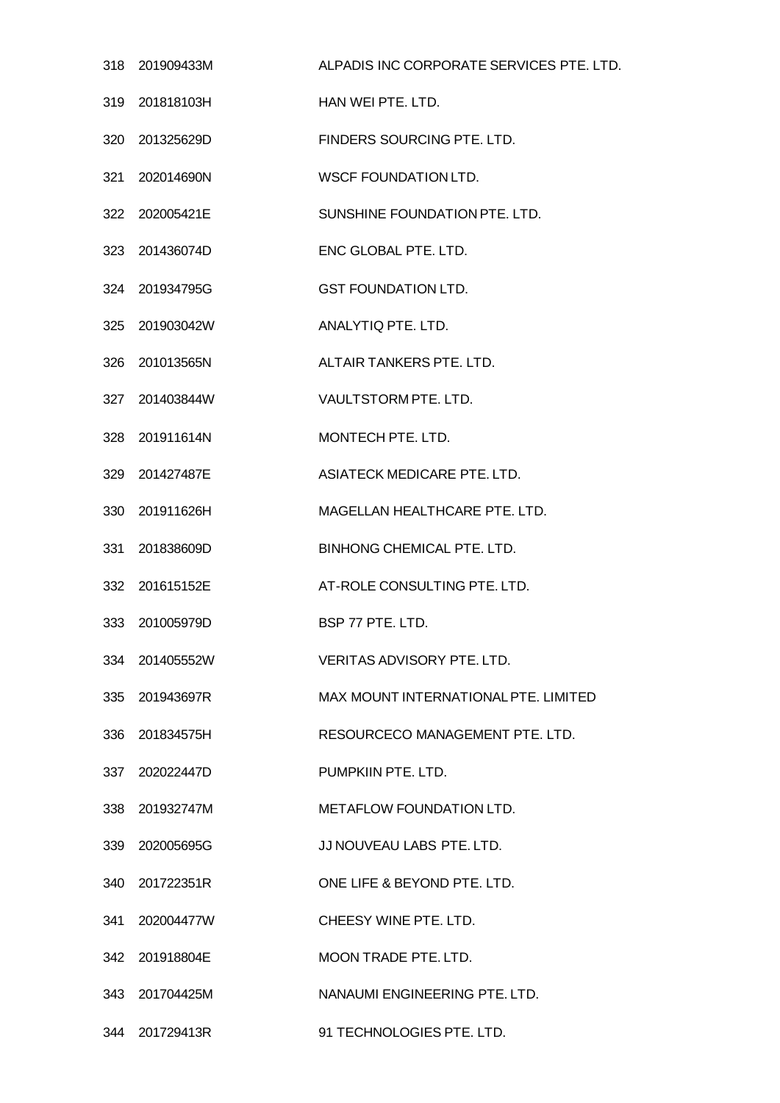|     | 318 201909433M | ALPADIS INC CORPORATE SERVICES PTE. LTD. |
|-----|----------------|------------------------------------------|
|     | 319 201818103H | HAN WEI PTE. LTD.                        |
|     | 320 201325629D | FINDERS SOURCING PTE, LTD.               |
|     | 321 202014690N | WSCF FOUNDATION LTD.                     |
| 322 | 202005421E     | SUNSHINE FOUNDATION PTE. LTD.            |
|     | 323 201436074D | ENC GLOBAL PTE. LTD.                     |
|     | 324 201934795G | <b>GST FOUNDATION LTD.</b>               |
|     | 325 201903042W | ANALYTIQ PTE. LTD.                       |
|     | 326 201013565N | ALTAIR TANKERS PTE, LTD.                 |
|     | 327 201403844W | VAULTSTORM PTE. LTD.                     |
|     | 328 201911614N | MONTECH PTE. LTD.                        |
|     | 329 201427487E | ASIATECK MEDICARE PTE. LTD.              |
| 330 | 201911626H     | MAGELLAN HEALTHCARE PTE. LTD.            |
|     | 331 201838609D | BINHONG CHEMICAL PTE. LTD.               |
|     | 332 201615152E | AT-ROLE CONSULTING PTE. LTD.             |
| 333 | 201005979D     | BSP 77 PTE, LTD.                         |
| 334 | 201405552W     | <b>VERITAS ADVISORY PTE, LTD.</b>        |
| 335 | 201943697R     | MAX MOUNT INTERNATIONAL PTE. LIMITED     |
|     | 336 201834575H | RESOURCECO MANAGEMENT PTE. LTD.          |
| 337 | 202022447D     | PUMPKIIN PTE, LTD.                       |
|     | 338 201932747M | METAFLOW FOUNDATION LTD.                 |
|     | 339 202005695G | JJ NOUVEAU LABS PTE. LTD.                |
| 340 | 201722351R     | ONE LIFE & BEYOND PTE, LTD.              |
|     | 341 202004477W | CHEESY WINE PTE. LTD.                    |
| 342 | 201918804E     | MOON TRADE PTE, LTD.                     |
|     | 343 201704425M | NANAUMI ENGINEERING PTE. LTD.            |
|     | 344 201729413R | 91 TECHNOLOGIES PTE. LTD.                |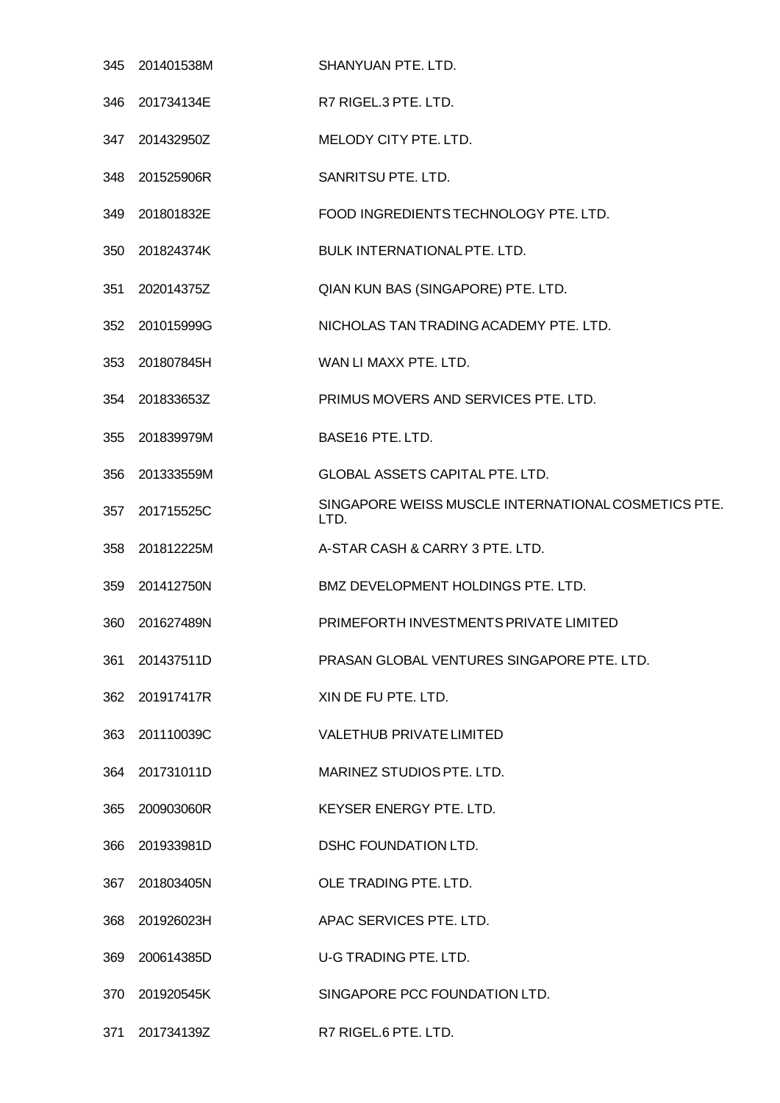|     | 345 201401538M | SHANYUAN PTE, LTD.                                          |
|-----|----------------|-------------------------------------------------------------|
|     | 346 201734134E | R7 RIGEL.3 PTE. LTD.                                        |
|     | 347 201432950Z | MELODY CITY PTE. LTD.                                       |
|     | 348 201525906R | SANRITSU PTE. LTD.                                          |
| 349 | 201801832E     | FOOD INGREDIENTS TECHNOLOGY PTE. LTD.                       |
|     | 350 201824374K | BULK INTERNATIONAL PTE. LTD.                                |
|     | 351 202014375Z | QIAN KUN BAS (SINGAPORE) PTE. LTD.                          |
|     | 352 201015999G | NICHOLAS TAN TRADING ACADEMY PTE, LTD.                      |
|     | 353 201807845H | WAN LI MAXX PTE. LTD.                                       |
|     | 354 201833653Z | PRIMUS MOVERS AND SERVICES PTE. LTD.                        |
| 355 | 201839979M     | BASE16 PTE. LTD.                                            |
|     | 356 201333559M | GLOBAL ASSETS CAPITAL PTE. LTD.                             |
| 357 | 201715525C     | SINGAPORE WEISS MUSCLE INTERNATIONAL COSMETICS PTE.<br>LTD. |
|     | 358 201812225M | A-STAR CASH & CARRY 3 PTE. LTD.                             |
|     | 359 201412750N | BMZ DEVELOPMENT HOLDINGS PTE, LTD.                          |
| 360 | 201627489N     | PRIMEFORTH INVESTMENTS PRIVATE LIMITED                      |
| 361 | 201437511D     | PRASAN GLOBAL VENTURES SINGAPORE PTE. LTD.                  |
| 362 | 201917417R     | XIN DE FU PTE. LTD.                                         |
|     | 363 201110039C | VALETHUB PRIVATE LIMITED                                    |
|     | 364 201731011D | MARINEZ STUDIOS PTE. LTD.                                   |
|     | 365 200903060R | KEYSER ENERGY PTE. LTD.                                     |
| 366 | 201933981D     | DSHC FOUNDATION LTD.                                        |
| 367 | 201803405N     | OLE TRADING PTE. LTD.                                       |
|     | 368 201926023H | APAC SERVICES PTE. LTD.                                     |
| 369 | 200614385D     | U-G TRADING PTE. LTD.                                       |
| 370 | 201920545K     | SINGAPORE PCC FOUNDATION LTD.                               |
| 371 | 201734139Z     | R7 RIGEL.6 PTE. LTD.                                        |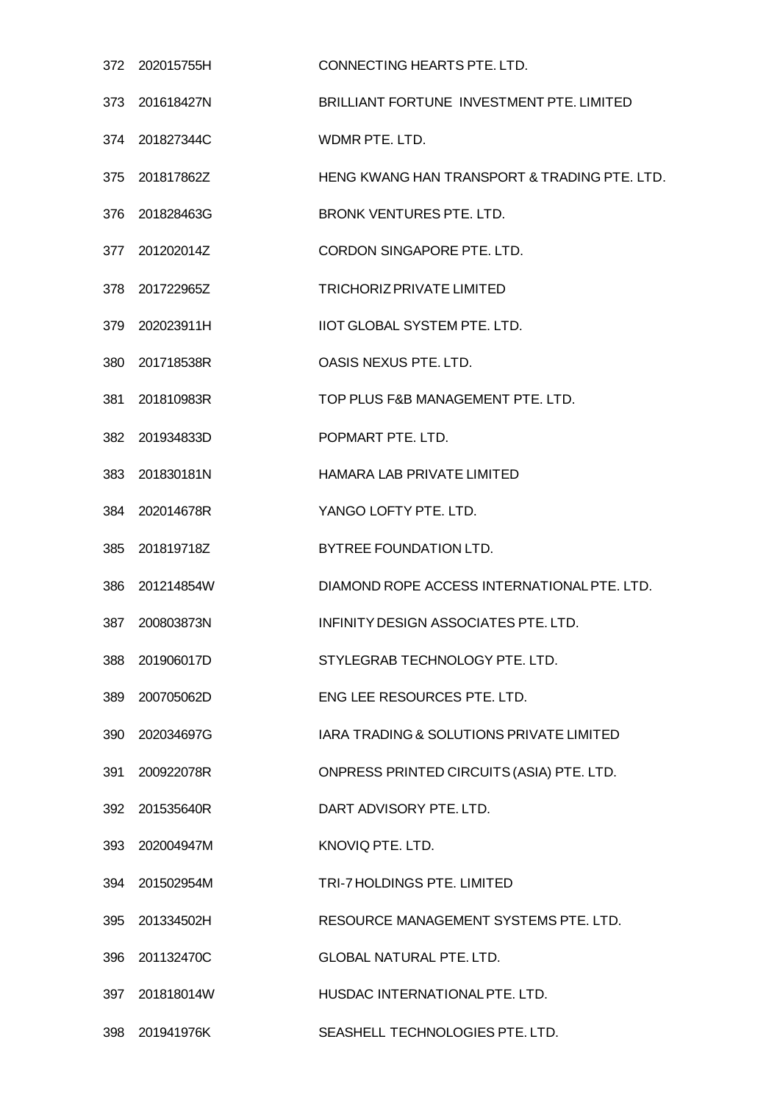|     | 372 202015755H | CONNECTING HEARTS PTE. LTD.                         |
|-----|----------------|-----------------------------------------------------|
|     | 373 201618427N | BRILLIANT FORTUNE INVESTMENT PTE, LIMITED           |
|     | 374 201827344C | WDMR PTE, LTD.                                      |
| 375 | 201817862Z     | HENG KWANG HAN TRANSPORT & TRADING PTE. LTD.        |
| 376 | 201828463G     | BRONK VENTURES PTE. LTD.                            |
|     | 377 201202014Z | CORDON SINGAPORE PTE. LTD.                          |
|     | 378 201722965Z | TRICHORIZ PRIVATE LIMITED                           |
|     | 379 202023911H | <b>IIOT GLOBAL SYSTEM PTE. LTD.</b>                 |
|     | 380 201718538R | OASIS NEXUS PTE, LTD.                               |
| 381 | 201810983R     | TOP PLUS F&B MANAGEMENT PTE. LTD.                   |
|     | 382 201934833D | POPMART PTE, LTD.                                   |
|     | 383 201830181N | HAMARA LAB PRIVATE LIMITED                          |
| 384 | 202014678R     | YANGO LOFTY PTE. LTD.                               |
|     | 385 201819718Z | BYTREE FOUNDATION LTD.                              |
| 386 | 201214854W     | DIAMOND ROPE ACCESS INTERNATIONAL PTE. LTD.         |
| 387 | 200803873N     | INFINITY DESIGN ASSOCIATES PTE, LTD.                |
| 388 | 201906017D     | STYLEGRAB TECHNOLOGY PTE. LTD.                      |
|     | 389 200705062D | ENG LEE RESOURCES PTE. LTD.                         |
| 390 | 202034697G     | <b>IARA TRADING &amp; SOLUTIONS PRIVATE LIMITED</b> |
| 391 | 200922078R     | ONPRESS PRINTED CIRCUITS (ASIA) PTE. LTD.           |
|     | 392 201535640R | DART ADVISORY PTE. LTD.                             |
| 393 | 202004947M     | KNOVIQ PTE. LTD.                                    |
|     | 394 201502954M | TRI-7 HOLDINGS PTE. LIMITED                         |
|     | 395 201334502H | RESOURCE MANAGEMENT SYSTEMS PTE. LTD.               |
| 396 | 201132470C     | <b>GLOBAL NATURAL PTE, LTD.</b>                     |
|     | 397 201818014W | HUSDAC INTERNATIONAL PTE. LTD.                      |
|     | 398 201941976K | SEASHELL TECHNOLOGIES PTE. LTD.                     |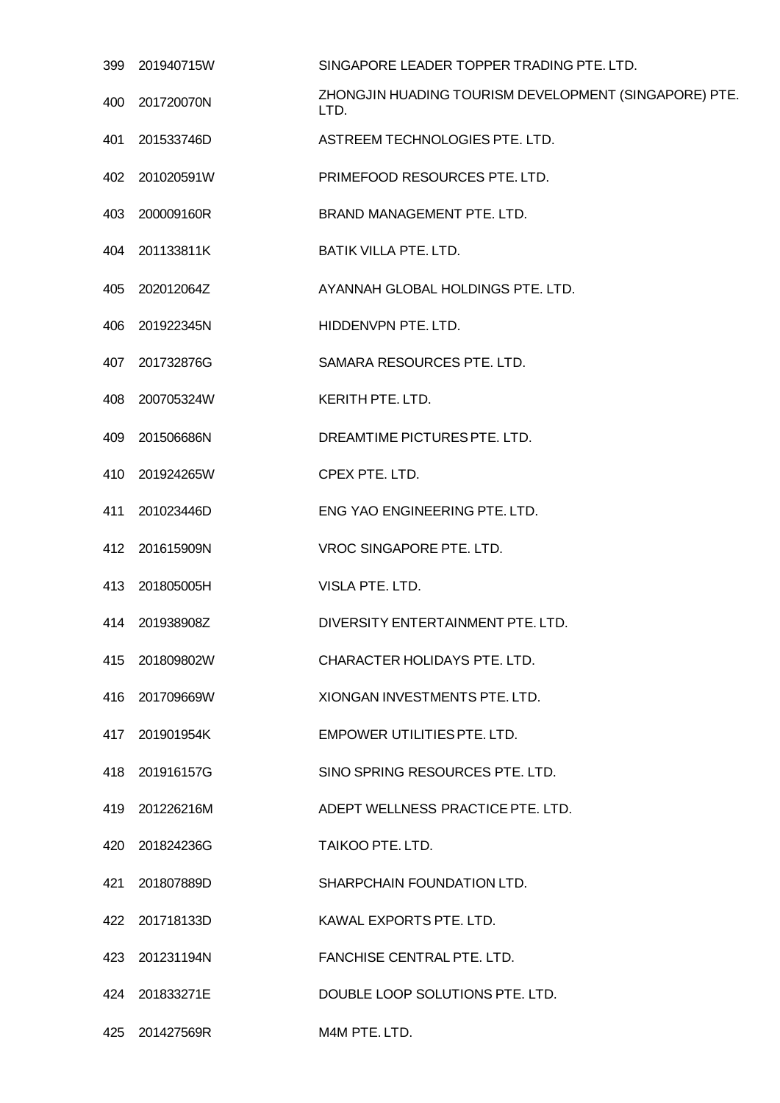| 399 | 201940715W     | SINGAPORE LEADER TOPPER TRADING PTE. LTD.                     |
|-----|----------------|---------------------------------------------------------------|
| 400 | 201720070N     | ZHONGJIN HUADING TOURISM DEVELOPMENT (SINGAPORE) PTE.<br>LTD. |
| 401 | 201533746D     | ASTREEM TECHNOLOGIES PTE. LTD.                                |
| 402 | 201020591W     | PRIMEFOOD RESOURCES PTE. LTD.                                 |
| 403 | 200009160R     | BRAND MANAGEMENT PTE. LTD.                                    |
| 404 | 201133811K     | <b>BATIK VILLA PTE. LTD.</b>                                  |
| 405 | 202012064Z     | AYANNAH GLOBAL HOLDINGS PTE. LTD.                             |
| 406 | 201922345N     | HIDDENVPN PTE. LTD.                                           |
| 407 | 201732876G     | SAMARA RESOURCES PTE, LTD.                                    |
| 408 | 200705324W     | <b>KERITH PTE, LTD.</b>                                       |
| 409 | 201506686N     | DREAMTIME PICTURES PTE. LTD.                                  |
| 410 | 201924265W     | CPEX PTE. LTD.                                                |
| 411 | 201023446D     | ENG YAO ENGINEERING PTE. LTD.                                 |
| 412 | 201615909N     | VROC SINGAPORE PTE. LTD.                                      |
| 413 | 201805005H     | VISLA PTE, LTD.                                               |
|     | 414 201938908Z | DIVERSITY ENTERTAINMENT PTE, LTD.                             |
|     | 415 201809802W | CHARACTER HOLIDAYS PTE. LTD.                                  |
| 416 | 201709669W     | XIONGAN INVESTMENTS PTE. LTD.                                 |
|     | 417 201901954K | EMPOWER UTILITIES PTE. LTD.                                   |
|     | 418 201916157G | SINO SPRING RESOURCES PTE. LTD.                               |
|     | 419 201226216M | ADEPT WELLNESS PRACTICE PTE. LTD.                             |
|     | 420 201824236G | TAIKOO PTE. LTD.                                              |
| 421 | 201807889D     | SHARPCHAIN FOUNDATION LTD.                                    |
|     | 422 201718133D | KAWAL EXPORTS PTE. LTD.                                       |
|     | 423 201231194N | FANCHISE CENTRAL PTE. LTD.                                    |
|     | 424 201833271E | DOUBLE LOOP SOLUTIONS PTE. LTD.                               |
|     | 425 201427569R | M4M PTE. LTD.                                                 |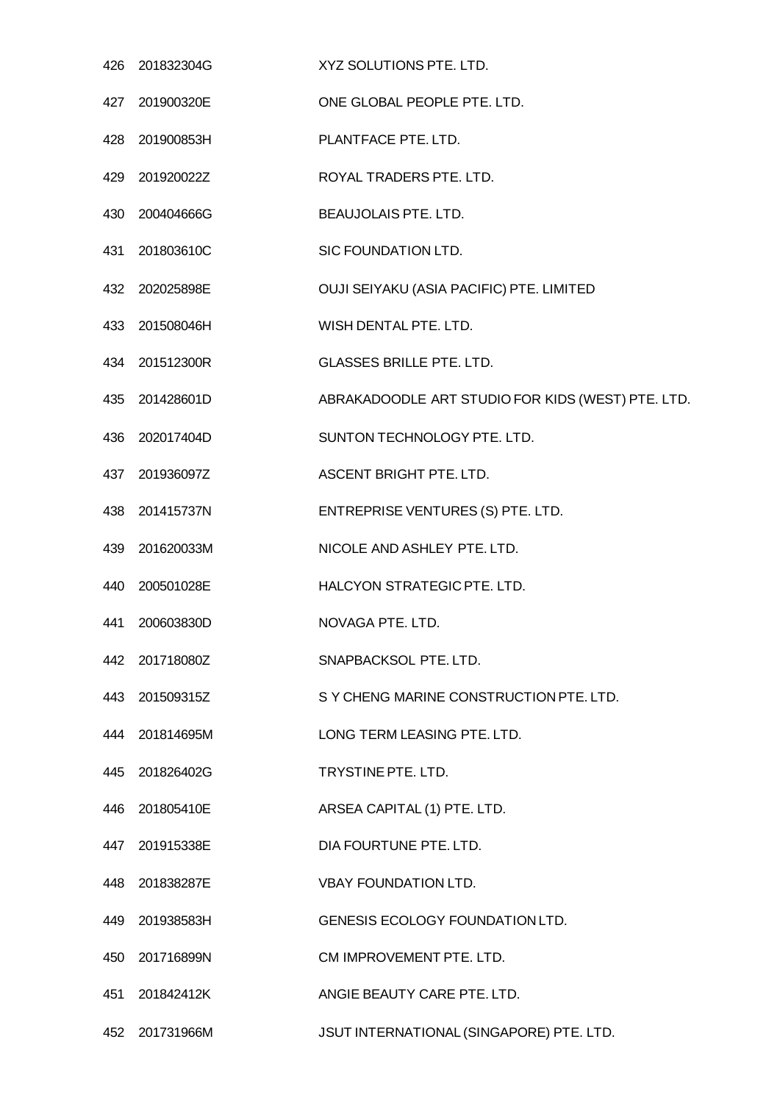|     | 426 201832304G | XYZ SOLUTIONS PTE. LTD.                           |
|-----|----------------|---------------------------------------------------|
|     | 427 201900320E | ONE GLOBAL PEOPLE PTE. LTD.                       |
|     | 428 201900853H | PLANTFACE PTE. LTD.                               |
| 429 | 201920022Z     | ROYAL TRADERS PTE. LTD.                           |
| 430 | 200404666G     | BEAUJOLAIS PTE. LTD.                              |
|     | 431 201803610C | SIC FOUNDATION LTD.                               |
|     | 432 202025898E | OUJI SEIYAKU (ASIA PACIFIC) PTE. LIMITED          |
|     | 433 201508046H | WISH DENTAL PTE. LTD.                             |
|     | 434 201512300R | <b>GLASSES BRILLE PTE. LTD.</b>                   |
|     | 435 201428601D | ABRAKADOODLE ART STUDIO FOR KIDS (WEST) PTE. LTD. |
|     | 436 202017404D | SUNTON TECHNOLOGY PTE. LTD.                       |
|     | 437 201936097Z | ASCENT BRIGHT PTE. LTD.                           |
| 438 | 201415737N     | ENTREPRISE VENTURES (S) PTE. LTD.                 |
|     | 439 201620033M | NICOLE AND ASHLEY PTE. LTD.                       |
| 440 | 200501028E     | HALCYON STRATEGIC PTE. LTD.                       |
| 441 | 200603830D     | NOVAGA PTE. LTD.                                  |
|     | 442 201718080Z | SNAPBACKSOL PTE. LTD.                             |
|     | 443 201509315Z | S Y CHENG MARINE CONSTRUCTION PTE. LTD.           |
|     | 444 201814695M | LONG TERM LEASING PTE. LTD.                       |
|     | 445 201826402G | TRYSTINE PTE, LTD.                                |
|     | 446 201805410E | ARSEA CAPITAL (1) PTE. LTD.                       |
| 447 | 201915338E     | DIA FOURTUNE PTE. LTD.                            |
|     | 448 201838287E | <b>VBAY FOUNDATION LTD.</b>                       |
|     | 449 201938583H | GENESIS ECOLOGY FOUNDATION LTD.                   |
| 450 | 201716899N     | CM IMPROVEMENT PTE. LTD.                          |
|     | 451 201842412K | ANGIE BEAUTY CARE PTE. LTD.                       |
|     | 452 201731966M | JSUT INTERNATIONAL (SINGAPORE) PTE. LTD.          |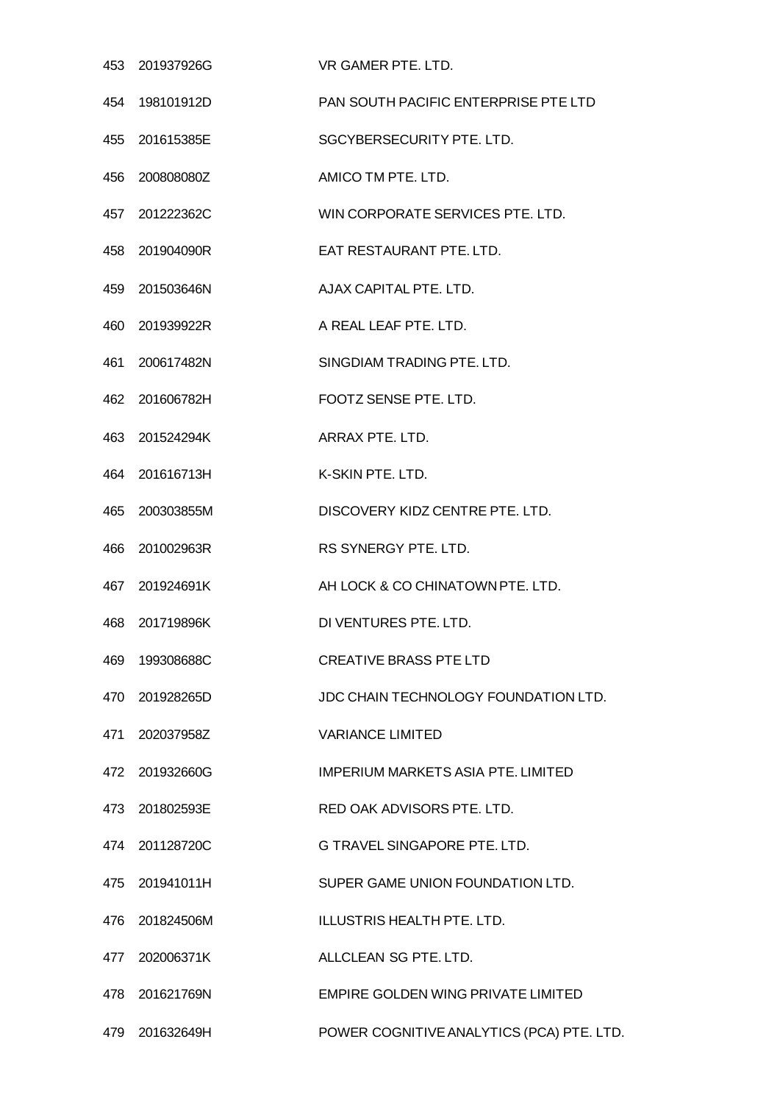|     | 453 201937926G | VR GAMER PTE. LTD.                        |
|-----|----------------|-------------------------------------------|
| 454 | 198101912D     | PAN SOUTH PACIFIC ENTERPRISE PTE LTD      |
|     | 455 201615385E | SGCYBERSECURITY PTE. LTD.                 |
|     | 456 200808080Z | AMICO TM PTE. LTD.                        |
|     | 457 201222362C | WIN CORPORATE SERVICES PTE, LTD.          |
|     | 458 201904090R | EAT RESTAURANT PTE. LTD.                  |
|     | 459 201503646N | AJAX CAPITAL PTE. LTD.                    |
| 460 | 201939922R     | A REAL LEAF PTE, LTD.                     |
|     | 461 200617482N | SINGDIAM TRADING PTE. LTD.                |
|     | 462 201606782H | FOOTZ SENSE PTE. LTD.                     |
|     | 463 201524294K | ARRAX PTE. LTD.                           |
|     | 464 201616713H | K-SKIN PTE. LTD.                          |
| 465 | 200303855M     | DISCOVERY KIDZ CENTRE PTE. LTD.           |
|     | 466 201002963R | RS SYNERGY PTE. LTD.                      |
|     | 467 201924691K | AH LOCK & CO CHINATOWN PTE. LTD.          |
|     | 468 201719896K | DI VENTURES PTE. LTD.                     |
| 469 | 199308688C     | <b>CREATIVE BRASS PTE LTD</b>             |
| 470 | 201928265D     | JDC CHAIN TECHNOLOGY FOUNDATION LTD.      |
|     | 471 202037958Z | <b>VARIANCE LIMITED</b>                   |
| 472 | 201932660G     | <b>IMPERIUM MARKETS ASIA PTE. LIMITED</b> |
|     | 473 201802593E | RED OAK ADVISORS PTE. LTD.                |
|     | 474 201128720C | G TRAVEL SINGAPORE PTE. LTD.              |
|     | 475 201941011H | SUPER GAME UNION FOUNDATION LTD.          |
|     | 476 201824506M | ILLUSTRIS HEALTH PTE. LTD.                |
| 477 | 202006371K     | ALLCLEAN SG PTE. LTD.                     |
|     | 478 201621769N | EMPIRE GOLDEN WING PRIVATE LIMITED        |
|     | 479 201632649H | POWER COGNITIVE ANALYTICS (PCA) PTE. LTD. |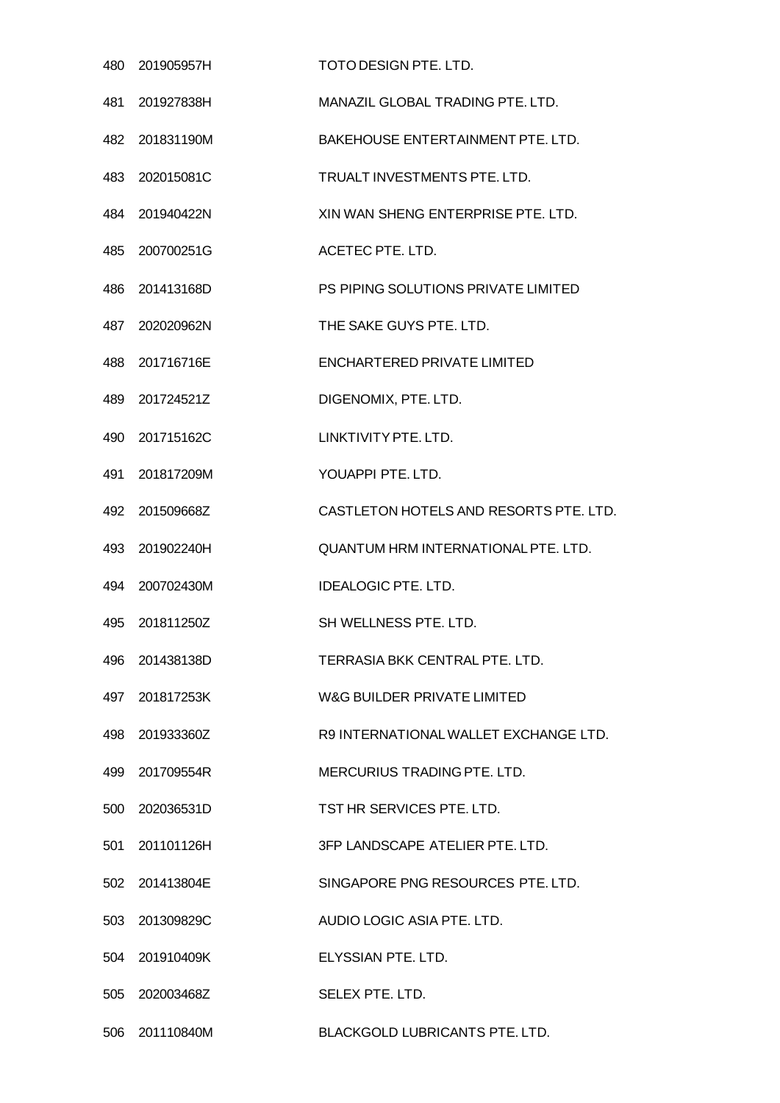| 480   | 201905957H     | TOTO DESIGN PTE. LTD.                    |
|-------|----------------|------------------------------------------|
| 481   | 201927838H     | MANAZIL GLOBAL TRADING PTE. LTD.         |
|       | 482 201831190M | <b>BAKEHOUSE ENTERTAINMENT PTE, LTD.</b> |
| 483   | 202015081C     | TRUALT INVESTMENTS PTE. LTD.             |
| 484   | 201940422N     | XIN WAN SHENG ENTERPRISE PTE. LTD.       |
|       | 485 200700251G | ACETEC PTE. LTD.                         |
| 486   | 201413168D     | PS PIPING SOLUTIONS PRIVATE LIMITED      |
|       | 487 202020962N | THE SAKE GUYS PTE. LTD.                  |
|       | 488 201716716E | ENCHARTERED PRIVATE LIMITED              |
| 489   | 201724521Z     | DIGENOMIX, PTE. LTD.                     |
|       | 490 201715162C | LINKTIVITY PTE, LTD.                     |
| 491   | 201817209M     | YOUAPPI PTE, LTD.                        |
| 492   | 201509668Z     | CASTLETON HOTELS AND RESORTS PTE. LTD.   |
|       | 493 201902240H | QUANTUM HRM INTERNATIONAL PTE. LTD.      |
| 494   | 200702430M     | <b>IDEALOGIC PTE. LTD.</b>               |
| 495   | 201811250Z     | SH WELLNESS PTE. LTD.                    |
| 496.  | 201438138D     | TERRASIA BKK CENTRAL PTE, LTD.           |
|       | 497 201817253K | W&G BUILDER PRIVATE LIMITED              |
| 498   | 201933360Z     | R9 INTERNATIONAL WALLET EXCHANGE LTD.    |
| 499   | 201709554R     | <b>MERCURIUS TRADING PTE, LTD.</b>       |
|       | 500 202036531D | TST HR SERVICES PTE. LTD.                |
| 501 - | 201101126H     | 3FP LANDSCAPE ATELIER PTE. LTD.          |
|       | 502 201413804E | SINGAPORE PNG RESOURCES PTE. LTD.        |
|       | 503 201309829C | AUDIO LOGIC ASIA PTE. LTD.               |
| 504   | 201910409K     | ELYSSIAN PTE, LTD.                       |
|       | 505 202003468Z | SELEX PTE. LTD.                          |
|       | 506 201110840M | <b>BLACKGOLD LUBRICANTS PTE. LTD.</b>    |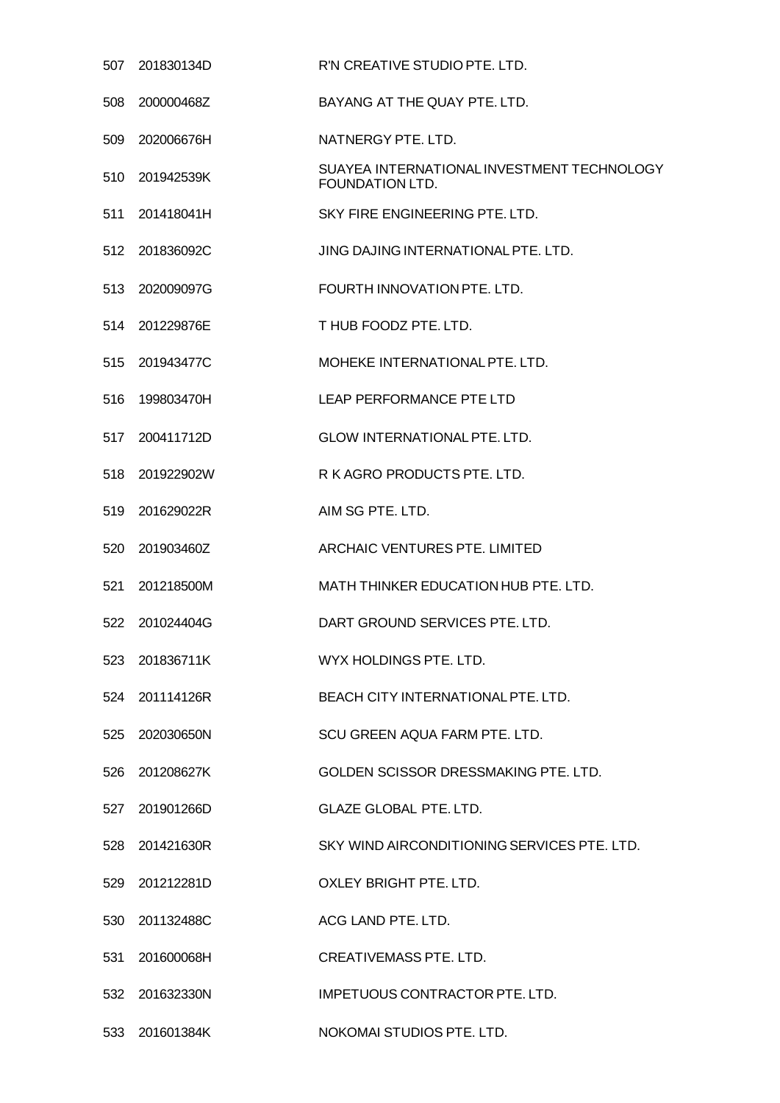| 507 | 201830134D     | R'N CREATIVE STUDIO PTE. LTD.                                 |
|-----|----------------|---------------------------------------------------------------|
| 508 | 200000468Z     | BAYANG AT THE QUAY PTE. LTD.                                  |
| 509 | 202006676H     | NATNERGY PTE. LTD.                                            |
|     | 510 201942539K | SUAYEA INTERNATIONAL INVESTMENT TECHNOLOGY<br>FOUNDATION LTD. |
| 511 | 201418041H     | SKY FIRE ENGINEERING PTE. LTD.                                |
|     | 512 201836092C | JING DAJING INTERNATIONAL PTE. LTD.                           |
|     | 513 202009097G | FOURTH INNOVATION PTE, LTD.                                   |
|     | 514 201229876E | T HUB FOODZ PTE. LTD.                                         |
|     | 515 201943477C | MOHEKE INTERNATIONAL PTE. LTD.                                |
| 516 | 199803470H     | LEAP PERFORMANCE PTE LTD                                      |
|     | 517 200411712D | <b>GLOW INTERNATIONAL PTE. LTD.</b>                           |
|     | 518 201922902W | R K AGRO PRODUCTS PTE. LTD.                                   |
| 519 | 201629022R     | AIM SG PTE, LTD.                                              |
| 520 | 201903460Z     | ARCHAIC VENTURES PTE. LIMITED                                 |
| 521 | 201218500M     | MATH THINKER EDUCATION HUB PTE, LTD.                          |
| 522 | 201024404G     | DART GROUND SERVICES PTE. LTD.                                |
|     | 523 201836711K | WYX HOLDINGS PTE. LTD.                                        |
|     | 524 201114126R | BEACH CITY INTERNATIONAL PTE. LTD.                            |
|     | 525 202030650N | SCU GREEN AQUA FARM PTE. LTD.                                 |
| 526 | 201208627K     | GOLDEN SCISSOR DRESSMAKING PTE. LTD.                          |
|     | 527 201901266D | <b>GLAZE GLOBAL PTE. LTD.</b>                                 |
|     | 528 201421630R | SKY WIND AIRCONDITIONING SERVICES PTE. LTD.                   |
|     | 529 201212281D | OXLEY BRIGHT PTE. LTD.                                        |
|     | 530 201132488C | ACG LAND PTE. LTD.                                            |
| 531 | 201600068H     | <b>CREATIVEMASS PTE. LTD.</b>                                 |
|     | 532 201632330N | <b>IMPETUOUS CONTRACTOR PTE. LTD.</b>                         |
|     | 533 201601384K | NOKOMAI STUDIOS PTE. LTD.                                     |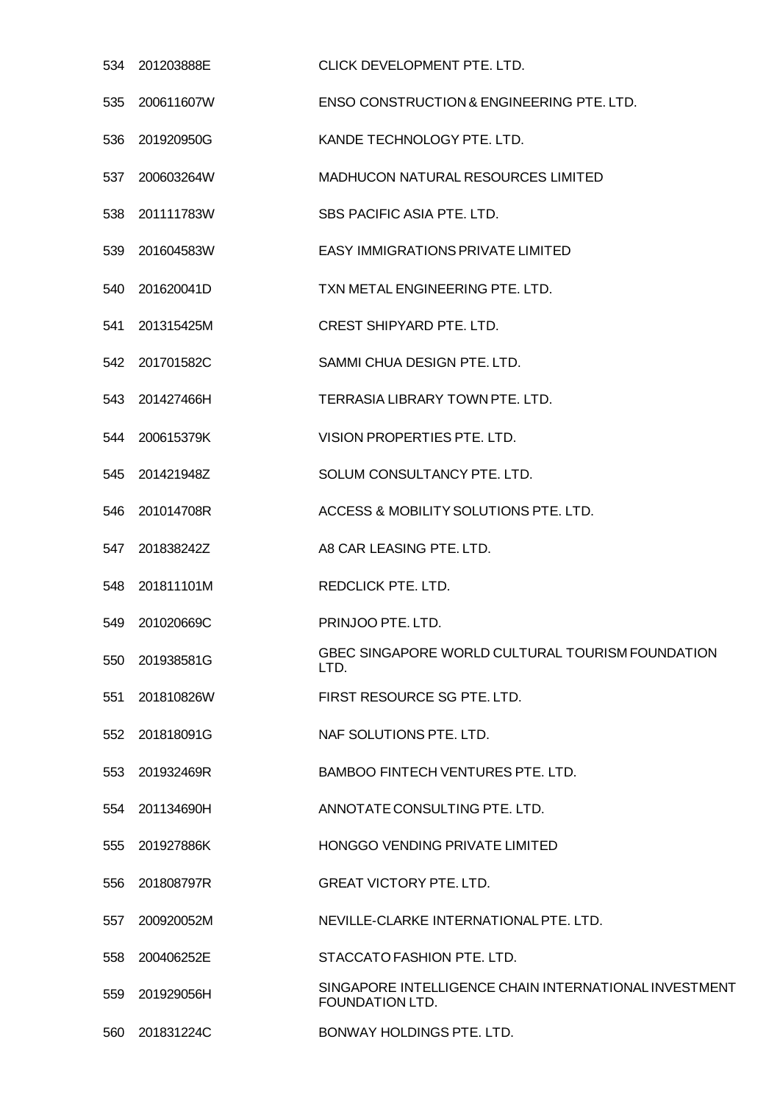|     | 534 201203888E | CLICK DEVELOPMENT PTE. LTD.                                              |
|-----|----------------|--------------------------------------------------------------------------|
| 535 | 200611607W     | <b>ENSO CONSTRUCTION &amp; ENGINEERING PTE, LTD.</b>                     |
|     | 536 201920950G | KANDE TECHNOLOGY PTE. LTD.                                               |
| 537 | 200603264W     | <b>MADHUCON NATURAL RESOURCES LIMITED</b>                                |
| 538 | 201111783W     | SBS PACIFIC ASIA PTE. LTD.                                               |
|     | 539 201604583W | <b>EASY IMMIGRATIONS PRIVATE LIMITED</b>                                 |
| 540 | 201620041D     | TXN METAL ENGINEERING PTE. LTD.                                          |
|     | 541 201315425M | CREST SHIPYARD PTE. LTD.                                                 |
|     | 542 201701582C | SAMMI CHUA DESIGN PTE. LTD.                                              |
|     | 543 201427466H | TERRASIA LIBRARY TOWN PTE. LTD.                                          |
|     | 544 200615379K | VISION PROPERTIES PTE. LTD.                                              |
|     | 545 201421948Z | SOLUM CONSULTANCY PTE. LTD.                                              |
| 546 | 201014708R     | ACCESS & MOBILITY SOLUTIONS PTE. LTD.                                    |
|     | 547 201838242Z | A8 CAR LEASING PTE. LTD.                                                 |
| 548 | 201811101M     | <b>REDCLICK PTE, LTD.</b>                                                |
|     | 549 201020669C | PRINJOO PTE. LTD.                                                        |
|     | 550 201938581G | GBEC SINGAPORE WORLD CULTURAL TOURISM FOUNDATION<br>LTD.                 |
|     | 551 201810826W | FIRST RESOURCE SG PTE. LTD.                                              |
|     | 552 201818091G | NAF SOLUTIONS PTE. LTD.                                                  |
| 553 | 201932469R     | <b>BAMBOO FINTECH VENTURES PTE. LTD.</b>                                 |
|     | 554 201134690H | ANNOTATE CONSULTING PTE, LTD.                                            |
| 555 | 201927886K     | HONGGO VENDING PRIVATE LIMITED                                           |
| 556 | 201808797R     | <b>GREAT VICTORY PTE. LTD.</b>                                           |
| 557 | 200920052M     | NEVILLE-CLARKE INTERNATIONAL PTE. LTD.                                   |
| 558 | 200406252E     | STACCATO FASHION PTE. LTD.                                               |
| 559 | 201929056H     | SINGAPORE INTELLIGENCE CHAIN INTERNATIONAL INVESTMENT<br>FOUNDATION LTD. |
| 560 | 201831224C     | BONWAY HOLDINGS PTE. LTD.                                                |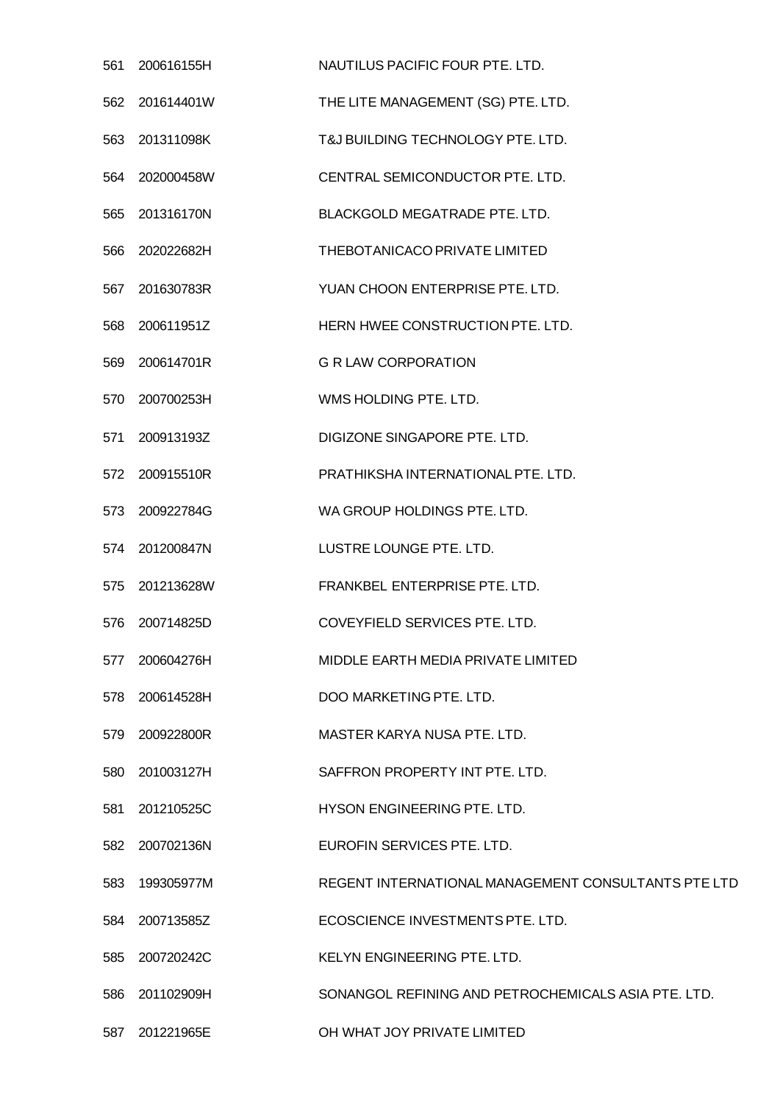|      | 561 200616155H | NAUTILUS PACIFIC FOUR PTE. LTD.                     |
|------|----------------|-----------------------------------------------------|
| 562  | 201614401W     | THE LITE MANAGEMENT (SG) PTE. LTD.                  |
|      | 563 201311098K | T&J BUILDING TECHNOLOGY PTE. LTD.                   |
|      | 564 202000458W | CENTRAL SEMICONDUCTOR PTE. LTD.                     |
| 565  | 201316170N     | BLACKGOLD MEGATRADE PTE. LTD.                       |
|      | 566 202022682H | THEBOTANICACO PRIVATE LIMITED                       |
| 567  | 201630783R     | YUAN CHOON ENTERPRISE PTE. LTD.                     |
| 568  | 200611951Z     | HERN HWEE CONSTRUCTION PTE. LTD.                    |
| 569  | 200614701R     | <b>G R LAW CORPORATION</b>                          |
| 570  | 200700253H     | WMS HOLDING PTE. LTD.                               |
|      | 571 200913193Z | DIGIZONE SINGAPORE PTE. LTD.                        |
| 572  | 200915510R     | PRATHIKSHA INTERNATIONAL PTE. LTD.                  |
| 573  | 200922784G     | WA GROUP HOLDINGS PTE. LTD.                         |
|      | 574 201200847N | LUSTRE LOUNGE PTE. LTD.                             |
| 575  | 201213628W     | FRANKBEL ENTERPRISE PTE. LTD.                       |
|      | 576 200714825D | COVEYFIELD SERVICES PTE. LTD.                       |
| 577  | 200604276H     | MIDDLE EARTH MEDIA PRIVATE LIMITED                  |
| 578  | 200614528H     | DOO MARKETING PTE. LTD.                             |
| 579. | 200922800R     | MASTER KARYA NUSA PTE. LTD.                         |
| 580  | 201003127H     | SAFFRON PROPERTY INT PTE. LTD.                      |
| 581  | 201210525C     | HYSON ENGINEERING PTE. LTD.                         |
| 582  | 200702136N     | EUROFIN SERVICES PTE. LTD.                          |
| 583  | 199305977M     | REGENT INTERNATIONAL MANAGEMENT CONSULTANTS PTE LTD |
|      | 584 200713585Z | ECOSCIENCE INVESTMENTS PTE. LTD.                    |
| 585  | 200720242C     | KELYN ENGINEERING PTE. LTD.                         |
| 586  | 201102909H     | SONANGOL REFINING AND PETROCHEMICALS ASIA PTE. LTD. |
|      |                |                                                     |

201221965E OH WHAT JOY PRIVATE LIMITED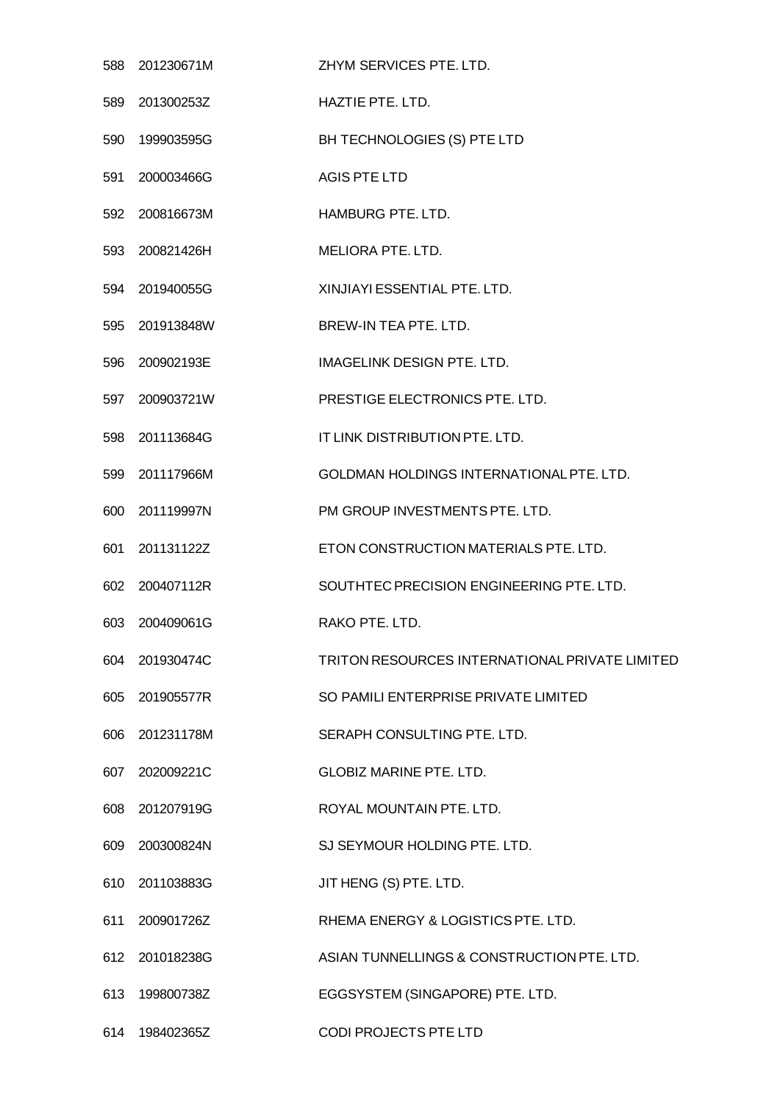| 588 | 201230671M     | ZHYM SERVICES PTE. LTD.                        |
|-----|----------------|------------------------------------------------|
| 589 | 201300253Z     | HAZTIE PTE. LTD.                               |
| 590 | 199903595G     | BH TECHNOLOGIES (S) PTE LTD                    |
| 591 | 200003466G     | <b>AGIS PTE LTD</b>                            |
| 592 | 200816673M     | HAMBURG PTE. LTD.                              |
|     | 593 200821426H | MELIORA PTE. LTD.                              |
|     | 594 201940055G | XINJIAYI ESSENTIAL PTE. LTD.                   |
| 595 | 201913848W     | BREW-IN TEA PTE. LTD.                          |
| 596 | 200902193E     | <b>IMAGELINK DESIGN PTE, LTD.</b>              |
| 597 | 200903721W     | PRESTIGE ELECTRONICS PTE. LTD.                 |
| 598 | 201113684G     | IT LINK DISTRIBUTION PTE. LTD.                 |
|     | 599 201117966M | GOLDMAN HOLDINGS INTERNATIONAL PTE. LTD.       |
| 600 | 201119997N     | PM GROUP INVESTMENTS PTE. LTD.                 |
| 601 | 201131122Z     | ETON CONSTRUCTION MATERIALS PTE. LTD.          |
| 602 | 200407112R     | SOUTHTEC PRECISION ENGINEERING PTE. LTD.       |
| 603 | 200409061G     | RAKO PTE. LTD.                                 |
|     | 604 201930474C | TRITON RESOURCES INTERNATIONAL PRIVATE LIMITED |
| 605 | 201905577R     | SO PAMILI ENTERPRISE PRIVATE LIMITED           |
|     | 606 201231178M | SERAPH CONSULTING PTE. LTD.                    |
| 607 | 202009221C     | <b>GLOBIZ MARINE PTE, LTD.</b>                 |
|     | 608 201207919G | ROYAL MOUNTAIN PTE. LTD.                       |
| 609 | 200300824N     | SJ SEYMOUR HOLDING PTE. LTD.                   |
| 610 | 201103883G     | JIT HENG (S) PTE. LTD.                         |
| 611 | 200901726Z     | RHEMA ENERGY & LOGISTICS PTE. LTD.             |
| 612 | 201018238G     | ASIAN TUNNELLINGS & CONSTRUCTION PTE. LTD.     |
| 613 | 199800738Z     | EGGSYSTEM (SINGAPORE) PTE. LTD.                |
|     | 614 198402365Z | CODI PROJECTS PTE LTD                          |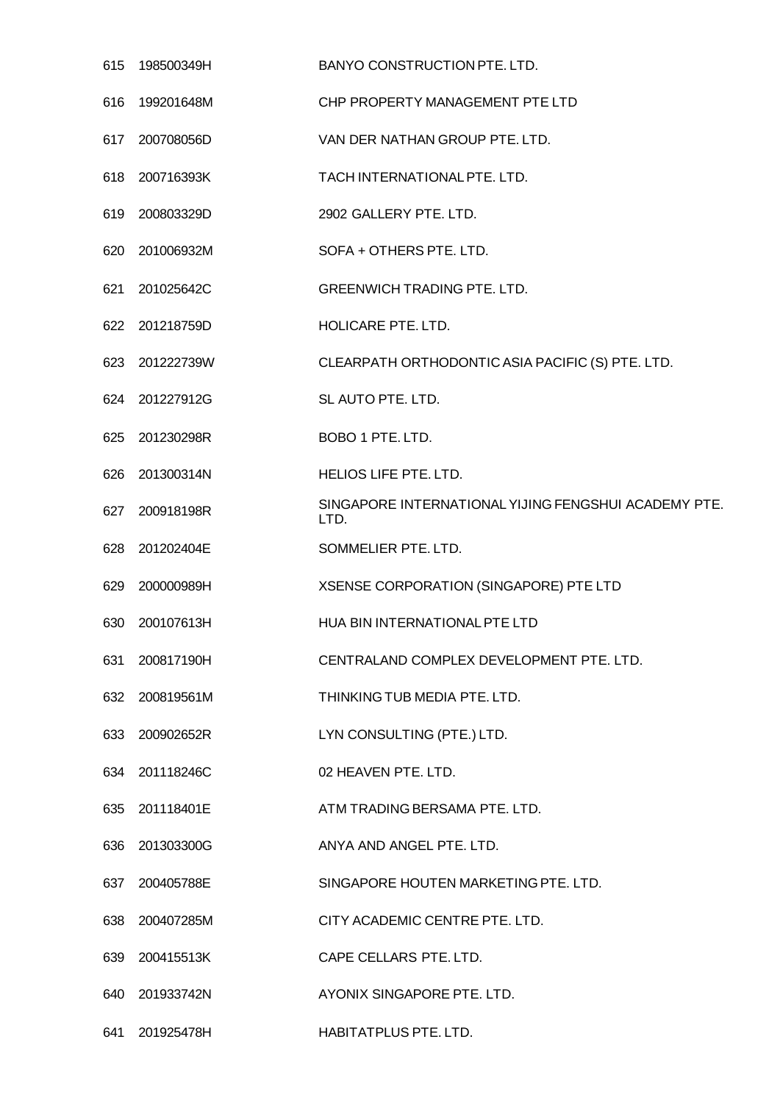| 615 | 198500349H     | BANYO CONSTRUCTION PTE. LTD.                                 |
|-----|----------------|--------------------------------------------------------------|
| 616 | 199201648M     | CHP PROPERTY MANAGEMENT PTE LTD                              |
| 617 | 200708056D     | VAN DER NATHAN GROUP PTE. LTD.                               |
| 618 | 200716393K     | TACH INTERNATIONAL PTE. LTD.                                 |
| 619 | 200803329D     | 2902 GALLERY PTE. LTD.                                       |
| 620 | 201006932M     | SOFA + OTHERS PTE. LTD.                                      |
| 621 | 201025642C     | <b>GREENWICH TRADING PTE. LTD.</b>                           |
|     | 622 201218759D | HOLICARE PTE. LTD.                                           |
| 623 | 201222739W     | CLEARPATH ORTHODONTIC ASIA PACIFIC (S) PTE. LTD.             |
|     | 624 201227912G | SL AUTO PTE. LTD.                                            |
| 625 | 201230298R     | BOBO 1 PTE. LTD.                                             |
| 626 | 201300314N     | HELIOS LIFE PTE. LTD.                                        |
| 627 | 200918198R     | SINGAPORE INTERNATIONAL YIJING FENGSHUI ACADEMY PTE.<br>LTD. |
| 628 | 201202404E     | SOMMELIER PTE. LTD.                                          |
| 629 | 200000989H     | XSENSE CORPORATION (SINGAPORE) PTE LTD                       |
| 630 | 200107613H     | HUA BIN INTERNATIONAL PTE LTD                                |
| 631 | 200817190H     | CENTRALAND COMPLEX DEVELOPMENT PTE. LTD.                     |
| 632 | 200819561M     | THINKING TUB MEDIA PTE, LTD.                                 |
|     | 633 200902652R | LYN CONSULTING (PTE.) LTD.                                   |
| 634 | 201118246C     | 02 HEAVEN PTE. LTD.                                          |
| 635 | 201118401E     | ATM TRADING BERSAMA PTE. LTD.                                |
| 636 | 201303300G     | ANYA AND ANGEL PTE. LTD.                                     |
| 637 | 200405788E     | SINGAPORE HOUTEN MARKETING PTE. LTD.                         |
| 638 | 200407285M     | CITY ACADEMIC CENTRE PTE. LTD.                               |
| 639 | 200415513K     | CAPE CELLARS PTE. LTD.                                       |
| 640 | 201933742N     | AYONIX SINGAPORE PTE. LTD.                                   |
| 641 | 201925478H     | HABITATPLUS PTE. LTD.                                        |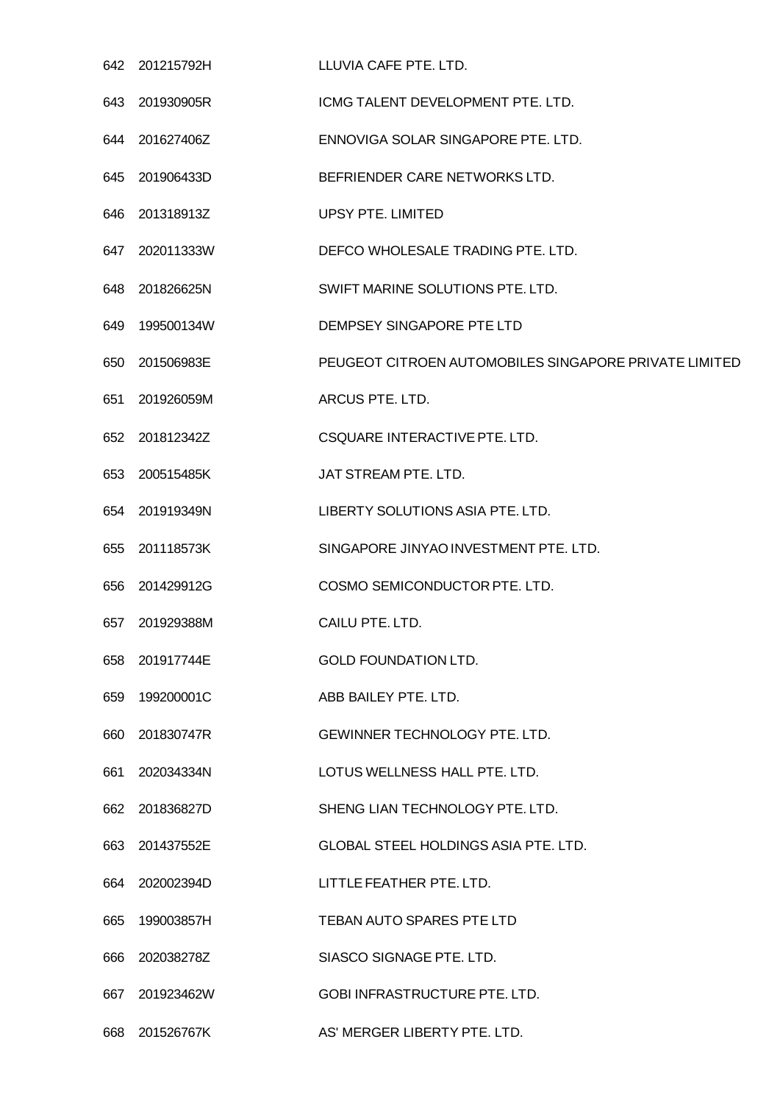|     | 642 201215792H | LLUVIA CAFE PTE. LTD.                                 |
|-----|----------------|-------------------------------------------------------|
|     | 643 201930905R | ICMG TALENT DEVELOPMENT PTE. LTD.                     |
|     | 644 201627406Z | ENNOVIGA SOLAR SINGAPORE PTE. LTD.                    |
|     | 645 201906433D | BEFRIENDER CARE NETWORKS LTD.                         |
| 646 | 201318913Z     | <b>UPSY PTE. LIMITED</b>                              |
|     | 647 202011333W | DEFCO WHOLESALE TRADING PTE. LTD.                     |
| 648 | 201826625N     | SWIFT MARINE SOLUTIONS PTE. LTD.                      |
| 649 | 199500134W     | DEMPSEY SINGAPORE PTE LTD                             |
|     | 650 201506983E | PEUGEOT CITROEN AUTOMOBILES SINGAPORE PRIVATE LIMITED |
| 651 | 201926059M     | ARCUS PTE. LTD.                                       |
| 652 | 201812342Z     | CSQUARE INTERACTIVE PTE. LTD.                         |
| 653 | 200515485K     | JAT STREAM PTE. LTD.                                  |
| 654 | 201919349N     | LIBERTY SOLUTIONS ASIA PTE. LTD.                      |
| 655 | 201118573K     | SINGAPORE JINYAO INVESTMENT PTE. LTD.                 |
| 656 | 201429912G     | COSMO SEMICONDUCTOR PTE. LTD.                         |
|     | 657 201929388M | CAILU PTE, LTD.                                       |
|     | 658 201917744E | <b>GOLD FOUNDATION LTD.</b>                           |
| 659 | 199200001C     | ABB BAILEY PTE. LTD.                                  |
| 660 | 201830747R     | GEWINNER TECHNOLOGY PTE. LTD.                         |
| 661 | 202034334N     | LOTUS WELLNESS HALL PTE. LTD.                         |
| 662 | 201836827D     | SHENG LIAN TECHNOLOGY PTE. LTD.                       |
| 663 | 201437552E     | <b>GLOBAL STEEL HOLDINGS ASIA PTE. LTD.</b>           |
| 664 | 202002394D     | LITTLE FEATHER PTE. LTD.                              |
| 665 | 199003857H     | TEBAN AUTO SPARES PTE LTD                             |
| 666 | 202038278Z     | SIASCO SIGNAGE PTE. LTD.                              |
| 667 | 201923462W     | GOBI INFRASTRUCTURE PTE. LTD.                         |
| 668 | 201526767K     | AS' MERGER LIBERTY PTE. LTD.                          |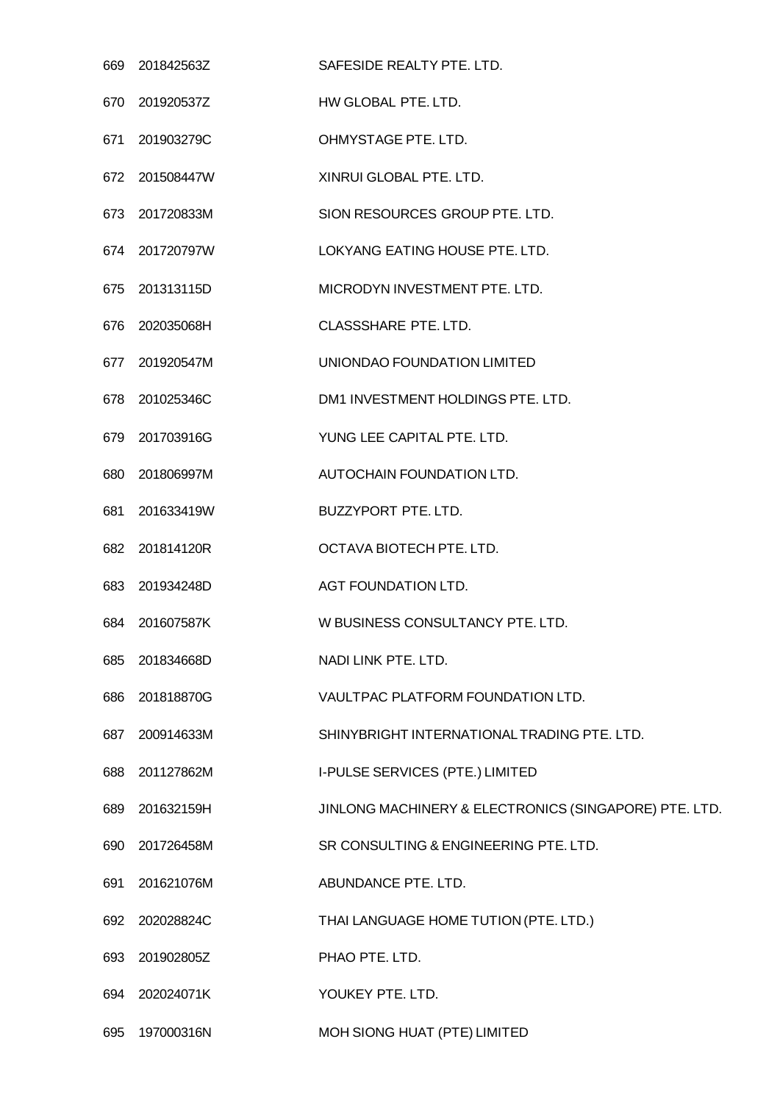| 669 | 201842563Z     | SAFESIDE REALTY PTE. LTD.                             |
|-----|----------------|-------------------------------------------------------|
| 670 | 201920537Z     | HW GLOBAL PTE. LTD.                                   |
| 671 | 201903279C     | OHMYSTAGE PTE. LTD.                                   |
|     | 672 201508447W | XINRUI GLOBAL PTE. LTD.                               |
| 673 | 201720833M     | SION RESOURCES GROUP PTE. LTD.                        |
|     | 674 201720797W | LOKYANG EATING HOUSE PTE. LTD.                        |
|     | 675 201313115D | MICRODYN INVESTMENT PTE. LTD.                         |
| 676 | 202035068H     | CLASSSHARE PTE. LTD.                                  |
|     | 677 201920547M | UNIONDAO FOUNDATION LIMITED                           |
|     | 678 201025346C | DM1 INVESTMENT HOLDINGS PTE. LTD.                     |
| 679 | 201703916G     | YUNG LEE CAPITAL PTE. LTD.                            |
|     | 680 201806997M | AUTOCHAIN FOUNDATION LTD.                             |
| 681 | 201633419W     | <b>BUZZYPORT PTE. LTD.</b>                            |
|     | 682 201814120R | OCTAVA BIOTECH PTE. LTD.                              |
| 683 | 201934248D     | AGT FOUNDATION LTD.                                   |
|     | 684 201607587K | W BUSINESS CONSULTANCY PTE, LTD.                      |
| 685 | 201834668D     | NADI LINK PTE. LTD.                                   |
| 686 | 201818870G     | VAULTPAC PLATFORM FOUNDATION LTD.                     |
| 687 | 200914633M     | SHINYBRIGHT INTERNATIONAL TRADING PTE. LTD.           |
| 688 | 201127862M     | I-PULSE SERVICES (PTE.) LIMITED                       |
| 689 | 201632159H     | JINLONG MACHINERY & ELECTRONICS (SINGAPORE) PTE. LTD. |
| 690 | 201726458M     | SR CONSULTING & ENGINEERING PTE. LTD.                 |
| 691 | 201621076M     | ABUNDANCE PTE. LTD.                                   |
| 692 | 202028824C     | THAI LANGUAGE HOME TUTION (PTE. LTD.)                 |
| 693 | 201902805Z     | PHAO PTE. LTD.                                        |
| 694 | 202024071K     | YOUKEY PTE. LTD.                                      |
| 695 | 197000316N     | MOH SIONG HUAT (PTE) LIMITED                          |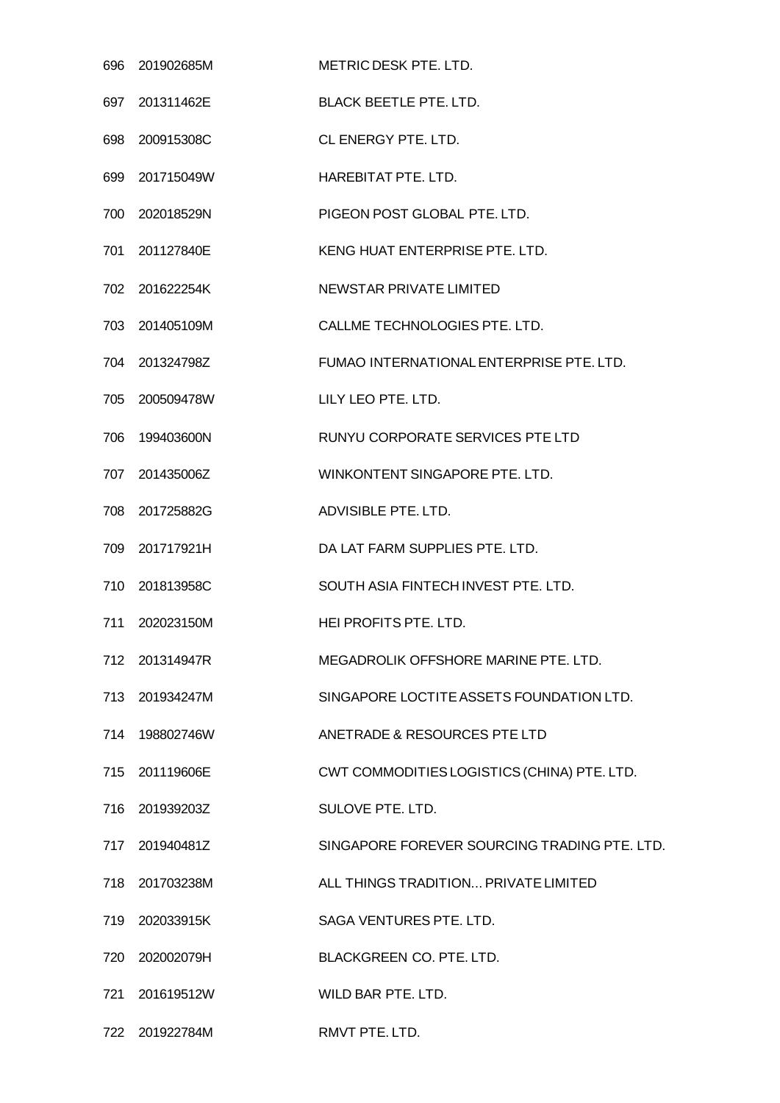| 696 | 201902685M     | METRIC DESK PTE, LTD.                        |
|-----|----------------|----------------------------------------------|
|     | 697 201311462E | <b>BLACK BEETLE PTE. LTD.</b>                |
|     | 698 200915308C | CL ENERGY PTE, LTD.                          |
|     | 699 201715049W | HAREBITAT PTE, LTD.                          |
| 700 | 202018529N     | PIGEON POST GLOBAL PTE. LTD.                 |
|     | 701 201127840E | KENG HUAT ENTERPRISE PTE. LTD.               |
|     | 702 201622254K | NEWSTAR PRIVATE LIMITED                      |
|     | 703 201405109M | CALLME TECHNOLOGIES PTE. LTD.                |
|     | 704 201324798Z | FUMAO INTERNATIONAL ENTERPRISE PTE. LTD.     |
| 705 | 200509478W     | LILY LEO PTE. LTD.                           |
|     | 706 199403600N | RUNYU CORPORATE SERVICES PTE LTD             |
|     | 707 201435006Z | WINKONTENT SINGAPORE PTE. LTD.               |
| 708 | 201725882G     | ADVISIBLE PTE, LTD.                          |
|     | 709 201717921H | DA LAT FARM SUPPLIES PTE. LTD.               |
|     | 710 201813958C | SOUTH ASIA FINTECH INVEST PTE. LTD.          |
|     | 711 202023150M | HEI PROFITS PTE. LTD.                        |
|     | 712 201314947R | MEGADROLIK OFFSHORE MARINE PTE. LTD.         |
|     | 713 201934247M | SINGAPORE LOCTITE ASSETS FOUNDATION LTD.     |
|     | 714 198802746W | ANETRADE & RESOURCES PTE LTD                 |
|     | 715 201119606E | CWT COMMODITIES LOGISTICS (CHINA) PTE. LTD.  |
|     | 716 201939203Z | SULOVE PTE. LTD.                             |
|     | 717 201940481Z | SINGAPORE FOREVER SOURCING TRADING PTE. LTD. |
|     | 718 201703238M | ALL THINGS TRADITION PRIVATE LIMITED         |
|     | 719 202033915K | SAGA VENTURES PTE. LTD.                      |
| 720 | 202002079H     | BLACKGREEN CO. PTE. LTD.                     |
|     | 721 201619512W | WILD BAR PTE, LTD.                           |
|     | 722 201922784M | RMVT PTE. LTD.                               |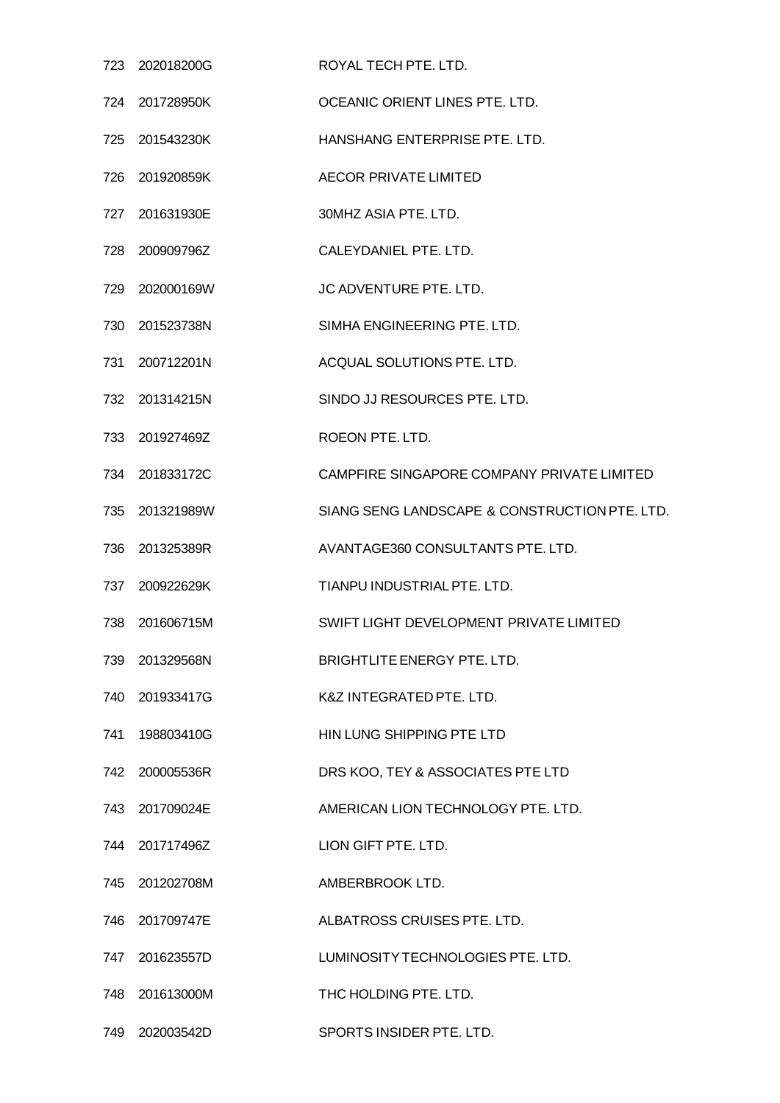|     | 723 202018200G | ROYAL TECH PTE, LTD.                          |
|-----|----------------|-----------------------------------------------|
|     | 724 201728950K | OCEANIC ORIENT LINES PTE. LTD.                |
|     | 725 201543230K | HANSHANG ENTERPRISE PTE. LTD.                 |
|     | 726 201920859K | <b>AECOR PRIVATE LIMITED</b>                  |
|     | 727 201631930E | 30MHZ ASIA PTE, LTD.                          |
|     | 728 200909796Z | CALEYDANIEL PTE. LTD.                         |
| 729 | 202000169W     | JC ADVENTURE PTE. LTD.                        |
| 730 | 201523738N     | SIMHA ENGINEERING PTE. LTD.                   |
|     | 731 200712201N | ACQUAL SOLUTIONS PTE. LTD.                    |
| 732 | 201314215N     | SINDO JJ RESOURCES PTE. LTD.                  |
|     | 733 201927469Z | ROEON PTE. LTD.                               |
|     | 734 201833172C | CAMPFIRE SINGAPORE COMPANY PRIVATE LIMITED    |
| 735 | 201321989W     | SIANG SENG LANDSCAPE & CONSTRUCTION PTE. LTD. |
|     | 736 201325389R | AVANTAGE360 CONSULTANTS PTE. LTD.             |
| 737 | 200922629K     | TIANPU INDUSTRIAL PTE, LTD.                   |
| 738 | 201606715M     | SWIFT LIGHT DEVELOPMENT PRIVATE LIMITED       |
| 739 | 201329568N     | <b>BRIGHTLITE ENERGY PTE, LTD.</b>            |
|     | 740 201933417G | K&Z INTEGRATED PTE, LTD.                      |
| 741 | 198803410G     | HIN LUNG SHIPPING PTE LTD                     |
|     | 742 200005536R | DRS KOO, TEY & ASSOCIATES PTE LTD             |
|     | 743 201709024E | AMERICAN LION TECHNOLOGY PTE. LTD.            |
|     | 744 201717496Z | LION GIFT PTE. LTD.                           |
|     | 745 201202708M | AMBERBROOK LTD.                               |
|     | 746 201709747E | ALBATROSS CRUISES PTE. LTD.                   |
| 747 | 201623557D     | LUMINOSITY TECHNOLOGIES PTE. LTD.             |
|     | 748 201613000M | THC HOLDING PTE. LTD.                         |
|     | 749 202003542D | SPORTS INSIDER PTE. LTD.                      |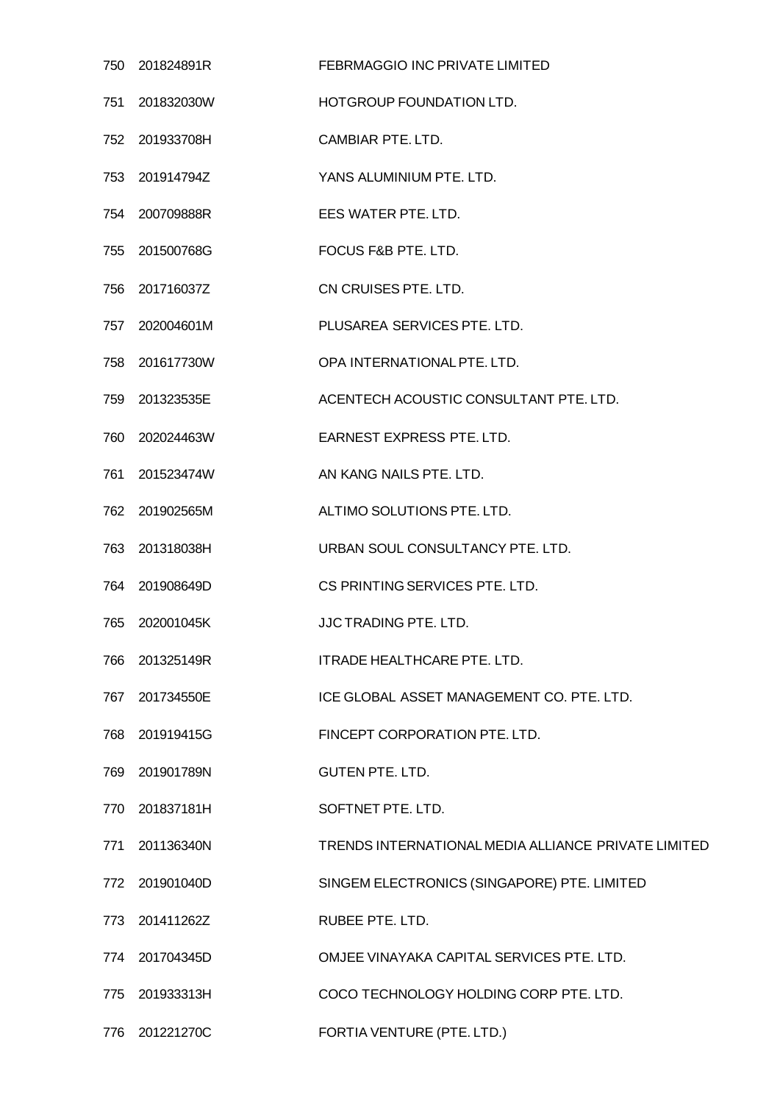| 750 | 201824891R     | FEBRMAGGIO INC PRIVATE LIMITED                      |
|-----|----------------|-----------------------------------------------------|
| 751 | 201832030W     | HOTGROUP FOUNDATION LTD.                            |
| 752 | 201933708H     | CAMBIAR PTE. LTD.                                   |
|     | 753 201914794Z | YANS ALUMINIUM PTE. LTD.                            |
| 754 | 200709888R     | EES WATER PTE. LTD.                                 |
| 755 | 201500768G     | FOCUS F&B PTE. LTD.                                 |
| 756 | 201716037Z     | CN CRUISES PTE. LTD.                                |
| 757 | 202004601M     | PLUSAREA SERVICES PTE, LTD.                         |
| 758 | 201617730W     | OPA INTERNATIONAL PTE. LTD.                         |
| 759 | 201323535E     | ACENTECH ACOUSTIC CONSULTANT PTE, LTD.              |
| 760 | 202024463W     | EARNEST EXPRESS PTE. LTD.                           |
| 761 | 201523474W     | AN KANG NAILS PTE. LTD.                             |
| 762 | 201902565M     | ALTIMO SOLUTIONS PTE. LTD.                          |
| 763 | 201318038H     | URBAN SOUL CONSULTANCY PTE. LTD.                    |
|     | 764 201908649D | CS PRINTING SERVICES PTE. LTD.                      |
| 765 | 202001045K     | JJC TRADING PTE. LTD.                               |
| 766 | 201325149R     | <b>ITRADE HEALTHCARE PTE. LTD.</b>                  |
| 767 | 201734550E     | ICE GLOBAL ASSET MANAGEMENT CO. PTE. LTD.           |
|     | 768 201919415G | FINCEPT CORPORATION PTE. LTD.                       |
| 769 | 201901789N     | <b>GUTEN PTE. LTD.</b>                              |
| 770 | 201837181H     | SOFTNET PTE. LTD.                                   |
| 771 | 201136340N     | TRENDS INTERNATIONAL MEDIA ALLIANCE PRIVATE LIMITED |
|     | 772 201901040D | SINGEM ELECTRONICS (SINGAPORE) PTE. LIMITED         |
|     | 773 201411262Z | RUBEE PTE. LTD.                                     |
| 774 | 201704345D     | OMJEE VINAYAKA CAPITAL SERVICES PTE. LTD.           |
| 775 | 201933313H     | COCO TECHNOLOGY HOLDING CORP PTE. LTD.              |
| 776 | 201221270C     | FORTIA VENTURE (PTE. LTD.)                          |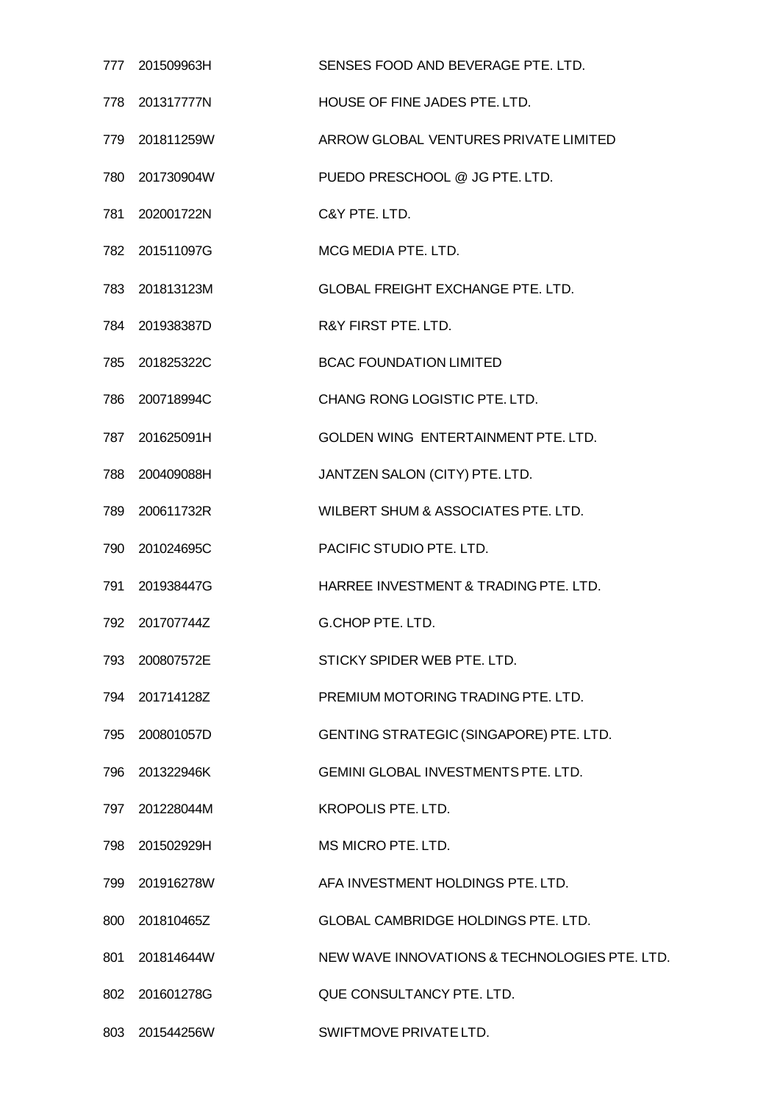|     | 777 201509963H | SENSES FOOD AND BEVERAGE PTE. LTD.            |
|-----|----------------|-----------------------------------------------|
|     | 778 201317777N | HOUSE OF FINE JADES PTE. LTD.                 |
|     | 779 201811259W | ARROW GLOBAL VENTURES PRIVATE LIMITED         |
| 780 | 201730904W     | PUEDO PRESCHOOL @ JG PTE. LTD.                |
| 781 | 202001722N     | C&Y PTE. LTD.                                 |
|     | 782 201511097G | MCG MEDIA PTE. LTD.                           |
| 783 | 201813123M     | <b>GLOBAL FREIGHT EXCHANGE PTE. LTD.</b>      |
|     | 784 201938387D | R&Y FIRST PTE. LTD.                           |
| 785 | 201825322C     | <b>BCAC FOUNDATION LIMITED</b>                |
| 786 | 200718994C     | CHANG RONG LOGISTIC PTE. LTD.                 |
|     | 787 201625091H | GOLDEN WING ENTERTAINMENT PTE. LTD.           |
| 788 | 200409088H     | JANTZEN SALON (CITY) PTE. LTD.                |
| 789 | 200611732R     | WILBERT SHUM & ASSOCIATES PTE. LTD.           |
|     | 790 201024695C | PACIFIC STUDIO PTE. LTD.                      |
| 791 | 201938447G     | HARREE INVESTMENT & TRADING PTE. LTD.         |
|     | 792 201707744Z | G.CHOP PTE. LTD.                              |
| 793 | 200807572E     | STICKY SPIDER WEB PTE. LTD.                   |
|     | 794 201714128Z | PREMIUM MOTORING TRADING PTE. LTD.            |
|     | 795 200801057D | GENTING STRATEGIC (SINGAPORE) PTE. LTD.       |
| 796 | 201322946K     | GEMINI GLOBAL INVESTMENTS PTE. LTD.           |
|     | 797 201228044M | <b>KROPOLIS PTE. LTD.</b>                     |
| 798 | 201502929H     | MS MICRO PTE. LTD.                            |
|     | 799 201916278W | AFA INVESTMENT HOLDINGS PTE. LTD.             |
|     | 800 201810465Z | GLOBAL CAMBRIDGE HOLDINGS PTE. LTD.           |
| 801 | 201814644W     | NEW WAVE INNOVATIONS & TECHNOLOGIES PTE. LTD. |
|     | 802 201601278G | QUE CONSULTANCY PTE. LTD.                     |
|     | 803 201544256W | SWIFTMOVE PRIVATE LTD.                        |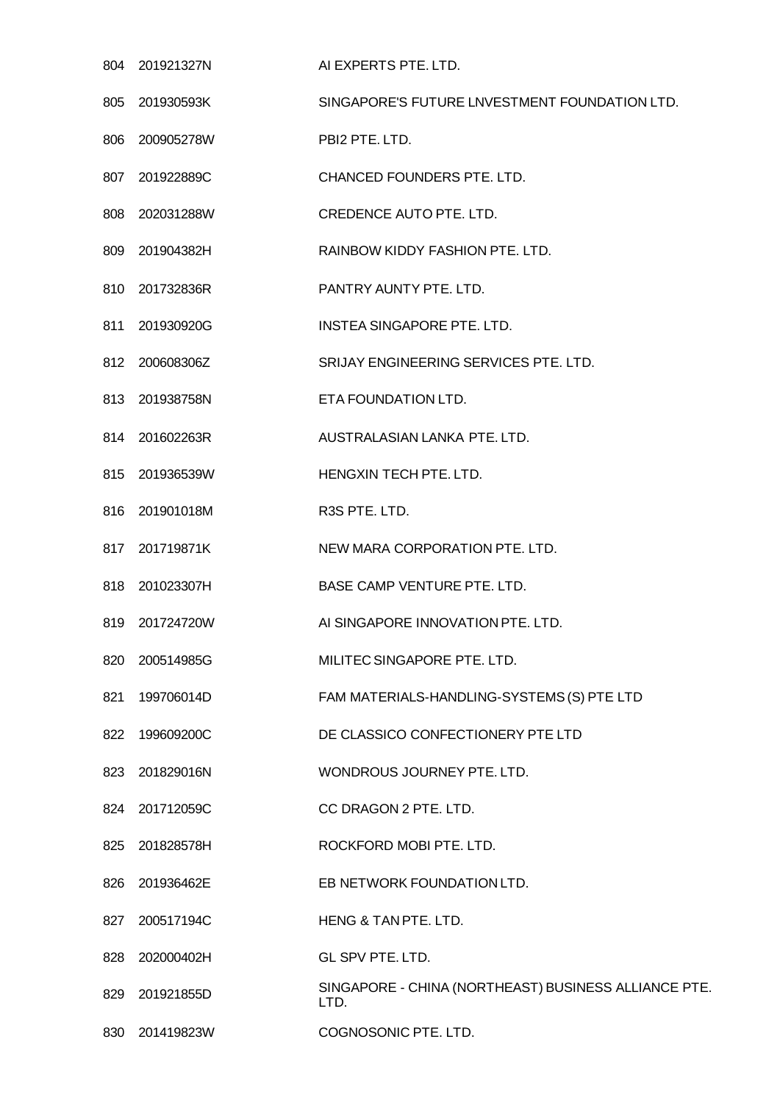|     | 804 201921327N | AI EXPERTS PTE. LTD.                                         |
|-----|----------------|--------------------------------------------------------------|
| 805 | 201930593K     | SINGAPORE'S FUTURE LNVESTMENT FOUNDATION LTD.                |
| 806 | 200905278W     | PBI2 PTE. LTD.                                               |
|     | 807 201922889C | CHANCED FOUNDERS PTE. LTD.                                   |
| 808 | 202031288W     | CREDENCE AUTO PTE. LTD.                                      |
| 809 | 201904382H     | RAINBOW KIDDY FASHION PTE. LTD.                              |
| 810 | 201732836R     | PANTRY AUNTY PTE. LTD.                                       |
| 811 | 201930920G     | <b>INSTEA SINGAPORE PTE, LTD.</b>                            |
|     | 812 200608306Z | SRIJAY ENGINEERING SERVICES PTE. LTD.                        |
| 813 | 201938758N     | ETA FOUNDATION LTD.                                          |
|     | 814 201602263R | AUSTRALASIAN LANKA PTE. LTD.                                 |
|     | 815 201936539W | HENGXIN TECH PTE. LTD.                                       |
| 816 | 201901018M     | R3S PTE. LTD.                                                |
|     | 817 201719871K | NEW MARA CORPORATION PTE. LTD.                               |
| 818 | 201023307H     | BASE CAMP VENTURE PTE. LTD.                                  |
| 819 | 201724720W     | AI SINGAPORE INNOVATION PTE. LTD.                            |
| 820 | 200514985G     | MILITEC SINGAPORE PTE. LTD.                                  |
| 821 | 199706014D     | FAM MATERIALS-HANDLING-SYSTEMS (S) PTE LTD                   |
| 822 | 199609200C     | DE CLASSICO CONFECTIONERY PTE LTD                            |
| 823 | 201829016N     | WONDROUS JOURNEY PTE. LTD.                                   |
|     | 824 201712059C | CC DRAGON 2 PTE. LTD.                                        |
| 825 | 201828578H     | ROCKFORD MOBI PTE. LTD.                                      |
| 826 | 201936462E     | EB NETWORK FOUNDATION LTD.                                   |
|     | 827 200517194C | HENG & TAN PTE. LTD.                                         |
| 828 | 202000402H     | GL SPV PTE. LTD.                                             |
| 829 | 201921855D     | SINGAPORE - CHINA (NORTHEAST) BUSINESS ALLIANCE PTE.<br>LTD. |
|     | 830 201419823W | COGNOSONIC PTE. LTD.                                         |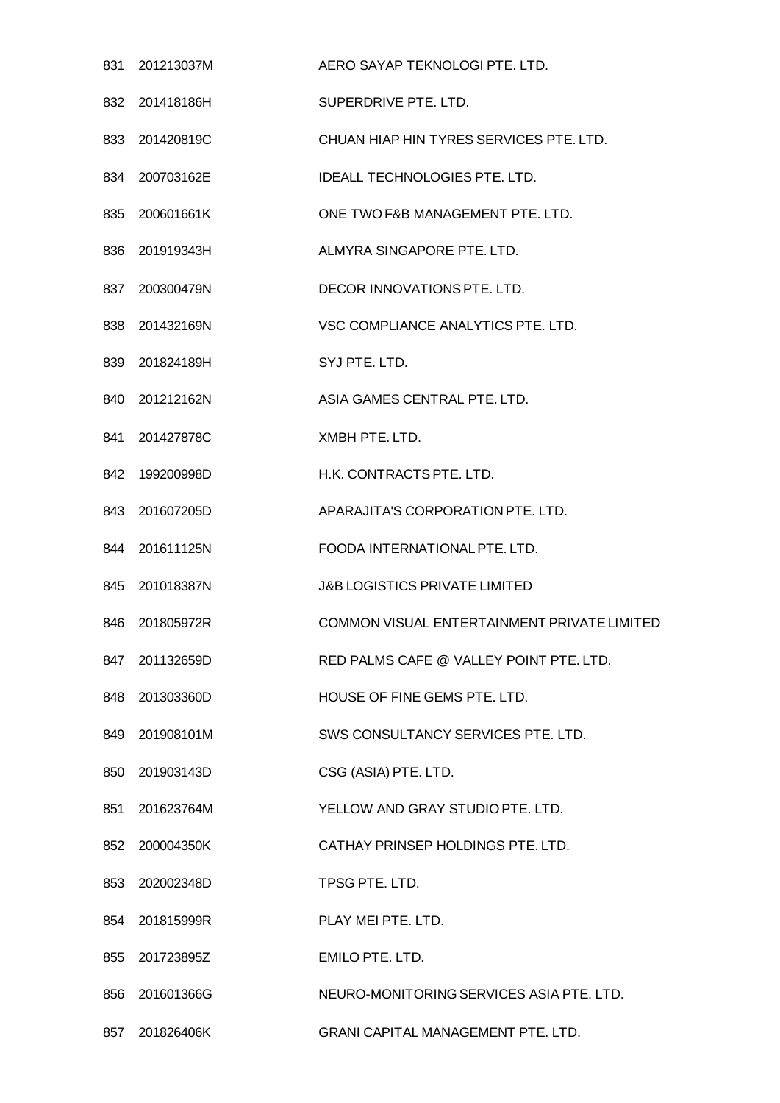|     | 831 201213037M | AERO SAYAP TEKNOLOGI PTE. LTD.              |
|-----|----------------|---------------------------------------------|
|     | 832 201418186H | SUPERDRIVE PTE, LTD.                        |
|     | 833 201420819C | CHUAN HIAP HIN TYRES SERVICES PTE. LTD.     |
|     | 834 200703162E | <b>IDEALL TECHNOLOGIES PTE. LTD.</b>        |
| 835 | 200601661K     | ONE TWO F&B MANAGEMENT PTE. LTD.            |
|     | 836 201919343H | ALMYRA SINGAPORE PTE. LTD.                  |
|     | 837 200300479N | DECOR INNOVATIONS PTE. LTD.                 |
| 838 | 201432169N     | VSC COMPLIANCE ANALYTICS PTE. LTD.          |
|     | 839 201824189H | SYJ PTE. LTD.                               |
|     | 840 201212162N | ASIA GAMES CENTRAL PTE, LTD.                |
|     | 841 201427878C | XMBH PTE. LTD.                              |
|     | 842 199200998D | H.K. CONTRACTS PTE. LTD.                    |
|     | 843 201607205D | APARAJITA'S CORPORATION PTE. LTD.           |
|     | 844 201611125N | FOODA INTERNATIONAL PTE. LTD.               |
|     | 845 201018387N | <b>J&amp;B LOGISTICS PRIVATE LIMITED</b>    |
|     | 846 201805972R | COMMON VISUAL ENTERTAINMENT PRIVATE LIMITED |
|     | 847 201132659D | RED PALMS CAFE @ VALLEY POINT PTE. LTD.     |
| 848 | 201303360D     | HOUSE OF FINE GEMS PTE. LTD.                |
|     | 849 201908101M | SWS CONSULTANCY SERVICES PTE. LTD.          |
| 850 | 201903143D     | CSG (ASIA) PTE. LTD.                        |
|     | 851 201623764M | YELLOW AND GRAY STUDIO PTE. LTD.            |
|     | 852 200004350K | CATHAY PRINSEP HOLDINGS PTE. LTD.           |
|     | 853 202002348D | TPSG PTE. LTD.                              |
|     | 854 201815999R | PLAY MEI PTE. LTD.                          |
|     | 855 201723895Z | EMILO PTE. LTD.                             |
|     | 856 201601366G | NEURO-MONITORING SERVICES ASIA PTE. LTD.    |
| 857 | 201826406K     | GRANI CAPITAL MANAGEMENT PTE. LTD.          |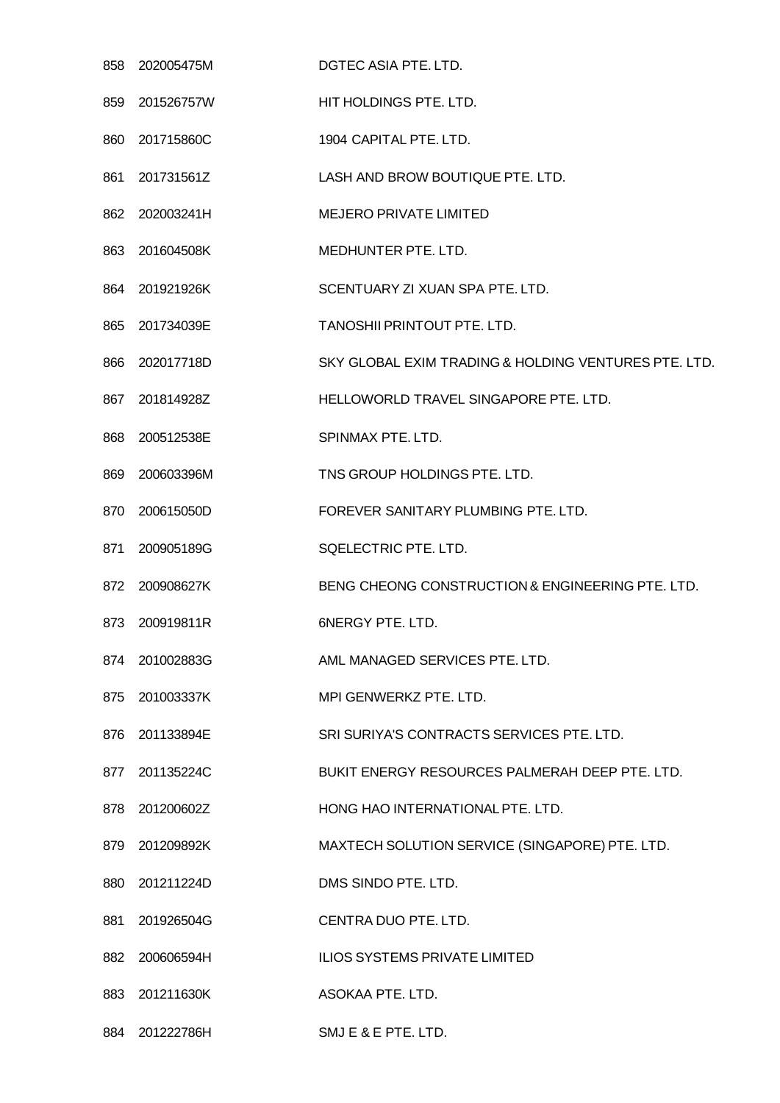| 858 | 202005475M     | DGTEC ASIA PTE. LTD.                                 |
|-----|----------------|------------------------------------------------------|
| 859 | 201526757W     | HIT HOLDINGS PTE. LTD.                               |
| 860 | 201715860C     | 1904 CAPITAL PTE. LTD.                               |
| 861 | 201731561Z     | LASH AND BROW BOUTIQUE PTE. LTD.                     |
|     | 862 202003241H | <b>MEJERO PRIVATE LIMITED</b>                        |
| 863 | 201604508K     | MEDHUNTER PTE. LTD.                                  |
|     | 864 201921926K | SCENTUARY ZI XUAN SPA PTE. LTD.                      |
| 865 | 201734039E     | TANOSHII PRINTOUT PTE. LTD.                          |
| 866 | 202017718D     | SKY GLOBAL EXIM TRADING & HOLDING VENTURES PTE. LTD. |
| 867 | 201814928Z     | HELLOWORLD TRAVEL SINGAPORE PTE. LTD.                |
| 868 | 200512538E     | SPINMAX PTE. LTD.                                    |
| 869 | 200603396M     | TNS GROUP HOLDINGS PTE. LTD.                         |
| 870 | 200615050D     | FOREVER SANITARY PLUMBING PTE. LTD.                  |
| 871 | 200905189G     | SQELECTRIC PTE. LTD.                                 |
| 872 | 200908627K     | BENG CHEONG CONSTRUCTION & ENGINEERING PTE. LTD.     |
| 873 | 200919811R     | 6NERGY PTE. LTD.                                     |
|     | 874 201002883G | AML MANAGED SERVICES PTE. LTD.                       |
| 875 | 201003337K     | MPI GENWERKZ PTE, LTD.                               |
|     | 876 201133894E | SRI SURIYA'S CONTRACTS SERVICES PTE. LTD.            |
|     | 877 201135224C | BUKIT ENERGY RESOURCES PALMERAH DEEP PTE. LTD.       |
| 878 | 201200602Z     | HONG HAO INTERNATIONAL PTE. LTD.                     |
| 879 | 201209892K     | MAXTECH SOLUTION SERVICE (SINGAPORE) PTE. LTD.       |
| 880 | 201211224D     | DMS SINDO PTE. LTD.                                  |
|     | 881 201926504G | CENTRA DUO PTE. LTD.                                 |
| 882 | 200606594H     | <b>ILIOS SYSTEMS PRIVATE LIMITED</b>                 |
|     | 883 201211630K | ASOKAA PTE. LTD.                                     |
|     | 884 201222786H | SMJ E & E PTE. LTD.                                  |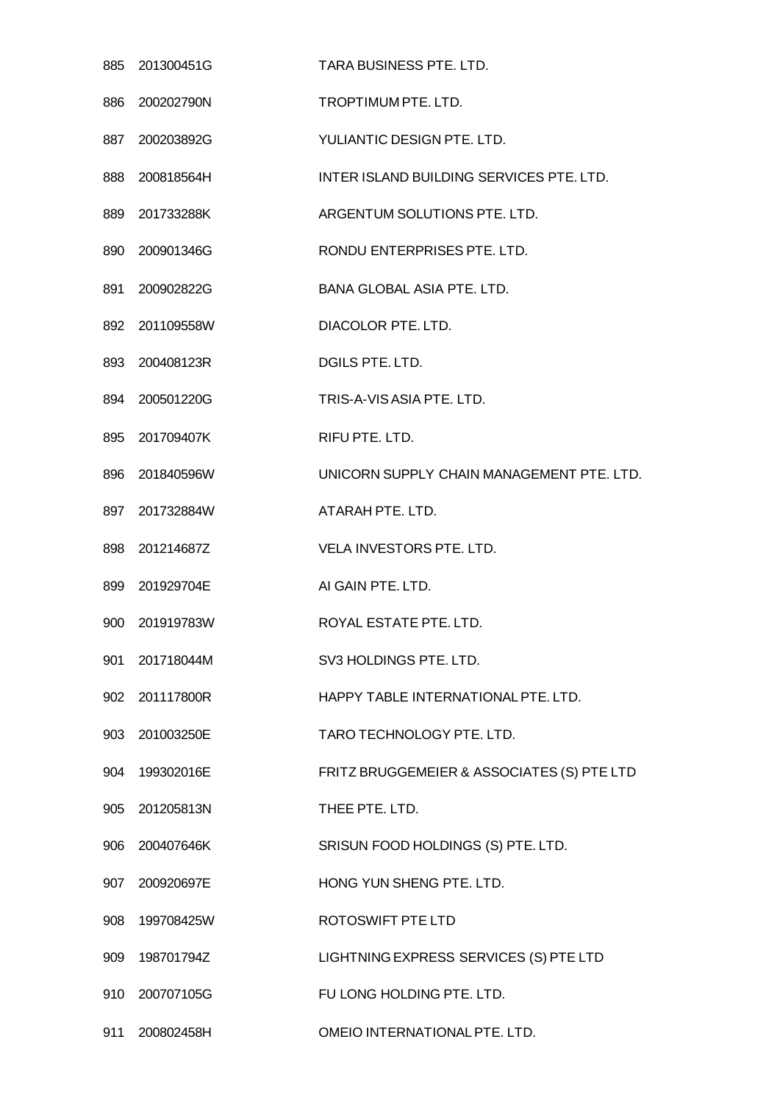|     | 885 201300451G | TARA BUSINESS PTE. LTD.                    |
|-----|----------------|--------------------------------------------|
| 886 | 200202790N     | TROPTIMUM PTE, LTD.                        |
|     | 887 200203892G | YULIANTIC DESIGN PTE, LTD.                 |
|     | 888 200818564H | INTER ISLAND BUILDING SERVICES PTE. LTD.   |
| 889 | 201733288K     | ARGENTUM SOLUTIONS PTE. LTD.               |
|     | 890 200901346G | RONDU ENTERPRISES PTE. LTD.                |
| 891 | 200902822G     | BANA GLOBAL ASIA PTE. LTD.                 |
|     | 892 201109558W | DIACOLOR PTE, LTD.                         |
|     | 893 200408123R | DGILS PTE. LTD.                            |
| 894 | 200501220G     | TRIS-A-VIS ASIA PTE, LTD.                  |
|     | 895 201709407K | RIFU PTE. LTD.                             |
|     | 896 201840596W | UNICORN SUPPLY CHAIN MANAGEMENT PTE. LTD.  |
| 897 | 201732884W     | ATARAH PTE, LTD.                           |
|     | 898 201214687Z | VELA INVESTORS PTE. LTD.                   |
| 899 | 201929704E     | AI GAIN PTE. LTD.                          |
| 900 | 201919783W     | ROYAL ESTATE PTE, LTD.                     |
| 901 | 201718044M     | SV3 HOLDINGS PTE. LTD.                     |
|     | 902 201117800R | HAPPY TABLE INTERNATIONAL PTE. LTD.        |
|     | 903 201003250E | TARO TECHNOLOGY PTE. LTD.                  |
| 904 | 199302016E     | FRITZ BRUGGEMEIER & ASSOCIATES (S) PTE LTD |
|     | 905 201205813N | THEE PTE. LTD.                             |
|     | 906 200407646K | SRISUN FOOD HOLDINGS (S) PTE. LTD.         |
| 907 | 200920697E     | HONG YUN SHENG PTE. LTD.                   |
|     | 908 199708425W | ROTOSWIFT PTE LTD                          |
| 909 | 198701794Z     | LIGHTNING EXPRESS SERVICES (S) PTE LTD     |
|     | 910 200707105G | FU LONG HOLDING PTE. LTD.                  |
|     |                |                                            |

200802458H OMEIO INTERNATIONAL PTE. LTD.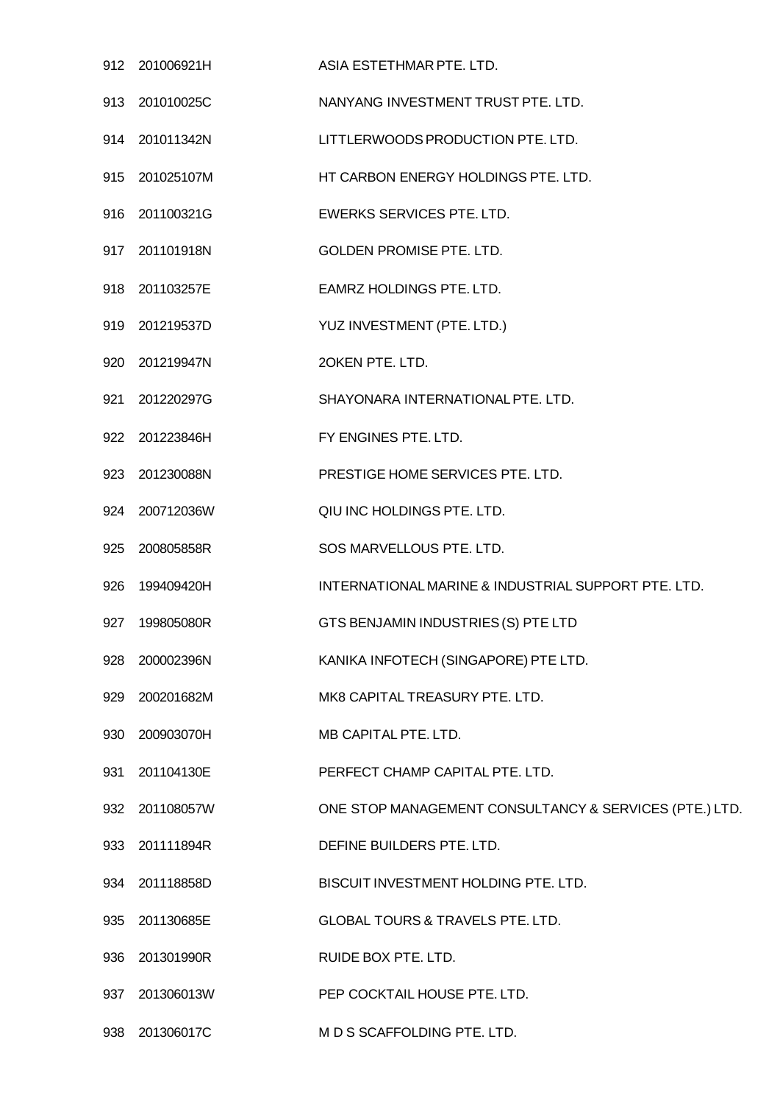|     | 912 201006921H | ASIA ESTETHMAR PTE. LTD.                               |
|-----|----------------|--------------------------------------------------------|
| 913 | 201010025C     | NANYANG INVESTMENT TRUST PTE. LTD.                     |
|     | 914 201011342N | LITTLERWOODS PRODUCTION PTE. LTD.                      |
|     | 915 201025107M | HT CARBON ENERGY HOLDINGS PTE. LTD.                    |
| 916 | 201100321G     | EWERKS SERVICES PTE. LTD.                              |
|     | 917 201101918N | <b>GOLDEN PROMISE PTE. LTD.</b>                        |
| 918 | 201103257E     | EAMRZ HOLDINGS PTE. LTD.                               |
| 919 | 201219537D     | YUZ INVESTMENT (PTE. LTD.)                             |
|     | 920 201219947N | 20KEN PTE. LTD.                                        |
| 921 | 201220297G     | SHAYONARA INTERNATIONAL PTE, LTD.                      |
| 922 | 201223846H     | FY ENGINES PTE. LTD.                                   |
|     | 923 201230088N | PRESTIGE HOME SERVICES PTE. LTD.                       |
| 924 | 200712036W     | QIU INC HOLDINGS PTE. LTD.                             |
| 925 | 200805858R     | SOS MARVELLOUS PTE. LTD.                               |
| 926 | 199409420H     | INTERNATIONAL MARINE & INDUSTRIAL SUPPORT PTE. LTD.    |
| 927 | 199805080R     | GTS BENJAMIN INDUSTRIES (S) PTE LTD                    |
| 928 | 200002396N     | KANIKA INFOTECH (SINGAPORE) PTE LTD.                   |
| 929 | 200201682M     | MK8 CAPITAL TREASURY PTE. LTD.                         |
| 930 | 200903070H     | MB CAPITAL PTE. LTD.                                   |
| 931 | 201104130E     | PERFECT CHAMP CAPITAL PTE. LTD.                        |
|     | 932 201108057W | ONE STOP MANAGEMENT CONSULTANCY & SERVICES (PTE.) LTD. |
| 933 | 201111894R     | DEFINE BUILDERS PTE. LTD.                              |
| 934 | 201118858D     | BISCUIT INVESTMENT HOLDING PTE. LTD.                   |
| 935 | 201130685E     | GLOBAL TOURS & TRAVELS PTE. LTD.                       |
| 936 | 201301990R     | RUIDE BOX PTE. LTD.                                    |
| 937 | 201306013W     | PEP COCKTAIL HOUSE PTE. LTD.                           |
| 938 | 201306017C     | M D S SCAFFOLDING PTE. LTD.                            |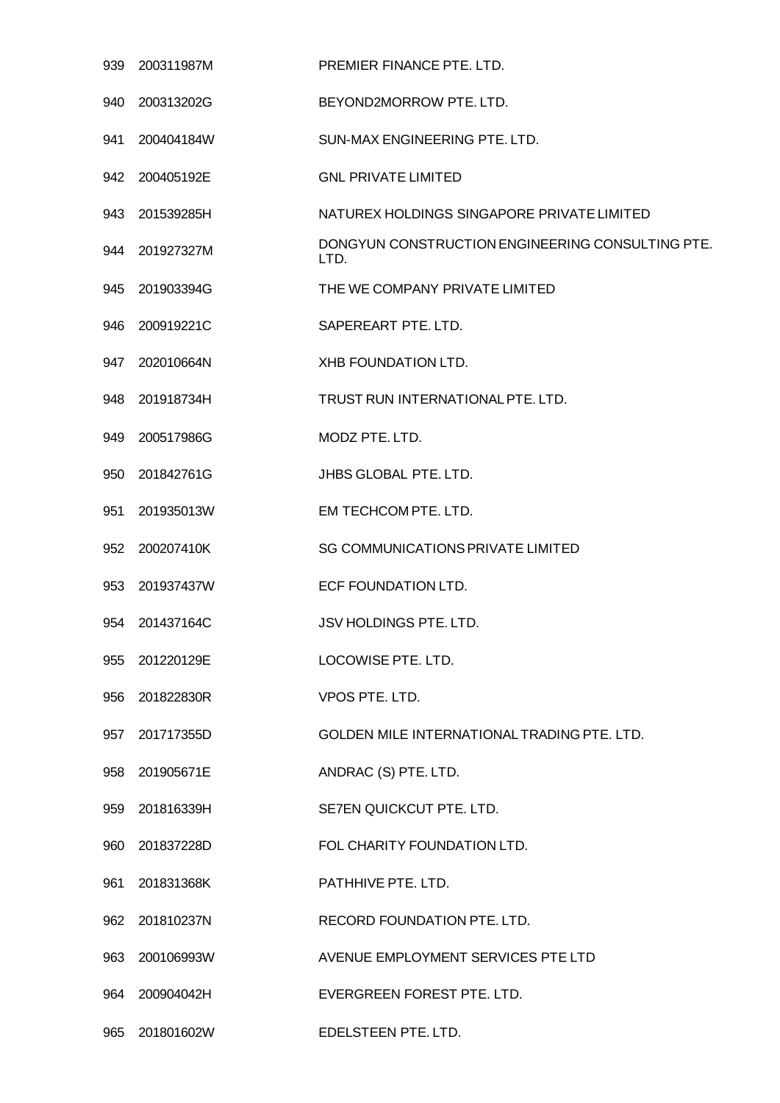| 939 | 200311987M     | PREMIER FINANCE PTE. LTD.                                |
|-----|----------------|----------------------------------------------------------|
| 940 | 200313202G     | BEYOND2MORROW PTE. LTD.                                  |
| 941 | 200404184W     | SUN-MAX ENGINEERING PTE. LTD.                            |
|     | 942 200405192E | <b>GNL PRIVATE LIMITED</b>                               |
| 943 | 201539285H     | NATUREX HOLDINGS SINGAPORE PRIVATE LIMITED               |
|     | 944 201927327M | DONGYUN CONSTRUCTION ENGINEERING CONSULTING PTE.<br>LTD. |
|     | 945 201903394G | THE WE COMPANY PRIVATE LIMITED                           |
| 946 | 200919221C     | SAPEREART PTE. LTD.                                      |
|     | 947 202010664N | XHB FOUNDATION LTD.                                      |
| 948 | 201918734H     | TRUST RUN INTERNATIONAL PTE. LTD.                        |
| 949 | 200517986G     | MODZ PTE. LTD.                                           |
| 950 | 201842761G     | JHBS GLOBAL PTE. LTD.                                    |
| 951 | 201935013W     | EM TECHCOM PTE. LTD.                                     |
| 952 | 200207410K     | <b>SG COMMUNICATIONS PRIVATE LIMITED</b>                 |
|     | 953 201937437W | ECF FOUNDATION LTD.                                      |
| 954 | 201437164C     | <b>JSV HOLDINGS PTE, LTD.</b>                            |
| 955 | 201220129E     | LOCOWISE PTE. LTD.                                       |
| 956 | 201822830R     | VPOS PTE. LTD.                                           |
|     | 957 201717355D | GOLDEN MILE INTERNATIONAL TRADING PTE. LTD.              |
| 958 | 201905671E     | ANDRAC (S) PTE. LTD.                                     |
| 959 | 201816339H     | SE7EN QUICKCUT PTE. LTD.                                 |
|     | 960 201837228D | FOL CHARITY FOUNDATION LTD.                              |
| 961 | 201831368K     | PATHHIVE PTE. LTD.                                       |
|     | 962 201810237N | RECORD FOUNDATION PTE. LTD.                              |
| 963 | 200106993W     | AVENUE EMPLOYMENT SERVICES PTE LTD                       |
| 964 | 200904042H     | EVERGREEN FOREST PTE. LTD.                               |
| 965 | 201801602W     | EDELSTEEN PTE. LTD.                                      |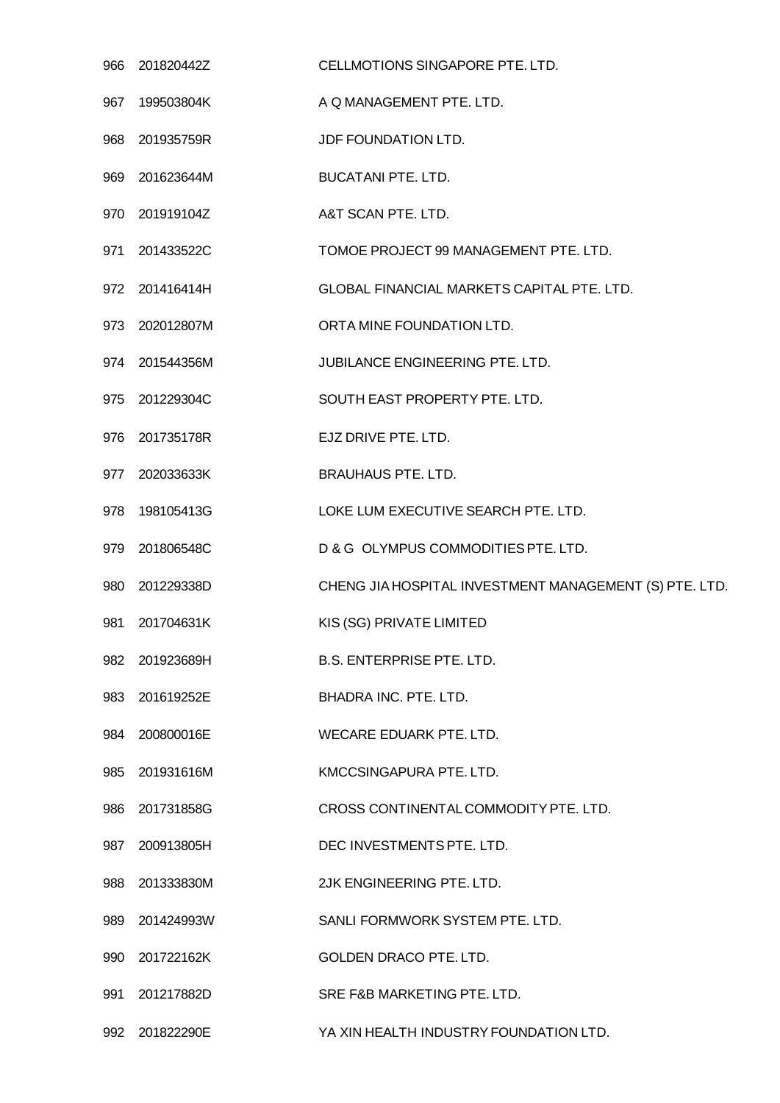| 966 | 201820442Z     | CELLMOTIONS SINGAPORE PTE. LTD.                        |
|-----|----------------|--------------------------------------------------------|
| 967 | 199503804K     | A Q MANAGEMENT PTE. LTD.                               |
| 968 | 201935759R     | JDF FOUNDATION LTD.                                    |
| 969 | 201623644M     | <b>BUCATANI PTE. LTD.</b>                              |
| 970 | 201919104Z     | A&T SCAN PTE. LTD.                                     |
| 971 | 201433522C     | TOMOE PROJECT 99 MANAGEMENT PTE. LTD.                  |
|     | 972 201416414H | GLOBAL FINANCIAL MARKETS CAPITAL PTE. LTD.             |
| 973 | 202012807M     | ORTA MINE FOUNDATION LTD.                              |
|     | 974 201544356M | JUBILANCE ENGINEERING PTE. LTD.                        |
| 975 | 201229304C     | SOUTH EAST PROPERTY PTE. LTD.                          |
| 976 | 201735178R     | EJZ DRIVE PTE. LTD.                                    |
|     | 977 202033633K | <b>BRAUHAUS PTE. LTD.</b>                              |
| 978 | 198105413G     | LOKE LUM EXECUTIVE SEARCH PTE. LTD.                    |
| 979 | 201806548C     | D & G OLYMPUS COMMODITIES PTE. LTD.                    |
| 980 | 201229338D     | CHENG JIA HOSPITAL INVESTMENT MANAGEMENT (S) PTE. LTD. |
| 981 | 201704631K     | KIS (SG) PRIVATE LIMITED                               |
|     | 982 201923689H | <b>B.S. ENTERPRISE PTE. LTD.</b>                       |
| 983 | 201619252E     | BHADRA INC. PTE. LTD.                                  |
|     | 984 200800016E | WECARE EDUARK PTE. LTD.                                |
| 985 | 201931616M     | KMCCSINGAPURA PTE. LTD.                                |
|     | 986 201731858G | CROSS CONTINENTAL COMMODITY PTE. LTD.                  |
| 987 | 200913805H     | DEC INVESTMENTS PTE. LTD.                              |
| 988 | 201333830M     | 2JK ENGINEERING PTE. LTD.                              |
|     | 989 201424993W | SANLI FORMWORK SYSTEM PTE. LTD.                        |
| 990 | 201722162K     | GOLDEN DRACO PTE. LTD.                                 |
| 991 | 201217882D     | SRE F&B MARKETING PTE. LTD.                            |
|     | 992 201822290E | YA XIN HEALTH INDUSTRY FOUNDATION LTD.                 |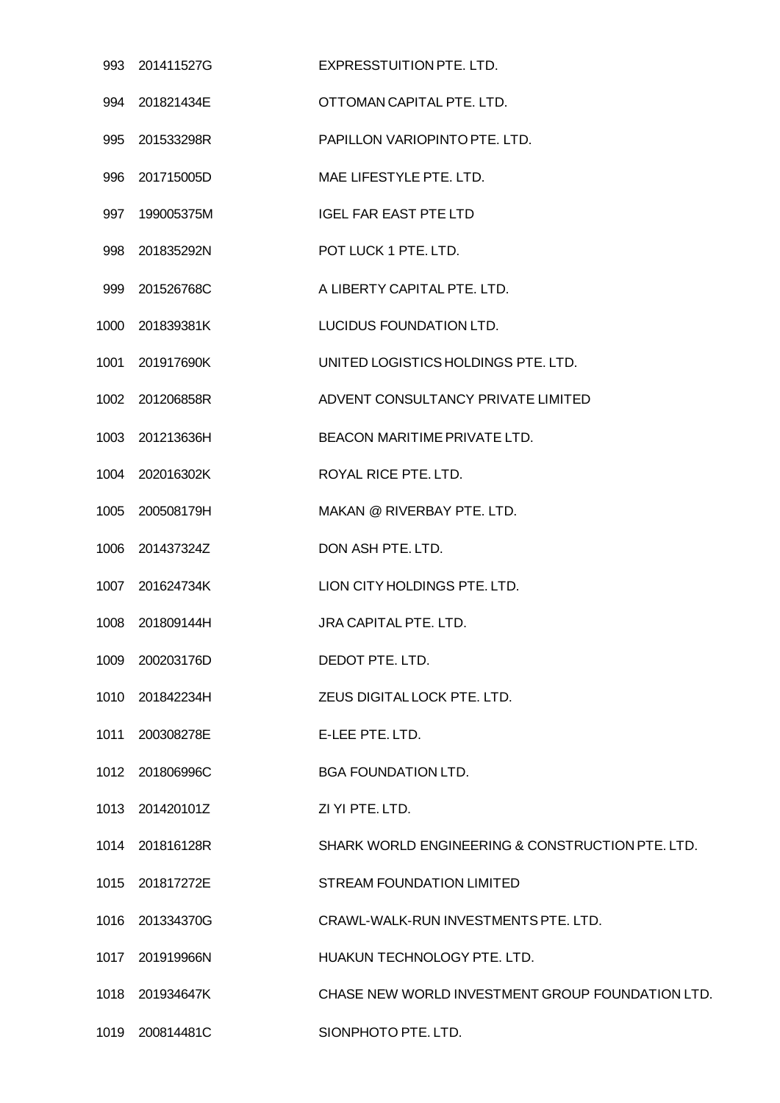|      | 993 201411527G  | <b>EXPRESSTUITION PTE. LTD.</b>                  |
|------|-----------------|--------------------------------------------------|
|      | 994 201821434E  | OTTOMAN CAPITAL PTE. LTD.                        |
|      | 995 201533298R  | PAPILLON VARIOPINTO PTE. LTD.                    |
|      | 996 201715005D  | MAE LIFESTYLE PTE. LTD.                          |
| 997  | 199005375M      | <b>IGEL FAR EAST PTE LTD</b>                     |
|      | 998 201835292N  | POT LUCK 1 PTE. LTD.                             |
|      | 999 201526768C  | A LIBERTY CAPITAL PTE. LTD.                      |
| 1000 | 201839381K      | LUCIDUS FOUNDATION LTD.                          |
|      | 1001 201917690K | UNITED LOGISTICS HOLDINGS PTE, LTD.              |
|      | 1002 201206858R | ADVENT CONSULTANCY PRIVATE LIMITED               |
|      | 1003 201213636H | BEACON MARITIME PRIVATE LTD.                     |
|      | 1004 202016302K | ROYAL RICE PTE. LTD.                             |
| 1005 | 200508179H      | MAKAN @ RIVERBAY PTE. LTD.                       |
|      | 1006 201437324Z | DON ASH PTE. LTD.                                |
|      | 1007 201624734K | LION CITY HOLDINGS PTE. LTD.                     |
| 1008 | 201809144H      | <b>JRA CAPITAL PTE, LTD.</b>                     |
|      | 1009 200203176D | DEDOT PTE. LTD.                                  |
| 1010 | 201842234H      | ZEUS DIGITAL LOCK PTE, LTD.                      |
|      | 1011 200308278E | E-LEE PTE. LTD.                                  |
|      | 1012 201806996C | <b>BGA FOUNDATION LTD.</b>                       |
|      | 1013 201420101Z | ZI YI PTE. LTD.                                  |
|      | 1014 201816128R | SHARK WORLD ENGINEERING & CONSTRUCTION PTE. LTD. |
|      | 1015 201817272E | <b>STREAM FOUNDATION LIMITED</b>                 |
|      | 1016 201334370G | CRAWL-WALK-RUN INVESTMENTS PTE. LTD.             |
| 1017 | 201919966N      | HUAKUN TECHNOLOGY PTE. LTD.                      |
|      | 1018 201934647K | CHASE NEW WORLD INVESTMENT GROUP FOUNDATION LTD. |
|      | 1019 200814481C | SIONPHOTO PTE. LTD.                              |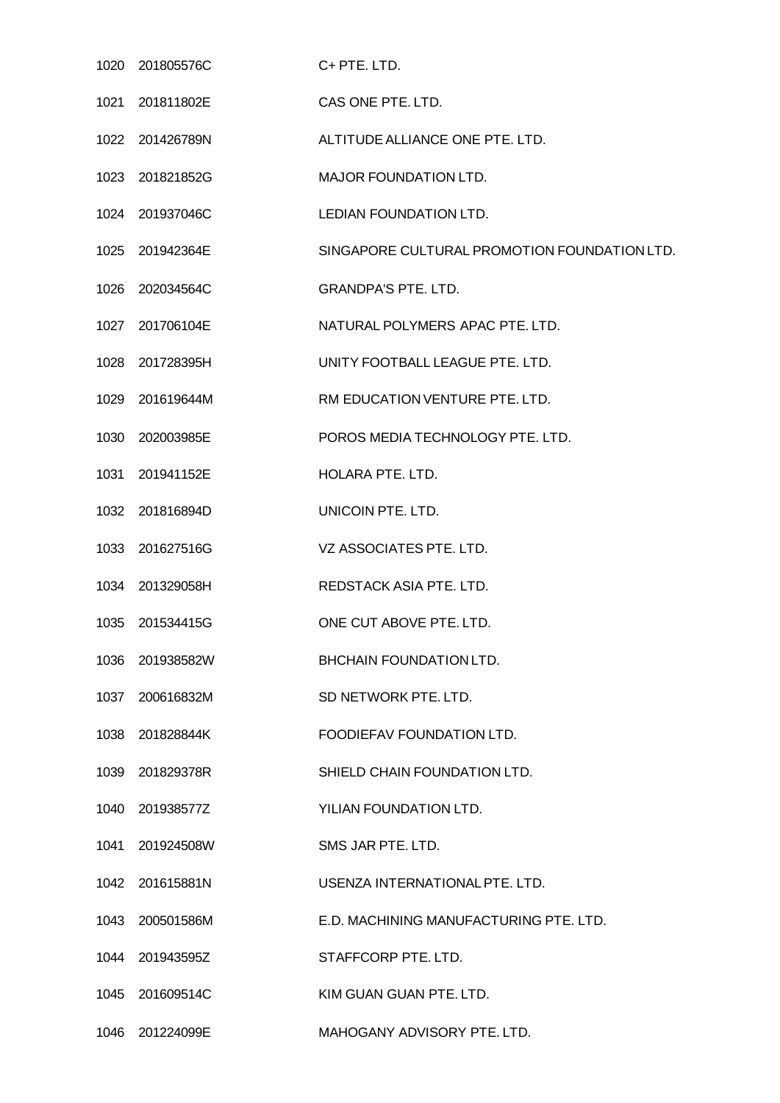|      | 1020 201805576C | C+ PTE. LTD.                                 |
|------|-----------------|----------------------------------------------|
|      | 1021 201811802E | CAS ONE PTE. LTD.                            |
|      | 1022 201426789N | ALTITUDE ALLIANCE ONE PTE. LTD.              |
|      | 1023 201821852G | <b>MAJOR FOUNDATION LTD.</b>                 |
|      | 1024 201937046C | LEDIAN FOUNDATION LTD.                       |
|      | 1025 201942364E | SINGAPORE CULTURAL PROMOTION FOUNDATION LTD. |
|      | 1026 202034564C | <b>GRANDPA'S PTE. LTD.</b>                   |
|      | 1027 201706104E | NATURAL POLYMERS APAC PTE. LTD.              |
|      | 1028 201728395H | UNITY FOOTBALL LEAGUE PTE. LTD.              |
|      | 1029 201619644M | RM EDUCATION VENTURE PTE. LTD.               |
|      | 1030 202003985E | POROS MEDIA TECHNOLOGY PTE. LTD.             |
|      | 1031 201941152E | HOLARA PTE. LTD.                             |
|      | 1032 201816894D | UNICOIN PTE. LTD.                            |
|      | 1033 201627516G | VZ ASSOCIATES PTE. LTD.                      |
|      | 1034 201329058H | REDSTACK ASIA PTE. LTD.                      |
|      | 1035 201534415G | ONE CUT ABOVE PTE, LTD.                      |
| 1036 | 201938582W      | <b>BHCHAIN FOUNDATION LTD.</b>               |
|      | 1037 200616832M | SD NETWORK PTE. LTD.                         |
|      | 1038 201828844K | FOODIEFAV FOUNDATION LTD.                    |
| 1039 | 201829378R      | SHIELD CHAIN FOUNDATION LTD.                 |
|      | 1040 201938577Z | YILIAN FOUNDATION LTD.                       |
|      | 1041 201924508W | SMS JAR PTE. LTD.                            |
|      | 1042 201615881N | USENZA INTERNATIONAL PTE. LTD.               |
|      | 1043 200501586M | E.D. MACHINING MANUFACTURING PTE. LTD.       |
|      | 1044 201943595Z | STAFFCORP PTE. LTD.                          |
|      | 1045 201609514C | KIM GUAN GUAN PTE. LTD.                      |
| 1046 | 201224099E      | MAHOGANY ADVISORY PTE. LTD.                  |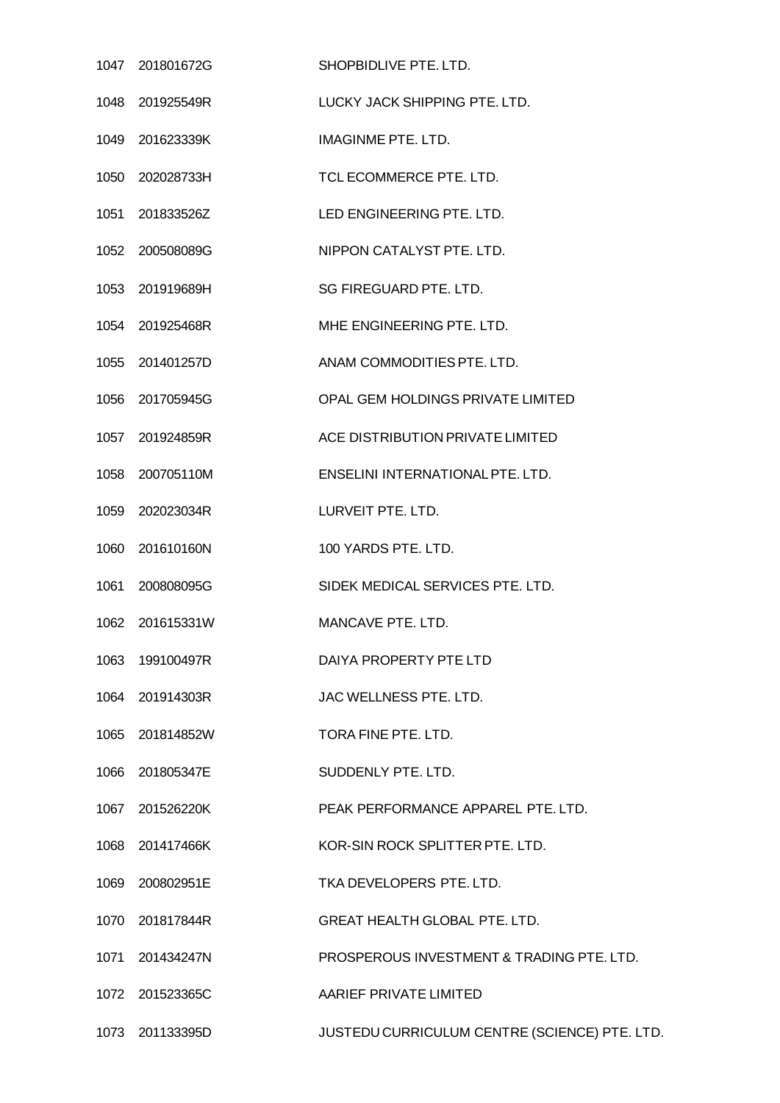| 1047 201801672G | SHOPBIDLIVE PTE, LTD.                         |
|-----------------|-----------------------------------------------|
| 1048 201925549R | LUCKY JACK SHIPPING PTE. LTD.                 |
| 1049 201623339K | IMAGINME PTE. LTD.                            |
| 1050 202028733H | TCL ECOMMERCE PTE. LTD.                       |
| 1051 201833526Z | LED ENGINEERING PTE. LTD.                     |
| 1052 200508089G | NIPPON CATALYST PTE. LTD.                     |
| 1053 201919689H | SG FIREGUARD PTE. LTD.                        |
| 1054 201925468R | MHE ENGINEERING PTE. LTD.                     |
| 1055 201401257D | ANAM COMMODITIES PTE. LTD.                    |
| 1056 201705945G | OPAL GEM HOLDINGS PRIVATE LIMITED             |
| 1057 201924859R | ACE DISTRIBUTION PRIVATE LIMITED              |
| 1058 200705110M | ENSELINI INTERNATIONAL PTE, LTD.              |
| 1059 202023034R | LURVEIT PTE, LTD.                             |
| 1060 201610160N | 100 YARDS PTE, LTD.                           |
| 1061 200808095G | SIDEK MEDICAL SERVICES PTE. LTD.              |
| 1062 201615331W | MANCAVE PTE, LTD.                             |
| 1063 199100497R | DAIYA PROPERTY PTE LTD                        |
| 1064 201914303R | JAC WELLNESS PTE. LTD.                        |
| 1065 201814852W | TORA FINE PTE, LTD.                           |
| 1066 201805347E | SUDDENLY PTE, LTD.                            |
| 1067 201526220K | PEAK PERFORMANCE APPAREL PTE. LTD.            |
| 1068 201417466K | KOR-SIN ROCK SPLITTER PTE, LTD.               |
| 1069 200802951E | TKA DEVELOPERS PTE. LTD.                      |
| 1070 201817844R | <b>GREAT HEALTH GLOBAL PTE. LTD.</b>          |
| 1071 201434247N | PROSPEROUS INVESTMENT & TRADING PTE, LTD.     |
| 1072 201523365C | AARIEF PRIVATE LIMITED                        |
| 1073 201133395D | JUSTEDU CURRICULUM CENTRE (SCIENCE) PTE. LTD. |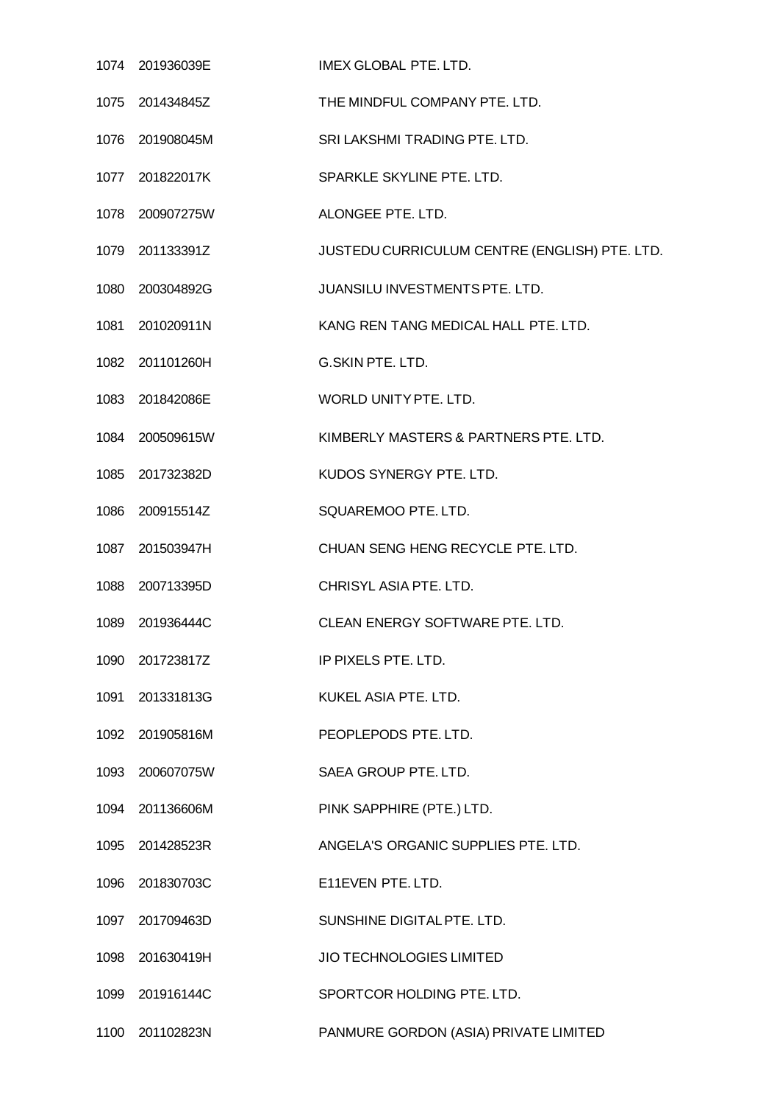| 1074 201936039E | IMEX GLOBAL PTE. LTD.                         |
|-----------------|-----------------------------------------------|
| 1075 201434845Z | THE MINDFUL COMPANY PTE. LTD.                 |
| 1076 201908045M | SRI LAKSHMI TRADING PTE. LTD.                 |
| 1077 201822017K | SPARKLE SKYLINE PTE. LTD.                     |
| 1078 200907275W | ALONGEE PTE. LTD.                             |
| 1079 201133391Z | JUSTEDU CURRICULUM CENTRE (ENGLISH) PTE. LTD. |
| 1080 200304892G | JUANSILU INVESTMENTS PTE. LTD.                |
| 1081 201020911N | KANG REN TANG MEDICAL HALL PTE, LTD.          |
| 1082 201101260H | G.SKIN PTE. LTD.                              |
| 1083 201842086E | WORLD UNITY PTE, LTD.                         |
| 1084 200509615W | KIMBERLY MASTERS & PARTNERS PTE. LTD.         |
| 1085 201732382D | KUDOS SYNERGY PTE. LTD.                       |
| 1086 200915514Z | SQUAREMOO PTE. LTD.                           |
| 1087 201503947H | CHUAN SENG HENG RECYCLE PTE. LTD.             |
| 1088 200713395D | CHRISYL ASIA PTE, LTD.                        |
| 1089 201936444C | CLEAN ENERGY SOFTWARE PTE. LTD.               |
| 1090 201723817Z | IP PIXELS PTE. LTD.                           |
| 1091 201331813G | KUKEL ASIA PTE. LTD.                          |
| 1092 201905816M | PEOPLEPODS PTE. LTD.                          |
| 1093 200607075W | SAEA GROUP PTE. LTD.                          |
| 1094 201136606M | PINK SAPPHIRE (PTE.) LTD.                     |
| 1095 201428523R | ANGELA'S ORGANIC SUPPLIES PTE. LTD.           |
| 1096 201830703C | E11EVEN PTE. LTD.                             |
| 1097 201709463D | SUNSHINE DIGITAL PTE. LTD.                    |
| 1098 201630419H | <b>JIO TECHNOLOGIES LIMITED</b>               |
| 1099 201916144C | SPORTCOR HOLDING PTE. LTD.                    |
| 1100 201102823N | PANMURE GORDON (ASIA) PRIVATE LIMITED         |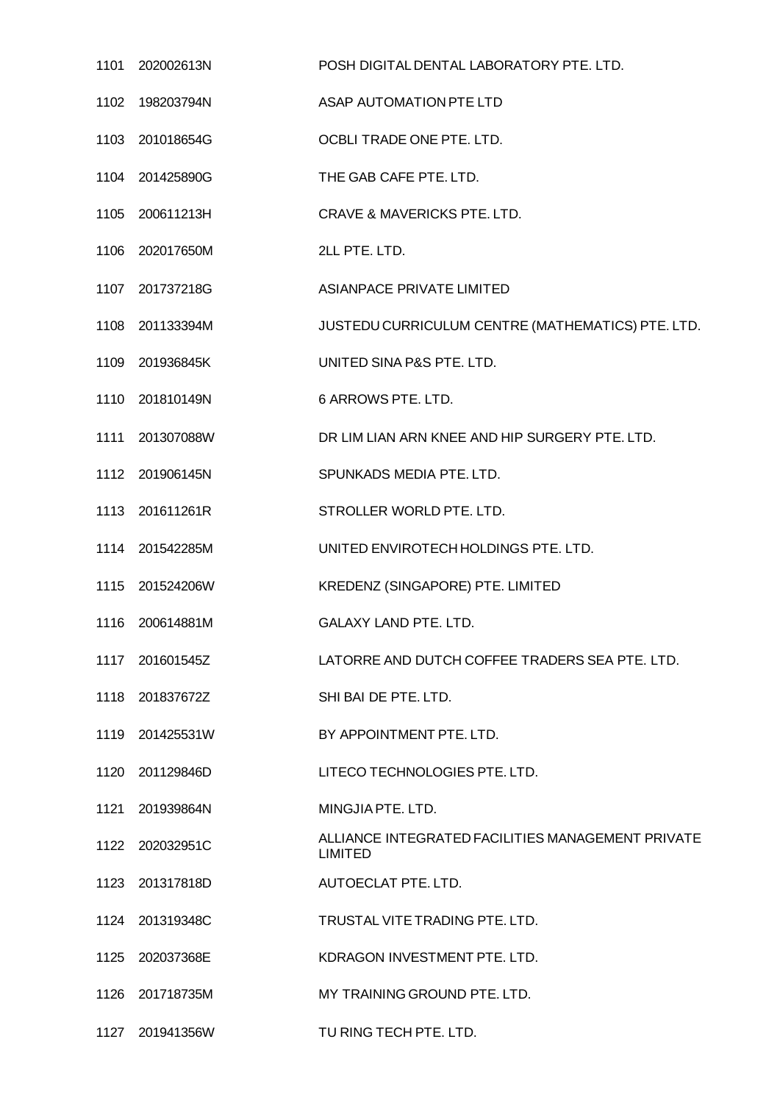| 1101 | 202002613N      | POSH DIGITAL DENTAL LABORATORY PTE. LTD.                            |
|------|-----------------|---------------------------------------------------------------------|
| 1102 | 198203794N      | ASAP AUTOMATION PTE LTD                                             |
|      | 1103 201018654G | OCBLI TRADE ONE PTE. LTD.                                           |
|      | 1104 201425890G | THE GAB CAFE PTE. LTD.                                              |
|      | 1105 200611213H | <b>CRAVE &amp; MAVERICKS PTE. LTD.</b>                              |
|      | 1106 202017650M | 2LL PTE. LTD.                                                       |
|      | 1107 201737218G | ASIANPACE PRIVATE LIMITED                                           |
| 1108 | 201133394M      | JUSTEDU CURRICULUM CENTRE (MATHEMATICS) PTE. LTD.                   |
|      | 1109 201936845K | UNITED SINA P&S PTE. LTD.                                           |
| 1110 | 201810149N      | 6 ARROWS PTE. LTD.                                                  |
|      | 1111 201307088W | DR LIM LIAN ARN KNEE AND HIP SURGERY PTE. LTD.                      |
|      | 1112 201906145N | SPUNKADS MEDIA PTE. LTD.                                            |
|      | 1113 201611261R | STROLLER WORLD PTE. LTD.                                            |
|      | 1114 201542285M | UNITED ENVIROTECH HOLDINGS PTE. LTD.                                |
|      | 1115 201524206W | KREDENZ (SINGAPORE) PTE. LIMITED                                    |
|      | 1116 200614881M | <b>GALAXY LAND PTE, LTD.</b>                                        |
|      | 1117 201601545Z | LATORRE AND DUTCH COFFEE TRADERS SEA PTE, LTD.                      |
|      | 1118 201837672Z | SHI BAI DE PTE. LTD.                                                |
|      | 1119 201425531W | BY APPOINTMENT PTE. LTD.                                            |
| 1120 | 201129846D      | LITECO TECHNOLOGIES PTE. LTD.                                       |
|      | 1121 201939864N | MINGJIA PTE. LTD.                                                   |
|      | 1122 202032951C | ALLIANCE INTEGRATED FACILITIES MANAGEMENT PRIVATE<br><b>LIMITED</b> |
|      | 1123 201317818D | AUTOECLAT PTE. LTD.                                                 |
|      | 1124 201319348C | TRUSTAL VITE TRADING PTE. LTD.                                      |
| 1125 | 202037368E      | KDRAGON INVESTMENT PTE. LTD.                                        |
|      | 1126 201718735M | MY TRAINING GROUND PTE. LTD.                                        |
|      | 1127 201941356W | TU RING TECH PTE. LTD.                                              |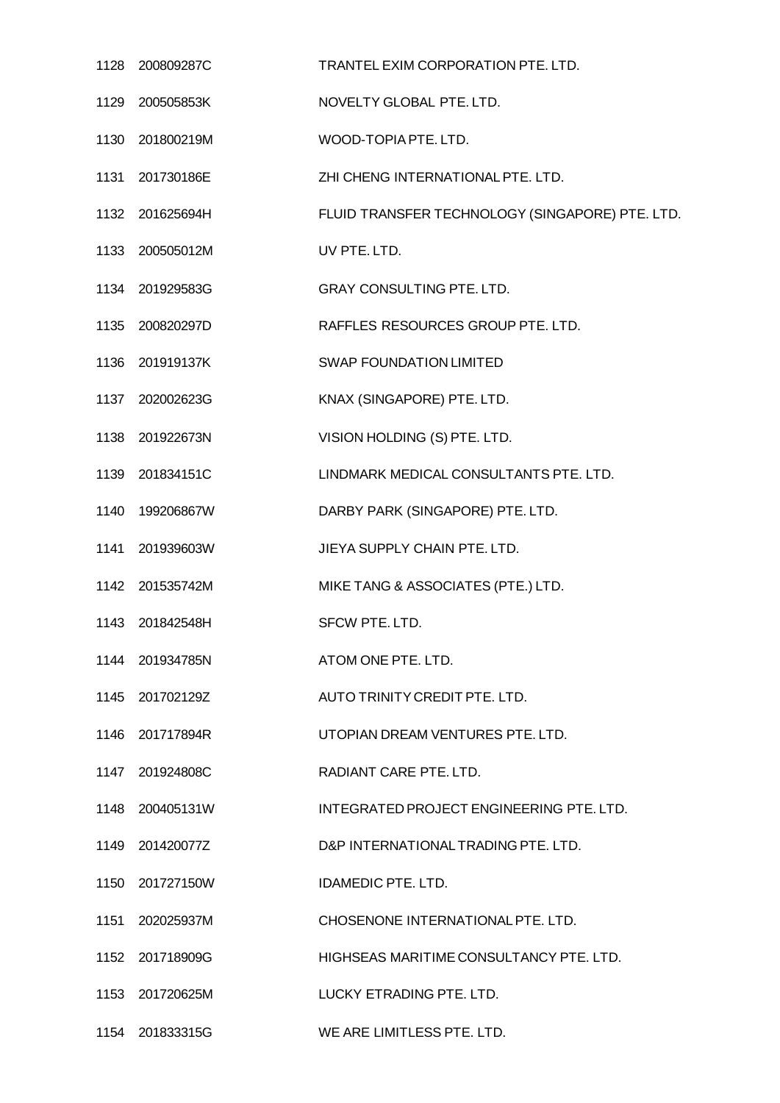| 1128 200809287C  | TRANTEL EXIM CORPORATION PTE. LTD.              |
|------------------|-------------------------------------------------|
| 1129 200505853K  | NOVELTY GLOBAL PTE, LTD.                        |
| 1130 201800219M  | WOOD-TOPIA PTE. LTD.                            |
| 1131 201730186E  | ZHI CHENG INTERNATIONAL PTE. LTD.               |
| 1132 201625694H  | FLUID TRANSFER TECHNOLOGY (SINGAPORE) PTE. LTD. |
| 1133 200505012M  | UV PTE. LTD.                                    |
| 1134 201929583G  | <b>GRAY CONSULTING PTE. LTD.</b>                |
| 1135 200820297D  | RAFFLES RESOURCES GROUP PTE. LTD.               |
| 1136 201919137K  | <b>SWAP FOUNDATION LIMITED</b>                  |
| 1137 202002623G  | KNAX (SINGAPORE) PTE. LTD.                      |
| 1138 201922673N  | VISION HOLDING (S) PTE. LTD.                    |
| 1139 201834151C  | LINDMARK MEDICAL CONSULTANTS PTE. LTD.          |
| 1140  199206867W | DARBY PARK (SINGAPORE) PTE. LTD.                |
| 1141 201939603W  | JIEYA SUPPLY CHAIN PTE. LTD.                    |
| 1142 201535742M  | MIKE TANG & ASSOCIATES (PTE.) LTD.              |
| 1143 201842548H  | SFCW PTE. LTD.                                  |
| 1144 201934785N  | ATOM ONE PTE. LTD.                              |
| 1145 201702129Z  | AUTO TRINITY CREDIT PTE, LTD.                   |
| 1146 201717894R  | UTOPIAN DREAM VENTURES PTE. LTD.                |
| 1147 201924808C  | RADIANT CARE PTE. LTD.                          |
| 1148 200405131W  | INTEGRATED PROJECT ENGINEERING PTE. LTD.        |
| 1149 201420077Z  | D&P INTERNATIONAL TRADING PTE, LTD.             |
| 1150 201727150W  | <b>IDAMEDIC PTE, LTD.</b>                       |
| 1151 202025937M  | CHOSENONE INTERNATIONAL PTE. LTD.               |
| 1152 201718909G  | HIGHSEAS MARITIME CONSULTANCY PTE. LTD.         |
| 1153 201720625M  | LUCKY ETRADING PTE, LTD.                        |
| 1154 201833315G  | WE ARE LIMITLESS PTE. LTD.                      |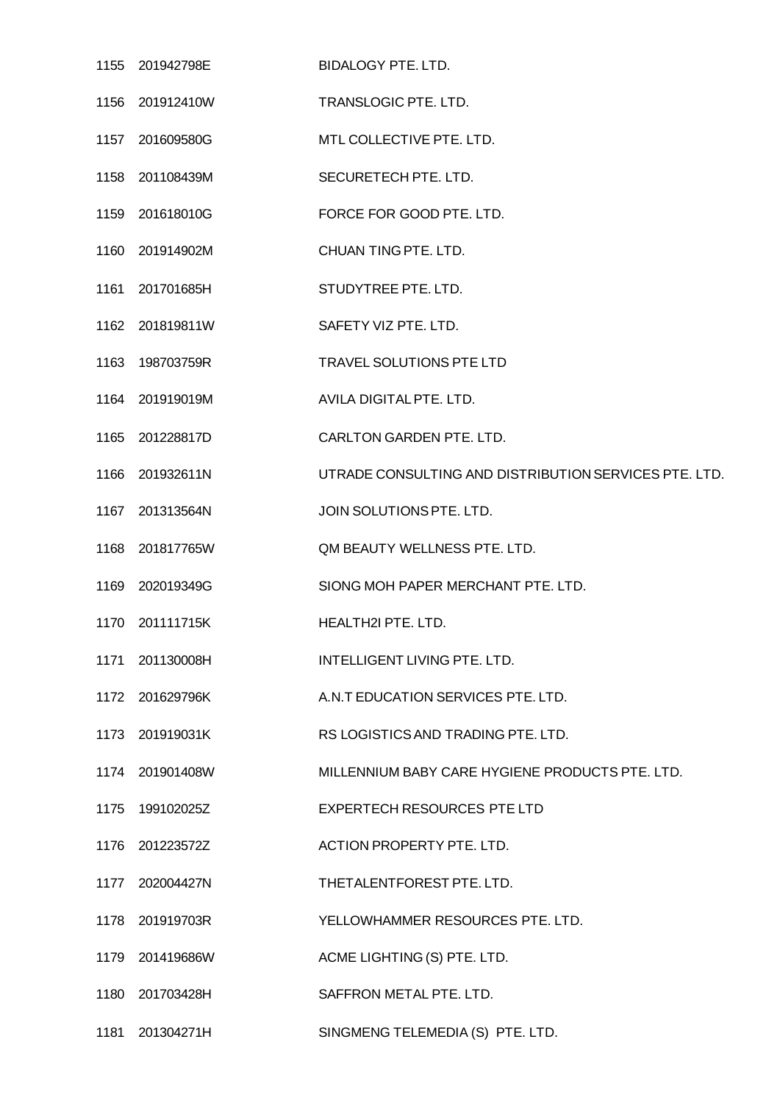|      | 1155 201942798E  | <b>BIDALOGY PTE. LTD.</b>                             |
|------|------------------|-------------------------------------------------------|
|      | 1156 201912410W  | TRANSLOGIC PTE. LTD.                                  |
|      | 1157 201609580G  | MTL COLLECTIVE PTE. LTD.                              |
|      | 1158 201108439M  | SECURETECH PTE. LTD.                                  |
|      | 1159 201618010G  | FORCE FOR GOOD PTE. LTD.                              |
|      | 1160 201914902M  | CHUAN TING PTE. LTD.                                  |
|      | 1161 201701685H  | STUDYTREE PTE. LTD.                                   |
|      | 1162 201819811W  | SAFETY VIZ PTE, LTD.                                  |
|      | 1163 198703759R  | <b>TRAVEL SOLUTIONS PTE LTD</b>                       |
|      | 1164 201919019M  | AVILA DIGITAL PTE. LTD.                               |
|      | 1165 201228817D  | CARLTON GARDEN PTE. LTD.                              |
|      | 1166 201932611N  | UTRADE CONSULTING AND DISTRIBUTION SERVICES PTE. LTD. |
|      | 1167 201313564N  | JOIN SOLUTIONS PTE. LTD.                              |
|      | 1168 201817765W  | QM BEAUTY WELLNESS PTE. LTD.                          |
| 1169 | 202019349G       | SIONG MOH PAPER MERCHANT PTE. LTD.                    |
|      | 1170 201111715K  | HEALTH2I PTE. LTD.                                    |
|      | 1171 201130008H  | INTELLIGENT LIVING PTE. LTD.                          |
|      | 1172 201629796K  | A.N.T EDUCATION SERVICES PTE. LTD.                    |
|      | 1173 201919031K  | RS LOGISTICS AND TRADING PTE. LTD.                    |
|      | 1174 201901408W  | MILLENNIUM BABY CARE HYGIENE PRODUCTS PTE. LTD.       |
|      | 1175  199102025Z | <b>EXPERTECH RESOURCES PTE LTD</b>                    |
|      | 1176 201223572Z  | ACTION PROPERTY PTE. LTD.                             |
|      | 1177 202004427N  | THETALENTFOREST PTE. LTD.                             |
|      | 1178 201919703R  | YELLOWHAMMER RESOURCES PTE. LTD.                      |
|      | 1179 201419686W  | ACME LIGHTING (S) PTE. LTD.                           |
|      | 1180 201703428H  | SAFFRON METAL PTE. LTD.                               |
|      | 1181 201304271H  | SINGMENG TELEMEDIA (S) PTE. LTD.                      |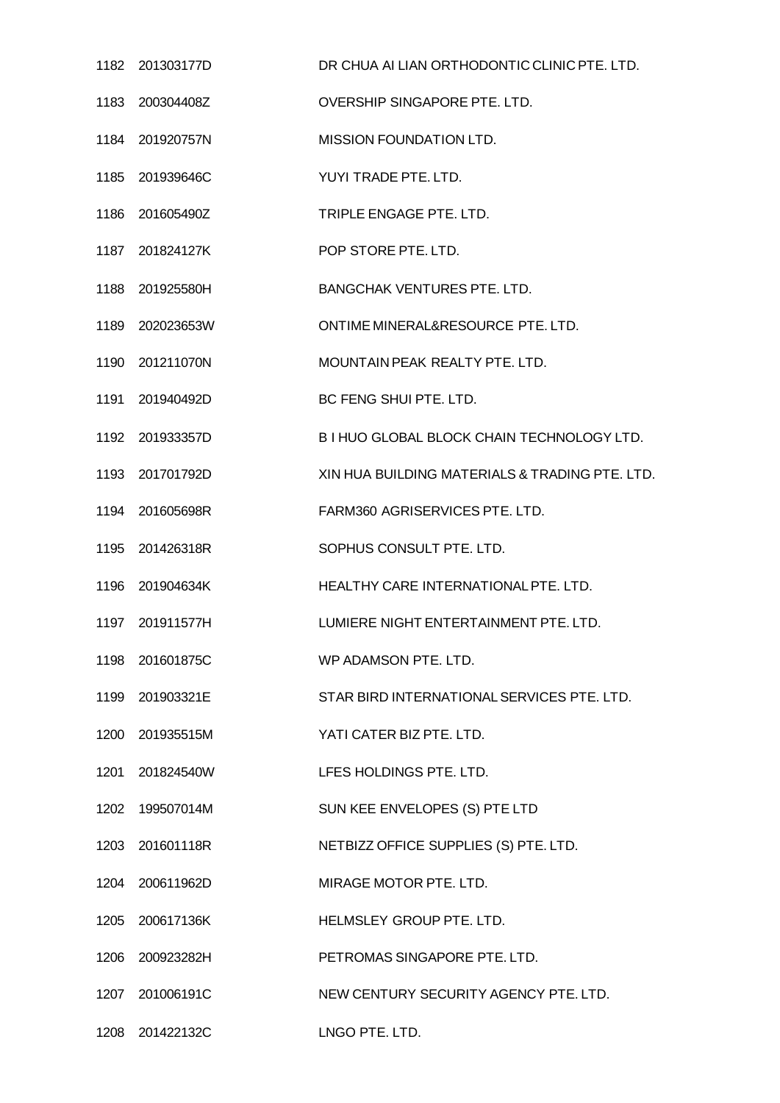|      | 1182 201303177D | DR CHUA AI LIAN ORTHODONTIC CLINIC PTE. LTD.   |
|------|-----------------|------------------------------------------------|
| 1183 | 200304408Z      | OVERSHIP SINGAPORE PTE, LTD.                   |
|      | 1184 201920757N | MISSION FOUNDATION LTD.                        |
| 1185 | 201939646C      | YUYI TRADE PTE, LTD.                           |
| 1186 | 201605490Z      | TRIPLE ENGAGE PTE. LTD.                        |
|      | 1187 201824127K | POP STORE PTE. LTD.                            |
|      | 1188 201925580H | <b>BANGCHAK VENTURES PTE. LTD.</b>             |
|      | 1189 202023653W | ONTIME MINERAL&RESOURCE PTE. LTD.              |
|      | 1190 201211070N | MOUNTAIN PEAK REALTY PTE. LTD.                 |
| 1191 | 201940492D      | BC FENG SHUI PTE. LTD.                         |
|      | 1192 201933357D | B I HUO GLOBAL BLOCK CHAIN TECHNOLOGY LTD.     |
|      | 1193 201701792D | XIN HUA BUILDING MATERIALS & TRADING PTE. LTD. |
|      | 1194 201605698R | FARM360 AGRISERVICES PTE. LTD.                 |
|      | 1195 201426318R | SOPHUS CONSULT PTE. LTD.                       |
| 1196 | 201904634K      | HEALTHY CARE INTERNATIONAL PTE. LTD.           |
|      | 1197 201911577H | LUMIERE NIGHT ENTERTAINMENT PTE. LTD.          |
|      | 1198 201601875C | WP ADAMSON PTE. LTD.                           |
|      | 1199 201903321E | STAR BIRD INTERNATIONAL SERVICES PTE. LTD.     |
|      | 1200 201935515M | YATI CATER BIZ PTE. LTD.                       |
|      | 1201 201824540W | LFES HOLDINGS PTE. LTD.                        |
|      | 1202 199507014M | SUN KEE ENVELOPES (S) PTE LTD                  |
|      | 1203 201601118R | NETBIZZ OFFICE SUPPLIES (S) PTE. LTD.          |
|      | 1204 200611962D | MIRAGE MOTOR PTE. LTD.                         |
|      | 1205 200617136K | HELMSLEY GROUP PTE. LTD.                       |
|      | 1206 200923282H | PETROMAS SINGAPORE PTE, LTD.                   |
|      | 1207 201006191C | NEW CENTURY SECURITY AGENCY PTE. LTD.          |
|      | 1208 201422132C | LNGO PTE. LTD.                                 |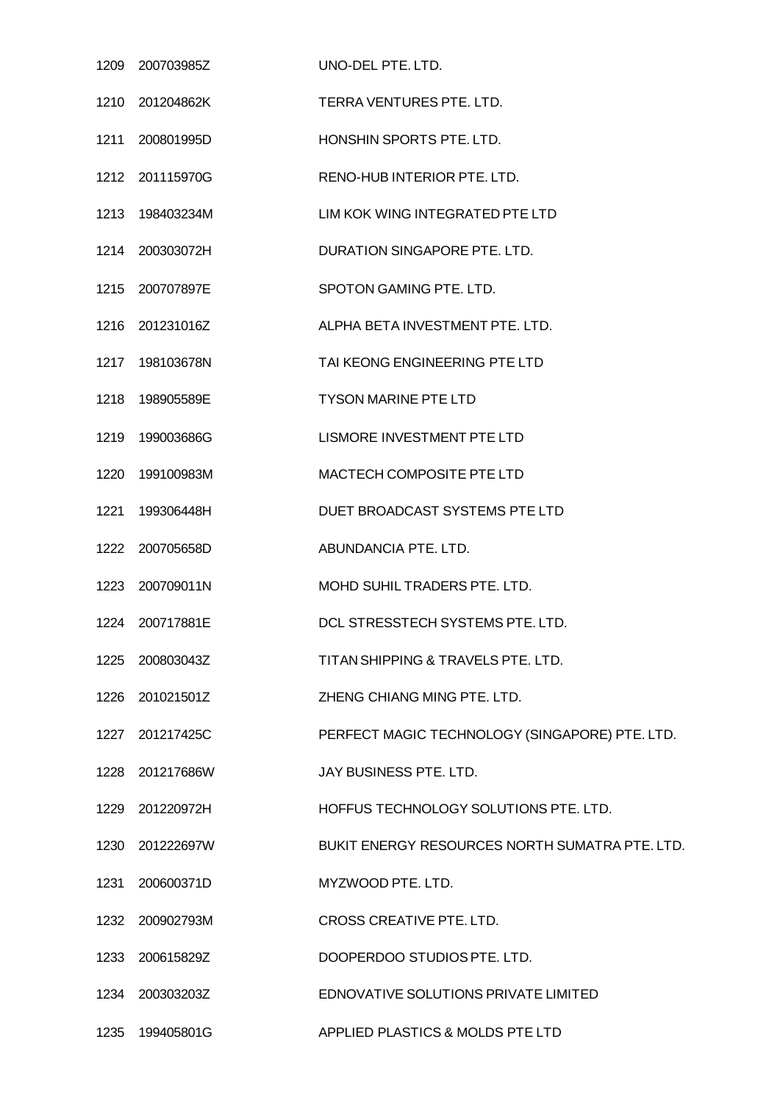|      | 1209 200703985Z  | UNO-DEL PTE. LTD.                              |
|------|------------------|------------------------------------------------|
|      | 1210 201204862K  | TERRA VENTURES PTE. LTD.                       |
|      | 1211 200801995D  | HONSHIN SPORTS PTE. LTD.                       |
|      | 1212 201115970G  | RENO-HUB INTERIOR PTE. LTD.                    |
|      | 1213 198403234M  | LIM KOK WING INTEGRATED PTE LTD                |
|      | 1214 200303072H  | DURATION SINGAPORE PTE. LTD.                   |
|      | 1215 200707897E  | SPOTON GAMING PTE, LTD.                        |
|      | 1216 201231016Z  | ALPHA BETA INVESTMENT PTE. LTD.                |
|      | 1217  198103678N | TAI KEONG ENGINEERING PTE LTD                  |
|      | 1218 198905589E  | <b>TYSON MARINE PTE LTD</b>                    |
|      | 1219 199003686G  | LISMORE INVESTMENT PTE LTD                     |
|      | 1220 199100983M  | MACTECH COMPOSITE PTE LTD                      |
| 1221 | 199306448H       | DUET BROADCAST SYSTEMS PTE LTD                 |
|      | 1222 200705658D  | ABUNDANCIA PTE. LTD.                           |
|      | 1223 200709011N  | MOHD SUHIL TRADERS PTE. LTD.                   |
|      | 1224 200717881E  | DCL STRESSTECH SYSTEMS PTE. LTD.               |
|      | 1225 200803043Z  | TITAN SHIPPING & TRAVELS PTE. LTD.             |
|      | 1226 201021501Z  | ZHENG CHIANG MING PTE. LTD.                    |
|      | 1227 201217425C  | PERFECT MAGIC TECHNOLOGY (SINGAPORE) PTE. LTD. |
|      | 1228 201217686W  | JAY BUSINESS PTE. LTD.                         |
|      | 1229 201220972H  | HOFFUS TECHNOLOGY SOLUTIONS PTE. LTD.          |
|      | 1230 201222697W  | BUKIT ENERGY RESOURCES NORTH SUMATRA PTE. LTD. |
|      | 1231 200600371D  | MYZWOOD PTE. LTD.                              |
|      | 1232 200902793M  | <b>CROSS CREATIVE PTE. LTD.</b>                |
|      | 1233 200615829Z  | DOOPERDOO STUDIOS PTE. LTD.                    |
|      | 1234 200303203Z  | EDNOVATIVE SOLUTIONS PRIVATE LIMITED           |
|      | 1235 199405801G  | APPLIED PLASTICS & MOLDS PTE LTD               |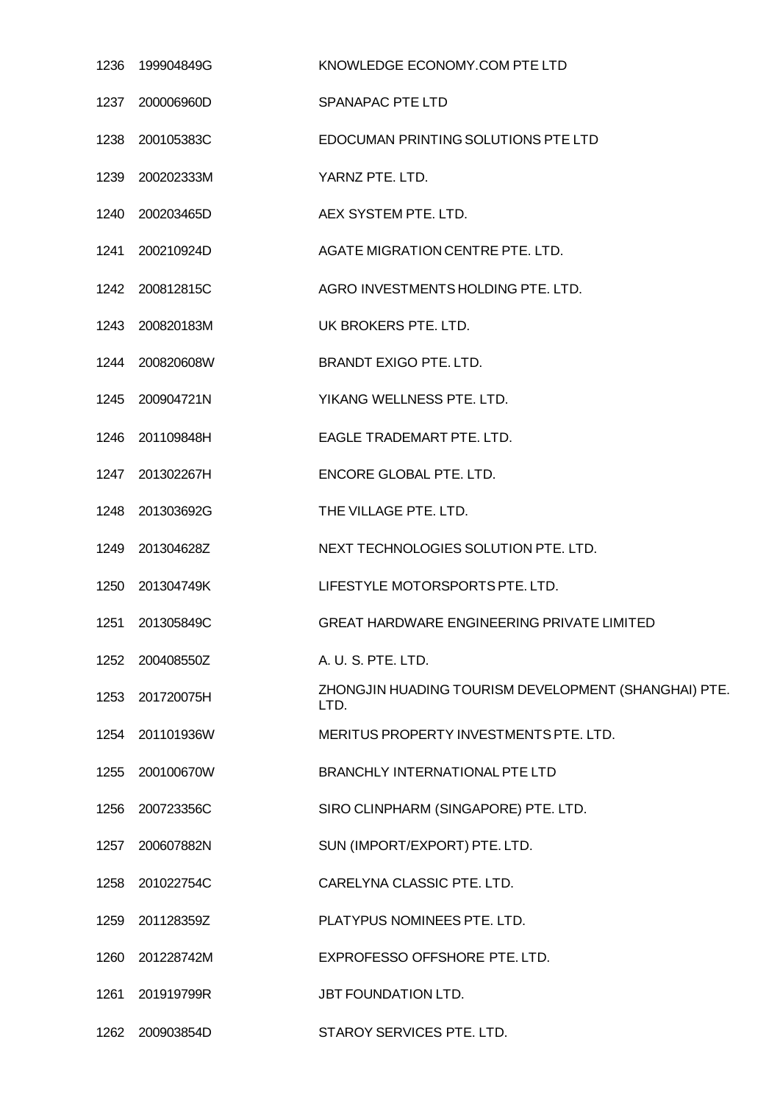|      | 1236 199904849G | KNOWLEDGE ECONOMY.COM PTE LTD                                |
|------|-----------------|--------------------------------------------------------------|
|      | 1237 200006960D | SPANAPAC PTE LTD                                             |
|      | 1238 200105383C | EDOCUMAN PRINTING SOLUTIONS PTE LTD                          |
|      | 1239 200202333M | YARNZ PTE. LTD.                                              |
|      | 1240 200203465D | AEX SYSTEM PTE, LTD.                                         |
|      | 1241 200210924D | AGATE MIGRATION CENTRE PTE. LTD.                             |
|      | 1242 200812815C | AGRO INVESTMENTS HOLDING PTE. LTD.                           |
|      | 1243 200820183M | UK BROKERS PTE. LTD.                                         |
|      | 1244 200820608W | <b>BRANDT EXIGO PTE. LTD.</b>                                |
|      | 1245 200904721N | YIKANG WELLNESS PTE, LTD.                                    |
|      | 1246 201109848H | EAGLE TRADEMART PTE. LTD.                                    |
|      | 1247 201302267H | ENCORE GLOBAL PTE. LTD.                                      |
|      | 1248 201303692G | THE VILLAGE PTE. LTD.                                        |
|      | 1249 201304628Z | NEXT TECHNOLOGIES SOLUTION PTE. LTD.                         |
|      | 1250 201304749K | LIFESTYLE MOTORSPORTS PTE. LTD.                              |
|      | 1251 201305849C | <b>GREAT HARDWARE ENGINEERING PRIVATE LIMITED</b>            |
|      | 1252 200408550Z | A. U. S. PTE. LTD.                                           |
|      | 1253 201720075H | ZHONGJIN HUADING TOURISM DEVELOPMENT (SHANGHAI) PTE.<br>LTD. |
|      | 1254 201101936W | MERITUS PROPERTY INVESTMENTS PTE. LTD.                       |
| 1255 | 200100670W      | <b>BRANCHLY INTERNATIONAL PTE LTD</b>                        |
|      | 1256 200723356C | SIRO CLINPHARM (SINGAPORE) PTE. LTD.                         |
|      | 1257 200607882N | SUN (IMPORT/EXPORT) PTE. LTD.                                |
|      | 1258 201022754C | CARELYNA CLASSIC PTE. LTD.                                   |
|      | 1259 201128359Z | PLATYPUS NOMINEES PTE. LTD.                                  |
|      | 1260 201228742M | EXPROFESSO OFFSHORE PTE. LTD.                                |
| 1261 | 201919799R      | JBT FOUNDATION LTD.                                          |
|      | 1262 200903854D | STAROY SERVICES PTE. LTD.                                    |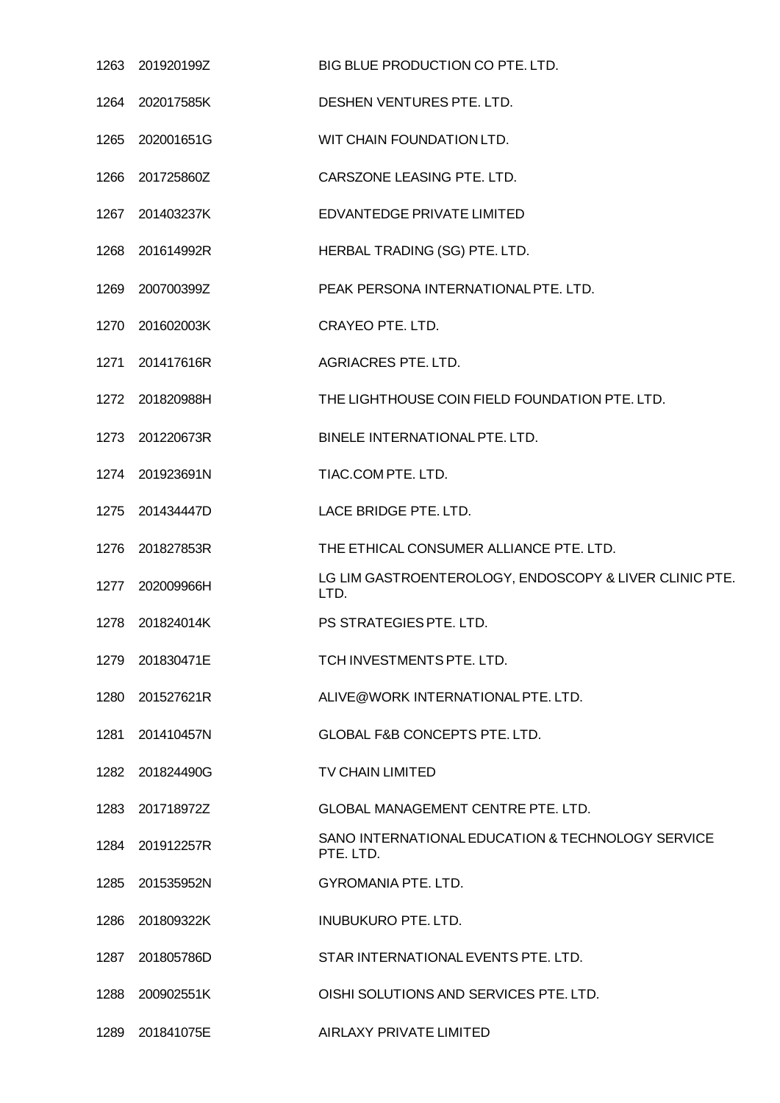|      | 1263 201920199Z | BIG BLUE PRODUCTION CO PTE. LTD.                               |
|------|-----------------|----------------------------------------------------------------|
|      | 1264 202017585K | DESHEN VENTURES PTE. LTD.                                      |
|      | 1265 202001651G | WIT CHAIN FOUNDATION LTD.                                      |
|      | 1266 201725860Z | CARSZONE LEASING PTE. LTD.                                     |
|      | 1267 201403237K | EDVANTEDGE PRIVATE LIMITED                                     |
|      | 1268 201614992R | HERBAL TRADING (SG) PTE. LTD.                                  |
|      | 1269 200700399Z | PEAK PERSONA INTERNATIONAL PTE. LTD.                           |
|      | 1270 201602003K | CRAYEO PTE, LTD.                                               |
|      | 1271 201417616R | AGRIACRES PTE. LTD.                                            |
|      | 1272 201820988H | THE LIGHTHOUSE COIN FIELD FOUNDATION PTE. LTD.                 |
|      | 1273 201220673R | BINELE INTERNATIONAL PTE. LTD.                                 |
|      | 1274 201923691N | TIAC.COM PTE. LTD.                                             |
|      | 1275 201434447D | LACE BRIDGE PTE. LTD.                                          |
|      | 1276 201827853R | THE ETHICAL CONSUMER ALLIANCE PTE. LTD.                        |
|      | 1277 202009966H | LG LIM GASTROENTEROLOGY, ENDOSCOPY & LIVER CLINIC PTE.<br>LTD. |
|      | 1278 201824014K | PS STRATEGIES PTE. LTD.                                        |
|      | 1279 201830471E | TCH INVESTMENTS PTE. LTD.                                      |
|      | 1280 201527621R | ALIVE@WORK INTERNATIONAL PTE. LTD.                             |
|      | 1281 201410457N | GLOBAL F&B CONCEPTS PTE. LTD.                                  |
|      | 1282 201824490G | <b>TV CHAIN LIMITED</b>                                        |
|      | 1283 201718972Z | GLOBAL MANAGEMENT CENTRE PTE. LTD.                             |
|      | 1284 201912257R | SANO INTERNATIONAL EDUCATION & TECHNOLOGY SERVICE<br>PTE. LTD. |
| 1285 | 201535952N      | <b>GYROMANIA PTE. LTD.</b>                                     |
|      | 1286 201809322K | <b>INUBUKURO PTE. LTD.</b>                                     |
| 1287 | 201805786D      | STAR INTERNATIONAL EVENTS PTE. LTD.                            |
| 1288 | 200902551K      | OISHI SOLUTIONS AND SERVICES PTE. LTD.                         |
| 1289 | 201841075E      | AIRLAXY PRIVATE LIMITED                                        |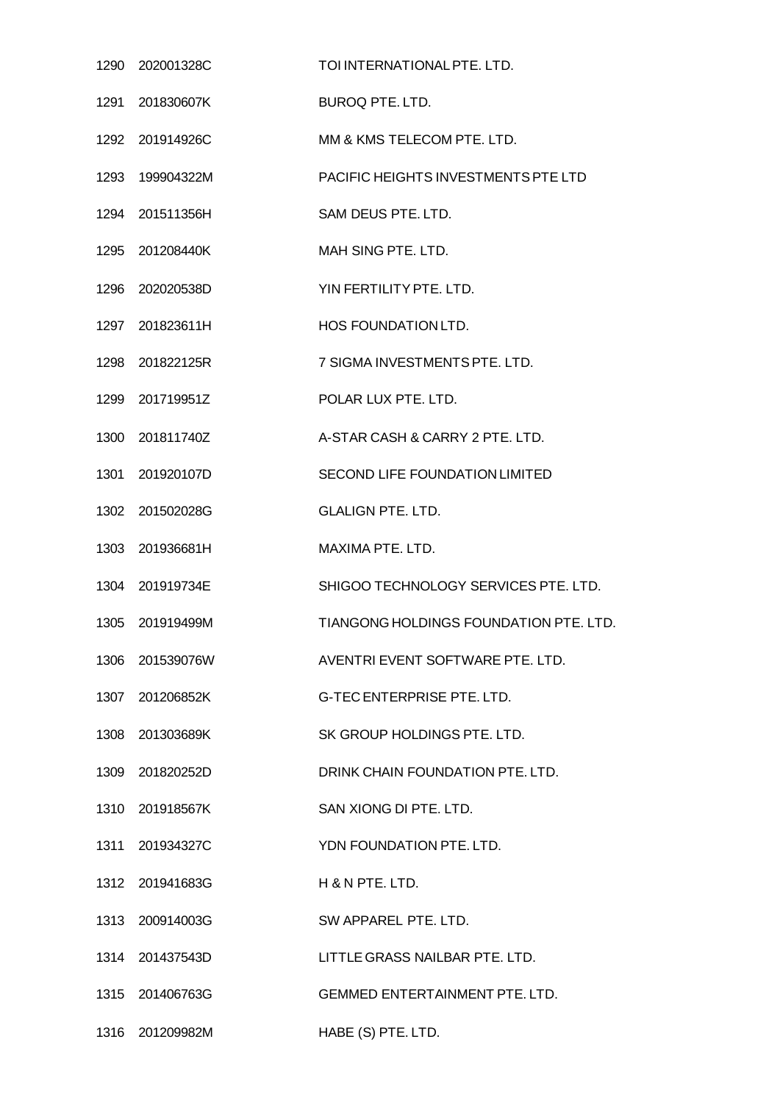| 1290 202001328C | TOI INTERNATIONAL PTE. LTD.            |
|-----------------|----------------------------------------|
| 1291 201830607K | <b>BUROQ PTE, LTD.</b>                 |
| 1292 201914926C | MM & KMS TELECOM PTE. LTD.             |
| 1293 199904322M | PACIFIC HEIGHTS INVESTMENTS PTE LTD    |
| 1294 201511356H | SAM DEUS PTE. LTD.                     |
| 1295 201208440K | MAH SING PTE. LTD.                     |
| 1296 202020538D | YIN FERTILITY PTE, LTD.                |
| 1297 201823611H | HOS FOUNDATION LTD.                    |
| 1298 201822125R | 7 SIGMA INVESTMENTS PTE. LTD.          |
| 1299 201719951Z | POLAR LUX PTE, LTD.                    |
| 1300 201811740Z | A-STAR CASH & CARRY 2 PTE, LTD.        |
| 1301 201920107D | SECOND LIFE FOUNDATION LIMITED         |
| 1302 201502028G | <b>GLALIGN PTE. LTD.</b>               |
| 1303 201936681H | MAXIMA PTE, LTD.                       |
| 1304 201919734E | SHIGOO TECHNOLOGY SERVICES PTE. LTD.   |
| 1305 201919499M | TIANGONG HOLDINGS FOUNDATION PTE. LTD. |
| 1306 201539076W | AVENTRI EVENT SOFTWARE PTE. LTD.       |
| 1307 201206852K | <b>G-TEC ENTERPRISE PTE. LTD.</b>      |
| 1308 201303689K | SK GROUP HOLDINGS PTE. LTD.            |
| 1309 201820252D | DRINK CHAIN FOUNDATION PTE. LTD.       |
| 1310 201918567K | SAN XIONG DI PTE, LTD.                 |
| 1311 201934327C | YDN FOUNDATION PTE. LTD.               |
| 1312 201941683G | H & N PTE, LTD.                        |
| 1313 200914003G | SW APPAREL PTE. LTD.                   |
| 1314 201437543D | LITTLE GRASS NAILBAR PTE. LTD.         |
| 1315 201406763G | <b>GEMMED ENTERTAINMENT PTE. LTD.</b>  |
| 1316 201209982M | HABE (S) PTE. LTD.                     |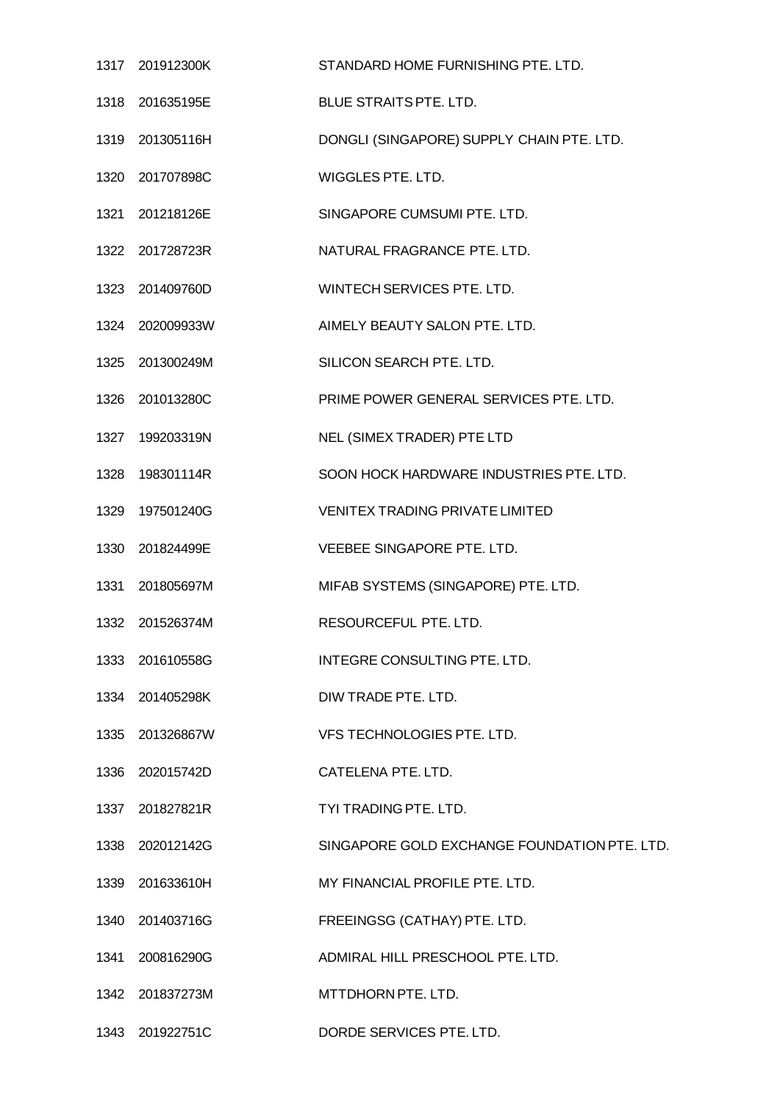| 1317 201912300K | STANDARD HOME FURNISHING PTE. LTD.           |
|-----------------|----------------------------------------------|
| 1318 201635195E | <b>BLUE STRAITS PTE. LTD.</b>                |
| 1319 201305116H | DONGLI (SINGAPORE) SUPPLY CHAIN PTE. LTD.    |
| 1320 201707898C | WIGGLES PTE. LTD.                            |
| 1321 201218126E | SINGAPORE CUMSUMI PTE, LTD.                  |
| 1322 201728723R | NATURAL FRAGRANCE PTE. LTD.                  |
| 1323 201409760D | WINTECH SERVICES PTE. LTD.                   |
| 1324 202009933W | AIMELY BEAUTY SALON PTE. LTD.                |
| 1325 201300249M | SILICON SEARCH PTE, LTD.                     |
| 1326 201013280C | PRIME POWER GENERAL SERVICES PTE. LTD.       |
| 1327 199203319N | NEL (SIMEX TRADER) PTE LTD                   |
| 1328 198301114R | SOON HOCK HARDWARE INDUSTRIES PTE. LTD.      |
| 1329 197501240G | <b>VENITEX TRADING PRIVATE LIMITED</b>       |
| 1330 201824499E | VEEBEE SINGAPORE PTE. LTD.                   |
| 1331 201805697M | MIFAB SYSTEMS (SINGAPORE) PTE. LTD.          |
| 1332 201526374M | RESOURCEFUL PTE. LTD.                        |
| 1333 201610558G | INTEGRE CONSULTING PTE. LTD.                 |
| 1334 201405298K | DIW TRADE PTE, LTD.                          |
| 1335 201326867W | VFS TECHNOLOGIES PTE. LTD.                   |
| 1336 202015742D | CATELENA PTE. LTD.                           |
| 1337 201827821R | TYI TRADING PTE. LTD.                        |
| 1338 202012142G | SINGAPORE GOLD EXCHANGE FOUNDATION PTE. LTD. |
| 1339 201633610H | MY FINANCIAL PROFILE PTE. LTD.               |
| 1340 201403716G | FREEINGSG (CATHAY) PTE. LTD.                 |
| 1341 200816290G | ADMIRAL HILL PRESCHOOL PTE. LTD.             |
| 1342 201837273M | MTTDHORN PTE. LTD.                           |
| 1343 201922751C | DORDE SERVICES PTE. LTD.                     |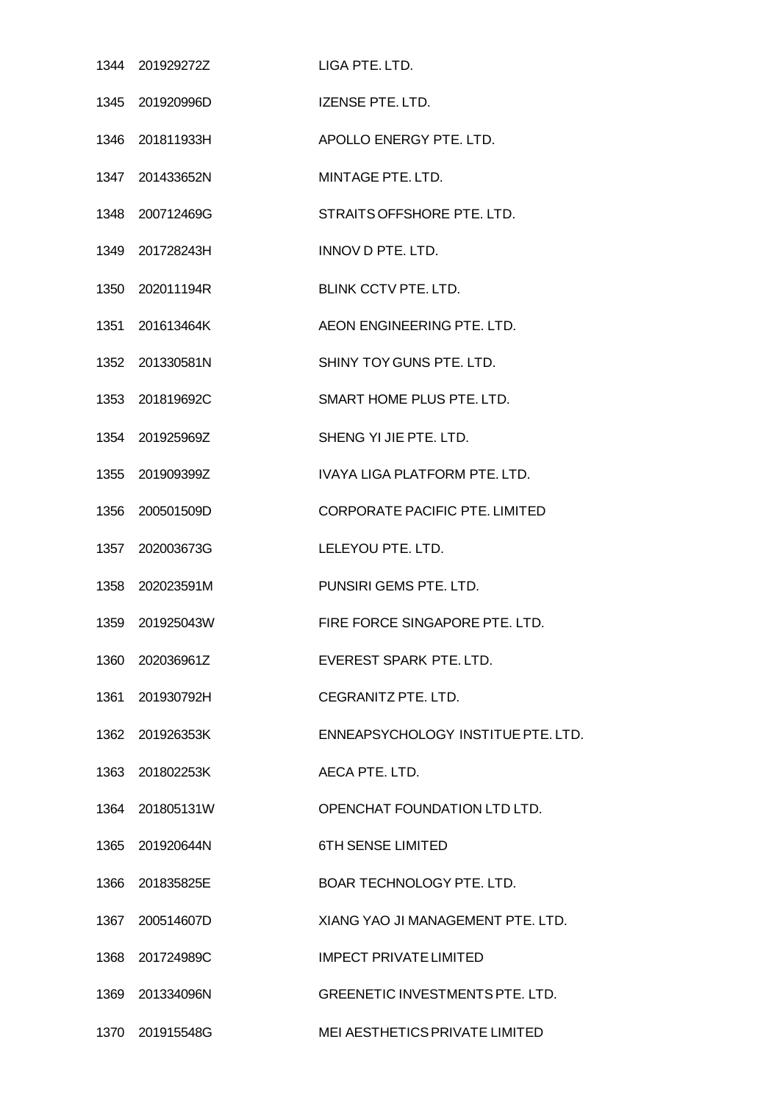|      | 1344 201929272Z | LIGA PTE, LTD.                         |
|------|-----------------|----------------------------------------|
|      | 1345 201920996D | IZENSE PTE. LTD.                       |
|      | 1346 201811933H | APOLLO ENERGY PTE. LTD.                |
|      | 1347 201433652N | MINTAGE PTE, LTD.                      |
|      | 1348 200712469G | STRAITS OFFSHORE PTE. LTD.             |
|      | 1349 201728243H | INNOV D PTE. LTD.                      |
|      | 1350 202011194R | BLINK CCTV PTE. LTD.                   |
|      | 1351 201613464K | AEON ENGINEERING PTE. LTD.             |
|      | 1352 201330581N | SHINY TOY GUNS PTE. LTD.               |
|      | 1353 201819692C | SMART HOME PLUS PTE. LTD.              |
|      | 1354 201925969Z | SHENG YI JIE PTE. LTD.                 |
|      | 1355 201909399Z | IVAYA LIGA PLATFORM PTE. LTD.          |
|      | 1356 200501509D | <b>CORPORATE PACIFIC PTE. LIMITED</b>  |
|      | 1357 202003673G | LELEYOU PTE. LTD.                      |
|      | 1358 202023591M | PUNSIRI GEMS PTE. LTD.                 |
|      | 1359 201925043W | FIRE FORCE SINGAPORE PTE. LTD.         |
| 1360 | 202036961Z      | EVEREST SPARK PTE, LTD.                |
|      | 1361 201930792H | CEGRANITZ PTE, LTD.                    |
|      | 1362 201926353K | ENNEAPSYCHOLOGY INSTITUE PTE. LTD.     |
|      | 1363 201802253K | AECA PTE. LTD.                         |
|      | 1364 201805131W | OPENCHAT FOUNDATION LTD LTD.           |
|      | 1365 201920644N | <b>6TH SENSE LIMITED</b>               |
|      | 1366 201835825E | BOAR TECHNOLOGY PTE. LTD.              |
|      | 1367 200514607D | XIANG YAO JI MANAGEMENT PTE. LTD.      |
|      | 1368 201724989C | <b>IMPECT PRIVATE LIMITED</b>          |
|      | 1369 201334096N | <b>GREENETIC INVESTMENTS PTE. LTD.</b> |
| 1370 | 201915548G      | MEI AESTHETICS PRIVATE LIMITED         |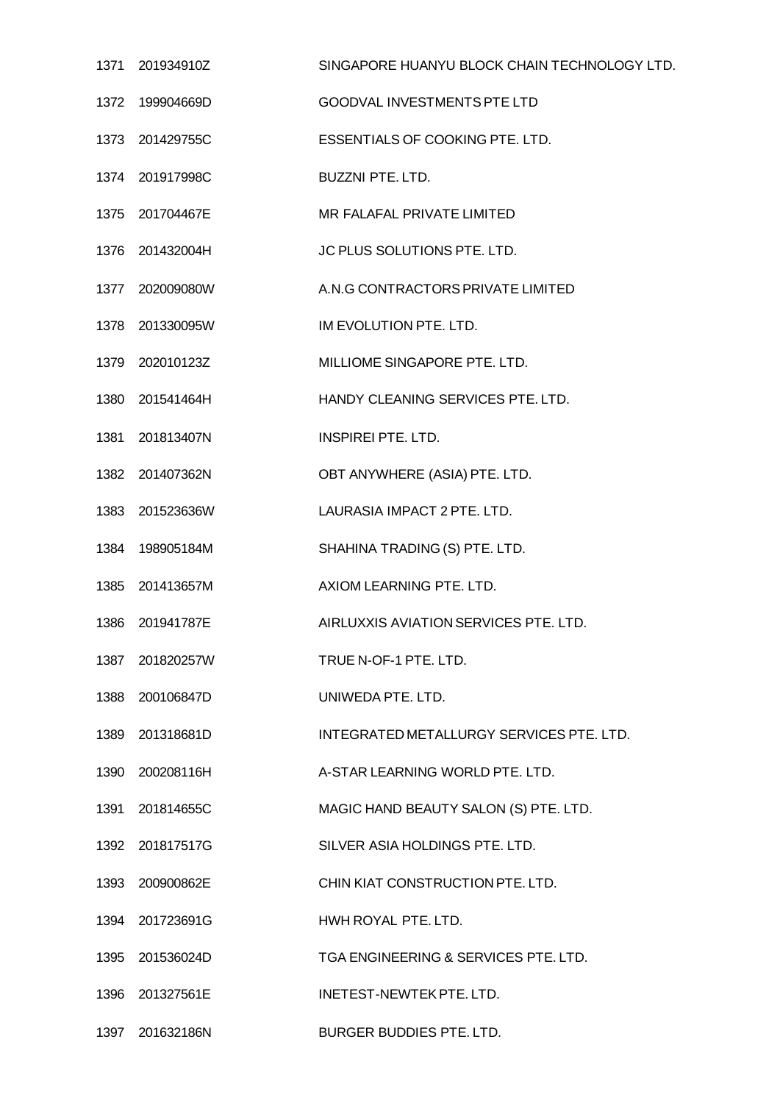| 1371 201934910Z | SINGAPORE HUANYU BLOCK CHAIN TECHNOLOGY LTD. |
|-----------------|----------------------------------------------|
| 1372 199904669D | <b>GOODVAL INVESTMENTS PTE LTD</b>           |
| 1373 201429755C | ESSENTIALS OF COOKING PTE. LTD.              |
| 1374 201917998C | <b>BUZZNI PTE. LTD.</b>                      |
| 1375 201704467E | MR FALAFAL PRIVATE LIMITED                   |
| 1376 201432004H | JC PLUS SOLUTIONS PTE. LTD.                  |
| 1377 202009080W | A.N.G CONTRACTORS PRIVATE LIMITED            |
| 1378 201330095W | IM EVOLUTION PTE, LTD.                       |
| 1379 202010123Z | MILLIOME SINGAPORE PTE. LTD.                 |
| 1380 201541464H | HANDY CLEANING SERVICES PTE. LTD.            |
| 1381 201813407N | <b>INSPIREI PTE. LTD.</b>                    |
| 1382 201407362N | OBT ANYWHERE (ASIA) PTE. LTD.                |
| 1383 201523636W | LAURASIA IMPACT 2 PTE, LTD.                  |
| 1384 198905184M | SHAHINA TRADING (S) PTE. LTD.                |
| 1385 201413657M | AXIOM LEARNING PTE. LTD.                     |
| 1386 201941787E | AIRLUXXIS AVIATION SERVICES PTE. LTD.        |
| 1387 201820257W | TRUE N-OF-1 PTE. LTD.                        |
| 1388 200106847D | UNIWEDA PTE, LTD.                            |
| 1389 201318681D | INTEGRATED METALLURGY SERVICES PTE, LTD.     |
| 1390 200208116H | A-STAR LEARNING WORLD PTE. LTD.              |
| 1391 201814655C | MAGIC HAND BEAUTY SALON (S) PTE. LTD.        |
| 1392 201817517G | SILVER ASIA HOLDINGS PTE. LTD.               |
| 1393 200900862E | CHIN KIAT CONSTRUCTION PTE. LTD.             |
| 1394 201723691G | HWH ROYAL PTE. LTD.                          |
| 1395 201536024D | TGA ENGINEERING & SERVICES PTE. LTD.         |
| 1396 201327561E | INETEST-NEWTEK PTE. LTD.                     |
|                 | 1397 201632186N BURGER BUDDIES PTE. LTD.     |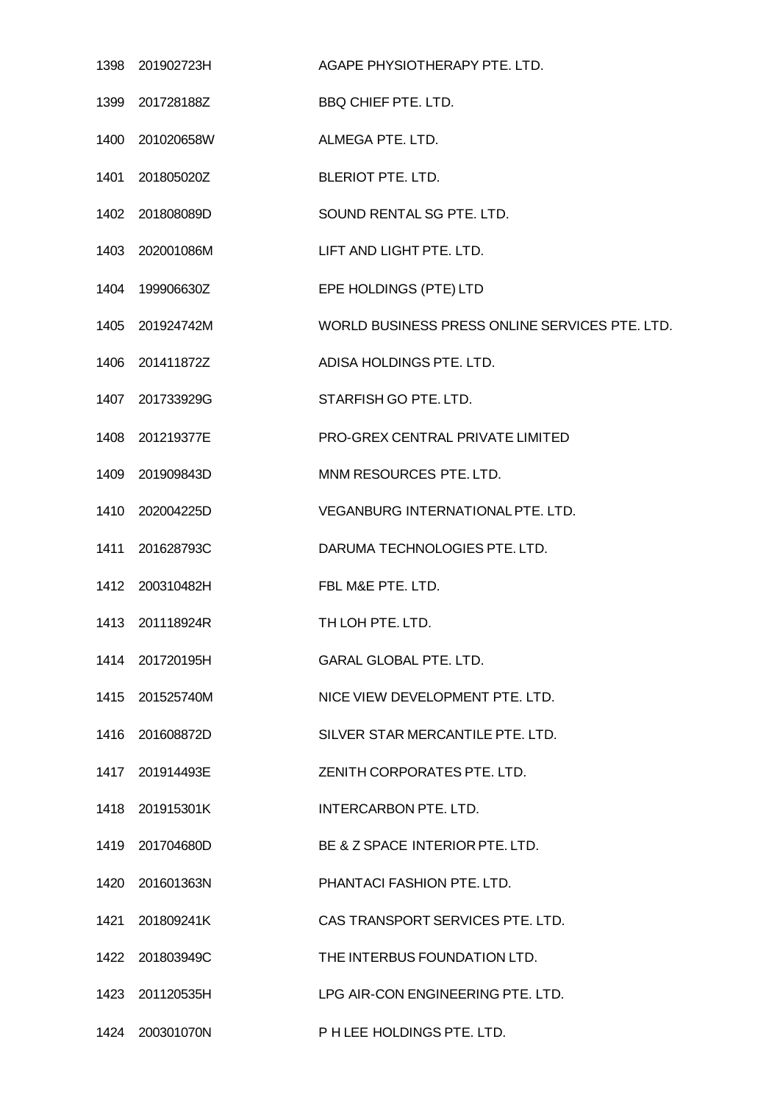| 1398 201902723H  | AGAPE PHYSIOTHERAPY PTE. LTD.                  |
|------------------|------------------------------------------------|
| 1399 201728188Z  | <b>BBQ CHIEF PTE. LTD.</b>                     |
| 1400 201020658W  | ALMEGA PTE. LTD.                               |
| 1401 201805020Z  | <b>BLERIOT PTE. LTD.</b>                       |
| 1402 201808089D  | SOUND RENTAL SG PTE. LTD.                      |
| 1403 202001086M  | LIFT AND LIGHT PTE. LTD.                       |
| 1404  199906630Z | EPE HOLDINGS (PTE) LTD                         |
| 1405 201924742M  | WORLD BUSINESS PRESS ONLINE SERVICES PTE. LTD. |
| 1406 201411872Z  | ADISA HOLDINGS PTE, LTD.                       |
| 1407 201733929G  | STARFISH GO PTE, LTD.                          |
| 1408 201219377E  | PRO-GREX CENTRAL PRIVATE LIMITED               |
| 1409 201909843D  | MNM RESOURCES PTE. LTD.                        |
| 1410 202004225D  | VEGANBURG INTERNATIONAL PTE. LTD.              |
| 1411 201628793C  | DARUMA TECHNOLOGIES PTE. LTD.                  |
| 1412 200310482H  | FBL M&E PTE. LTD.                              |
| 1413 201118924R  | TH LOH PTE. LTD.                               |
| 1414 201720195H  | <b>GARAL GLOBAL PTE. LTD.</b>                  |
| 1415 201525740M  | NICE VIEW DEVELOPMENT PTE. LTD.                |
| 1416 201608872D  | SILVER STAR MERCANTILE PTE. LTD.               |
| 1417 201914493E  | ZENITH CORPORATES PTE, LTD.                    |
| 1418 201915301K  | INTERCARBON PTE. LTD.                          |
| 1419 201704680D  | BE & Z SPACE INTERIOR PTE. LTD.                |
| 1420 201601363N  | PHANTACI FASHION PTE. LTD.                     |
| 1421 201809241K  | CAS TRANSPORT SERVICES PTE. LTD.               |
| 1422 201803949C  | THE INTERBUS FOUNDATION LTD.                   |
| 1423 201120535H  | LPG AIR-CON ENGINEERING PTE. LTD.              |
| 1424 200301070N  | P H LEE HOLDINGS PTE. LTD.                     |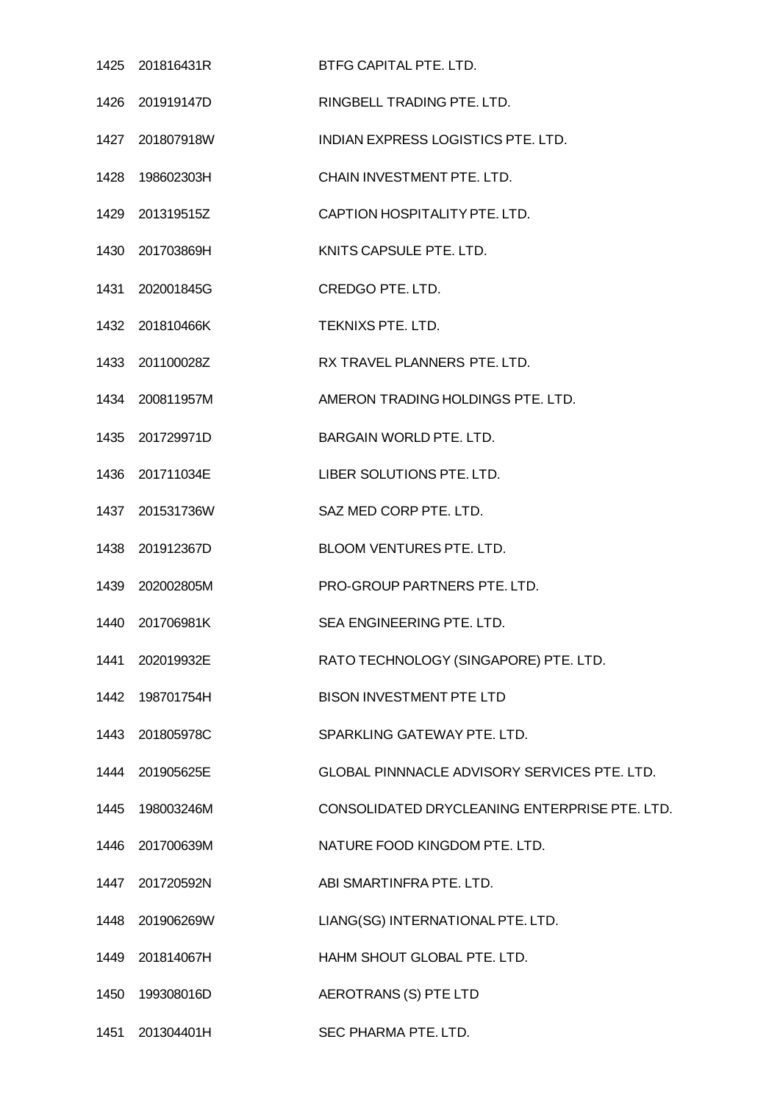| 1425 201816431R  | BTFG CAPITAL PTE, LTD.                        |
|------------------|-----------------------------------------------|
| 1426 201919147D  | RINGBELL TRADING PTE. LTD.                    |
|                  | INDIAN EXPRESS LOGISTICS PTE. LTD.            |
| 1428  198602303H | CHAIN INVESTMENT PTE. LTD.                    |
| 1429 201319515Z  | CAPTION HOSPITALITY PTE. LTD.                 |
| 1430 201703869H  | KNITS CAPSULE PTE. LTD.                       |
| 1431 202001845G  | CREDGO PTE. LTD.                              |
| 1432 201810466K  | <b>TEKNIXS PTE, LTD.</b>                      |
| 1433 201100028Z  | RX TRAVEL PLANNERS PTE. LTD.                  |
| 1434 200811957M  | AMERON TRADING HOLDINGS PTE, LTD.             |
| 1435 201729971D  | <b>BARGAIN WORLD PTE, LTD.</b>                |
| 1436 201711034E  | LIBER SOLUTIONS PTE. LTD.                     |
| 1437 201531736W  | SAZ MED CORP PTE. LTD.                        |
| 1438 201912367D  | BLOOM VENTURES PTE. LTD.                      |
| 1439 202002805M  | PRO-GROUP PARTNERS PTE. LTD.                  |
| 1440 201706981K  | SEA ENGINEERING PTE. LTD.                     |
| 1441 202019932E  | RATO TECHNOLOGY (SINGAPORE) PTE. LTD.         |
| 1442 198701754H  | <b>BISON INVESTMENT PTE LTD</b>               |
| 1443 201805978C  | SPARKLING GATEWAY PTE. LTD.                   |
| 1444 201905625E  | GLOBAL PINNNACLE ADVISORY SERVICES PTE. LTD.  |
| 1445 198003246M  | CONSOLIDATED DRYCLEANING ENTERPRISE PTE. LTD. |
| 1446 201700639M  | NATURE FOOD KINGDOM PTE. LTD.                 |
| 1447 201720592N  | ABI SMARTINFRA PTE. LTD.                      |
| 1448 201906269W  | LIANG(SG) INTERNATIONAL PTE. LTD.             |
| 1449 201814067H  | HAHM SHOUT GLOBAL PTE. LTD.                   |
| 1450 199308016D  | AEROTRANS (S) PTE LTD                         |
| 1451 201304401H  | SEC PHARMA PTE. LTD.                          |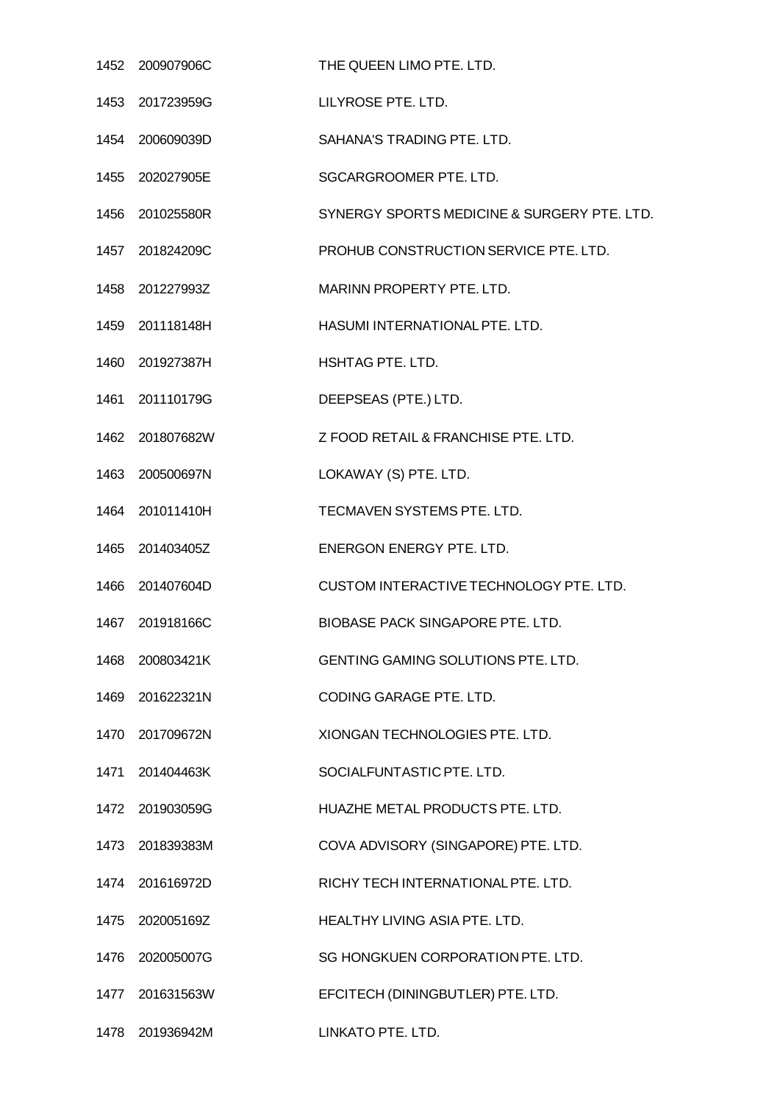| 1452 200907906C | THE QUEEN LIMO PTE. LTD.                    |
|-----------------|---------------------------------------------|
| 1453 201723959G | LILYROSE PTE. LTD.                          |
| 1454 200609039D | SAHANA'S TRADING PTE, LTD.                  |
| 1455 202027905E | SGCARGROOMER PTE. LTD.                      |
| 1456 201025580R | SYNERGY SPORTS MEDICINE & SURGERY PTE. LTD. |
| 1457 201824209C | PROHUB CONSTRUCTION SERVICE PTE. LTD.       |
| 1458 201227993Z | MARINN PROPERTY PTE, LTD.                   |
| 1459 201118148H | HASUMI INTERNATIONAL PTE. LTD.              |
| 1460 201927387H | <b>HSHTAG PTE, LTD.</b>                     |
| 1461 201110179G | DEEPSEAS (PTE.) LTD.                        |
| 1462 201807682W | Z FOOD RETAIL & FRANCHISE PTE. LTD.         |
| 1463 200500697N | LOKAWAY (S) PTE. LTD.                       |
| 1464 201011410H | TECMAVEN SYSTEMS PTE. LTD.                  |
| 1465 201403405Z | ENERGON ENERGY PTE. LTD.                    |
| 1466 201407604D | CUSTOM INTERACTIVE TECHNOLOGY PTE. LTD.     |
| 1467 201918166C | <b>BIOBASE PACK SINGAPORE PTE, LTD.</b>     |
| 1468 200803421K | GENTING GAMING SOLUTIONS PTE. LTD.          |
| 1469 201622321N | CODING GARAGE PTE. LTD.                     |
| 1470 201709672N | XIONGAN TECHNOLOGIES PTE. LTD.              |
| 1471 201404463K | SOCIALFUNTASTIC PTE. LTD.                   |
| 1472 201903059G | HUAZHE METAL PRODUCTS PTE. LTD.             |
| 1473 201839383M | COVA ADVISORY (SINGAPORE) PTE. LTD.         |
| 1474 201616972D | RICHY TECH INTERNATIONAL PTE. LTD.          |
| 1475 202005169Z | HEALTHY LIVING ASIA PTE. LTD.               |
| 1476 202005007G | SG HONGKUEN CORPORATION PTE. LTD.           |
| 1477 201631563W | EFCITECH (DININGBUTLER) PTE. LTD.           |
| 1478 201936942M | LINKATO PTE. LTD.                           |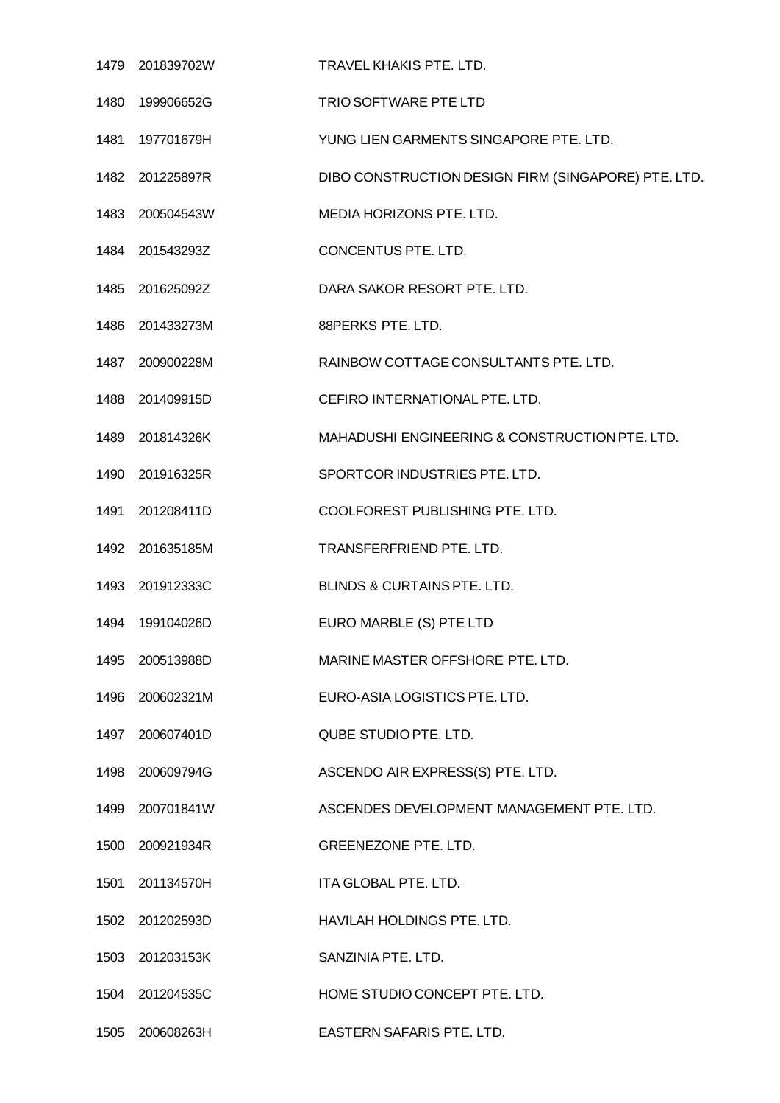|      | 1479 201839702W | TRAVEL KHAKIS PTE. LTD.                             |
|------|-----------------|-----------------------------------------------------|
| 1480 | 199906652G      | TRIO SOFTWARE PTE LTD                               |
|      | 1481 197701679H | YUNG LIEN GARMENTS SINGAPORE PTE. LTD.              |
|      | 1482 201225897R | DIBO CONSTRUCTION DESIGN FIRM (SINGAPORE) PTE. LTD. |
| 1483 | 200504543W      | MEDIA HORIZONS PTE. LTD.                            |
|      | 1484 201543293Z | CONCENTUS PTE. LTD.                                 |
|      | 1485 201625092Z | DARA SAKOR RESORT PTE. LTD.                         |
| 1486 | 201433273M      | 88PERKS PTE. LTD.                                   |
|      | 1487 200900228M | RAINBOW COTTAGE CONSULTANTS PTE. LTD.               |
|      | 1488 201409915D | CEFIRO INTERNATIONAL PTE, LTD.                      |
|      | 1489 201814326K | MAHADUSHI ENGINEERING & CONSTRUCTION PTE. LTD.      |
|      | 1490 201916325R | SPORTCOR INDUSTRIES PTE. LTD.                       |
| 1491 | 201208411D      | COOLFOREST PUBLISHING PTE. LTD.                     |
|      | 1492 201635185M | TRANSFERFRIEND PTE. LTD.                            |
| 1493 | 201912333C      | BLINDS & CURTAINS PTE. LTD.                         |
| 1494 | 199104026D      | EURO MARBLE (S) PTE LTD                             |
| 1495 | 200513988D      | MARINE MASTER OFFSHORE PTE. LTD.                    |
|      | 1496 200602321M | EURO-ASIA LOGISTICS PTE. LTD.                       |
|      | 1497 200607401D | QUBE STUDIO PTE. LTD.                               |
| 1498 | 200609794G      | ASCENDO AIR EXPRESS(S) PTE. LTD.                    |
|      | 1499 200701841W | ASCENDES DEVELOPMENT MANAGEMENT PTE. LTD.           |
| 1500 | 200921934R      | <b>GREENEZONE PTE. LTD.</b>                         |
| 1501 | 201134570H      | ITA GLOBAL PTE. LTD.                                |
|      | 1502 201202593D | HAVILAH HOLDINGS PTE. LTD.                          |
| 1503 | 201203153K      | SANZINIA PTE. LTD.                                  |
|      | 1504 201204535C | HOME STUDIO CONCEPT PTE. LTD.                       |
| 1505 | 200608263H      | EASTERN SAFARIS PTE. LTD.                           |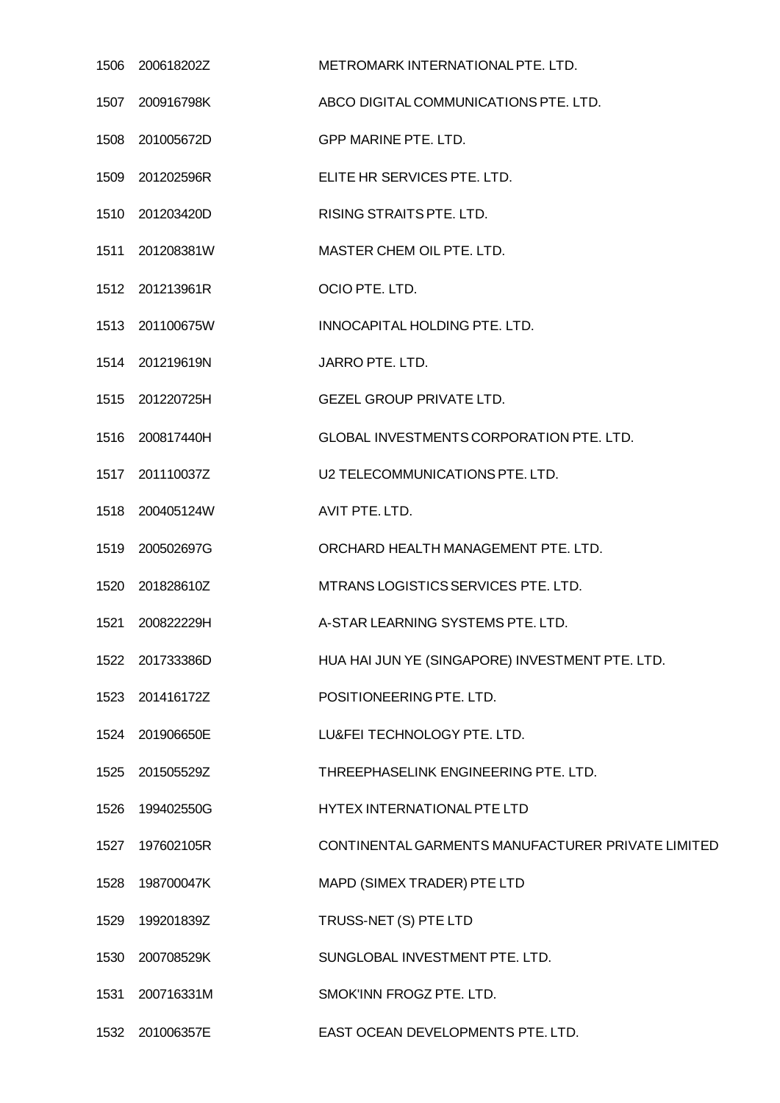|      | 1506 200618202Z | METROMARK INTERNATIONAL PTE, LTD.                 |
|------|-----------------|---------------------------------------------------|
|      | 1507 200916798K | ABCO DIGITAL COMMUNICATIONS PTE. LTD.             |
|      | 1508 201005672D | <b>GPP MARINE PTE, LTD.</b>                       |
|      | 1509 201202596R | ELITE HR SERVICES PTE. LTD.                       |
|      | 1510 201203420D | <b>RISING STRAITS PTE. LTD.</b>                   |
|      | 1511 201208381W | MASTER CHEM OIL PTE. LTD.                         |
|      | 1512 201213961R | OCIO PTE. LTD.                                    |
|      | 1513 201100675W | INNOCAPITAL HOLDING PTE. LTD.                     |
|      | 1514 201219619N | JARRO PTE. LTD.                                   |
|      | 1515 201220725H | <b>GEZEL GROUP PRIVATE LTD.</b>                   |
|      | 1516 200817440H | GLOBAL INVESTMENTS CORPORATION PTE. LTD.          |
|      | 1517 201110037Z | U2 TELECOMMUNICATIONS PTE. LTD.                   |
|      | 1518 200405124W | AVIT PTE. LTD.                                    |
|      | 1519 200502697G | ORCHARD HEALTH MANAGEMENT PTE, LTD.               |
|      | 1520 201828610Z | MTRANS LOGISTICS SERVICES PTE. LTD.               |
| 1521 | 200822229H      | A-STAR LEARNING SYSTEMS PTE. LTD.                 |
|      | 1522 201733386D | HUA HAI JUN YE (SINGAPORE) INVESTMENT PTE. LTD.   |
|      | 1523 201416172Z | POSITIONEERING PTE. LTD.                          |
|      | 1524 201906650E | LU&FEI TECHNOLOGY PTE. LTD.                       |
| 1525 | 201505529Z      | THREEPHASELINK ENGINEERING PTE. LTD.              |
|      | 1526 199402550G | HYTEX INTERNATIONAL PTE LTD                       |
| 1527 | 197602105R      | CONTINENTAL GARMENTS MANUFACTURER PRIVATE LIMITED |
| 1528 | 198700047K      | MAPD (SIMEX TRADER) PTE LTD                       |
|      | 1529 199201839Z | TRUSS-NET (S) PTE LTD                             |
| 1530 | 200708529K      | SUNGLOBAL INVESTMENT PTE. LTD.                    |
| 1531 | 200716331M      | SMOK'INN FROGZ PTE. LTD.                          |
|      | 1532 201006357E | EAST OCEAN DEVELOPMENTS PTE. LTD.                 |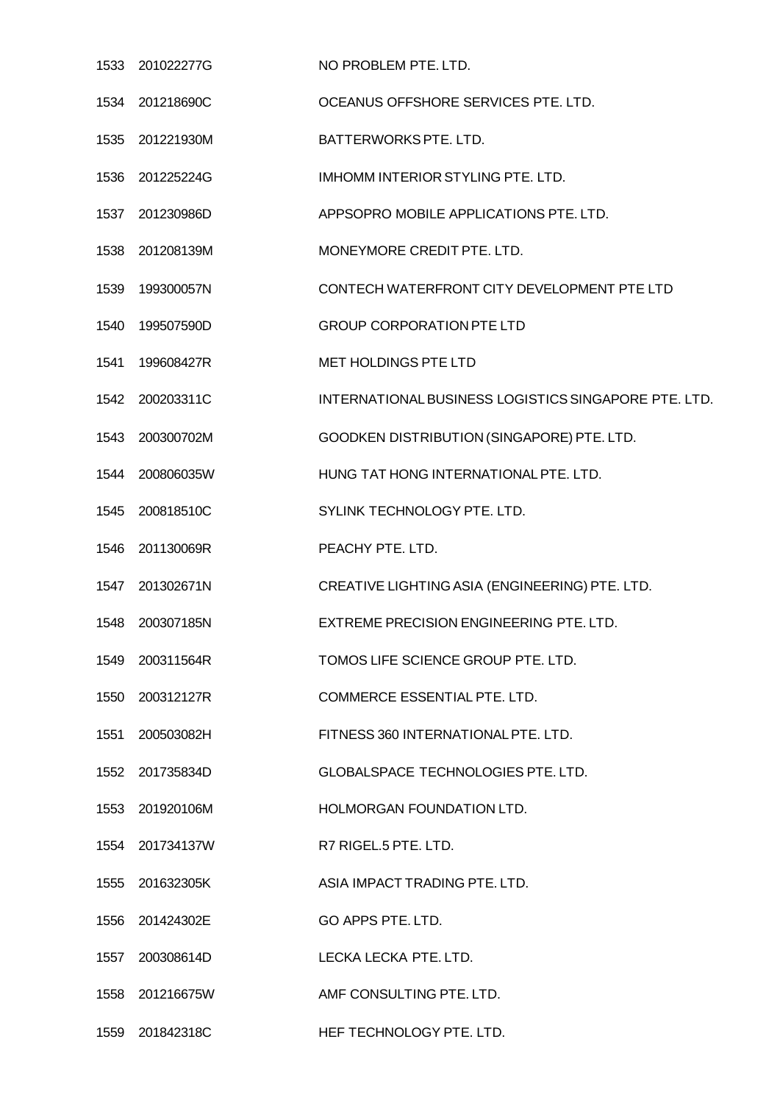|      | 1533 201022277G | NO PROBLEM PTE. LTD.                                 |
|------|-----------------|------------------------------------------------------|
|      | 1534 201218690C | OCEANUS OFFSHORE SERVICES PTE. LTD.                  |
| 1535 | 201221930M      | BATTERWORKS PTE. LTD.                                |
|      | 1536 201225224G | IMHOMM INTERIOR STYLING PTE. LTD.                    |
| 1537 | 201230986D      | APPSOPRO MOBILE APPLICATIONS PTE, LTD.               |
|      | 1538 201208139M | MONEYMORE CREDIT PTE. LTD.                           |
| 1539 | 199300057N      | CONTECH WATERFRONT CITY DEVELOPMENT PTE LTD          |
| 1540 | 199507590D      | <b>GROUP CORPORATION PTE LTD</b>                     |
| 1541 | 199608427R      | <b>MET HOLDINGS PTE LTD</b>                          |
| 1542 | 200203311C      | INTERNATIONAL BUSINESS LOGISTICS SINGAPORE PTE. LTD. |
| 1543 | 200300702M      | GOODKEN DISTRIBUTION (SINGAPORE) PTE. LTD.           |
|      | 1544 200806035W | HUNG TAT HONG INTERNATIONAL PTE. LTD.                |
| 1545 | 200818510C      | SYLINK TECHNOLOGY PTE. LTD.                          |
| 1546 | 201130069R      | PEACHY PTE. LTD.                                     |
|      | 1547 201302671N | CREATIVE LIGHTING ASIA (ENGINEERING) PTE. LTD.       |
| 1548 | 200307185N      | EXTREME PRECISION ENGINEERING PTE, LTD.              |
|      | 1549 200311564R | TOMOS LIFE SCIENCE GROUP PTE. LTD.                   |
|      | 1550 200312127R | COMMERCE ESSENTIAL PTE, LTD.                         |
|      | 1551 200503082H | FITNESS 360 INTERNATIONAL PTE. LTD.                  |
|      | 1552 201735834D | <b>GLOBALSPACE TECHNOLOGIES PTE. LTD.</b>            |
|      | 1553 201920106M | HOLMORGAN FOUNDATION LTD.                            |
|      | 1554 201734137W | R7 RIGEL.5 PTE. LTD.                                 |
|      | 1555 201632305K | ASIA IMPACT TRADING PTE. LTD.                        |
|      | 1556 201424302E | GO APPS PTE. LTD.                                    |
| 1557 | 200308614D      | LECKA LECKA PTE. LTD.                                |
|      | 1558 201216675W | AMF CONSULTING PTE. LTD.                             |
|      | 1559 201842318C | HEF TECHNOLOGY PTE. LTD.                             |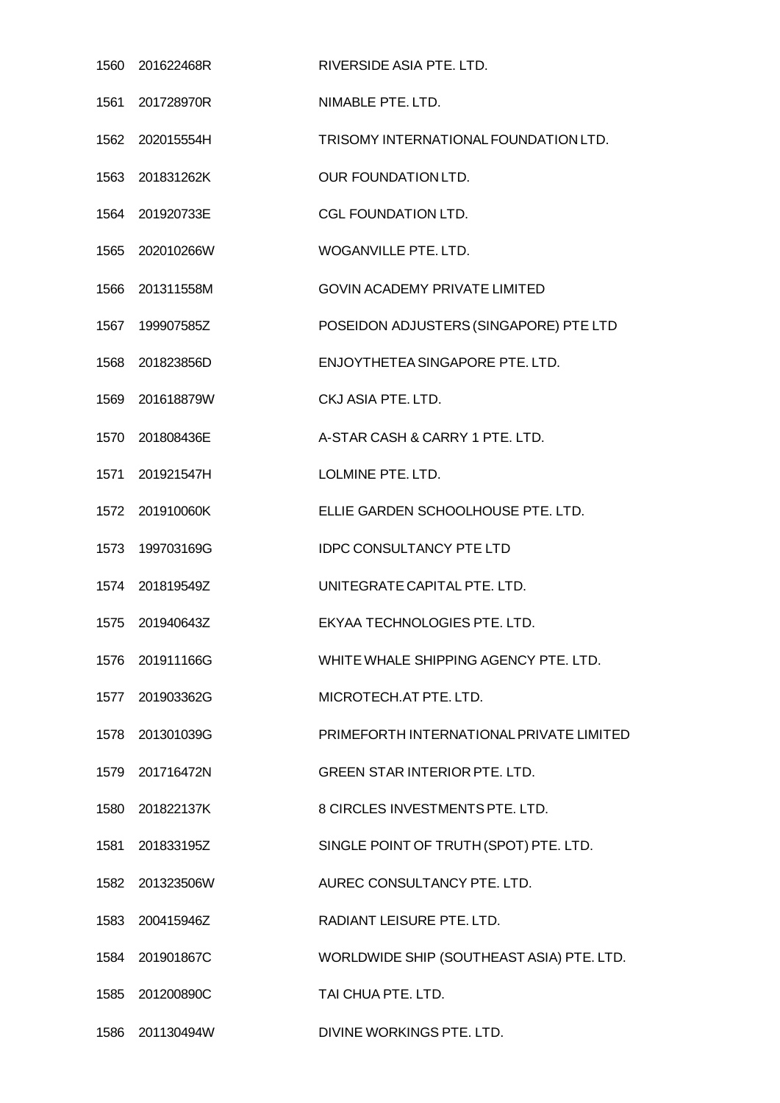| 1560 201622468R | RIVERSIDE ASIA PTE, LTD.                  |
|-----------------|-------------------------------------------|
| 1561 201728970R | NIMABLE PTE, LTD.                         |
| 1562 202015554H | TRISOMY INTERNATIONAL FOUNDATION LTD.     |
| 1563 201831262K | <b>OUR FOUNDATION LTD.</b>                |
| 1564 201920733E | <b>CGL FOUNDATION LTD.</b>                |
| 1565 202010266W | WOGANVILLE PTE. LTD.                      |
| 1566 201311558M | <b>GOVIN ACADEMY PRIVATE LIMITED</b>      |
| 1567 199907585Z | POSEIDON ADJUSTERS (SINGAPORE) PTE LTD    |
| 1568 201823856D | ENJOYTHETEA SINGAPORE PTE. LTD.           |
| 1569 201618879W | CKJ ASIA PTE, LTD.                        |
| 1570 201808436E | A-STAR CASH & CARRY 1 PTE, LTD.           |
| 1571 201921547H | LOLMINE PTE, LTD.                         |
| 1572 201910060K | ELLIE GARDEN SCHOOLHOUSE PTE. LTD.        |
| 1573 199703169G | <b>IDPC CONSULTANCY PTE LTD</b>           |
| 1574 201819549Z | UNITEGRATE CAPITAL PTE, LTD.              |
| 1575 201940643Z | EKYAA TECHNOLOGIES PTE. LTD.              |
| 1576 201911166G | WHITE WHALE SHIPPING AGENCY PTE, LTD.     |
| 1577 201903362G | MICROTECH.AT PTE. LTD.                    |
| 1578 201301039G | PRIMEFORTH INTERNATIONAL PRIVATE LIMITED  |
| 1579 201716472N | <b>GREEN STAR INTERIOR PTE, LTD.</b>      |
| 1580 201822137K | 8 CIRCLES INVESTMENTS PTE. LTD.           |
| 1581 201833195Z | SINGLE POINT OF TRUTH (SPOT) PTE. LTD.    |
| 1582 201323506W | AUREC CONSULTANCY PTE. LTD.               |
| 1583 200415946Z | RADIANT LEISURE PTE. LTD.                 |
| 1584 201901867C | WORLDWIDE SHIP (SOUTHEAST ASIA) PTE. LTD. |
| 1585 201200890C | TAI CHUA PTE. LTD.                        |
| 1586 201130494W | DIVINE WORKINGS PTE. LTD.                 |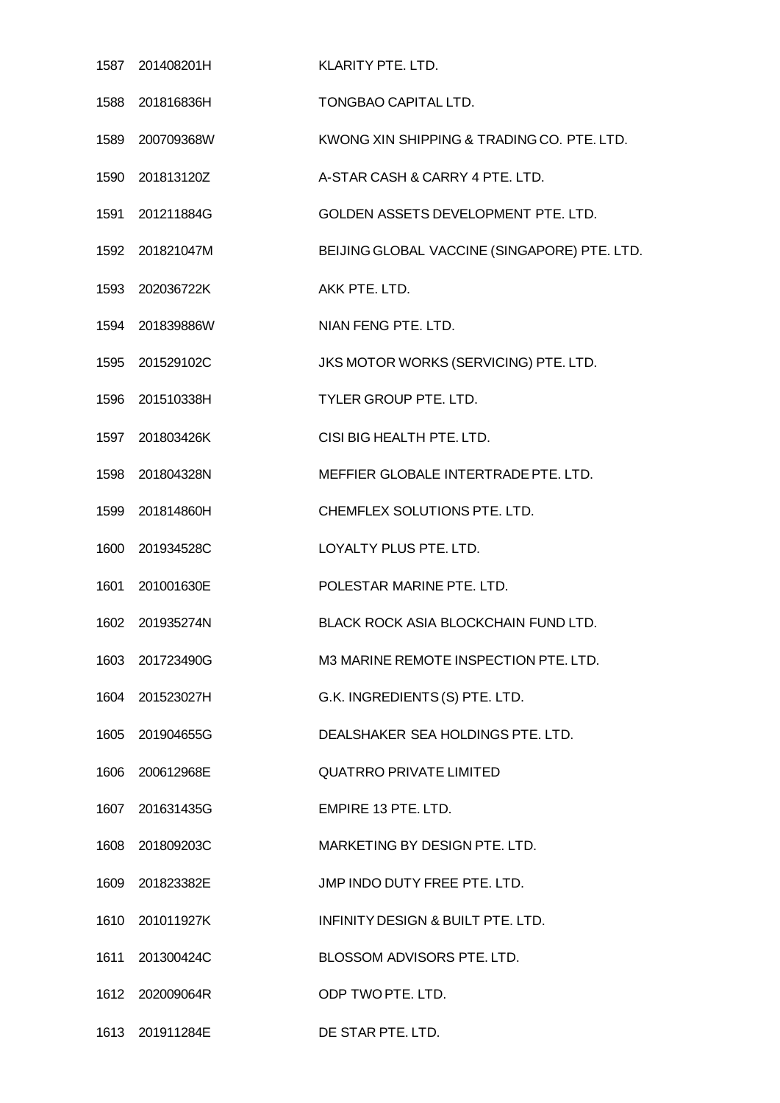| 1587 201408201H | KLARITY PTE. LTD.                            |
|-----------------|----------------------------------------------|
| 1588 201816836H | TONGBAO CAPITAL LTD.                         |
| 1589 200709368W | KWONG XIN SHIPPING & TRADING CO. PTE. LTD.   |
| 1590 201813120Z | A-STAR CASH & CARRY 4 PTE. LTD.              |
| 1591 201211884G | GOLDEN ASSETS DEVELOPMENT PTE. LTD.          |
| 1592 201821047M | BEIJING GLOBAL VACCINE (SINGAPORE) PTE. LTD. |
| 1593 202036722K | AKK PTE. LTD.                                |
| 1594 201839886W | NIAN FENG PTE, LTD.                          |
| 1595 201529102C | JKS MOTOR WORKS (SERVICING) PTE. LTD.        |
| 1596 201510338H | TYLER GROUP PTE. LTD.                        |
| 1597 201803426K | CISI BIG HEALTH PTE. LTD.                    |
| 1598 201804328N | MEFFIER GLOBALE INTERTRADE PTE. LTD.         |
| 1599 201814860H | CHEMFLEX SOLUTIONS PTE. LTD.                 |
| 1600 201934528C | LOYALTY PLUS PTE. LTD.                       |
| 1601 201001630E | POLESTAR MARINE PTE. LTD.                    |
| 1602 201935274N | BLACK ROCK ASIA BLOCKCHAIN FUND LTD.         |
| 1603 201723490G | M3 MARINE REMOTE INSPECTION PTE. LTD.        |
| 1604 201523027H | G.K. INGREDIENTS (S) PTE. LTD.               |
| 1605 201904655G | DEALSHAKER SEA HOLDINGS PTE. LTD.            |
| 1606 200612968E | <b>QUATRRO PRIVATE LIMITED</b>               |
| 1607 201631435G | EMPIRE 13 PTE. LTD.                          |
| 1608 201809203C | MARKETING BY DESIGN PTE. LTD.                |
| 1609 201823382E | JMP INDO DUTY FREE PTE. LTD.                 |
| 1610 201011927K | INFINITY DESIGN & BUILT PTE. LTD.            |
| 1611 201300424C | BLOSSOM ADVISORS PTE. LTD.                   |
| 1612 202009064R | ODP TWO PTE. LTD.                            |
| 1613 201911284E | DE STAR PTE. LTD.                            |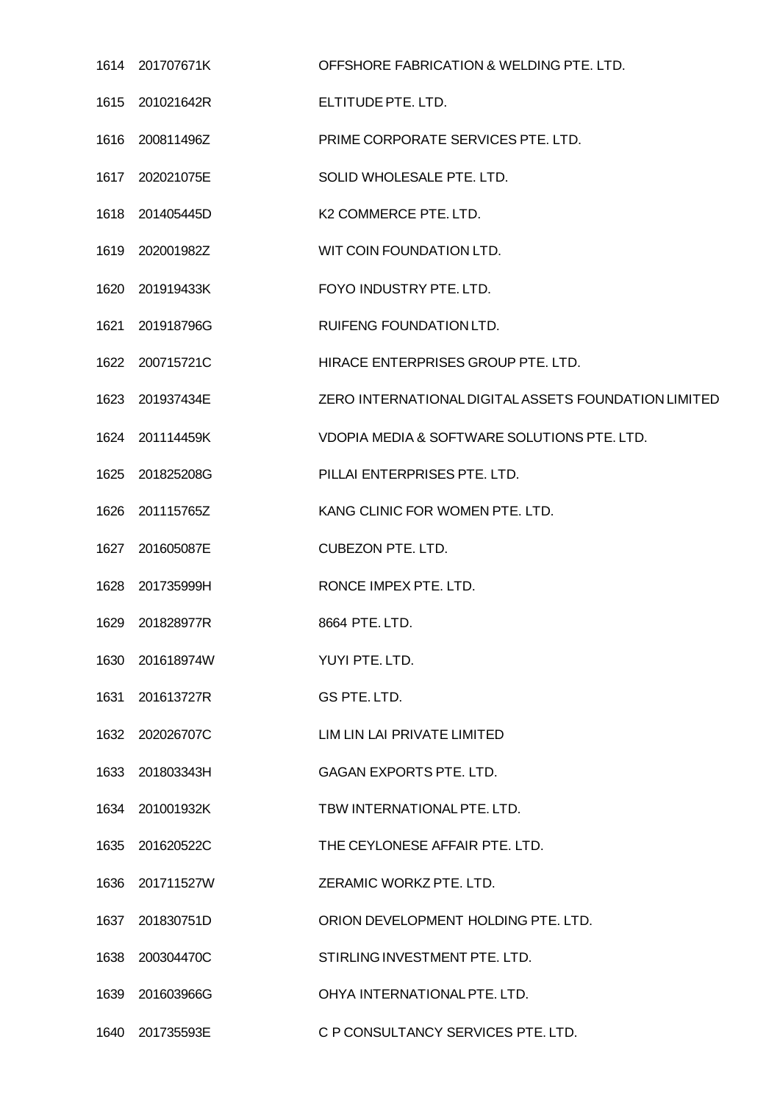|      | 1614 201707671K | OFFSHORE FABRICATION & WELDING PTE. LTD.             |
|------|-----------------|------------------------------------------------------|
|      | 1615 201021642R | ELTITUDE PTE. LTD.                                   |
|      | 1616 200811496Z | PRIME CORPORATE SERVICES PTE, LTD.                   |
|      | 1617 202021075E | SOLID WHOLESALE PTE. LTD.                            |
|      | 1618 201405445D | K2 COMMERCE PTE, LTD.                                |
|      | 1619 202001982Z | WIT COIN FOUNDATION LTD.                             |
|      | 1620 201919433K | FOYO INDUSTRY PTE. LTD.                              |
|      | 1621 201918796G | RUIFENG FOUNDATION LTD.                              |
|      | 1622 200715721C | HIRACE ENTERPRISES GROUP PTE. LTD.                   |
|      | 1623 201937434E | ZERO INTERNATIONAL DIGITAL ASSETS FOUNDATION LIMITED |
|      | 1624 201114459K | VDOPIA MEDIA & SOFTWARE SOLUTIONS PTE. LTD.          |
|      | 1625 201825208G | PILLAI ENTERPRISES PTE. LTD.                         |
|      | 1626 201115765Z | KANG CLINIC FOR WOMEN PTE. LTD.                      |
|      | 1627 201605087E | <b>CUBEZON PTE. LTD.</b>                             |
|      | 1628 201735999H | RONCE IMPEX PTE, LTD.                                |
|      | 1629 201828977R | 8664 PTE, LTD.                                       |
| 1630 | 201618974W      | YUYI PTE, LTD.                                       |
|      | 1631 201613727R | GS PTE. LTD.                                         |
|      | 1632 202026707C | LIM LIN LAI PRIVATE LIMITED                          |
|      | 1633 201803343H | <b>GAGAN EXPORTS PTE. LTD.</b>                       |
|      | 1634 201001932K | TBW INTERNATIONAL PTE, LTD.                          |
|      | 1635 201620522C | THE CEYLONESE AFFAIR PTE. LTD.                       |
|      | 1636 201711527W | ZERAMIC WORKZ PTE. LTD.                              |
|      | 1637 201830751D | ORION DEVELOPMENT HOLDING PTE. LTD.                  |
| 1638 | 200304470C      | STIRLING INVESTMENT PTE. LTD.                        |
| 1639 | 201603966G      | OHYA INTERNATIONAL PTE. LTD.                         |
| 1640 | 201735593E      | C P CONSULTANCY SERVICES PTE. LTD.                   |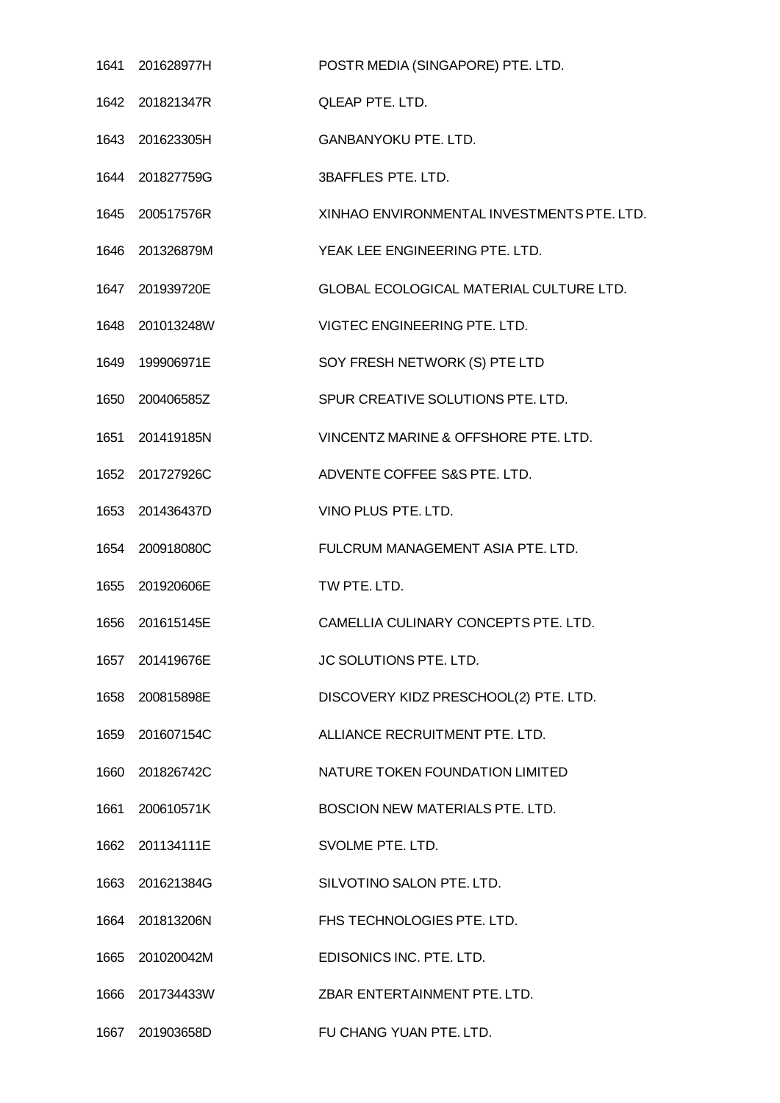| 1641 201628977H | POSTR MEDIA (SINGAPORE) PTE. LTD.          |
|-----------------|--------------------------------------------|
| 1642 201821347R | QLEAP PTE. LTD.                            |
| 1643 201623305H | GANBANYOKU PTE. LTD.                       |
| 1644 201827759G | <b>3BAFFLES PTE. LTD.</b>                  |
| 1645 200517576R | XINHAO ENVIRONMENTAL INVESTMENTS PTE. LTD. |
| 1646 201326879M | YEAK LEE ENGINEERING PTE. LTD.             |
| 1647 201939720E | GLOBAL ECOLOGICAL MATERIAL CULTURE LTD.    |
| 1648 201013248W | VIGTEC ENGINEERING PTE. LTD.               |
| 1649 199906971E | SOY FRESH NETWORK (S) PTE LTD              |
| 1650 200406585Z | SPUR CREATIVE SOLUTIONS PTE. LTD.          |
| 1651 201419185N | VINCENTZ MARINE & OFFSHORE PTE. LTD.       |
| 1652 201727926C | ADVENTE COFFEE S&S PTE. LTD.               |
| 1653 201436437D | VINO PLUS PTE. LTD.                        |
| 1654 200918080C | FULCRUM MANAGEMENT ASIA PTE. LTD.          |
| 1655 201920606E | TW PTE. LTD.                               |
| 1656 201615145E | CAMELLIA CULINARY CONCEPTS PTE. LTD.       |
| 1657 201419676E | JC SOLUTIONS PTE. LTD.                     |
| 1658 200815898E | DISCOVERY KIDZ PRESCHOOL(2) PTE. LTD.      |
| 1659 201607154C | ALLIANCE RECRUITMENT PTE. LTD.             |
| 1660 201826742C | NATURE TOKEN FOUNDATION LIMITED            |
| 1661 200610571K | BOSCION NEW MATERIALS PTE. LTD.            |
| 1662 201134111E | SVOLME PTE. LTD.                           |
| 1663 201621384G | SILVOTINO SALON PTE. LTD.                  |
| 1664 201813206N | FHS TECHNOLOGIES PTE. LTD.                 |
| 1665 201020042M | EDISONICS INC. PTE. LTD.                   |
| 1666 201734433W | ZBAR ENTERTAINMENT PTE, LTD.               |
| 1667 201903658D | FU CHANG YUAN PTE. LTD.                    |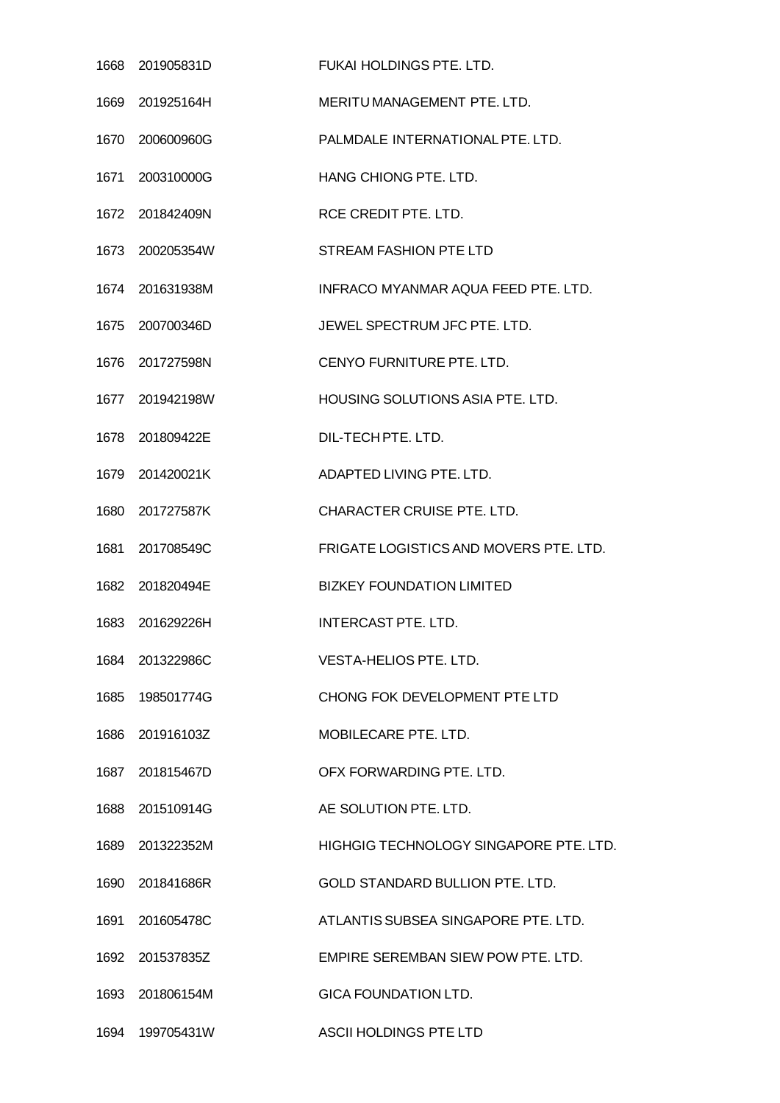|      | 1668 201905831D | FUKAI HOLDINGS PTE. LTD.                |
|------|-----------------|-----------------------------------------|
|      | 1669 201925164H | MERITU MANAGEMENT PTE, LTD.             |
|      | 1670 200600960G | PALMDALE INTERNATIONAL PTE. LTD.        |
|      | 1671 200310000G | HANG CHIONG PTE. LTD.                   |
|      | 1672 201842409N | RCE CREDIT PTE, LTD.                    |
|      | 1673 200205354W | STREAM FASHION PTE LTD                  |
|      | 1674 201631938M | INFRACO MYANMAR AQUA FEED PTE. LTD.     |
|      | 1675 200700346D | JEWEL SPECTRUM JFC PTE. LTD.            |
|      | 1676 201727598N | <b>CENYO FURNITURE PTE, LTD.</b>        |
|      | 1677 201942198W | <b>HOUSING SOLUTIONS ASIA PTE. LTD.</b> |
|      | 1678 201809422E | DIL-TECHPTE. LTD.                       |
|      | 1679 201420021K | ADAPTED LIVING PTE, LTD.                |
|      | 1680 201727587K | <b>CHARACTER CRUISE PTE, LTD.</b>       |
|      | 1681 201708549C | FRIGATE LOGISTICS AND MOVERS PTE. LTD.  |
|      | 1682 201820494E | <b>BIZKEY FOUNDATION LIMITED</b>        |
|      | 1683 201629226H | INTERCAST PTE, LTD.                     |
|      | 1684 201322986C | VESTA-HELIOS PTE. LTD.                  |
|      | 1685 198501774G | CHONG FOK DEVELOPMENT PTE LTD           |
|      | 1686 201916103Z | MOBILECARE PTE. LTD.                    |
|      | 1687 201815467D | OFX FORWARDING PTE. LTD.                |
|      | 1688 201510914G | AE SOLUTION PTE. LTD.                   |
|      | 1689 201322352M | HIGHGIG TECHNOLOGY SINGAPORE PTE. LTD.  |
|      | 1690 201841686R | GOLD STANDARD BULLION PTE. LTD.         |
|      | 1691 201605478C | ATLANTIS SUBSEA SINGAPORE PTE. LTD.     |
| 1692 | 201537835Z      | EMPIRE SEREMBAN SIEW POW PTE. LTD.      |
|      | 1693 201806154M | <b>GICA FOUNDATION LTD.</b>             |
|      | 1694 199705431W | <b>ASCII HOLDINGS PTE LTD</b>           |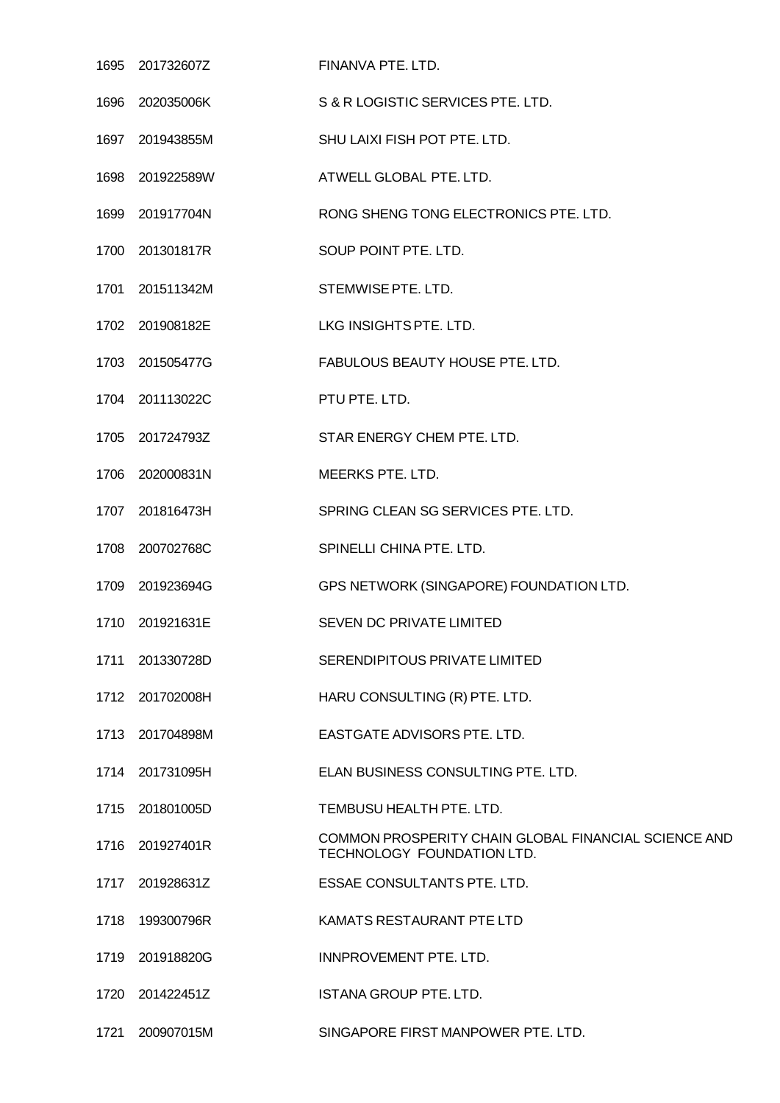|      | 1695 201732607Z | FINANVA PTE. LTD.                                                                  |
|------|-----------------|------------------------------------------------------------------------------------|
|      | 1696 202035006K | S & R LOGISTIC SERVICES PTE. LTD.                                                  |
|      | 1697 201943855M | SHU LAIXI FISH POT PTE. LTD.                                                       |
|      | 1698 201922589W | ATWELL GLOBAL PTE. LTD.                                                            |
|      | 1699 201917704N | RONG SHENG TONG ELECTRONICS PTE. LTD.                                              |
|      | 1700 201301817R | SOUP POINT PTE. LTD.                                                               |
|      | 1701 201511342M | STEMWISE PTE. LTD.                                                                 |
|      | 1702 201908182E | LKG INSIGHTS PTE. LTD.                                                             |
|      | 1703 201505477G | <b>FABULOUS BEAUTY HOUSE PTE, LTD.</b>                                             |
|      | 1704 201113022C | PTU PTE. LTD.                                                                      |
|      | 1705 201724793Z | STAR ENERGY CHEM PTE. LTD.                                                         |
|      | 1706 202000831N | MEERKS PTE. LTD.                                                                   |
|      | 1707 201816473H | SPRING CLEAN SG SERVICES PTE. LTD.                                                 |
|      | 1708 200702768C | SPINELLI CHINA PTE. LTD.                                                           |
|      | 1709 201923694G | GPS NETWORK (SINGAPORE) FOUNDATION LTD.                                            |
| 1710 | 201921631E      | SEVEN DC PRIVATE LIMITED                                                           |
|      | 1711 201330728D | SERENDIPITOUS PRIVATE LIMITED                                                      |
|      | 1712 201702008H | HARU CONSULTING (R) PTE. LTD.                                                      |
|      | 1713 201704898M | EASTGATE ADVISORS PTE. LTD.                                                        |
|      | 1714 201731095H | ELAN BUSINESS CONSULTING PTE. LTD.                                                 |
|      | 1715 201801005D | TEMBUSU HEALTH PTE. LTD.                                                           |
|      | 1716 201927401R | COMMON PROSPERITY CHAIN GLOBAL FINANCIAL SCIENCE AND<br>TECHNOLOGY FOUNDATION LTD. |
|      | 1717 201928631Z | ESSAE CONSULTANTS PTE. LTD.                                                        |
|      | 1718 199300796R | KAMATS RESTAURANT PTE LTD                                                          |
| 1719 | 201918820G      | INNPROVEMENT PTE. LTD.                                                             |
| 1720 | 201422451Z      | <b>ISTANA GROUP PTE. LTD.</b>                                                      |
|      | 1721 200907015M | SINGAPORE FIRST MANPOWER PTE. LTD.                                                 |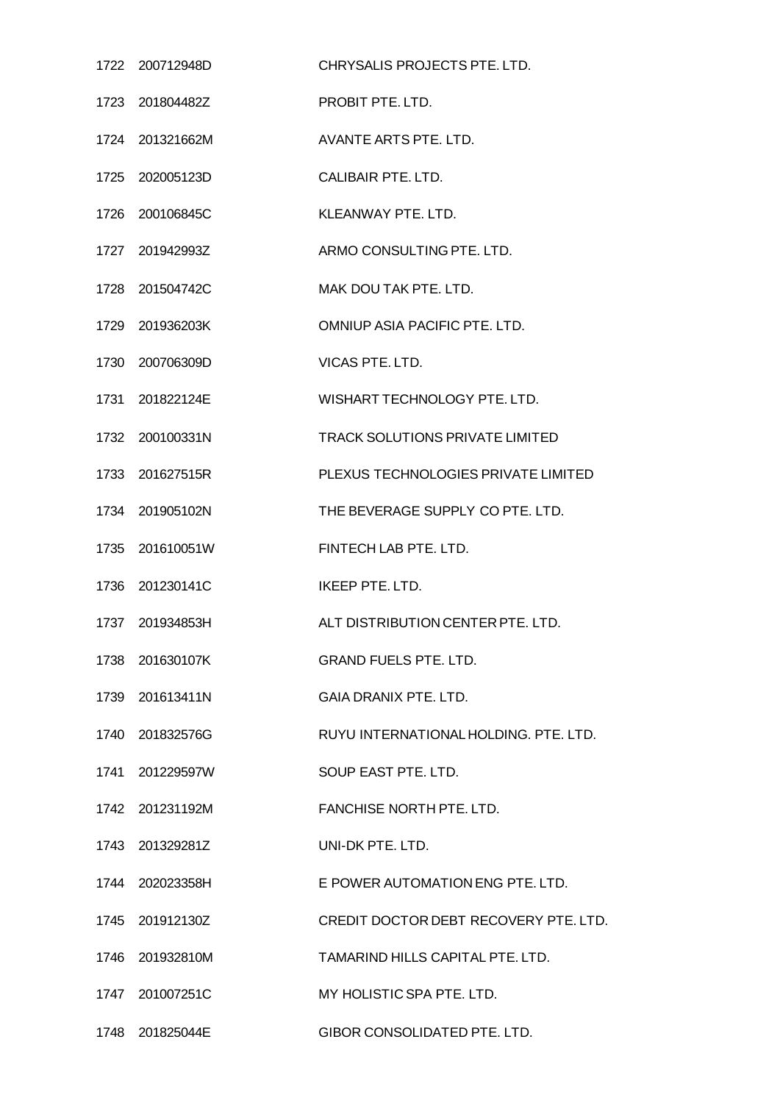| 1722 200712948D | CHRYSALIS PROJECTS PTE, LTD.           |
|-----------------|----------------------------------------|
| 1723 201804482Z | PROBIT PTE. LTD.                       |
| 1724 201321662M | AVANTE ARTS PTE. LTD.                  |
| 1725 202005123D | CALIBAIR PTE, LTD.                     |
| 1726 200106845C | KLEANWAY PTE, LTD.                     |
| 1727 201942993Z | ARMO CONSULTING PTE. LTD.              |
| 1728 201504742C | MAK DOU TAK PTE. LTD.                  |
| 1729 201936203K | OMNIUP ASIA PACIFIC PTE, LTD.          |
| 1730 200706309D | VICAS PTE. LTD.                        |
| 1731 201822124E | WISHART TECHNOLOGY PTE. LTD.           |
| 1732 200100331N | <b>TRACK SOLUTIONS PRIVATE LIMITED</b> |
| 1733 201627515R | PLEXUS TECHNOLOGIES PRIVATE LIMITED    |
| 1734 201905102N | THE BEVERAGE SUPPLY CO PTE. LTD.       |
| 1735 201610051W | FINTECH LAB PTE, LTD.                  |
| 1736 201230141C | IKEEP PTE. LTD.                        |
| 1737 201934853H | ALT DISTRIBUTION CENTER PTE. LTD.      |
| 1738 201630107K | <b>GRAND FUELS PTE, LTD.</b>           |
| 1739 201613411N | <b>GAIA DRANIX PTE, LTD.</b>           |
| 1740 201832576G | RUYU INTERNATIONAL HOLDING. PTE. LTD.  |
| 1741 201229597W | SOUP EAST PTE. LTD.                    |
| 1742 201231192M | FANCHISE NORTH PTE. LTD.               |
| 1743 201329281Z | UNI-DK PTE, LTD.                       |
| 1744 202023358H | E POWER AUTOMATION ENG PTE. LTD.       |
| 1745 201912130Z | CREDIT DOCTOR DEBT RECOVERY PTE. LTD.  |
| 1746 201932810M | TAMARIND HILLS CAPITAL PTE. LTD.       |
| 1747 201007251C | MY HOLISTIC SPA PTE. LTD.              |
| 1748 201825044E | GIBOR CONSOLIDATED PTE. LTD.           |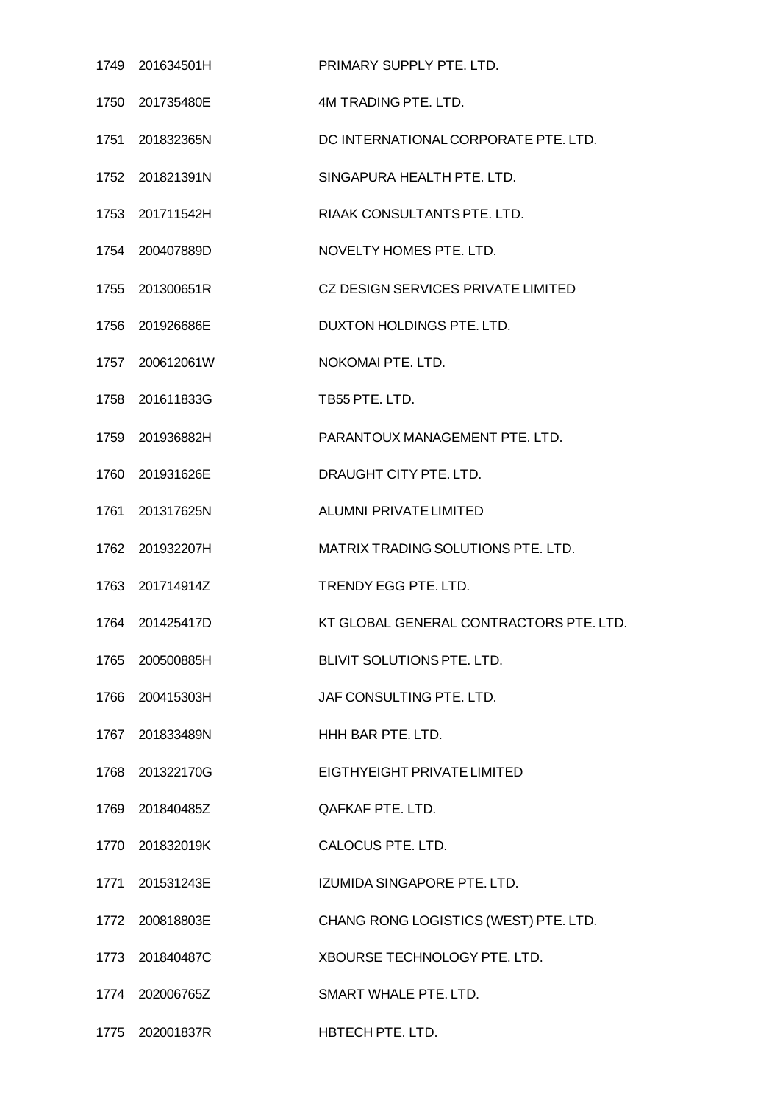| 1749 201634501H | PRIMARY SUPPLY PTE. LTD.                |
|-----------------|-----------------------------------------|
| 1750 201735480E | <b>4M TRADING PTE, LTD.</b>             |
| 1751 201832365N | DC INTERNATIONAL CORPORATE PTE. LTD.    |
| 1752 201821391N | SINGAPURA HEALTH PTE. LTD.              |
| 1753 201711542H | RIAAK CONSULTANTS PTE. LTD.             |
| 1754 200407889D | NOVELTY HOMES PTE. LTD.                 |
| 1755 201300651R | CZ DESIGN SERVICES PRIVATE LIMITED      |
| 1756 201926686E | DUXTON HOLDINGS PTE. LTD.               |
| 1757 200612061W | NOKOMAI PTE, LTD.                       |
| 1758 201611833G | TB55 PTE. LTD.                          |
| 1759 201936882H | PARANTOUX MANAGEMENT PTE. LTD.          |
| 1760 201931626E | DRAUGHT CITY PTE. LTD.                  |
| 1761 201317625N | ALUMNI PRIVATE LIMITED                  |
| 1762 201932207H | MATRIX TRADING SOLUTIONS PTE. LTD.      |
| 1763 201714914Z | TRENDY EGG PTE. LTD.                    |
| 1764 201425417D | KT GLOBAL GENERAL CONTRACTORS PTE. LTD. |
| 1765 200500885H | BLIVIT SOLUTIONS PTE. LTD.              |
| 1766 200415303H | JAF CONSULTING PTE. LTD.                |
| 1767 201833489N | HHH BAR PTE. LTD.                       |
| 1768 201322170G | EIGTHYEIGHT PRIVATE LIMITED             |
| 1769 201840485Z | QAFKAF PTE. LTD.                        |
| 1770 201832019K | CALOCUS PTE. LTD.                       |
| 1771 201531243E | IZUMIDA SINGAPORE PTE. LTD.             |
| 1772 200818803E | CHANG RONG LOGISTICS (WEST) PTE. LTD.   |
| 1773 201840487C | XBOURSE TECHNOLOGY PTE. LTD.            |
| 1774 202006765Z | SMART WHALE PTE, LTD.                   |
| 1775 202001837R | HBTECH PTE. LTD.                        |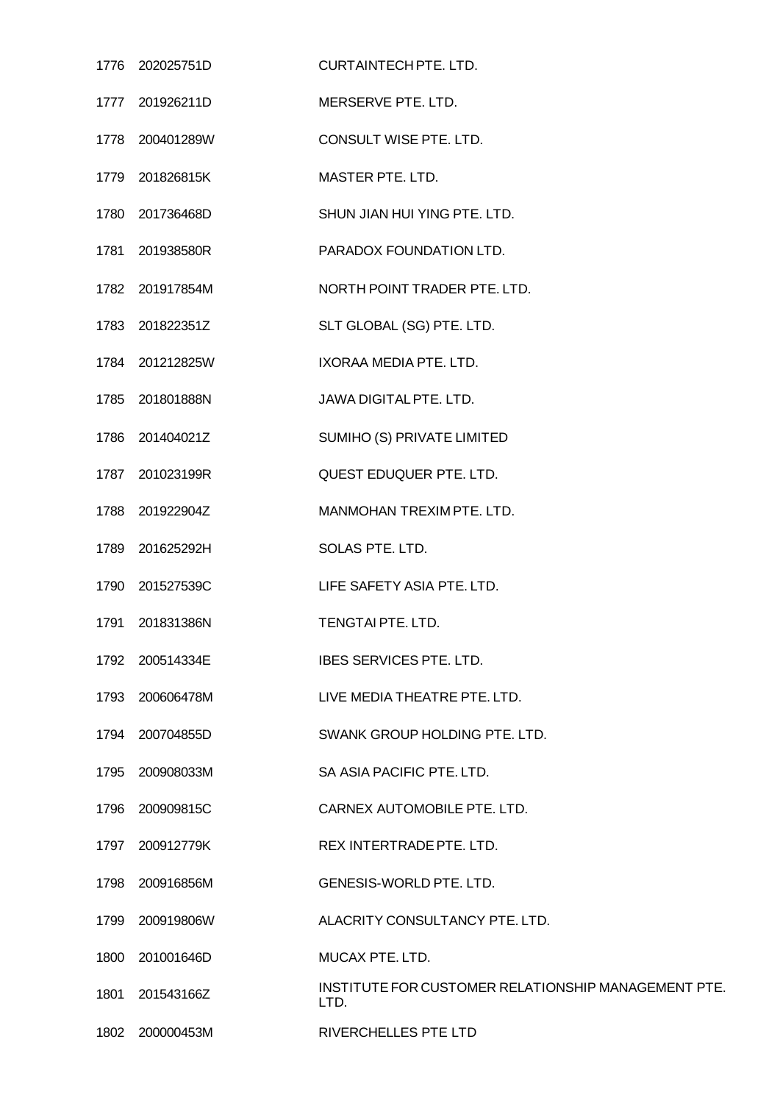|      | 1776 202025751D | <b>CURTAINTECH PTE. LTD.</b>                                |
|------|-----------------|-------------------------------------------------------------|
|      | 1777 201926211D | MERSERVE PTE. LTD.                                          |
|      | 1778 200401289W | CONSULT WISE PTE. LTD.                                      |
|      | 1779 201826815K | MASTER PTE. LTD.                                            |
|      | 1780 201736468D | SHUN JIAN HUI YING PTE, LTD.                                |
|      | 1781 201938580R | PARADOX FOUNDATION LTD.                                     |
|      | 1782 201917854M | NORTH POINT TRADER PTE. LTD.                                |
|      | 1783 201822351Z | SLT GLOBAL (SG) PTE. LTD.                                   |
|      | 1784 201212825W | IXORAA MEDIA PTE. LTD.                                      |
|      | 1785 201801888N | JAWA DIGITAL PTE. LTD.                                      |
|      | 1786 201404021Z | SUMIHO (S) PRIVATE LIMITED                                  |
|      | 1787 201023199R | QUEST EDUQUER PTE. LTD.                                     |
|      | 1788 201922904Z | MANMOHAN TREXIM PTE. LTD.                                   |
|      | 1789 201625292H | SOLAS PTE. LTD.                                             |
|      | 1790 201527539C | LIFE SAFETY ASIA PTE. LTD.                                  |
|      | 1791 201831386N | TENGTAI PTE. LTD.                                           |
|      | 1792 200514334E | <b>IBES SERVICES PTE. LTD.</b>                              |
|      | 1793 200606478M | LIVE MEDIA THEATRE PTE, LTD.                                |
|      | 1794 200704855D | SWANK GROUP HOLDING PTE. LTD.                               |
| 1795 | 200908033M      | SA ASIA PACIFIC PTE. LTD.                                   |
|      | 1796 200909815C | CARNEX AUTOMOBILE PTE. LTD.                                 |
| 1797 | 200912779K      | REX INTERTRADE PTE. LTD.                                    |
|      | 1798 200916856M | <b>GENESIS-WORLD PTE. LTD.</b>                              |
|      | 1799 200919806W | ALACRITY CONSULTANCY PTE. LTD.                              |
| 1800 | 201001646D      | MUCAX PTE. LTD.                                             |
|      | 1801 201543166Z | INSTITUTE FOR CUSTOMER RELATIONSHIP MANAGEMENT PTE.<br>LTD. |
|      | 1802 200000453M | RIVERCHELLES PTE LTD                                        |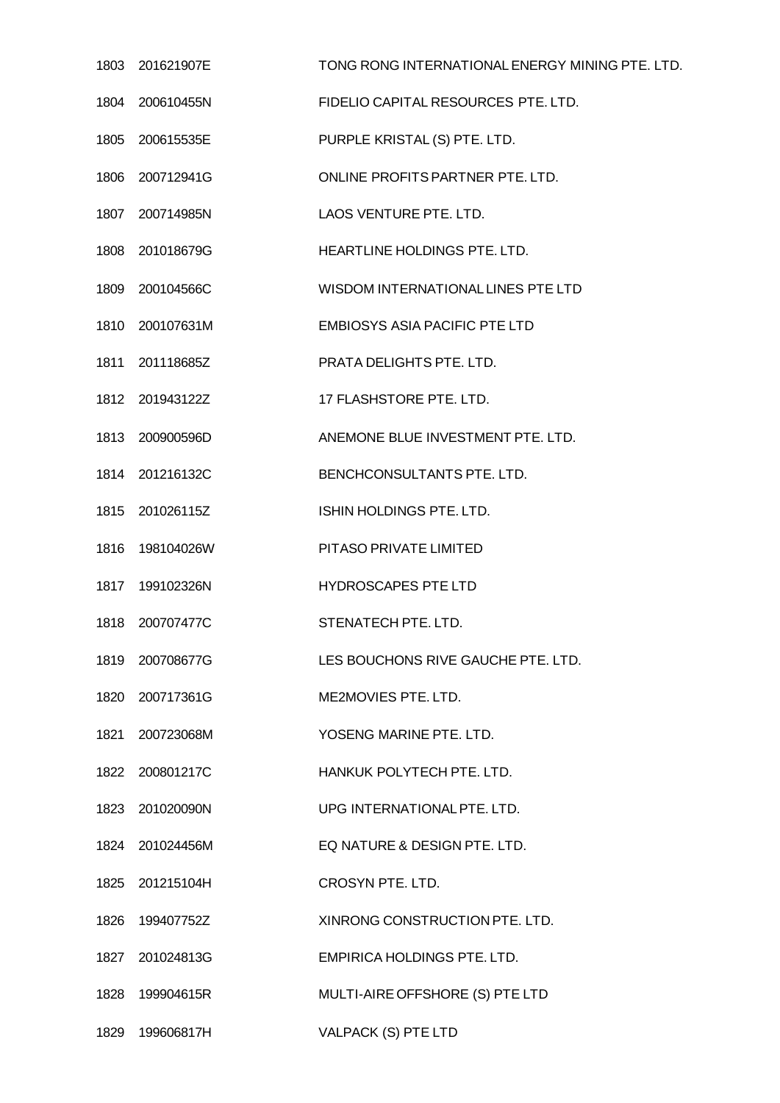|      | 1803 201621907E  | TONG RONG INTERNATIONAL ENERGY MINING PTE. LTD. |
|------|------------------|-------------------------------------------------|
|      | 1804 200610455N  | FIDELIO CAPITAL RESOURCES PTE, LTD.             |
|      | 1805 200615535E  | PURPLE KRISTAL (S) PTE. LTD.                    |
|      | 1806 200712941G  | ONLINE PROFITS PARTNER PTE. LTD.                |
|      | 1807 200714985N  | LAOS VENTURE PTE. LTD.                          |
|      | 1808 201018679G  | HEARTLINE HOLDINGS PTE. LTD.                    |
|      | 1809 200104566C  | WISDOM INTERNATIONAL LINES PTE LTD              |
|      | 1810 200107631M  | <b>EMBIOSYS ASIA PACIFIC PTE LTD</b>            |
|      | 1811 201118685Z  | PRATA DELIGHTS PTE. LTD.                        |
|      |                  | 17 FLASHSTORE PTE. LTD.                         |
|      | 1813 200900596D  | ANEMONE BLUE INVESTMENT PTE. LTD.               |
|      | 1814 201216132C  | BENCHCONSULTANTS PTE. LTD.                      |
|      | 1815 201026115Z  | ISHIN HOLDINGS PTE. LTD.                        |
|      | 1816  198104026W | PITASO PRIVATE LIMITED                          |
|      | 1817  199102326N | <b>HYDROSCAPES PTE LTD</b>                      |
|      | 1818 200707477C  | STENATECH PTE, LTD.                             |
|      | 1819 200708677G  | LES BOUCHONS RIVE GAUCHE PTE. LTD.              |
|      | 1820 200717361G  | ME2MOVIES PTE. LTD.                             |
|      | 1821 200723068M  | YOSENG MARINE PTE. LTD.                         |
|      | 1822 200801217C  | HANKUK POLYTECH PTE. LTD.                       |
|      | 1823 201020090N  | UPG INTERNATIONAL PTE. LTD.                     |
|      | 1824 201024456M  | EQ NATURE & DESIGN PTE. LTD.                    |
|      | 1825 201215104H  | <b>CROSYN PTE. LTD.</b>                         |
|      | 1826 199407752Z  | XINRONG CONSTRUCTION PTE. LTD.                  |
|      | 1827 201024813G  | <b>EMPIRICA HOLDINGS PTE. LTD.</b>              |
| 1828 | 199904615R       | MULTI-AIRE OFFSHORE (S) PTE LTD                 |
|      | 1829 199606817H  | VALPACK (S) PTE LTD                             |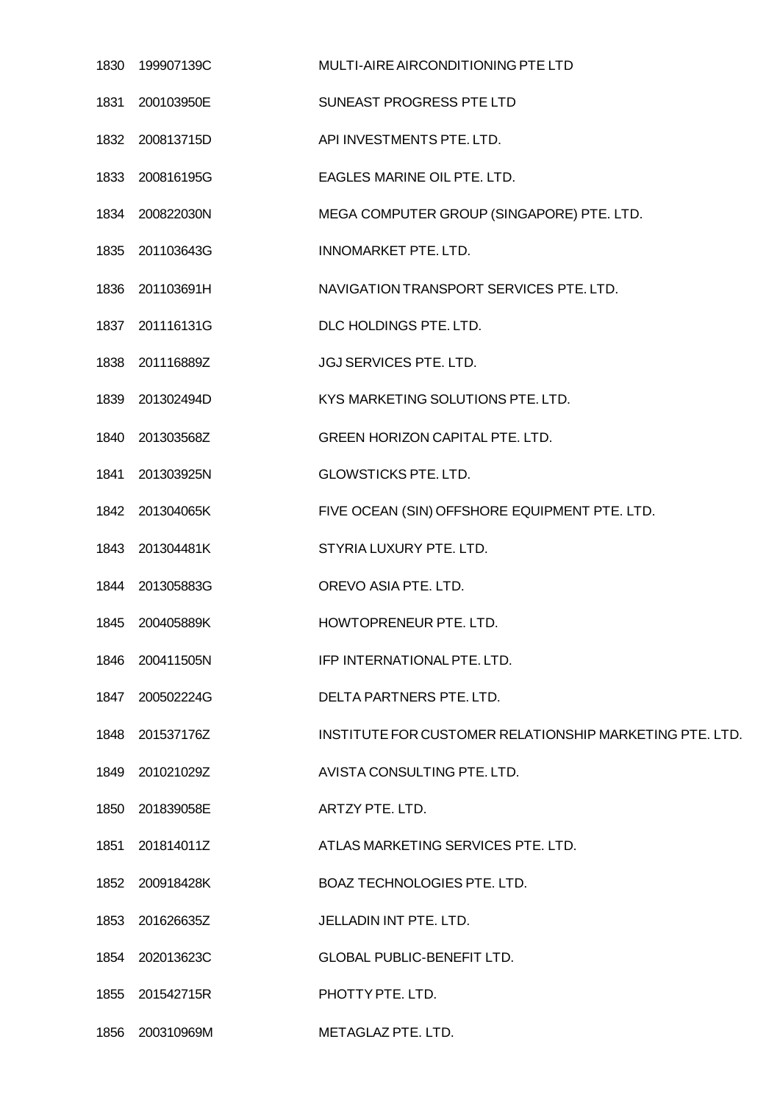| 1830 | 199907139C      | MULTI-AIRE AIRCONDITIONING PTE LTD                      |
|------|-----------------|---------------------------------------------------------|
| 1831 | 200103950E      | SUNEAST PROGRESS PTE LTD                                |
|      | 1832 200813715D | API INVESTMENTS PTE. LTD.                               |
|      | 1833 200816195G | EAGLES MARINE OIL PTE. LTD.                             |
|      | 1834 200822030N | MEGA COMPUTER GROUP (SINGAPORE) PTE. LTD.               |
|      | 1835 201103643G | <b>INNOMARKET PTE. LTD.</b>                             |
|      | 1836 201103691H | NAVIGATION TRANSPORT SERVICES PTE. LTD.                 |
|      | 1837 201116131G | DLC HOLDINGS PTE. LTD.                                  |
|      | 1838 201116889Z | JGJ SERVICES PTE. LTD.                                  |
|      | 1839 201302494D | KYS MARKETING SOLUTIONS PTE, LTD.                       |
|      | 1840 201303568Z | GREEN HORIZON CAPITAL PTE. LTD.                         |
|      | 1841 201303925N | <b>GLOWSTICKS PTE. LTD.</b>                             |
|      | 1842 201304065K | FIVE OCEAN (SIN) OFFSHORE EQUIPMENT PTE. LTD.           |
|      | 1843 201304481K | STYRIA LUXURY PTE. LTD.                                 |
|      | 1844 201305883G | OREVO ASIA PTE. LTD.                                    |
| 1845 | 200405889K      | HOWTOPRENEUR PTE, LTD.                                  |
|      | 1846 200411505N | IFP INTERNATIONAL PTE. LTD.                             |
|      | 1847 200502224G | DELTA PARTNERS PTE. LTD.                                |
|      | 1848 201537176Z | INSTITUTE FOR CUSTOMER RELATIONSHIP MARKETING PTE. LTD. |
|      | 1849 201021029Z | AVISTA CONSULTING PTE. LTD.                             |
|      | 1850 201839058E | ARTZY PTE. LTD.                                         |
|      | 1851 201814011Z | ATLAS MARKETING SERVICES PTE. LTD.                      |
|      | 1852 200918428K | BOAZ TECHNOLOGIES PTE. LTD.                             |
|      | 1853 201626635Z | JELLADIN INT PTE. LTD.                                  |
|      | 1854 202013623C | <b>GLOBAL PUBLIC-BENEFIT LTD.</b>                       |
|      | 1855 201542715R | PHOTTY PTE. LTD.                                        |
|      | 1856 200310969M | METAGLAZ PTE. LTD.                                      |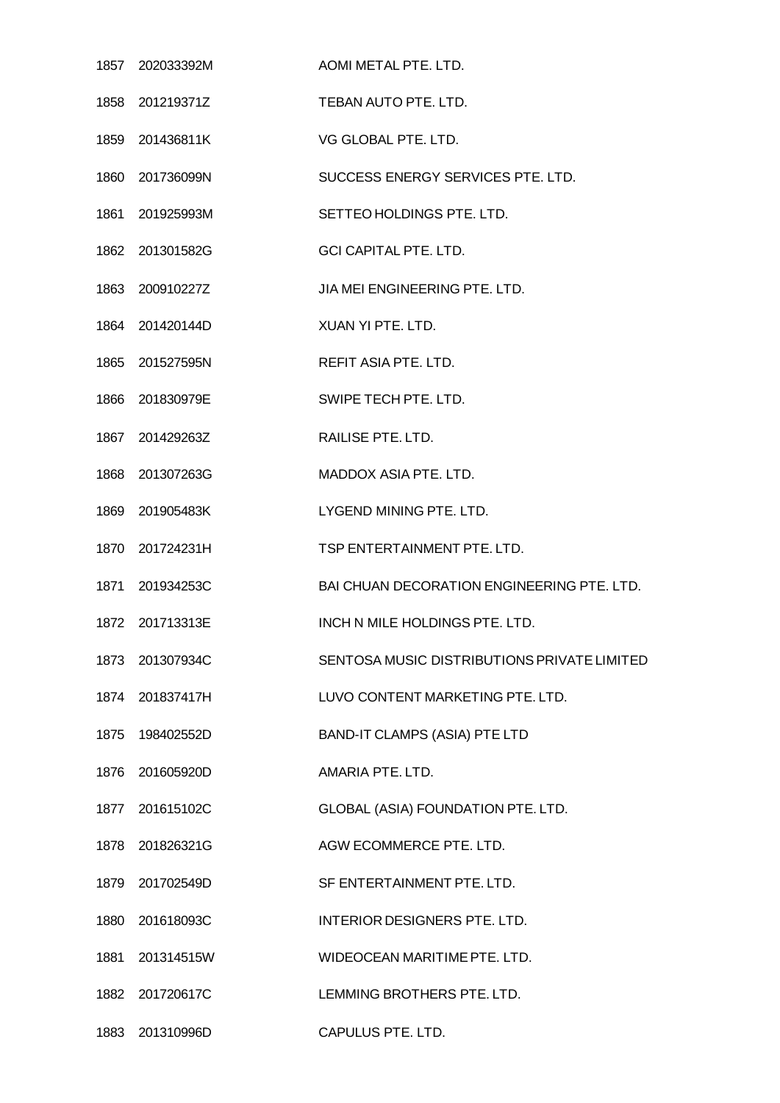| 1857 202033392M | AOMI METAL PTE, LTD.                        |
|-----------------|---------------------------------------------|
| 1858 201219371Z | TEBAN AUTO PTE, LTD.                        |
| 1859 201436811K | VG GLOBAL PTE, LTD.                         |
| 1860 201736099N | SUCCESS ENERGY SERVICES PTE. LTD.           |
| 1861 201925993M | SETTEO HOLDINGS PTE, LTD.                   |
| 1862 201301582G | <b>GCI CAPITAL PTE. LTD.</b>                |
| 1863 200910227Z | JIA MEI ENGINEERING PTE. LTD.               |
| 1864 201420144D | XUAN YI PTE. LTD.                           |
| 1865 201527595N | REFIT ASIA PTE. LTD.                        |
| 1866 201830979E | SWIPE TECH PTE. LTD.                        |
| 1867 201429263Z | RAILISE PTE. LTD.                           |
| 1868 201307263G | MADDOX ASIA PTE. LTD.                       |
| 1869 201905483K | LYGEND MINING PTE. LTD.                     |
| 1870 201724231H | TSP ENTERTAINMENT PTE. LTD.                 |
| 1871 201934253C | BAI CHUAN DECORATION ENGINEERING PTE. LTD.  |
| 1872 201713313E | INCH N MILE HOLDINGS PTE. LTD.              |
| 1873 201307934C | SENTOSA MUSIC DISTRIBUTIONS PRIVATE LIMITED |
| 1874 201837417H | LUVO CONTENT MARKETING PTE, LTD.            |
| 1875 198402552D | <b>BAND-IT CLAMPS (ASIA) PTE LTD</b>        |
| 1876 201605920D | AMARIA PTE, LTD.                            |
| 1877 201615102C | GLOBAL (ASIA) FOUNDATION PTE. LTD.          |
| 1878 201826321G | AGW ECOMMERCE PTE. LTD.                     |
| 1879 201702549D | SF ENTERTAINMENT PTE, LTD.                  |
| 1880 201618093C | INTERIOR DESIGNERS PTE. LTD.                |
| 1881 201314515W | WIDEOCEAN MARITIME PTE. LTD.                |
| 1882 201720617C | LEMMING BROTHERS PTE. LTD.                  |
| 1883 201310996D | CAPULUS PTE. LTD.                           |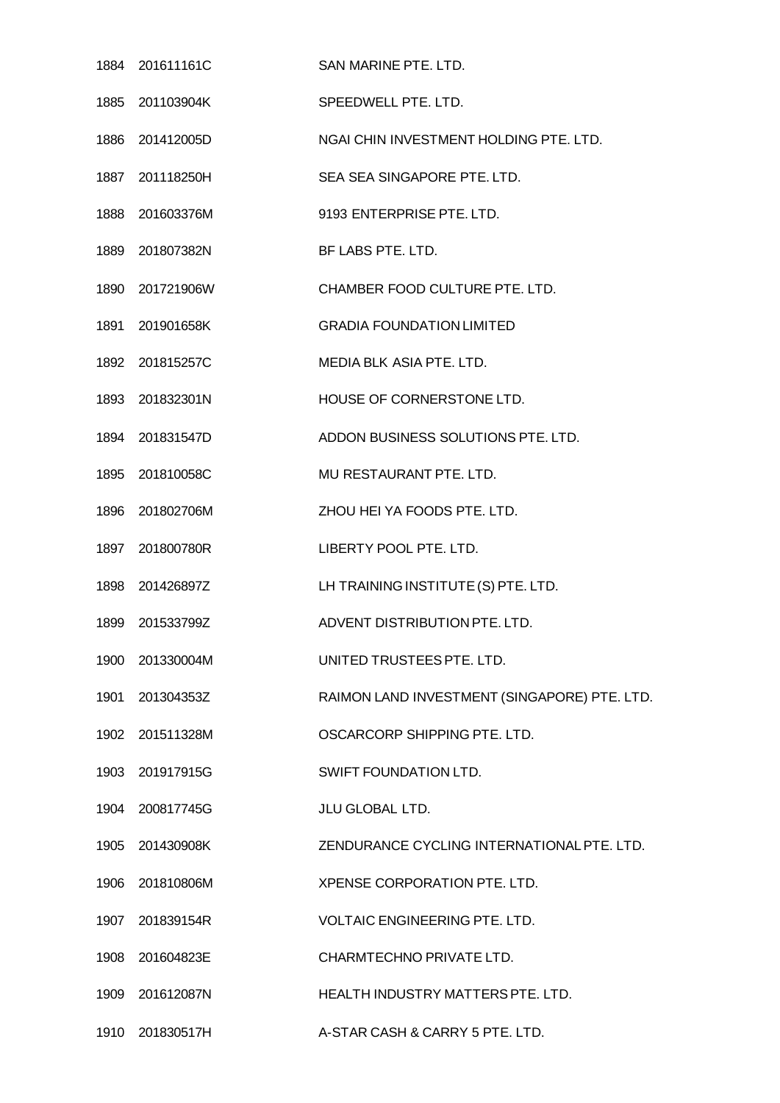| 1884 201611161C | SAN MARINE PTE. LTD.                         |
|-----------------|----------------------------------------------|
| 1885 201103904K | SPEEDWELL PTE, LTD.                          |
| 1886 201412005D | NGAI CHIN INVESTMENT HOLDING PTE. LTD.       |
| 1887 201118250H | SEA SEA SINGAPORE PTE. LTD.                  |
| 1888 201603376M | 9193 ENTERPRISE PTE. LTD.                    |
| 1889 201807382N | BF LABS PTE. LTD.                            |
| 1890 201721906W | CHAMBER FOOD CULTURE PTE. LTD.               |
| 1891 201901658K | <b>GRADIA FOUNDATION LIMITED</b>             |
| 1892 201815257C | MEDIA BLK ASIA PTE, LTD.                     |
| 1893 201832301N | HOUSE OF CORNERSTONE LTD.                    |
| 1894 201831547D | ADDON BUSINESS SOLUTIONS PTE. LTD.           |
| 1895 201810058C | MU RESTAURANT PTE. LTD.                      |
| 1896 201802706M | ZHOU HEI YA FOODS PTE. LTD.                  |
| 1897 201800780R | LIBERTY POOL PTE. LTD.                       |
| 1898 201426897Z | LH TRAINING INSTITUTE (S) PTE. LTD.          |
| 1899 201533799Z | ADVENT DISTRIBUTION PTE, LTD.                |
| 1900 201330004M | UNITED TRUSTEES PTE. LTD.                    |
| 1901 201304353Z | RAIMON LAND INVESTMENT (SINGAPORE) PTE. LTD. |
| 1902 201511328M | OSCARCORP SHIPPING PTE. LTD.                 |
| 1903 201917915G | SWIFT FOUNDATION LTD.                        |
| 1904 200817745G | JLU GLOBAL LTD.                              |
| 1905 201430908K | ZENDURANCE CYCLING INTERNATIONAL PTE. LTD.   |
| 1906 201810806M | XPENSE CORPORATION PTE. LTD.                 |
| 1907 201839154R | <b>VOLTAIC ENGINEERING PTE. LTD.</b>         |
| 1908 201604823E | CHARMTECHNO PRIVATE LTD.                     |
| 1909 201612087N | HEALTH INDUSTRY MATTERS PTE. LTD.            |
| 1910 201830517H | A-STAR CASH & CARRY 5 PTE. LTD.              |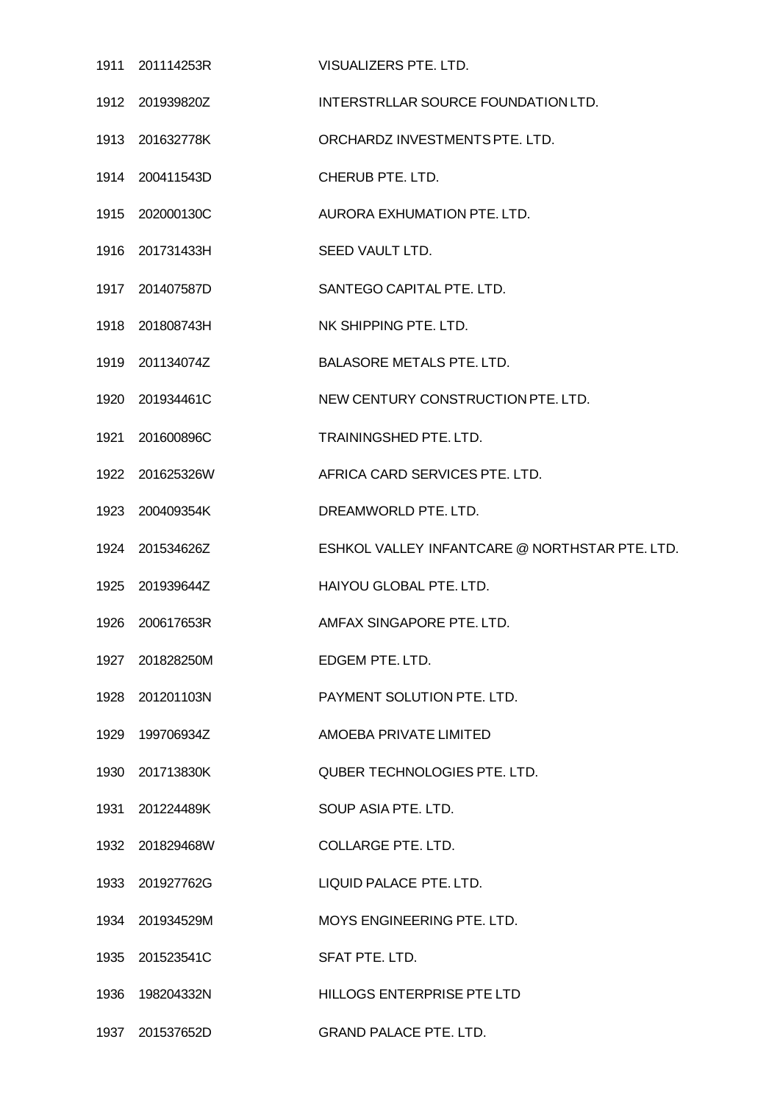| 1911 201114253R | VISUALIZERS PTE. LTD.                          |
|-----------------|------------------------------------------------|
| 1912 201939820Z | INTERSTRLLAR SOURCE FOUNDATION LTD.            |
| 1913 201632778K | ORCHARDZ INVESTMENTS PTE. LTD.                 |
| 1914 200411543D | CHERUB PTE. LTD.                               |
| 1915 202000130C | AURORA EXHUMATION PTE, LTD.                    |
| 1916 201731433H | SEED VAULT LTD.                                |
| 1917 201407587D | SANTEGO CAPITAL PTE. LTD.                      |
| 1918 201808743H | NK SHIPPING PTE. LTD.                          |
| 1919 201134074Z | <b>BALASORE METALS PTE. LTD.</b>               |
| 1920 201934461C | NEW CENTURY CONSTRUCTION PTE. LTD.             |
| 1921 201600896C | TRAININGSHED PTE. LTD.                         |
| 1922 201625326W | AFRICA CARD SERVICES PTE. LTD.                 |
| 1923 200409354K | DREAMWORLD PTE. LTD.                           |
| 1924 201534626Z | ESHKOL VALLEY INFANTCARE @ NORTHSTAR PTE. LTD. |
| 1925 201939644Z | HAIYOU GLOBAL PTE. LTD.                        |
| 1926 200617653R | AMFAX SINGAPORE PTE. LTD.                      |
| 1927 201828250M | EDGEM PTE. LTD.                                |
| 1928 201201103N | PAYMENT SOLUTION PTE. LTD.                     |
| 1929 199706934Z | AMOEBA PRIVATE LIMITED                         |
| 1930 201713830K | QUBER TECHNOLOGIES PTE. LTD.                   |
| 1931 201224489K | SOUP ASIA PTE. LTD.                            |
| 1932 201829468W | COLLARGE PTE. LTD.                             |
| 1933 201927762G | LIQUID PALACE PTE, LTD.                        |
| 1934 201934529M | MOYS ENGINEERING PTE. LTD.                     |
| 1935 201523541C | SFAT PTE. LTD.                                 |
| 1936 198204332N | HILLOGS ENTERPRISE PTE LTD                     |
| 1937 201537652D | <b>GRAND PALACE PTE. LTD.</b>                  |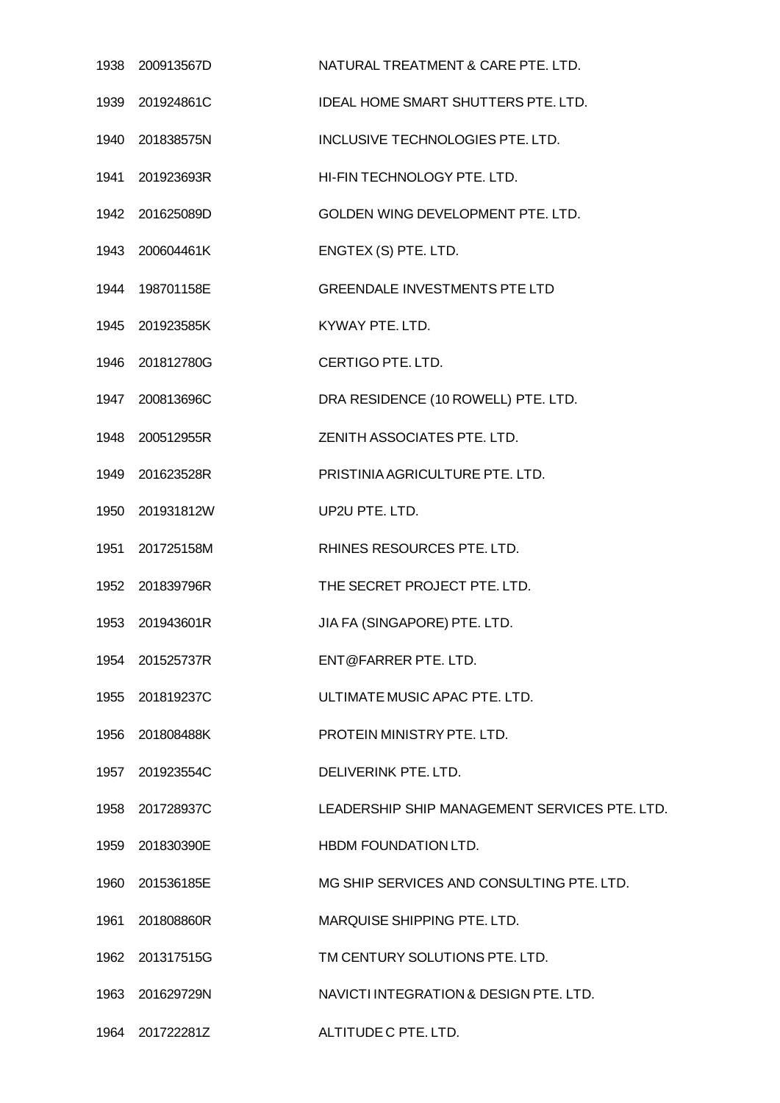| 1938 200913567D | NATURAL TREATMENT & CARE PTE. LTD.            |
|-----------------|-----------------------------------------------|
| 1939 201924861C | <b>IDEAL HOME SMART SHUTTERS PTE. LTD.</b>    |
| 1940 201838575N | INCLUSIVE TECHNOLOGIES PTE. LTD.              |
| 1941 201923693R | HI-FIN TECHNOLOGY PTE. LTD.                   |
| 1942 201625089D | GOLDEN WING DEVELOPMENT PTE. LTD.             |
| 1943 200604461K | ENGTEX (S) PTE. LTD.                          |
| 1944 198701158E | <b>GREENDALE INVESTMENTS PTE LTD</b>          |
| 1945 201923585K | KYWAY PTE. LTD.                               |
| 1946 201812780G | CERTIGO PTE. LTD.                             |
| 1947 200813696C | DRA RESIDENCE (10 ROWELL) PTE. LTD.           |
| 1948 200512955R | ZENITH ASSOCIATES PTE. LTD.                   |
| 1949 201623528R | PRISTINIA AGRICULTURE PTE. LTD.               |
| 1950 201931812W | UP2U PTE. LTD.                                |
| 1951 201725158M | RHINES RESOURCES PTE. LTD.                    |
| 1952 201839796R | THE SECRET PROJECT PTE. LTD.                  |
| 1953 201943601R | JIA FA (SINGAPORE) PTE. LTD.                  |
| 1954 201525737R | ENT@FARRER PTE. LTD.                          |
| 1955 201819237C | ULTIMATE MUSIC APAC PTE, LTD.                 |
| 1956 201808488K | PROTEIN MINISTRY PTE. LTD.                    |
| 1957 201923554C | DELIVERINK PTE, LTD.                          |
| 1958 201728937C | LEADERSHIP SHIP MANAGEMENT SERVICES PTE. LTD. |
| 1959 201830390E | HBDM FOUNDATION LTD.                          |
| 1960 201536185E | MG SHIP SERVICES AND CONSULTING PTE. LTD.     |
| 1961 201808860R | MARQUISE SHIPPING PTE. LTD.                   |
| 1962 201317515G | TM CENTURY SOLUTIONS PTE. LTD.                |
| 1963 201629729N | NAVICTI INTEGRATION & DESIGN PTE. LTD.        |
| 1964 201722281Z | ALTITUDE C PTE. LTD.                          |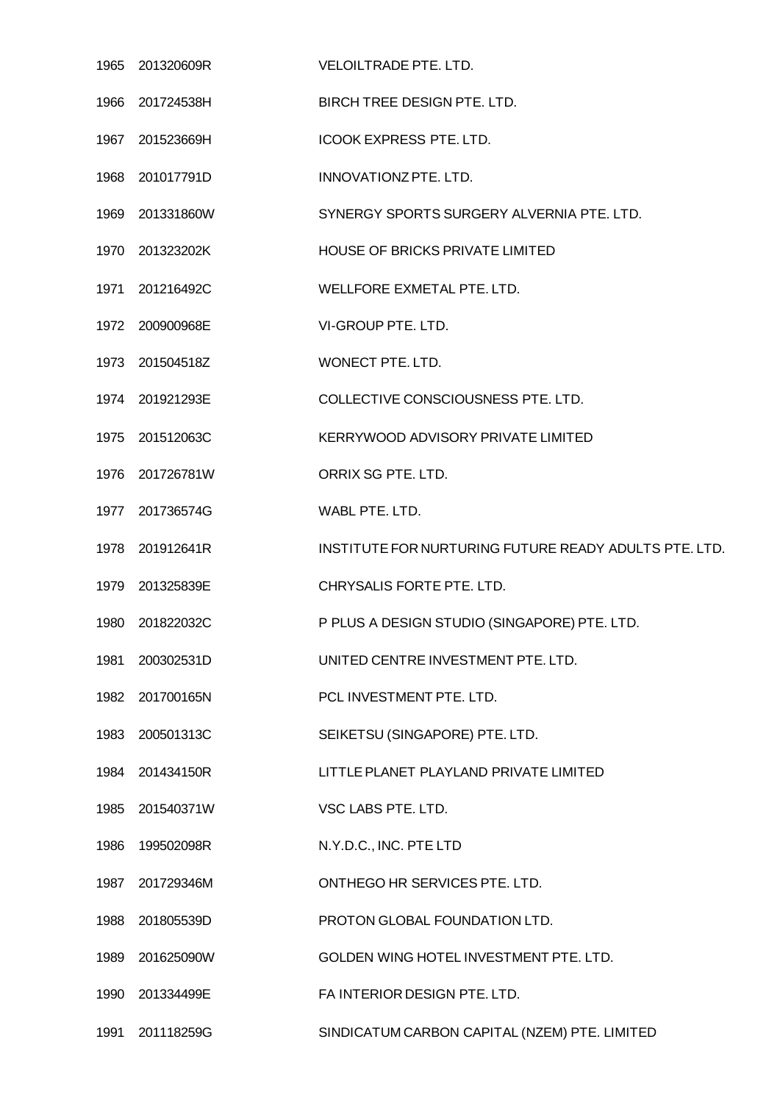|      | 1965 201320609R | <b>VELOILTRADE PTE. LTD.</b>                          |
|------|-----------------|-------------------------------------------------------|
|      | 1966 201724538H | BIRCH TREE DESIGN PTE. LTD.                           |
|      | 1967 201523669H | ICOOK EXPRESS PTE. LTD.                               |
|      | 1968 201017791D | INNOVATIONZ PTE. LTD.                                 |
|      | 1969 201331860W | SYNERGY SPORTS SURGERY ALVERNIA PTE. LTD.             |
|      | 1970 201323202K | HOUSE OF BRICKS PRIVATE LIMITED                       |
| 1971 | 201216492C      | WELLFORE EXMETAL PTE. LTD.                            |
|      | 1972 200900968E | VI-GROUP PTE. LTD.                                    |
|      | 1973 201504518Z | WONECT PTE. LTD.                                      |
|      | 1974 201921293E | COLLECTIVE CONSCIOUSNESS PTE. LTD.                    |
|      | 1975 201512063C | KERRYWOOD ADVISORY PRIVATE LIMITED                    |
|      | 1976 201726781W | ORRIX SG PTE. LTD.                                    |
|      | 1977 201736574G | WABL PTE. LTD.                                        |
|      | 1978 201912641R | INSTITUTE FOR NURTURING FUTURE READY ADULTS PTE. LTD. |
| 1979 | 201325839E      | CHRYSALIS FORTE PTE. LTD.                             |
|      | 1980 201822032C | P PLUS A DESIGN STUDIO (SINGAPORE) PTE. LTD.          |
| 1981 | 200302531D      | UNITED CENTRE INVESTMENT PTE. LTD.                    |
|      | 1982 201700165N | PCL INVESTMENT PTE. LTD.                              |
| 1983 | 200501313C      | SEIKETSU (SINGAPORE) PTE. LTD.                        |
| 1984 | 201434150R      | LITTLE PLANET PLAYLAND PRIVATE LIMITED                |
|      | 1985 201540371W | VSC LABS PTE. LTD.                                    |
| 1986 | 199502098R      | N.Y.D.C., INC. PTE LTD                                |
| 1987 | 201729346M      | ONTHEGO HR SERVICES PTE. LTD.                         |
| 1988 | 201805539D      | PROTON GLOBAL FOUNDATION LTD.                         |
| 1989 | 201625090W      | GOLDEN WING HOTEL INVESTMENT PTE. LTD.                |
| 1990 | 201334499E      | FA INTERIOR DESIGN PTE. LTD.                          |
| 1991 | 201118259G      | SINDICATUM CARBON CAPITAL (NZEM) PTE. LIMITED         |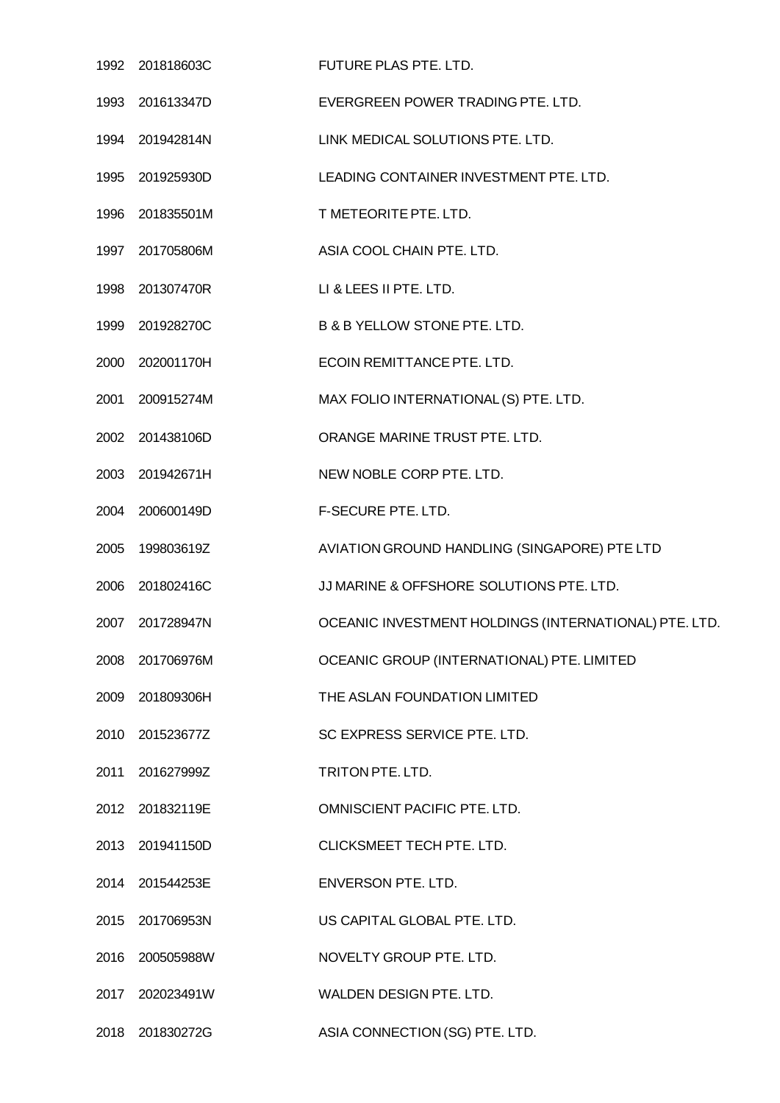|      | 1992 201818603C | FUTURE PLAS PTE. LTD.                                 |
|------|-----------------|-------------------------------------------------------|
| 1993 | 201613347D      | EVERGREEN POWER TRADING PTE, LTD.                     |
|      | 1994 201942814N | LINK MEDICAL SOLUTIONS PTE. LTD.                      |
|      | 1995 201925930D | LEADING CONTAINER INVESTMENT PTE. LTD.                |
| 1996 | 201835501M      | T METEORITE PTE. LTD.                                 |
|      | 1997 201705806M | ASIA COOL CHAIN PTE. LTD.                             |
|      | 1998 201307470R | LI & LEES II PTE. LTD.                                |
| 1999 | 201928270C      | B & B YELLOW STONE PTE. LTD.                          |
|      | 2000 202001170H | ECOIN REMITTANCE PTE. LTD.                            |
| 2001 | 200915274M      | MAX FOLIO INTERNATIONAL (S) PTE. LTD.                 |
|      | 2002 201438106D | ORANGE MARINE TRUST PTE. LTD.                         |
|      | 2003 201942671H | NEW NOBLE CORP PTE. LTD.                              |
| 2004 | 200600149D      | F-SECURE PTE. LTD.                                    |
|      | 2005 199803619Z | AVIATION GROUND HANDLING (SINGAPORE) PTE LTD          |
| 2006 | 201802416C      | JJ MARINE & OFFSHORE SOLUTIONS PTE. LTD.              |
| 2007 | 201728947N      | OCEANIC INVESTMENT HOLDINGS (INTERNATIONAL) PTE. LTD. |
| 2008 | 201706976M      | OCEANIC GROUP (INTERNATIONAL) PTE. LIMITED            |
|      | 2009 201809306H | THE ASLAN FOUNDATION LIMITED                          |
| 2010 | 201523677Z      | SC EXPRESS SERVICE PTE. LTD.                          |
| 2011 | 201627999Z      | TRITON PTE. LTD.                                      |
|      | 2012 201832119E | OMNISCIENT PACIFIC PTE. LTD.                          |
|      | 2013 201941150D | CLICKSMEET TECH PTE. LTD.                             |
|      | 2014 201544253E | <b>ENVERSON PTE. LTD.</b>                             |
|      | 2015 201706953N | US CAPITAL GLOBAL PTE. LTD.                           |
| 2016 | 200505988W      | NOVELTY GROUP PTE. LTD.                               |
| 2017 | 202023491W      | WALDEN DESIGN PTE. LTD.                               |
| 2018 | 201830272G      | ASIA CONNECTION (SG) PTE. LTD.                        |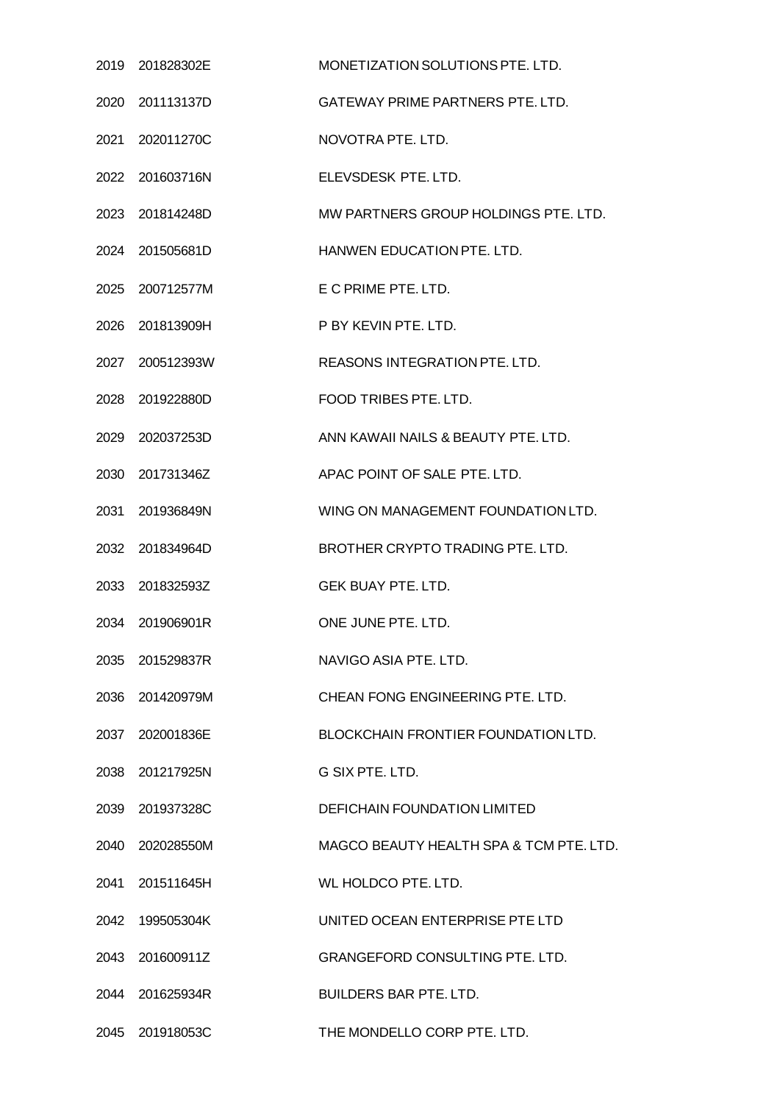| 2019 201828302E | MONETIZATION SOLUTIONS PTE. LTD.        |
|-----------------|-----------------------------------------|
| 2020 201113137D | <b>GATEWAY PRIME PARTNERS PTE, LTD.</b> |
| 2021 202011270C | NOVOTRA PTE. LTD.                       |
| 2022 201603716N | ELEVSDESK PTE. LTD.                     |
| 2023 201814248D | MW PARTNERS GROUP HOLDINGS PTE. LTD.    |
| 2024 201505681D | HANWEN EDUCATION PTE. LTD.              |
| 2025 200712577M | E C PRIME PTE, LTD.                     |
| 2026 201813909H | P BY KEVIN PTE, LTD.                    |
| 2027 200512393W | REASONS INTEGRATION PTE. LTD.           |
| 2028 201922880D | FOOD TRIBES PTE. LTD.                   |
| 2029 202037253D | ANN KAWAII NAILS & BEAUTY PTE, LTD.     |
| 2030 201731346Z | APAC POINT OF SALE PTE. LTD.            |
| 2031 201936849N | WING ON MANAGEMENT FOUNDATION LTD.      |
| 2032 201834964D | BROTHER CRYPTO TRADING PTE. LTD.        |
| 2033 201832593Z | <b>GEK BUAY PTE, LTD.</b>               |
| 2034 201906901R | ONE JUNE PTE, LTD.                      |
| 2035 201529837R | NAVIGO ASIA PTE, LTD.                   |
| 2036 201420979M | CHEAN FONG ENGINEERING PTE. LTD.        |
| 2037 202001836E | BLOCKCHAIN FRONTIER FOUNDATION LTD.     |
| 2038 201217925N | G SIX PTE. LTD.                         |
| 2039 201937328C | <b>DEFICHAIN FOUNDATION LIMITED</b>     |
| 2040 202028550M | MAGCO BEAUTY HEALTH SPA & TCM PTE. LTD. |
| 2041 201511645H | WL HOLDCO PTE. LTD.                     |
| 2042 199505304K | UNITED OCEAN ENTERPRISE PTE LTD         |
| 2043 201600911Z | <b>GRANGEFORD CONSULTING PTE. LTD.</b>  |
| 2044 201625934R | <b>BUILDERS BAR PTE. LTD.</b>           |
| 2045 201918053C | THE MONDELLO CORP PTE. LTD.             |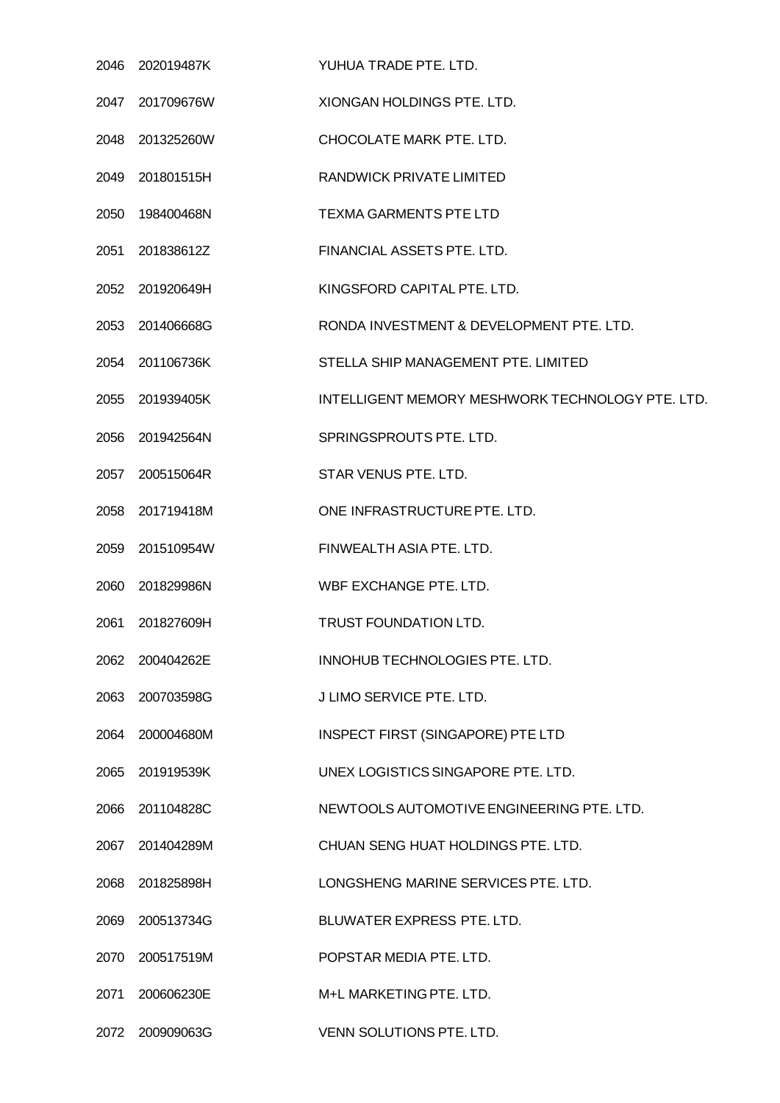|      | 2046 202019487K | YUHUA TRADE PTE, LTD.                            |
|------|-----------------|--------------------------------------------------|
| 2047 | 201709676W      | XIONGAN HOLDINGS PTE. LTD.                       |
|      | 2048 201325260W | CHOCOLATE MARK PTE. LTD.                         |
|      | 2049 201801515H | RANDWICK PRIVATE LIMITED                         |
|      | 2050 198400468N | <b>TEXMA GARMENTS PTE LTD</b>                    |
|      | 2051 201838612Z | FINANCIAL ASSETS PTE. LTD.                       |
| 2052 | 201920649H      | KINGSFORD CAPITAL PTE. LTD.                      |
|      | 2053 201406668G | RONDA INVESTMENT & DEVELOPMENT PTE. LTD.         |
|      | 2054 201106736K | STELLA SHIP MANAGEMENT PTE. LIMITED              |
| 2055 | 201939405K      | INTELLIGENT MEMORY MESHWORK TECHNOLOGY PTE. LTD. |
|      | 2056 201942564N | SPRINGSPROUTS PTE. LTD.                          |
| 2057 | 200515064R      | STAR VENUS PTE. LTD.                             |
| 2058 | 201719418M      | ONE INFRASTRUCTURE PTE. LTD.                     |
|      | 2059 201510954W | FINWEALTH ASIA PTE. LTD.                         |
| 2060 | 201829986N      | WBF EXCHANGE PTE. LTD.                           |
|      | 2061 201827609H | TRUST FOUNDATION LTD.                            |
| 2062 | 200404262E      | INNOHUB TECHNOLOGIES PTE. LTD.                   |
|      | 2063 200703598G | J LIMO SERVICE PTE. LTD.                         |
| 2064 | 200004680M      | INSPECT FIRST (SINGAPORE) PTE LTD                |
| 2065 | 201919539K      | UNEX LOGISTICS SINGAPORE PTE. LTD.               |
|      | 2066 201104828C | NEWTOOLS AUTOMOTIVE ENGINEERING PTE. LTD.        |
| 2067 | 201404289M      | CHUAN SENG HUAT HOLDINGS PTE. LTD.               |
|      | 2068 201825898H | LONGSHENG MARINE SERVICES PTE. LTD.              |
| 2069 | 200513734G      | BLUWATER EXPRESS PTE. LTD.                       |
| 2070 | 200517519M      | POPSTAR MEDIA PTE, LTD.                          |
| 2071 | 200606230E      | M+L MARKETING PTE. LTD.                          |
| 2072 | 200909063G      | VENN SOLUTIONS PTE. LTD.                         |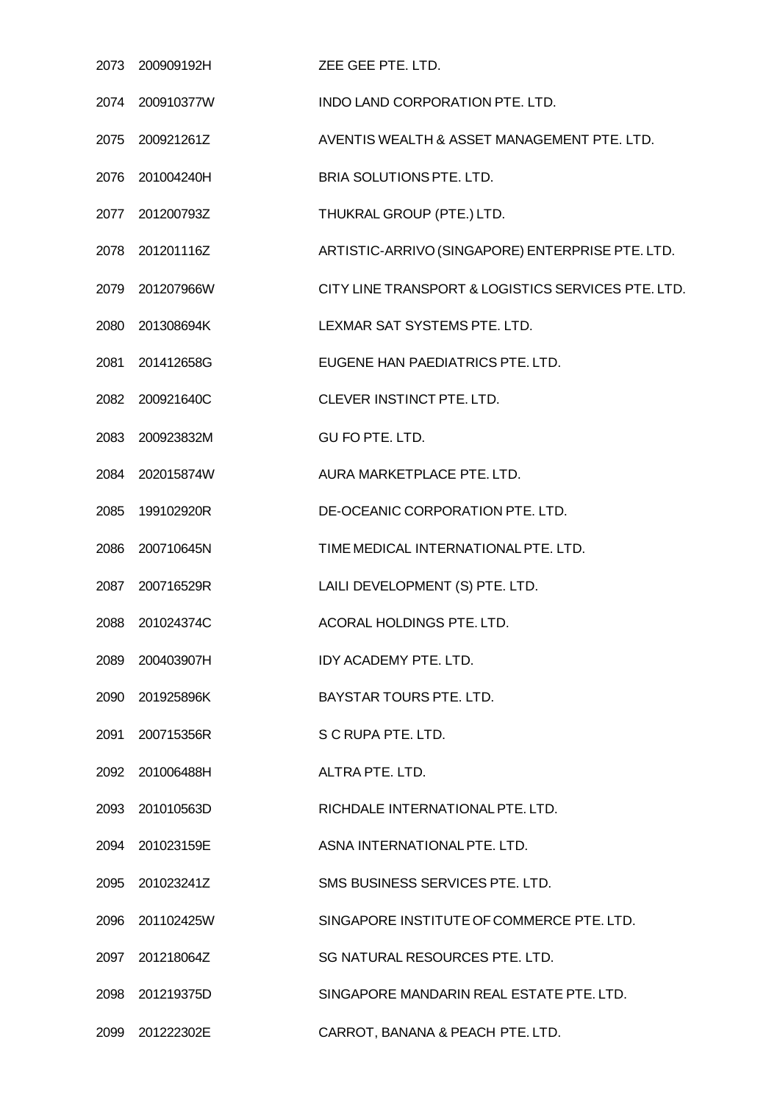|      | 2073 200909192H | ZEE GEE PTE. LTD.                                  |
|------|-----------------|----------------------------------------------------|
|      | 2074 200910377W | INDO LAND CORPORATION PTE. LTD.                    |
|      | 2075 200921261Z | AVENTIS WEALTH & ASSET MANAGEMENT PTE. LTD.        |
|      | 2076 201004240H | BRIA SOLUTIONS PTE. LTD.                           |
|      | 2077 201200793Z | THUKRAL GROUP (PTE.) LTD.                          |
|      | 2078 201201116Z | ARTISTIC-ARRIVO (SINGAPORE) ENTERPRISE PTE. LTD.   |
|      | 2079 201207966W | CITY LINE TRANSPORT & LOGISTICS SERVICES PTE. LTD. |
|      | 2080 201308694K | LEXMAR SAT SYSTEMS PTE. LTD.                       |
|      | 2081 201412658G | EUGENE HAN PAEDIATRICS PTE. LTD.                   |
|      | 2082 200921640C | CLEVER INSTINCT PTE. LTD.                          |
|      | 2083 200923832M | GU FO PTE. LTD.                                    |
|      | 2084 202015874W | AURA MARKETPLACE PTE. LTD.                         |
| 2085 | 199102920R      | DE-OCEANIC CORPORATION PTE. LTD.                   |
|      | 2086 200710645N | TIME MEDICAL INTERNATIONAL PTE. LTD.               |
| 2087 | 200716529R      | LAILI DEVELOPMENT (S) PTE. LTD.                    |
| 2088 | 201024374C      | ACORAL HOLDINGS PTE, LTD.                          |
| 2089 | 200403907H      | IDY ACADEMY PTE, LTD.                              |
| 2090 | 201925896K      | BAYSTAR TOURS PTE. LTD.                            |
| 2091 | 200715356R      | S C RUPA PTE. LTD.                                 |
| 2092 | 201006488H      | ALTRA PTE, LTD.                                    |
|      | 2093 201010563D | RICHDALE INTERNATIONAL PTE, LTD.                   |
|      | 2094 201023159E | ASNA INTERNATIONAL PTE. LTD.                       |
|      | 2095 201023241Z | SMS BUSINESS SERVICES PTE. LTD.                    |
|      | 2096 201102425W | SINGAPORE INSTITUTE OF COMMERCE PTE. LTD.          |
| 2097 | 201218064Z      | SG NATURAL RESOURCES PTE. LTD.                     |
|      | 2098 201219375D | SINGAPORE MANDARIN REAL ESTATE PTE. LTD.           |
| 2099 | 201222302E      | CARROT, BANANA & PEACH PTE. LTD.                   |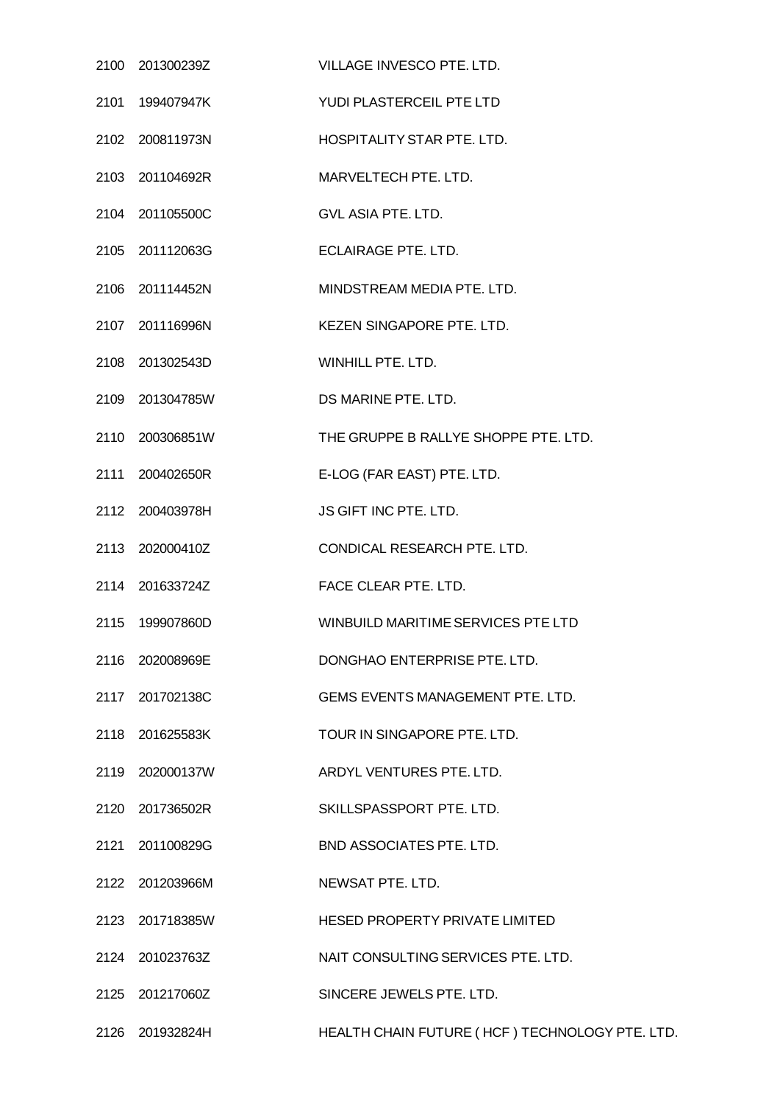| 2100 201300239Z | VILLAGE INVESCO PTE. LTD.                      |
|-----------------|------------------------------------------------|
| 2101 199407947K | YUDI PLASTERCEIL PTE LTD                       |
| 2102 200811973N | HOSPITALITY STAR PTE. LTD.                     |
| 2103 201104692R | MARVELTECH PTE. LTD.                           |
| 2104 201105500C | <b>GVL ASIA PTE, LTD.</b>                      |
| 2105 201112063G | ECLAIRAGE PTE. LTD.                            |
| 2106 201114452N | MINDSTREAM MEDIA PTE. LTD.                     |
| 2107 201116996N | KEZEN SINGAPORE PTE. LTD.                      |
| 2108 201302543D | WINHILL PTE, LTD.                              |
| 2109 201304785W | DS MARINE PTE, LTD.                            |
| 2110 200306851W | THE GRUPPE B RALLYE SHOPPE PTE. LTD.           |
| 2111 200402650R | E-LOG (FAR EAST) PTE. LTD.                     |
| 2112 200403978H | JS GIFT INC PTE. LTD.                          |
| 2113 202000410Z | CONDICAL RESEARCH PTE. LTD.                    |
| 2114 201633724Z | FACE CLEAR PTE, LTD.                           |
| 2115 199907860D | WINBUILD MARITIME SERVICES PTE LTD             |
| 2116 202008969E | DONGHAO ENTERPRISE PTE. LTD.                   |
| 2117 201702138C | <b>GEMS EVENTS MANAGEMENT PTE. LTD.</b>        |
| 2118 201625583K | TOUR IN SINGAPORE PTE. LTD.                    |
| 2119 202000137W | ARDYL VENTURES PTE, LTD.                       |
| 2120 201736502R | SKILLSPASSPORT PTE. LTD.                       |
| 2121 201100829G | BND ASSOCIATES PTE. LTD.                       |
| 2122 201203966M | NEWSAT PTE. LTD.                               |
| 2123 201718385W | HESED PROPERTY PRIVATE LIMITED                 |
| 2124 201023763Z | NAIT CONSULTING SERVICES PTE. LTD.             |
| 2125 201217060Z | SINCERE JEWELS PTE. LTD.                       |
| 2126 201932824H | HEALTH CHAIN FUTURE (HCF) TECHNOLOGY PTE. LTD. |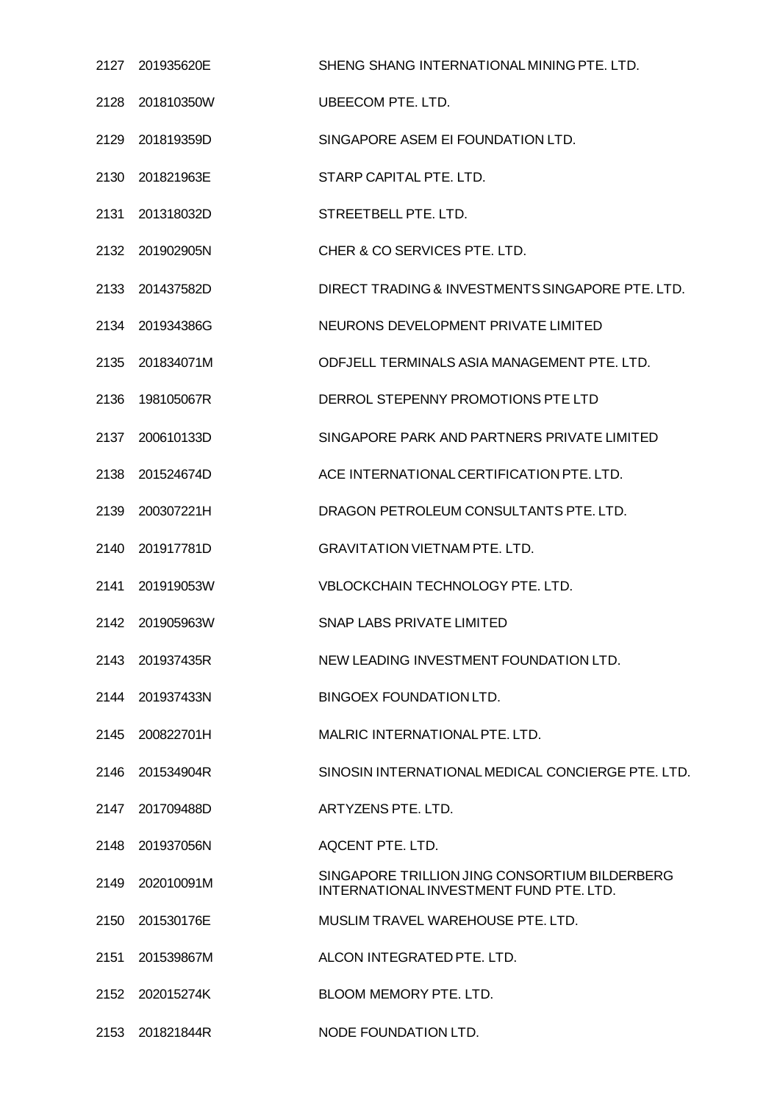|      | 2127 201935620E | SHENG SHANG INTERNATIONAL MINING PTE, LTD.                                               |
|------|-----------------|------------------------------------------------------------------------------------------|
|      | 2128 201810350W | <b>UBEECOM PTE. LTD.</b>                                                                 |
|      | 2129 201819359D | SINGAPORE ASEM EI FOUNDATION LTD.                                                        |
|      | 2130 201821963E | STARP CAPITAL PTE. LTD.                                                                  |
|      | 2131 201318032D | STREETBELL PTE, LTD.                                                                     |
|      | 2132 201902905N | CHER & CO SERVICES PTE. LTD.                                                             |
|      | 2133 201437582D | DIRECT TRADING & INVESTMENTS SINGAPORE PTE, LTD.                                         |
|      | 2134 201934386G | NEURONS DEVELOPMENT PRIVATE LIMITED                                                      |
|      | 2135 201834071M | ODFJELL TERMINALS ASIA MANAGEMENT PTE. LTD.                                              |
| 2136 | 198105067R      | DERROL STEPENNY PROMOTIONS PTE LTD                                                       |
|      | 2137 200610133D | SINGAPORE PARK AND PARTNERS PRIVATE LIMITED                                              |
|      | 2138 201524674D | ACE INTERNATIONAL CERTIFICATION PTE. LTD.                                                |
| 2139 | 200307221H      | DRAGON PETROLEUM CONSULTANTS PTE. LTD.                                                   |
|      | 2140 201917781D | <b>GRAVITATION VIETNAM PTE. LTD.</b>                                                     |
| 2141 | 201919053W      | <b>VBLOCKCHAIN TECHNOLOGY PTE. LTD.</b>                                                  |
|      | 2142 201905963W | <b>SNAP LABS PRIVATE LIMITED</b>                                                         |
| 2143 | 201937435R      | NEW LEADING INVESTMENT FOUNDATION LTD.                                                   |
|      | 2144 201937433N | BINGOEX FOUNDATION LTD.                                                                  |
| 2145 | 200822701H      | MALRIC INTERNATIONAL PTE. LTD.                                                           |
| 2146 | 201534904R      | SINOSIN INTERNATIONAL MEDICAL CONCIERGE PTE, LTD.                                        |
|      | 2147 201709488D | ARTYZENS PTE. LTD.                                                                       |
| 2148 | 201937056N      | AQCENT PTE. LTD.                                                                         |
| 2149 | 202010091M      | SINGAPORE TRILLION JING CONSORTIUM BILDERBERG<br>INTERNATIONAL INVESTMENT FUND PTE. LTD. |
|      | 2150 201530176E | MUSLIM TRAVEL WAREHOUSE PTE. LTD.                                                        |
| 2151 | 201539867M      | ALCON INTEGRATED PTE. LTD.                                                               |
|      | 2152 202015274K | BLOOM MEMORY PTE. LTD.                                                                   |
| 2153 | 201821844R      | NODE FOUNDATION LTD.                                                                     |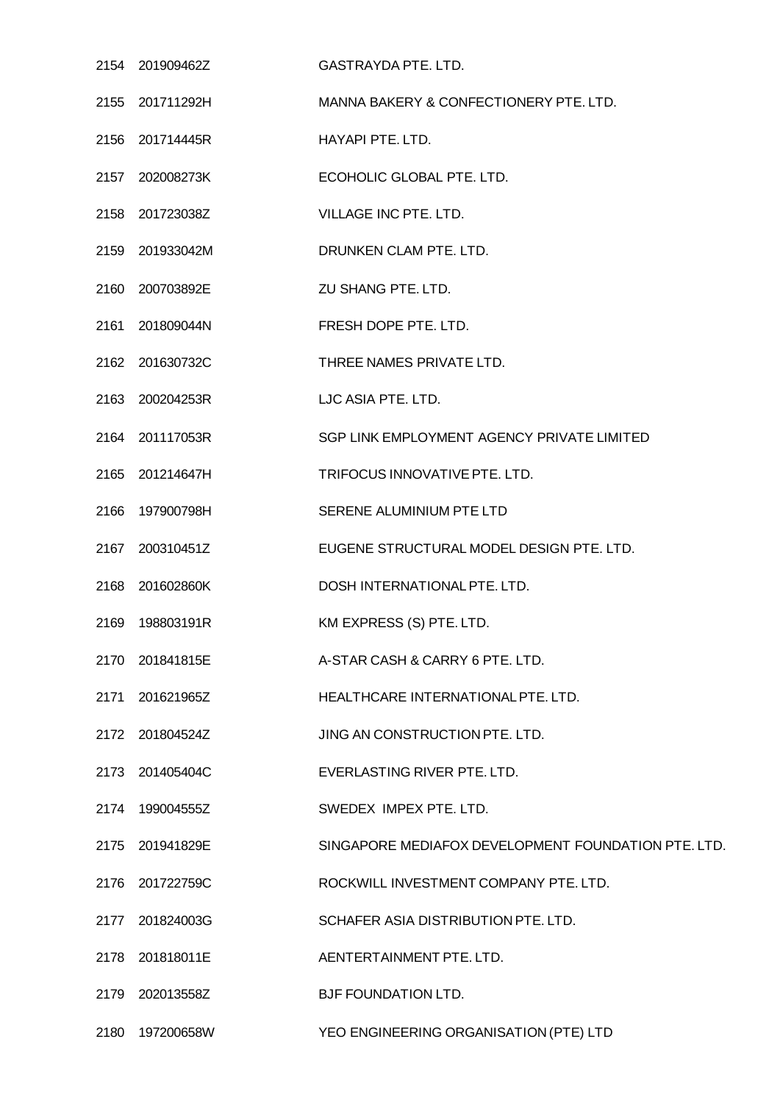|      | 2154 201909462Z | <b>GASTRAYDA PTE. LTD.</b>                          |
|------|-----------------|-----------------------------------------------------|
|      | 2155 201711292H | MANNA BAKERY & CONFECTIONERY PTE. LTD.              |
|      | 2156 201714445R | HAYAPI PTE. LTD.                                    |
|      | 2157 202008273K | ECOHOLIC GLOBAL PTE. LTD.                           |
|      | 2158 201723038Z | VILLAGE INC PTE, LTD.                               |
|      | 2159 201933042M | DRUNKEN CLAM PTE. LTD.                              |
|      | 2160 200703892E | ZU SHANG PTE. LTD.                                  |
|      | 2161 201809044N | FRESH DOPE PTE. LTD.                                |
|      | 2162 201630732C | THREE NAMES PRIVATE LTD.                            |
|      | 2163 200204253R | LJC ASIA PTE. LTD.                                  |
|      | 2164 201117053R | SGP LINK EMPLOYMENT AGENCY PRIVATE LIMITED          |
|      | 2165 201214647H | TRIFOCUS INNOVATIVE PTE. LTD.                       |
| 2166 | 197900798H      | SERENE ALUMINIUM PTE LTD                            |
|      | 2167 200310451Z | EUGENE STRUCTURAL MODEL DESIGN PTE. LTD.            |
|      | 2168 201602860K | DOSH INTERNATIONAL PTE. LTD.                        |
| 2169 | 198803191R      | KM EXPRESS (S) PTE. LTD.                            |
|      | 2170 201841815E | A-STAR CASH & CARRY 6 PTE. LTD.                     |
|      | 2171 201621965Z | HEALTHCARE INTERNATIONAL PTE. LTD.                  |
|      | 2172 201804524Z | JING AN CONSTRUCTION PTE. LTD.                      |
|      | 2173 201405404C | EVERLASTING RIVER PTE. LTD.                         |
|      | 2174 199004555Z | SWEDEX IMPEX PTE. LTD.                              |
|      | 2175 201941829E | SINGAPORE MEDIAFOX DEVELOPMENT FOUNDATION PTE. LTD. |
|      | 2176 201722759C | ROCKWILL INVESTMENT COMPANY PTE. LTD.               |
|      | 2177 201824003G | SCHAFER ASIA DISTRIBUTION PTE. LTD.                 |
|      | 2178 201818011E | AENTERTAINMENT PTE. LTD.                            |
|      | 2179 202013558Z | BJF FOUNDATION LTD.                                 |
|      | 2180 197200658W | YEO ENGINEERING ORGANISATION (PTE) LTD              |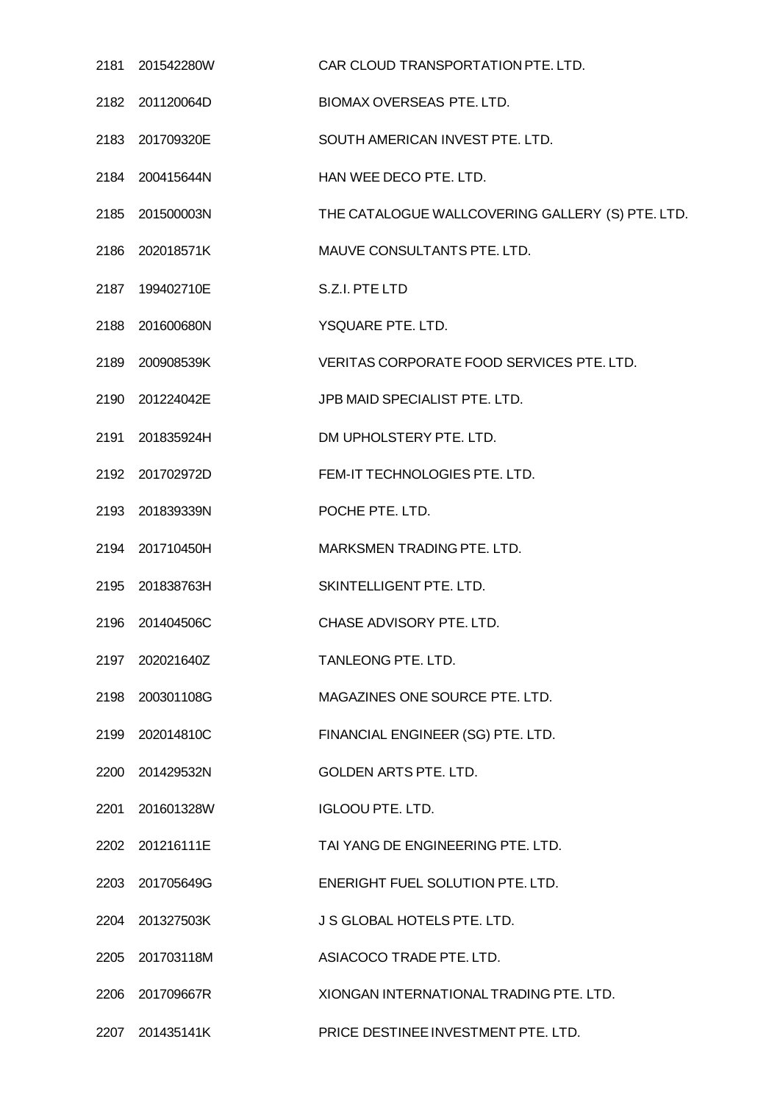| 2181 201542280W | CAR CLOUD TRANSPORTATION PTE. LTD.               |
|-----------------|--------------------------------------------------|
| 2182 201120064D | <b>BIOMAX OVERSEAS PTE. LTD.</b>                 |
| 2183 201709320E | SOUTH AMERICAN INVEST PTE. LTD.                  |
| 2184 200415644N | HAN WEE DECO PTE. LTD.                           |
| 2185 201500003N | THE CATALOGUE WALLCOVERING GALLERY (S) PTE. LTD. |
| 2186 202018571K | MAUVE CONSULTANTS PTE. LTD.                      |
| 2187 199402710E | S.Z.I. PTE LTD                                   |
| 2188 201600680N | YSQUARE PTE. LTD.                                |
| 2189 200908539K | VERITAS CORPORATE FOOD SERVICES PTE. LTD.        |
| 2190 201224042E | JPB MAID SPECIALIST PTE. LTD.                    |
| 2191 201835924H | DM UPHOLSTERY PTE. LTD.                          |
| 2192 201702972D | FEM-IT TECHNOLOGIES PTE. LTD.                    |
| 2193 201839339N | POCHE PTE. LTD.                                  |
| 2194 201710450H | MARKSMEN TRADING PTE. LTD.                       |
| 2195 201838763H | SKINTELLIGENT PTE. LTD.                          |
| 2196 201404506C | CHASE ADVISORY PTE. LTD.                         |
| 2197 202021640Z | TANLEONG PTE. LTD.                               |
| 2198 200301108G | MAGAZINES ONE SOURCE PTE. LTD.                   |
| 2199 202014810C | FINANCIAL ENGINEER (SG) PTE. LTD.                |
| 2200 201429532N | GOLDEN ARTS PTE. LTD.                            |
| 2201 201601328W | <b>IGLOOU PTE. LTD.</b>                          |
| 2202 201216111E | TAI YANG DE ENGINEERING PTE. LTD.                |
| 2203 201705649G | ENERIGHT FUEL SOLUTION PTE. LTD.                 |
| 2204 201327503K | J S GLOBAL HOTELS PTE. LTD.                      |
| 2205 201703118M | ASIACOCO TRADE PTE. LTD.                         |
| 2206 201709667R | XIONGAN INTERNATIONAL TRADING PTE. LTD.          |
| 2207 201435141K | PRICE DESTINEE INVESTMENT PTE. LTD.              |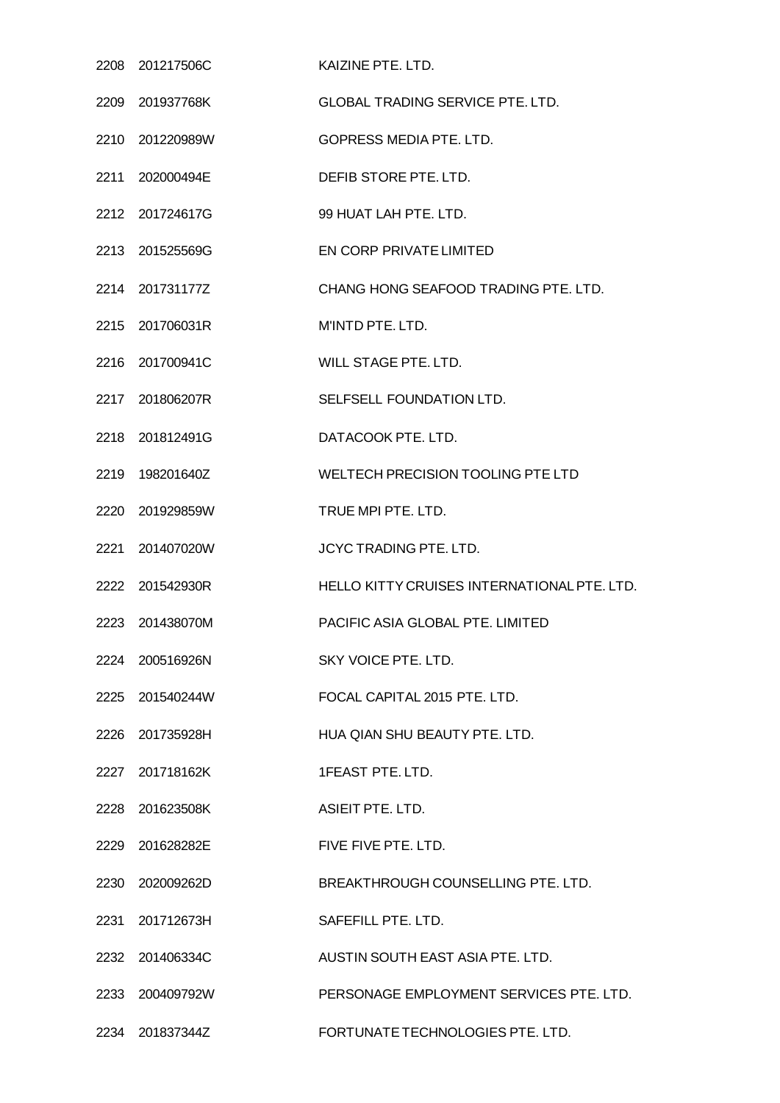| 2208 201217506C | KAIZINE PTE. LTD.                           |
|-----------------|---------------------------------------------|
| 2209 201937768K | <b>GLOBAL TRADING SERVICE PTE, LTD.</b>     |
| 2210 201220989W | <b>GOPRESS MEDIA PTE. LTD.</b>              |
| 2211 202000494E | DEFIB STORE PTE. LTD.                       |
| 2212 201724617G | 99 HUAT LAH PTE, LTD.                       |
| 2213 201525569G | EN CORP PRIVATE LIMITED                     |
| 2214 201731177Z | CHANG HONG SEAFOOD TRADING PTE. LTD.        |
| 2215 201706031R | M'INTD PTE, LTD.                            |
| 2216 201700941C | WILL STAGE PTE. LTD.                        |
| 2217 201806207R | SELFSELL FOUNDATION LTD.                    |
| 2218 201812491G | DATACOOK PTE. LTD.                          |
| 2219 198201640Z | WELTECH PRECISION TOOLING PTE LTD           |
| 2220 201929859W | TRUE MPI PTE, LTD.                          |
| 2221 201407020W | <b>JCYC TRADING PTE. LTD.</b>               |
| 2222 201542930R | HELLO KITTY CRUISES INTERNATIONAL PTE. LTD. |
| 2223 201438070M | <b>PACIFIC ASIA GLOBAL PTE, LIMITED</b>     |
| 2224 200516926N | SKY VOICE PTE. LTD.                         |
| 2225 201540244W | FOCAL CAPITAL 2015 PTE. LTD.                |
| 2226 201735928H | HUA QIAN SHU BEAUTY PTE. LTD.               |
| 2227 201718162K | <b>1FEAST PTE, LTD.</b>                     |
| 2228 201623508K | ASIEIT PTE. LTD.                            |
| 2229 201628282E | FIVE FIVE PTE, LTD.                         |
| 2230 202009262D | BREAKTHROUGH COUNSELLING PTE. LTD.          |
| 2231 201712673H | SAFEFILL PTE. LTD.                          |
| 2232 201406334C | AUSTIN SOUTH EAST ASIA PTE. LTD.            |
| 2233 200409792W | PERSONAGE EMPLOYMENT SERVICES PTE. LTD.     |
| 2234 201837344Z | FORTUNATE TECHNOLOGIES PTE. LTD.            |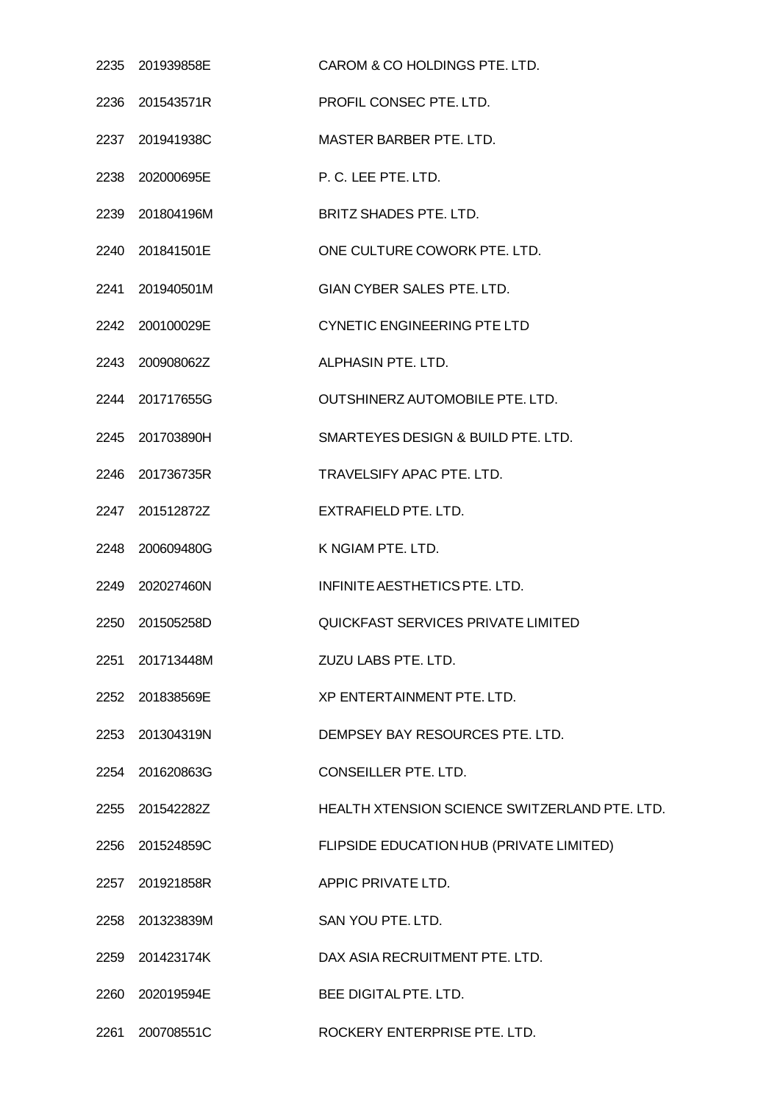| 2235 201939858E | CAROM & CO HOLDINGS PTE. LTD.                 |
|-----------------|-----------------------------------------------|
| 2236 201543571R | PROFIL CONSEC PTE. LTD.                       |
| 2237 201941938C | MASTER BARBER PTE. LTD.                       |
| 2238 202000695E | P. C. LEE PTE. LTD.                           |
| 2239 201804196M | <b>BRITZ SHADES PTE, LTD.</b>                 |
| 2240 201841501E | ONE CULTURE COWORK PTE. LTD.                  |
| 2241 201940501M | GIAN CYBER SALES PTE. LTD.                    |
| 2242 200100029E | <b>CYNETIC ENGINEERING PTE LTD</b>            |
| 2243 200908062Z | ALPHASIN PTE. LTD.                            |
| 2244 201717655G | OUTSHINERZ AUTOMOBILE PTE. LTD.               |
| 2245 201703890H | SMARTEYES DESIGN & BUILD PTE. LTD.            |
| 2246 201736735R | TRAVELSIFY APAC PTE. LTD.                     |
| 2247 201512872Z | EXTRAFIELD PTE, LTD.                          |
| 2248 200609480G | K NGIAM PTE, LTD.                             |
| 2249 202027460N | INFINITE AESTHETICS PTE. LTD.                 |
| 2250 201505258D | QUICKFAST SERVICES PRIVATE LIMITED            |
| 2251 201713448M | ZUZU LABS PTE. LTD.                           |
| 2252 201838569E | XP ENTERTAINMENT PTE. LTD.                    |
| 2253 201304319N | DEMPSEY BAY RESOURCES PTE. LTD.               |
| 2254 201620863G | CONSEILLER PTE. LTD.                          |
| 2255 201542282Z | HEALTH XTENSION SCIENCE SWITZERLAND PTE. LTD. |
| 2256 201524859C | FLIPSIDE EDUCATION HUB (PRIVATE LIMITED)      |
| 2257 201921858R | APPIC PRIVATE LTD.                            |
| 2258 201323839M | SAN YOU PTE. LTD.                             |
| 2259 201423174K | DAX ASIA RECRUITMENT PTE. LTD.                |
| 2260 202019594E | BEE DIGITAL PTE. LTD.                         |
| 2261 200708551C | ROCKERY ENTERPRISE PTE. LTD.                  |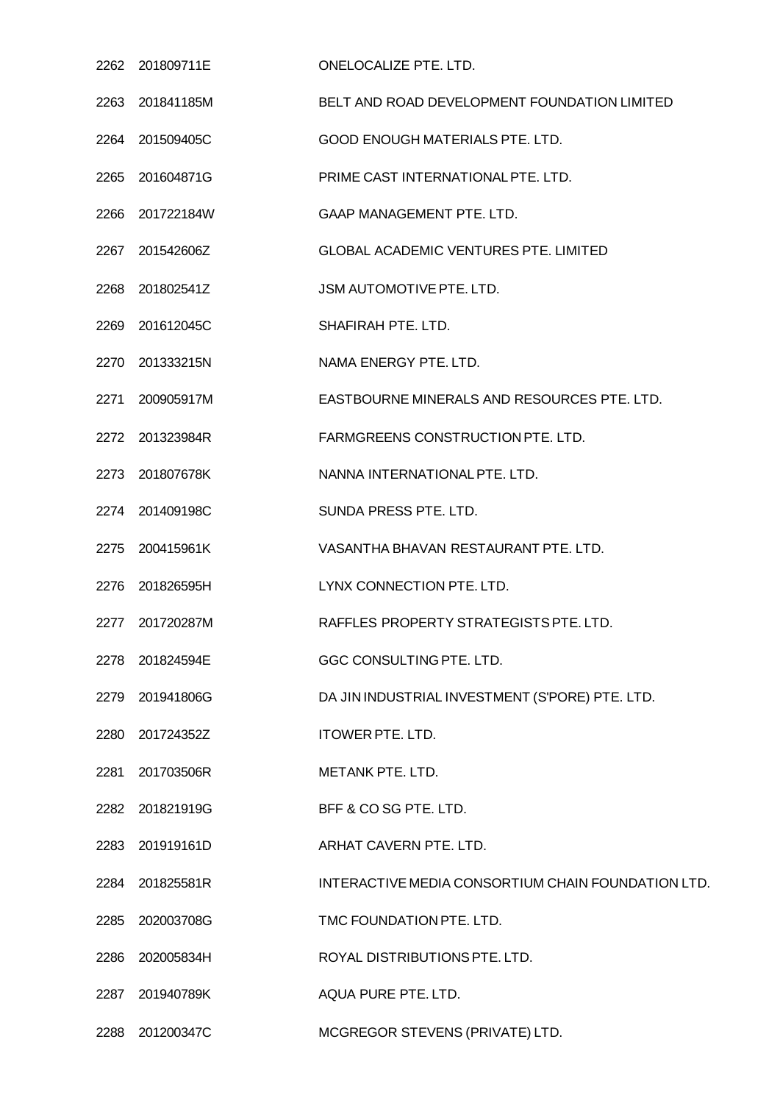|      | 2262 201809711E | <b>ONELOCALIZE PTE. LTD.</b>                       |
|------|-----------------|----------------------------------------------------|
|      | 2263 201841185M | BELT AND ROAD DEVELOPMENT FOUNDATION LIMITED       |
|      | 2264 201509405C | GOOD ENOUGH MATERIALS PTE. LTD.                    |
|      | 2265 201604871G | PRIME CAST INTERNATIONAL PTE. LTD.                 |
|      | 2266 201722184W | <b>GAAP MANAGEMENT PTE. LTD.</b>                   |
|      | 2267 201542606Z | <b>GLOBAL ACADEMIC VENTURES PTE. LIMITED</b>       |
|      | 2268 201802541Z | JSM AUTOMOTIVE PTE. LTD.                           |
| 2269 | 201612045C      | SHAFIRAH PTE. LTD.                                 |
|      | 2270 201333215N | NAMA ENERGY PTE, LTD.                              |
| 2271 | 200905917M      | EASTBOURNE MINERALS AND RESOURCES PTE. LTD.        |
|      | 2272 201323984R | FARMGREENS CONSTRUCTION PTE. LTD.                  |
|      | 2273 201807678K | NANNA INTERNATIONAL PTE. LTD.                      |
| 2274 | 201409198C      | SUNDA PRESS PTE. LTD.                              |
|      | 2275 200415961K | VASANTHA BHAVAN RESTAURANT PTE, LTD.               |
| 2276 | 201826595H      | LYNX CONNECTION PTE. LTD.                          |
| 2277 | 201720287M      | RAFFLES PROPERTY STRATEGISTS PTE. LTD.             |
|      | 2278 201824594E | GGC CONSULTING PTE. LTD.                           |
| 2279 | 201941806G      | DA JIN INDUSTRIAL INVESTMENT (S'PORE) PTE. LTD.    |
|      | 2280 201724352Z | <b>ITOWER PTE. LTD.</b>                            |
| 2281 | 201703506R      | <b>METANK PTE. LTD.</b>                            |
|      | 2282 201821919G | BFF & COSG PTE. LTD.                               |
| 2283 | 201919161D      | ARHAT CAVERN PTE. LTD.                             |
| 2284 | 201825581R      | INTERACTIVE MEDIA CONSORTIUM CHAIN FOUNDATION LTD. |
|      | 2285 202003708G | TMC FOUNDATION PTE. LTD.                           |
| 2286 | 202005834H      | ROYAL DISTRIBUTIONS PTE. LTD.                      |
| 2287 | 201940789K      | AQUA PURE PTE. LTD.                                |
| 2288 | 201200347C      | MCGREGOR STEVENS (PRIVATE) LTD.                    |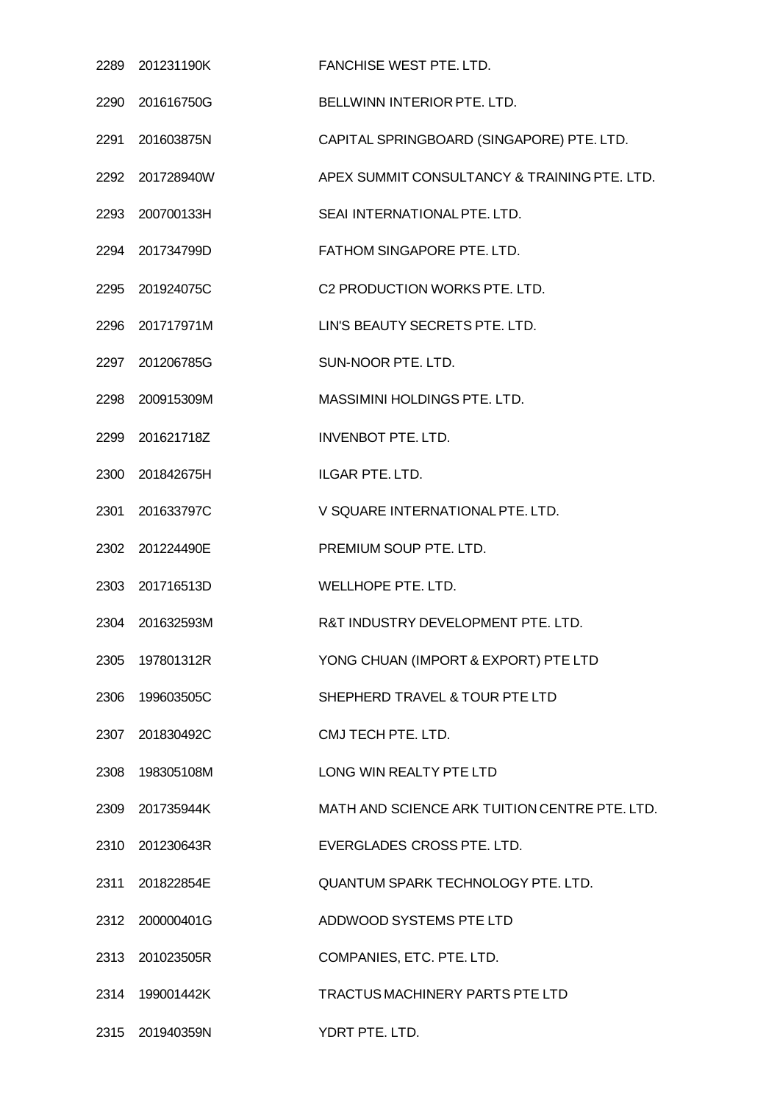| 2289 201231190K | FANCHISE WEST PTE. LTD.                       |
|-----------------|-----------------------------------------------|
| 2290 201616750G | BELLWINN INTERIOR PTE, LTD.                   |
| 2291 201603875N | CAPITAL SPRINGBOARD (SINGAPORE) PTE. LTD.     |
| 2292 201728940W | APEX SUMMIT CONSULTANCY & TRAINING PTE. LTD.  |
| 2293 200700133H | SEAI INTERNATIONAL PTE. LTD.                  |
| 2294 201734799D | FATHOM SINGAPORE PTE. LTD.                    |
| 2295 201924075C | C2 PRODUCTION WORKS PTE. LTD.                 |
| 2296 201717971M | LIN'S BEAUTY SECRETS PTE. LTD.                |
| 2297 201206785G | SUN-NOOR PTE. LTD.                            |
| 2298 200915309M | MASSIMINI HOLDINGS PTE, LTD.                  |
| 2299 201621718Z | <b>INVENBOT PTE. LTD.</b>                     |
| 2300 201842675H | <b>ILGAR PTE, LTD.</b>                        |
| 2301 201633797C | V SQUARE INTERNATIONAL PTE. LTD.              |
| 2302 201224490E | PREMIUM SOUP PTE. LTD.                        |
| 2303 201716513D | WELLHOPE PTE, LTD.                            |
| 2304 201632593M | R&T INDUSTRY DEVELOPMENT PTE. LTD.            |
| 2305 197801312R | YONG CHUAN (IMPORT & EXPORT) PTE LTD          |
| 2306 199603505C | SHEPHERD TRAVEL & TOUR PTE LTD                |
| 2307 201830492C | CMJ TECH PTE. LTD.                            |
| 2308 198305108M | LONG WIN REALTY PTE LTD                       |
| 2309 201735944K | MATH AND SCIENCE ARK TUITION CENTRE PTE. LTD. |
| 2310 201230643R | EVERGLADES CROSS PTE. LTD.                    |
| 2311 201822854E | QUANTUM SPARK TECHNOLOGY PTE. LTD.            |
| 2312 200000401G | ADDWOOD SYSTEMS PTE LTD                       |
| 2313 201023505R | COMPANIES, ETC. PTE. LTD.                     |
| 2314 199001442K | TRACTUS MACHINERY PARTS PTE LTD               |
| 2315 201940359N | YDRT PTE. LTD.                                |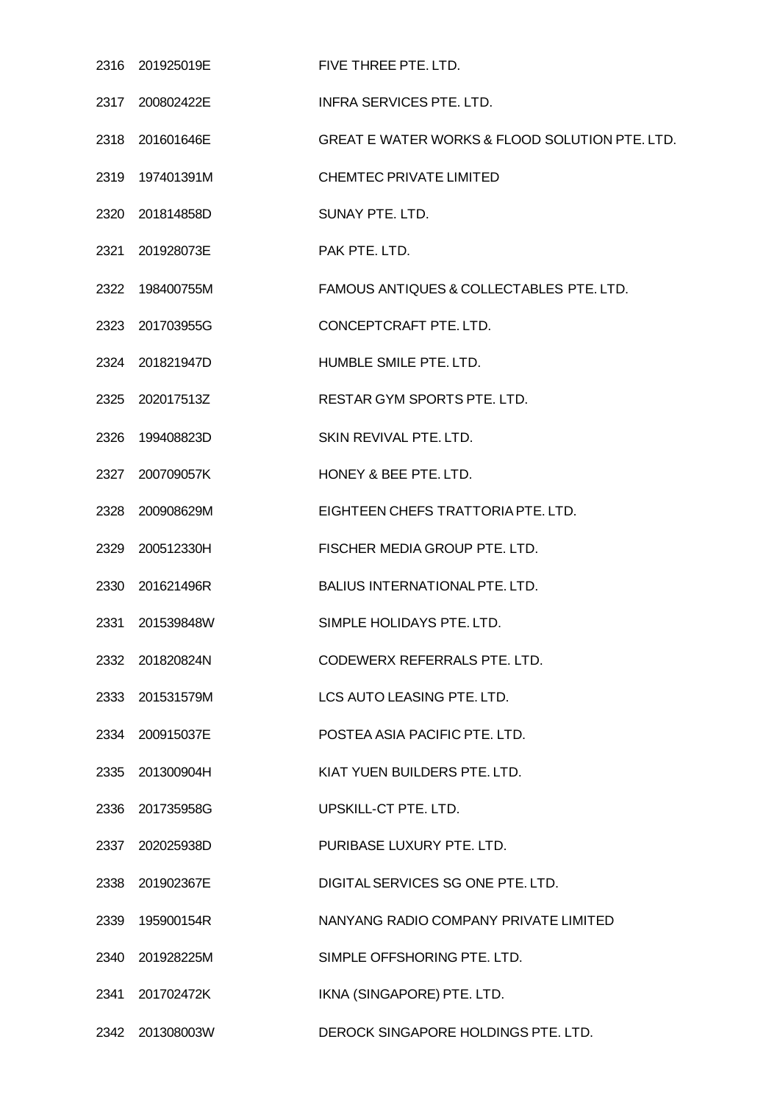| 2316 201925019E | FIVE THREE PTE. LTD.                           |
|-----------------|------------------------------------------------|
| 2317 200802422E | <b>INFRA SERVICES PTE. LTD.</b>                |
| 2318 201601646E | GREAT E WATER WORKS & FLOOD SOLUTION PTE. LTD. |
| 2319 197401391M | <b>CHEMTEC PRIVATE LIMITED</b>                 |
| 2320 201814858D | SUNAY PTE, LTD.                                |
| 2321 201928073E | PAK PTE. LTD.                                  |
| 2322 198400755M | FAMOUS ANTIQUES & COLLECTABLES PTE. LTD.       |
| 2323 201703955G | CONCEPTCRAFT PTE. LTD.                         |
| 2324 201821947D | HUMBLE SMILE PTE, LTD.                         |
| 2325 202017513Z | RESTAR GYM SPORTS PTE. LTD.                    |
| 2326 199408823D | SKIN REVIVAL PTE, LTD.                         |
| 2327 200709057K | HONEY & BEE PTE, LTD.                          |
| 2328 200908629M | EIGHTEEN CHEFS TRATTORIA PTE. LTD.             |
| 2329 200512330H | FISCHER MEDIA GROUP PTE. LTD.                  |
| 2330 201621496R | BALIUS INTERNATIONAL PTE. LTD.                 |
| 2331 201539848W | SIMPLE HOLIDAYS PTE. LTD.                      |
| 2332 201820824N | CODEWERX REFERRALS PTE. LTD.                   |
| 2333 201531579M | LCS AUTO LEASING PTE. LTD.                     |
| 2334 200915037E | POSTEA ASIA PACIFIC PTE. LTD.                  |
| 2335 201300904H | KIAT YUEN BUILDERS PTE. LTD.                   |
| 2336 201735958G | UPSKILL-CT PTE. LTD.                           |
| 2337 202025938D | PURIBASE LUXURY PTE. LTD.                      |
| 2338 201902367E | DIGITAL SERVICES SG ONE PTE. LTD.              |
| 2339 195900154R | NANYANG RADIO COMPANY PRIVATE LIMITED          |
| 2340 201928225M | SIMPLE OFFSHORING PTE. LTD.                    |
| 2341 201702472K | IKNA (SINGAPORE) PTE. LTD.                     |
| 2342 201308003W | DEROCK SINGAPORE HOLDINGS PTE. LTD.            |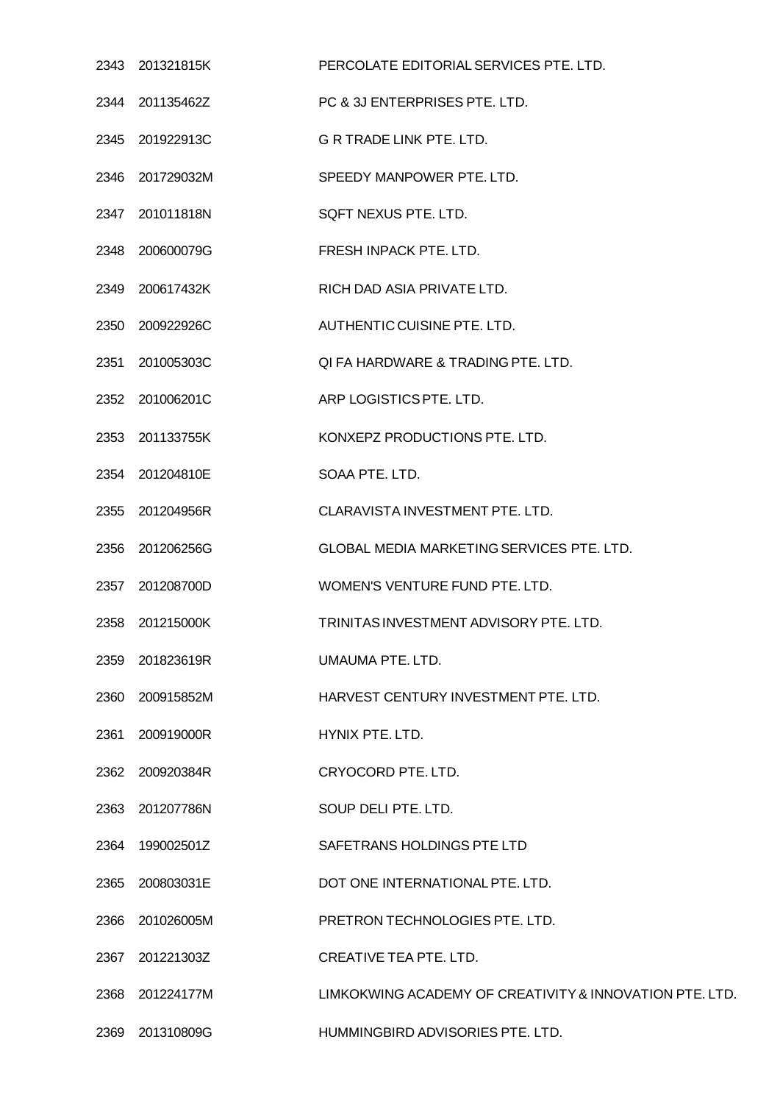|      | 2343 201321815K | PERCOLATE EDITORIAL SERVICES PTE. LTD.                  |
|------|-----------------|---------------------------------------------------------|
|      | 2344 201135462Z | PC & 3J ENTERPRISES PTE. LTD.                           |
|      | 2345 201922913C | <b>G R TRADE LINK PTE. LTD.</b>                         |
|      | 2346 201729032M | SPEEDY MANPOWER PTE. LTD.                               |
|      | 2347 201011818N | SQFT NEXUS PTE. LTD.                                    |
|      | 2348 200600079G | FRESH INPACK PTE. LTD.                                  |
|      | 2349 200617432K | RICH DAD ASIA PRIVATE LTD.                              |
|      | 2350 200922926C | AUTHENTIC CUISINE PTE. LTD.                             |
|      | 2351 201005303C | QI FA HARDWARE & TRADING PTE. LTD.                      |
|      | 2352 201006201C | ARP LOGISTICS PTE. LTD.                                 |
|      | 2353 201133755K | KONXEPZ PRODUCTIONS PTE. LTD.                           |
|      | 2354 201204810E | SOAA PTE. LTD.                                          |
|      | 2355 201204956R | CLARAVISTA INVESTMENT PTE. LTD.                         |
|      | 2356 201206256G | <b>GLOBAL MEDIA MARKETING SERVICES PTE. LTD.</b>        |
|      | 2357 201208700D | WOMEN'S VENTURE FUND PTE. LTD.                          |
|      | 2358 201215000K | TRINITAS INVESTMENT ADVISORY PTE. LTD.                  |
|      | 2359 201823619R | UMAUMA PTE. LTD.                                        |
|      | 2360 200915852M | HARVEST CENTURY INVESTMENT PTE. LTD.                    |
| 2361 | 200919000R      | HYNIX PTE. LTD.                                         |
|      | 2362 200920384R | CRYOCORD PTE. LTD.                                      |
|      | 2363 201207786N | SOUP DELI PTE. LTD.                                     |
|      | 2364 199002501Z | SAFETRANS HOLDINGS PTE LTD                              |
| 2365 | 200803031E      | DOT ONE INTERNATIONAL PTE. LTD.                         |
|      | 2366 201026005M | PRETRON TECHNOLOGIES PTE. LTD.                          |
| 2367 | 201221303Z      | <b>CREATIVE TEA PTE. LTD.</b>                           |
|      | 2368 201224177M | LIMKOKWING ACADEMY OF CREATIVITY & INNOVATION PTE. LTD. |
|      | 2369 201310809G | HUMMINGBIRD ADVISORIES PTE. LTD.                        |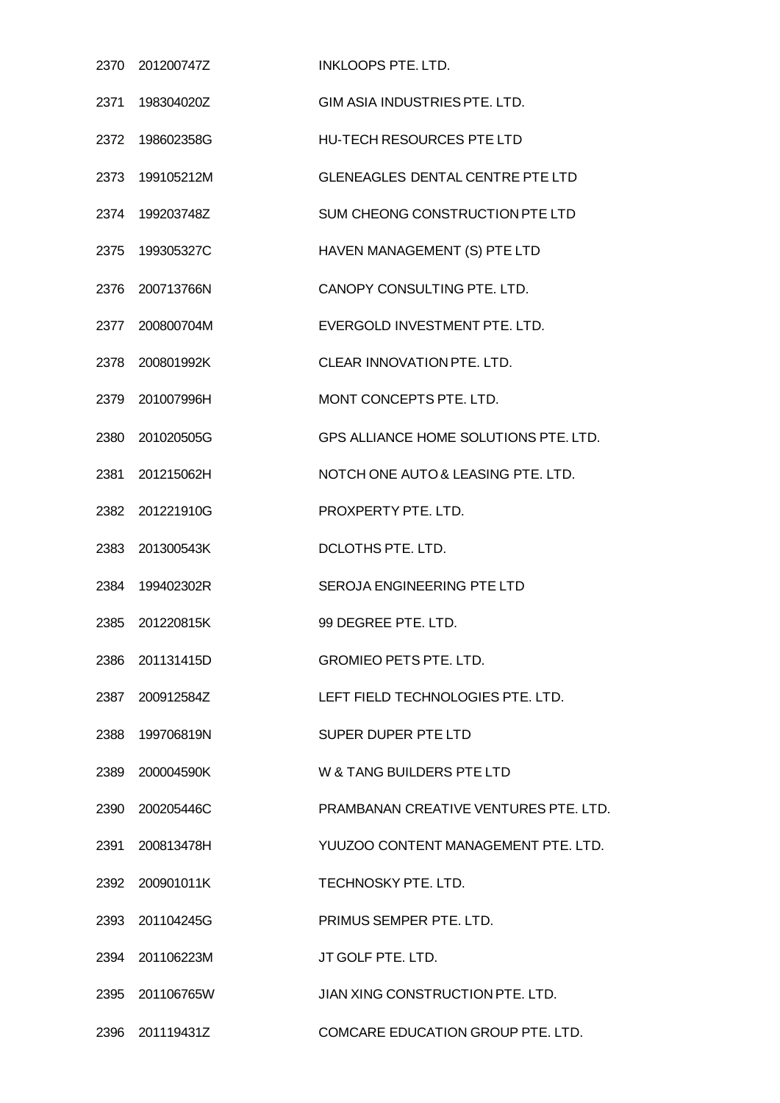|      | 2370 201200747Z | <b>INKLOOPS PTE. LTD.</b>               |
|------|-----------------|-----------------------------------------|
| 2371 | 198304020Z      | GIM ASIA INDUSTRIES PTE. LTD.           |
| 2372 | 198602358G      | <b>HU-TECH RESOURCES PTE LTD</b>        |
|      | 2373 199105212M | <b>GLENEAGLES DENTAL CENTRE PTE LTD</b> |
| 2374 | 199203748Z      | SUM CHEONG CONSTRUCTION PTE LTD         |
|      | 2375 199305327C | HAVEN MANAGEMENT (S) PTE LTD            |
|      | 2376 200713766N | CANOPY CONSULTING PTE. LTD.             |
|      | 2377 200800704M | EVERGOLD INVESTMENT PTE. LTD.           |
|      | 2378 200801992K | CLEAR INNOVATION PTE, LTD.              |
| 2379 | 201007996H      | MONT CONCEPTS PTE. LTD.                 |
|      | 2380 201020505G | GPS ALLIANCE HOME SOLUTIONS PTE. LTD.   |
|      | 2381 201215062H | NOTCH ONE AUTO & LEASING PTE. LTD.      |
| 2382 | 201221910G      | PROXPERTY PTE. LTD.                     |
|      | 2383 201300543K | DCLOTHS PTE. LTD.                       |
| 2384 | 199402302R      | SEROJA ENGINEERING PTE LTD              |
| 2385 | 201220815K      | 99 DEGREE PTE, LTD.                     |
|      | 2386 201131415D | <b>GROMIEO PETS PTE. LTD.</b>           |
| 2387 | 200912584Z      | LEFT FIELD TECHNOLOGIES PTE. LTD.       |
|      | 2388 199706819N | SUPER DUPER PTE LTD                     |
| 2389 | 200004590K      | W & TANG BUILDERS PTE LTD               |
|      | 2390 200205446C | PRAMBANAN CREATIVE VENTURES PTE. LTD.   |
| 2391 | 200813478H      | YUUZOO CONTENT MANAGEMENT PTE. LTD.     |
| 2392 | 200901011K      | TECHNOSKY PTE, LTD.                     |
|      | 2393 201104245G | PRIMUS SEMPER PTE. LTD.                 |
| 2394 | 201106223M      | JT GOLF PTE. LTD.                       |
|      | 2395 201106765W | JIAN XING CONSTRUCTION PTE. LTD.        |
| 2396 | 201119431Z      | COMCARE EDUCATION GROUP PTE. LTD.       |